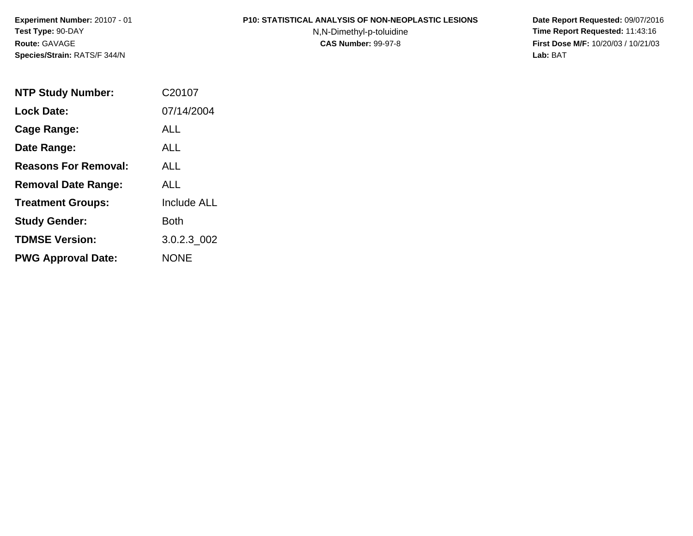#### **P10: STATISTICAL ANALYSIS OF NON-NEOPLASTIC LESIONS**

N,N-Dimethyl-p-toluidine

 **Date Report Requested:** 09/07/2016 **Time Report Requested:** 11:43:16 **First Dose M/F:** 10/20/03 / 10/21/03<br>**Lab:** BAT **Lab:** BAT

| <b>NTP Study Number:</b>    | C20107             |
|-----------------------------|--------------------|
| <b>Lock Date:</b>           | 07/14/2004         |
| Cage Range:                 | ALL                |
| Date Range:                 | AI I               |
| <b>Reasons For Removal:</b> | ALL.               |
| <b>Removal Date Range:</b>  | ALL                |
| <b>Treatment Groups:</b>    | <b>Include ALL</b> |
| <b>Study Gender:</b>        | Both               |
| <b>TDMSE Version:</b>       | 3.0.2.3 002        |
| <b>PWG Approval Date:</b>   | <b>NONE</b>        |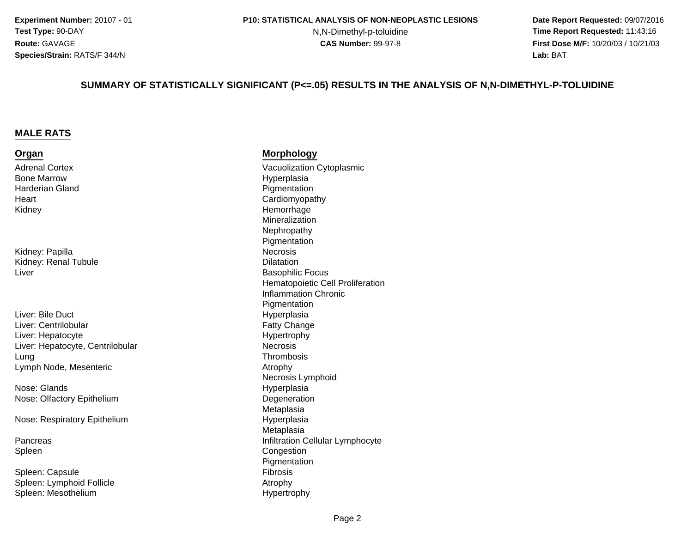N,N-Dimethyl-p-toluidine

 **Date Report Requested:** 09/07/2016 **Time Report Requested:** 11:43:16 **First Dose M/F:** 10/20/03 / 10/21/03<br>**Lab:** BAT **Lab:** BAT

#### **SUMMARY OF STATISTICALLY SIGNIFICANT (P<=.05) RESULTS IN THE ANALYSIS OF N,N-DIMETHYL-P-TOLUIDINE**

#### **MALE RATS**

#### **Organ**

Adrenal CortexBone MarrowHarderian Gland**Heart** Kidney

Kidney: Papillaa Necrosis Kidney: Renal TubuleLiver

 HyperplasiaLiver: Bile Ductr **Fatty Change** Liver: Centrilobulare Hypertrophy Liver: HepatocyteLiver: Hepatocyte, CentrilobularLung Thrombosis Lymph Node, Mesenteric

Nose: GlandsNose: Olfactory Epithelium

Nose: Respiratory Epithelium

PancreasSpleen

Spleen: Capsule Fibrosis Spleen: Lymphoid FollicleSpleen: Mesothelium

#### **Morphology**

 Vacuolization Cytoplasmic Hyperplasia Pigmentation Cardiomyopathy Hemorrhage Mineralization Nephropathy Pigmentatione Dilatation Basophilic Focus Hematopoietic Cell ProliferationInflammation ChronicPigmentation**Necrosis** Thrombosis Atrophy Necrosis Lymphoid Hyperplasiam Degeneration<br>Material Meteristics Metaplasia Hyperplasia Metaplasias infiltration Cellular Lymphocyte Congestion Pigmentation Atrophy Hypertrophy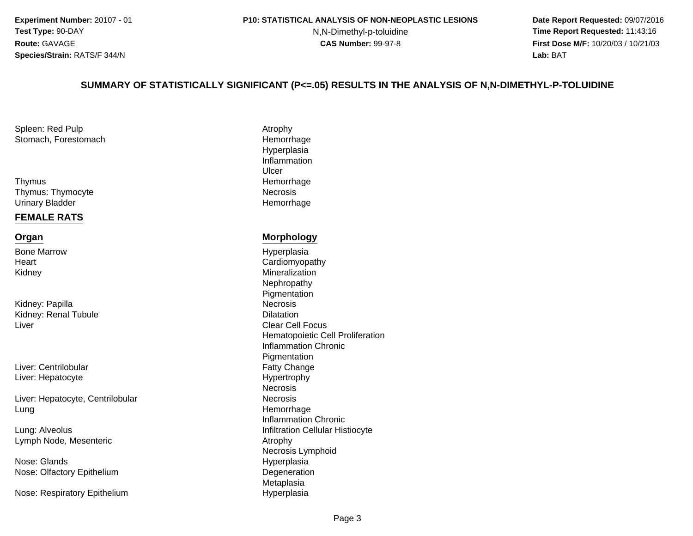#### **P10: STATISTICAL ANALYSIS OF NON-NEOPLASTIC LESIONS**

N,N-Dimethyl-p-toluidine

 **Date Report Requested:** 09/07/2016 **Time Report Requested:** 11:43:16 **First Dose M/F:** 10/20/03 / 10/21/03<br>**Lab:** BAT **Lab:** BAT

#### **SUMMARY OF STATISTICALLY SIGNIFICANT (P<=.05) RESULTS IN THE ANALYSIS OF N,N-DIMETHYL-P-TOLUIDINE**

Spleen: Red Pulpp and the contract of the contract of the Atrophy Stomach, Forestomach

s **Hemorrhage** ThymusThymus: ThymocyteUrinary Bladder

#### **FEMALE RATS**

#### **Organ**

Bone Marrow**Heart** Kidney

Kidney: Papillaa Necrosis Kidney: Renal TubuleLiver

Liver: CentrilobularLiver: Hepatocyte

Liver: Hepatocyte, Centrilobularg **Hemorrhage** Lung

Lung: AlveolusLymph Node, Mesenteric

Nose: GlandsNose: Olfactory Epithelium

Nose: Respiratory Epithelium

 Hemorrhage Hyperplasia InflammationUlcere Necrosis Hemorrhage

#### **Morphology**

 Hyperplasia Cardiomyopathy Mineralization Nephropathy Pigmentation Dilatation Clear Cell Focus Hematopoietic Cell ProliferationInflammation Chronic**Pigmentation** r **Fatty Change** e **Hypertrophy Necrosis** r **Necrosis** Inflammation Chronics **Infiltration Cellular Histiocyte**  Atrophy Necrosis Lymphoid Hyperplasiam Degeneration<br>Material Meteristics MetaplasiaHyperplasia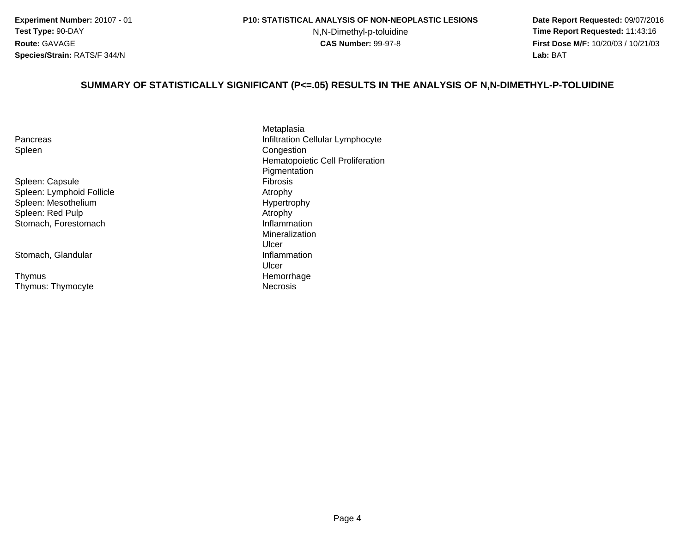N,N-Dimethyl-p-toluidine

 **Date Report Requested:** 09/07/2016 **Time Report Requested:** 11:43:16 **First Dose M/F:** 10/20/03 / 10/21/03<br>**Lab:** BAT **Lab:** BAT

#### **SUMMARY OF STATISTICALLY SIGNIFICANT (P<=.05) RESULTS IN THE ANALYSIS OF N,N-DIMETHYL-P-TOLUIDINE**

| Pancreas |  |
|----------|--|
| Spleen   |  |

Spleen: Capsule Fibrosis Spleen: Lymphoid FollicleSpleen: MesotheliumSpleen: Red PulpStomach, Forestomach

Stomach, Glandular

s **Hemorrhage Thymus** Thymus: Thymocyte

Metaplasias infiltration Cellular Lymphocyte Congestion Hematopoietic Cell Proliferation**Pigmentation**  Atrophy Hypertrophy Atrophy Inflammation MineralizationUlcer**Inflammation** Ulcere **Necrosis**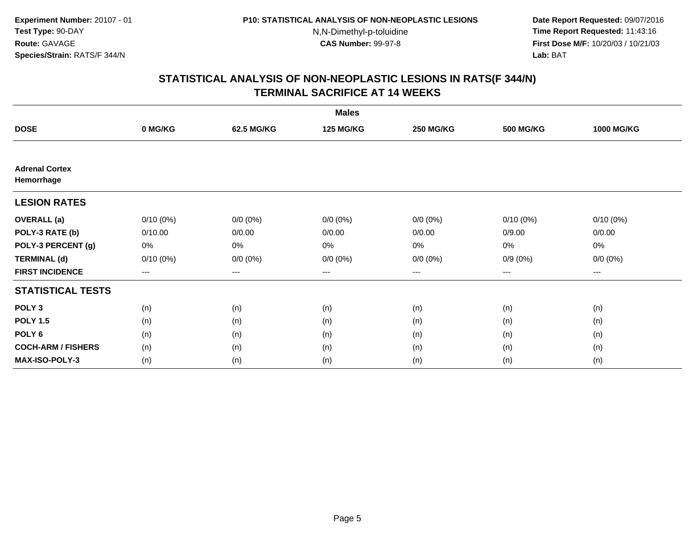**Date Report Requested:** 09/07/2016 **Time Report Requested:** 11:43:16 **First Dose M/F:** 10/20/03 / 10/21/03<br>**Lab:** BAT **Lab:** BAT

|                                     |             |             | <b>Males</b>     |                  |                  |                   |
|-------------------------------------|-------------|-------------|------------------|------------------|------------------|-------------------|
| <b>DOSE</b>                         | 0 MG/KG     | 62.5 MG/KG  | <b>125 MG/KG</b> | <b>250 MG/KG</b> | <b>500 MG/KG</b> | <b>1000 MG/KG</b> |
|                                     |             |             |                  |                  |                  |                   |
| <b>Adrenal Cortex</b><br>Hemorrhage |             |             |                  |                  |                  |                   |
| <b>LESION RATES</b>                 |             |             |                  |                  |                  |                   |
| <b>OVERALL</b> (a)                  | $0/10(0\%)$ | $0/0 (0\%)$ | $0/0 (0\%)$      | $0/0 (0\%)$      | $0/10(0\%)$      | $0/10(0\%)$       |
| POLY-3 RATE (b)                     | 0/10.00     | 0/0.00      | 0/0.00           | 0/0.00           | 0/9.00           | 0/0.00            |
| POLY-3 PERCENT (g)                  | 0%          | 0%          | 0%               | 0%               | $0\%$            | $0\%$             |
| <b>TERMINAL (d)</b>                 | $0/10(0\%)$ | $0/0 (0\%)$ | $0/0 (0\%)$      | $0/0 (0\%)$      | $0/9(0\%)$       | $0/0 (0\%)$       |
| <b>FIRST INCIDENCE</b>              | $--$        | $--$        | ---              | $--$             | ---              | ---               |
| <b>STATISTICAL TESTS</b>            |             |             |                  |                  |                  |                   |
| POLY <sub>3</sub>                   | (n)         | (n)         | (n)              | (n)              | (n)              | (n)               |
| <b>POLY 1.5</b>                     | (n)         | (n)         | (n)              | (n)              | (n)              | (n)               |
| POLY <sub>6</sub>                   | (n)         | (n)         | (n)              | (n)              | (n)              | (n)               |
| <b>COCH-ARM / FISHERS</b>           | (n)         | (n)         | (n)              | (n)              | (n)              | (n)               |
| MAX-ISO-POLY-3                      | (n)         | (n)         | (n)              | (n)              | (n)              | (n)               |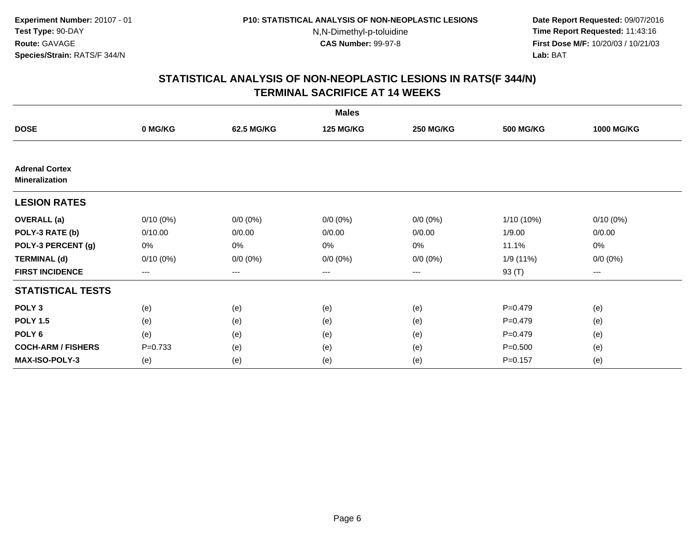**Date Report Requested:** 09/07/2016 **Time Report Requested:** 11:43:16 **First Dose M/F:** 10/20/03 / 10/21/03<br>**Lab:** BAT **Lab:** BAT

|                                                |             |             | <b>Males</b>     |                  |                  |                   |
|------------------------------------------------|-------------|-------------|------------------|------------------|------------------|-------------------|
| <b>DOSE</b>                                    | 0 MG/KG     | 62.5 MG/KG  | <b>125 MG/KG</b> | <b>250 MG/KG</b> | <b>500 MG/KG</b> | <b>1000 MG/KG</b> |
|                                                |             |             |                  |                  |                  |                   |
| <b>Adrenal Cortex</b><br><b>Mineralization</b> |             |             |                  |                  |                  |                   |
| <b>LESION RATES</b>                            |             |             |                  |                  |                  |                   |
| <b>OVERALL</b> (a)                             | $0/10(0\%)$ | $0/0 (0\%)$ | $0/0 (0\%)$      | $0/0 (0\%)$      | $1/10(10\%)$     | $0/10(0\%)$       |
| POLY-3 RATE (b)                                | 0/10.00     | 0/0.00      | 0/0.00           | 0/0.00           | 1/9.00           | 0/0.00            |
| POLY-3 PERCENT (g)                             | 0%          | 0%          | 0%               | 0%               | 11.1%            | 0%                |
| <b>TERMINAL (d)</b>                            | $0/10(0\%)$ | $0/0 (0\%)$ | $0/0 (0\%)$      | $0/0 (0\%)$      | 1/9 (11%)        | $0/0 (0\%)$       |
| <b>FIRST INCIDENCE</b>                         | $--$        | ---         | ---              | $--$             | 93 (T)           | ---               |
| <b>STATISTICAL TESTS</b>                       |             |             |                  |                  |                  |                   |
| POLY <sub>3</sub>                              | (e)         | (e)         | (e)              | (e)              | $P = 0.479$      | (e)               |
| <b>POLY 1.5</b>                                | (e)         | (e)         | (e)              | (e)              | $P = 0.479$      | (e)               |
| POLY <sub>6</sub>                              | (e)         | (e)         | (e)              | (e)              | $P = 0.479$      | (e)               |
| <b>COCH-ARM / FISHERS</b>                      | $P = 0.733$ | (e)         | (e)              | (e)              | $P = 0.500$      | (e)               |
| <b>MAX-ISO-POLY-3</b>                          | (e)         | (e)         | (e)              | (e)              | $P = 0.157$      | (e)               |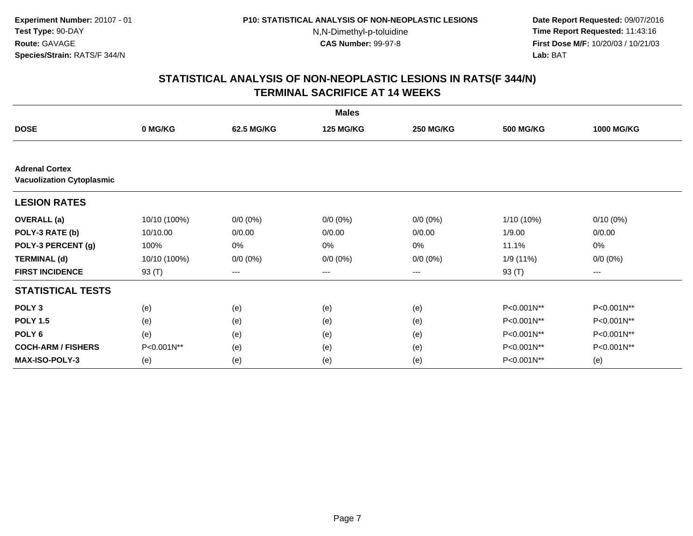**Date Report Requested:** 09/07/2016 **Time Report Requested:** 11:43:16 **First Dose M/F:** 10/20/03 / 10/21/03<br>**Lab:** BAT **Lab:** BAT

|                                  |              |             | <b>Males</b>     |                  |                  |                   |
|----------------------------------|--------------|-------------|------------------|------------------|------------------|-------------------|
| <b>DOSE</b>                      | 0 MG/KG      | 62.5 MG/KG  | <b>125 MG/KG</b> | <b>250 MG/KG</b> | <b>500 MG/KG</b> | <b>1000 MG/KG</b> |
| <b>Adrenal Cortex</b>            |              |             |                  |                  |                  |                   |
| <b>Vacuolization Cytoplasmic</b> |              |             |                  |                  |                  |                   |
| <b>LESION RATES</b>              |              |             |                  |                  |                  |                   |
| <b>OVERALL</b> (a)               | 10/10 (100%) | $0/0 (0\%)$ | $0/0 (0\%)$      | $0/0 (0\%)$      | $1/10(10\%)$     | $0/10(0\%)$       |
| POLY-3 RATE (b)                  | 10/10.00     | 0/0.00      | 0/0.00           | 0/0.00           | 1/9.00           | 0/0.00            |
| POLY-3 PERCENT (g)               | 100%         | 0%          | 0%               | 0%               | 11.1%            | 0%                |
| <b>TERMINAL (d)</b>              | 10/10 (100%) | $0/0 (0\%)$ | $0/0 (0\%)$      | $0/0 (0\%)$      | 1/9(11%)         | $0/0 (0\%)$       |
| <b>FIRST INCIDENCE</b>           | 93 (T)       | ---         | ---              | $--$             | 93 (T)           | ---               |
| <b>STATISTICAL TESTS</b>         |              |             |                  |                  |                  |                   |
| POLY <sub>3</sub>                | (e)          | (e)         | (e)              | (e)              | P<0.001N**       | P<0.001N**        |
| <b>POLY 1.5</b>                  | (e)          | (e)         | (e)              | (e)              | P<0.001N**       | P<0.001N**        |
| POLY <sub>6</sub>                | (e)          | (e)         | (e)              | (e)              | P<0.001N**       | P<0.001N**        |
| <b>COCH-ARM / FISHERS</b>        | P<0.001N**   | (e)         | (e)              | (e)              | P<0.001N**       | P<0.001N**        |
| MAX-ISO-POLY-3                   | (e)          | (e)         | (e)              | (e)              | P<0.001N**       | (e)               |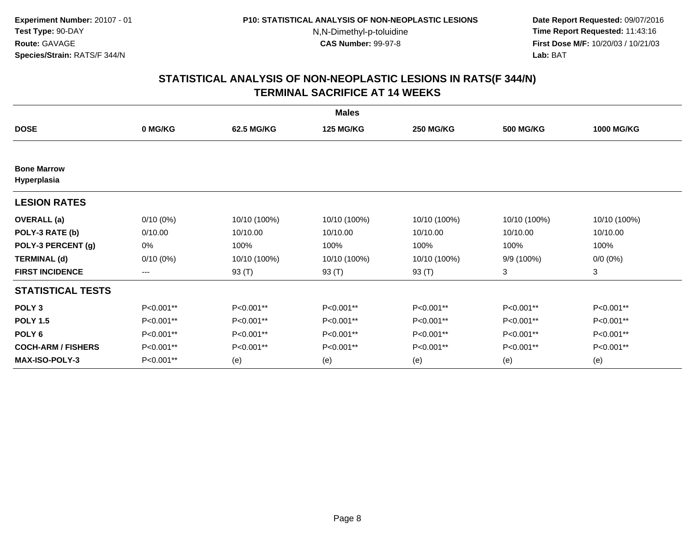**Date Report Requested:** 09/07/2016 **Time Report Requested:** 11:43:16 **First Dose M/F:** 10/20/03 / 10/21/03<br>**Lab:** BAT **Lab:** BAT

| <b>Males</b>                      |             |              |                  |                  |                  |                   |  |  |
|-----------------------------------|-------------|--------------|------------------|------------------|------------------|-------------------|--|--|
| <b>DOSE</b>                       | 0 MG/KG     | 62.5 MG/KG   | <b>125 MG/KG</b> | <b>250 MG/KG</b> | <b>500 MG/KG</b> | <b>1000 MG/KG</b> |  |  |
|                                   |             |              |                  |                  |                  |                   |  |  |
| <b>Bone Marrow</b><br>Hyperplasia |             |              |                  |                  |                  |                   |  |  |
| <b>LESION RATES</b>               |             |              |                  |                  |                  |                   |  |  |
| <b>OVERALL</b> (a)                | $0/10(0\%)$ | 10/10 (100%) | 10/10 (100%)     | 10/10 (100%)     | 10/10 (100%)     | 10/10 (100%)      |  |  |
| POLY-3 RATE (b)                   | 0/10.00     | 10/10.00     | 10/10.00         | 10/10.00         | 10/10.00         | 10/10.00          |  |  |
| POLY-3 PERCENT (g)                | 0%          | 100%         | 100%             | 100%             | 100%             | 100%              |  |  |
| <b>TERMINAL (d)</b>               | $0/10(0\%)$ | 10/10 (100%) | 10/10 (100%)     | 10/10 (100%)     | 9/9 (100%)       | $0/0 (0\%)$       |  |  |
| <b>FIRST INCIDENCE</b>            | ---         | 93 (T)       | 93 (T)           | 93 (T)           | 3                | 3                 |  |  |
| <b>STATISTICAL TESTS</b>          |             |              |                  |                  |                  |                   |  |  |
| POLY <sub>3</sub>                 | P<0.001**   | P<0.001**    | P<0.001**        | P<0.001**        | P<0.001**        | P<0.001**         |  |  |
| <b>POLY 1.5</b>                   | P<0.001**   | P<0.001**    | P<0.001**        | P<0.001**        | P<0.001**        | P<0.001**         |  |  |
| POLY <sub>6</sub>                 | P<0.001**   | P<0.001**    | P<0.001**        | P<0.001**        | P<0.001**        | P<0.001**         |  |  |
| <b>COCH-ARM / FISHERS</b>         | P<0.001**   | P<0.001**    | P<0.001**        | P<0.001**        | P<0.001**        | P<0.001**         |  |  |
| <b>MAX-ISO-POLY-3</b>             | P<0.001**   | (e)          | (e)              | (e)              | (e)              | (e)               |  |  |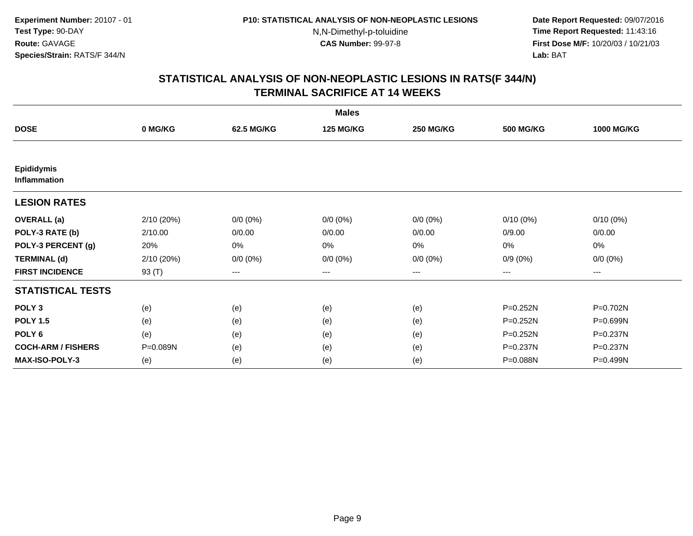**Date Report Requested:** 09/07/2016 **Time Report Requested:** 11:43:16 **First Dose M/F:** 10/20/03 / 10/21/03<br>**Lab:** BAT **Lab:** BAT

|                                          |            |                        | <b>Males</b>     |                  |                  |                   |
|------------------------------------------|------------|------------------------|------------------|------------------|------------------|-------------------|
| <b>DOSE</b>                              | 0 MG/KG    | 62.5 MG/KG             | <b>125 MG/KG</b> | <b>250 MG/KG</b> | <b>500 MG/KG</b> | <b>1000 MG/KG</b> |
|                                          |            |                        |                  |                  |                  |                   |
| <b>Epididymis</b><br><b>Inflammation</b> |            |                        |                  |                  |                  |                   |
| <b>LESION RATES</b>                      |            |                        |                  |                  |                  |                   |
| <b>OVERALL</b> (a)                       | 2/10 (20%) | $0/0 (0\%)$            | $0/0 (0\%)$      | $0/0 (0\%)$      | $0/10(0\%)$      | $0/10(0\%)$       |
| POLY-3 RATE (b)                          | 2/10.00    | 0/0.00                 | 0/0.00           | 0/0.00           | 0/9.00           | 0/0.00            |
| POLY-3 PERCENT (g)                       | 20%        | 0%                     | 0%               | 0%               | 0%               | 0%                |
| <b>TERMINAL (d)</b>                      | 2/10 (20%) | $0/0 (0\%)$            | $0/0 (0\%)$      | $0/0 (0\%)$      | $0/9(0\%)$       | $0/0 (0\%)$       |
| <b>FIRST INCIDENCE</b>                   | 93 (T)     | $\qquad \qquad \cdots$ | ---              | ---              | ---              | ---               |
| <b>STATISTICAL TESTS</b>                 |            |                        |                  |                  |                  |                   |
| POLY <sub>3</sub>                        | (e)        | (e)                    | (e)              | (e)              | $P = 0.252N$     | P=0.702N          |
| <b>POLY 1.5</b>                          | (e)        | (e)                    | (e)              | (e)              | P=0.252N         | P=0.699N          |
| POLY <sub>6</sub>                        | (e)        | (e)                    | (e)              | (e)              | P=0.252N         | P=0.237N          |
| <b>COCH-ARM / FISHERS</b>                | P=0.089N   | (e)                    | (e)              | (e)              | P=0.237N         | P=0.237N          |
| <b>MAX-ISO-POLY-3</b>                    | (e)        | (e)                    | (e)              | (e)              | P=0.088N         | P=0.499N          |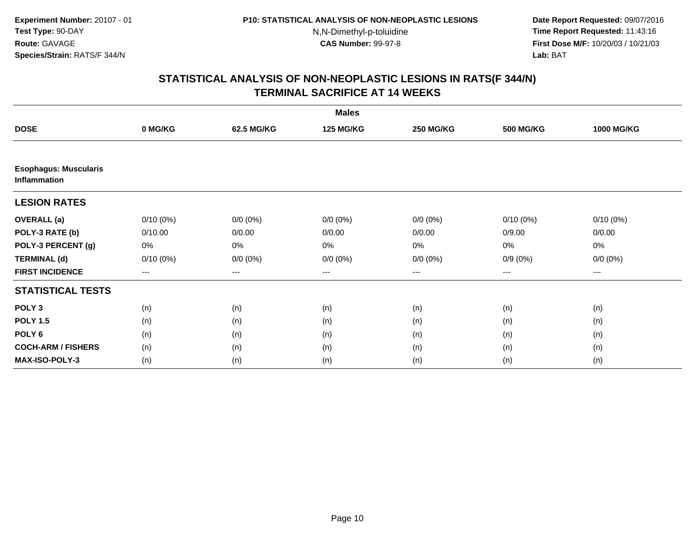**Date Report Requested:** 09/07/2016 **Time Report Requested:** 11:43:16 **First Dose M/F:** 10/20/03 / 10/21/03<br>**Lab:** BAT **Lab:** BAT

| <b>Males</b>                                 |             |             |                  |                  |                  |                   |  |  |
|----------------------------------------------|-------------|-------------|------------------|------------------|------------------|-------------------|--|--|
| <b>DOSE</b>                                  | 0 MG/KG     | 62.5 MG/KG  | <b>125 MG/KG</b> | <b>250 MG/KG</b> | <b>500 MG/KG</b> | <b>1000 MG/KG</b> |  |  |
|                                              |             |             |                  |                  |                  |                   |  |  |
| <b>Esophagus: Muscularis</b><br>Inflammation |             |             |                  |                  |                  |                   |  |  |
| <b>LESION RATES</b>                          |             |             |                  |                  |                  |                   |  |  |
| <b>OVERALL</b> (a)                           | $0/10(0\%)$ | $0/0 (0\%)$ | $0/0 (0\%)$      | $0/0(0\%)$       | $0/10(0\%)$      | $0/10(0\%)$       |  |  |
| POLY-3 RATE (b)                              | 0/10.00     | 0/0.00      | 0/0.00           | 0/0.00           | 0/9.00           | 0/0.00            |  |  |
| POLY-3 PERCENT (g)                           | 0%          | 0%          | 0%               | 0%               | $0\%$            | 0%                |  |  |
| <b>TERMINAL (d)</b>                          | $0/10(0\%)$ | $0/0 (0\%)$ | $0/0 (0\%)$      | $0/0 (0\%)$      | $0/9(0\%)$       | $0/0 (0\%)$       |  |  |
| <b>FIRST INCIDENCE</b>                       | ---         | ---         | ---              | ---              | ---              | ---               |  |  |
| <b>STATISTICAL TESTS</b>                     |             |             |                  |                  |                  |                   |  |  |
| POLY <sub>3</sub>                            | (n)         | (n)         | (n)              | (n)              | (n)              | (n)               |  |  |
| <b>POLY 1.5</b>                              | (n)         | (n)         | (n)              | (n)              | (n)              | (n)               |  |  |
| POLY <sub>6</sub>                            | (n)         | (n)         | (n)              | (n)              | (n)              | (n)               |  |  |
| <b>COCH-ARM / FISHERS</b>                    | (n)         | (n)         | (n)              | (n)              | (n)              | (n)               |  |  |
| <b>MAX-ISO-POLY-3</b>                        | (n)         | (n)         | (n)              | (n)              | (n)              | (n)               |  |  |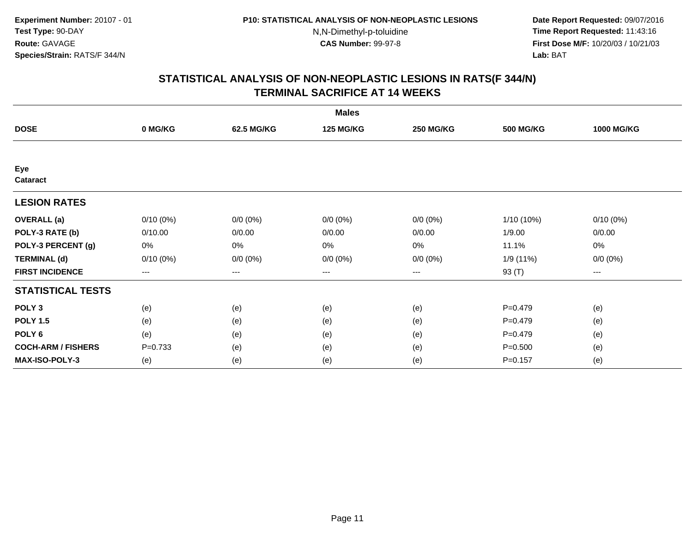**Date Report Requested:** 09/07/2016 **Time Report Requested:** 11:43:16 **First Dose M/F:** 10/20/03 / 10/21/03<br>**Lab:** BAT **Lab:** BAT

| <b>Males</b>              |                   |             |                  |                   |                  |                   |  |  |
|---------------------------|-------------------|-------------|------------------|-------------------|------------------|-------------------|--|--|
| <b>DOSE</b>               | 0 MG/KG           | 62.5 MG/KG  | <b>125 MG/KG</b> | <b>250 MG/KG</b>  | <b>500 MG/KG</b> | <b>1000 MG/KG</b> |  |  |
|                           |                   |             |                  |                   |                  |                   |  |  |
| Eye<br>Cataract           |                   |             |                  |                   |                  |                   |  |  |
| <b>LESION RATES</b>       |                   |             |                  |                   |                  |                   |  |  |
| <b>OVERALL</b> (a)        | $0/10(0\%)$       | $0/0 (0\%)$ | $0/0 (0\%)$      | $0/0 (0\%)$       | $1/10(10\%)$     | $0/10(0\%)$       |  |  |
| POLY-3 RATE (b)           | 0/10.00           | 0/0.00      | 0/0.00           | 0/0.00            | 1/9.00           | 0/0.00            |  |  |
| POLY-3 PERCENT (g)        | 0%                | 0%          | 0%               | 0%                | 11.1%            | 0%                |  |  |
| <b>TERMINAL (d)</b>       | $0/10(0\%)$       | $0/0 (0\%)$ | $0/0 (0\%)$      | $0/0 (0\%)$       | 1/9 (11%)        | $0/0 (0\%)$       |  |  |
| <b>FIRST INCIDENCE</b>    | $\qquad \qquad -$ | ---         | ---              | $\qquad \qquad -$ | 93 (T)           | ---               |  |  |
| <b>STATISTICAL TESTS</b>  |                   |             |                  |                   |                  |                   |  |  |
| POLY <sub>3</sub>         | (e)               | (e)         | (e)              | (e)               | $P = 0.479$      | (e)               |  |  |
| <b>POLY 1.5</b>           | (e)               | (e)         | (e)              | (e)               | $P = 0.479$      | (e)               |  |  |
| POLY <sub>6</sub>         | (e)               | (e)         | (e)              | (e)               | $P = 0.479$      | (e)               |  |  |
| <b>COCH-ARM / FISHERS</b> | $P = 0.733$       | (e)         | (e)              | (e)               | $P = 0.500$      | (e)               |  |  |
| <b>MAX-ISO-POLY-3</b>     | (e)               | (e)         | (e)              | (e)               | $P = 0.157$      | (e)               |  |  |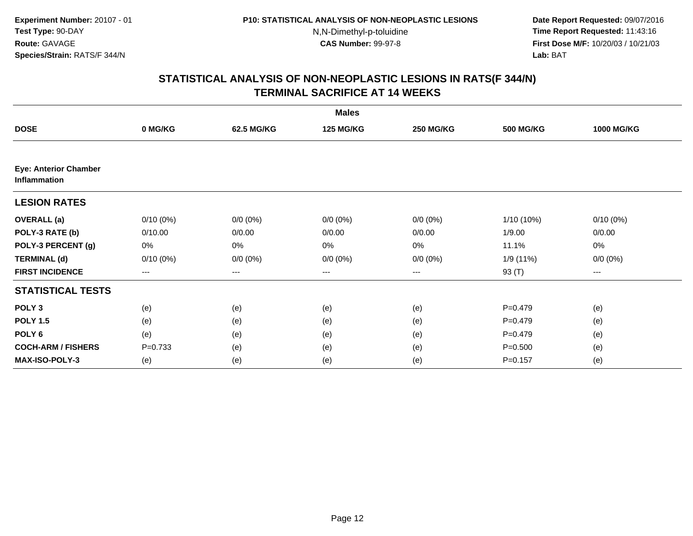**Date Report Requested:** 09/07/2016 **Time Report Requested:** 11:43:16 **First Dose M/F:** 10/20/03 / 10/21/03<br>**Lab:** BAT **Lab:** BAT

|                                                     |                        |             | <b>Males</b>     |                   |                  |                   |
|-----------------------------------------------------|------------------------|-------------|------------------|-------------------|------------------|-------------------|
| <b>DOSE</b>                                         | 0 MG/KG                | 62.5 MG/KG  | <b>125 MG/KG</b> | <b>250 MG/KG</b>  | <b>500 MG/KG</b> | <b>1000 MG/KG</b> |
|                                                     |                        |             |                  |                   |                  |                   |
| <b>Eye: Anterior Chamber</b><br><b>Inflammation</b> |                        |             |                  |                   |                  |                   |
| <b>LESION RATES</b>                                 |                        |             |                  |                   |                  |                   |
| <b>OVERALL</b> (a)                                  | $0/10(0\%)$            | $0/0 (0\%)$ | $0/0 (0\%)$      | $0/0 (0\%)$       | 1/10 (10%)       | $0/10(0\%)$       |
| POLY-3 RATE (b)                                     | 0/10.00                | 0/0.00      | 0/0.00           | 0/0.00            | 1/9.00           | 0/0.00            |
| POLY-3 PERCENT (g)                                  | 0%                     | $0\%$       | 0%               | 0%                | 11.1%            | 0%                |
| <b>TERMINAL (d)</b>                                 | $0/10(0\%)$            | $0/0 (0\%)$ | $0/0 (0\%)$      | $0/0 (0\%)$       | 1/9 (11%)        | $0/0 (0\%)$       |
| <b>FIRST INCIDENCE</b>                              | $\qquad \qquad \cdots$ | ---         | ---              | $\qquad \qquad -$ | 93 (T)           | ---               |
| <b>STATISTICAL TESTS</b>                            |                        |             |                  |                   |                  |                   |
| POLY <sub>3</sub>                                   | (e)                    | (e)         | (e)              | (e)               | $P=0.479$        | (e)               |
| <b>POLY 1.5</b>                                     | (e)                    | (e)         | (e)              | (e)               | $P=0.479$        | (e)               |
| POLY <sub>6</sub>                                   | (e)                    | (e)         | (e)              | (e)               | $P=0.479$        | (e)               |
| <b>COCH-ARM / FISHERS</b>                           | $P = 0.733$            | (e)         | (e)              | (e)               | $P = 0.500$      | (e)               |
| MAX-ISO-POLY-3                                      | (e)                    | (e)         | (e)              | (e)               | $P = 0.157$      | (e)               |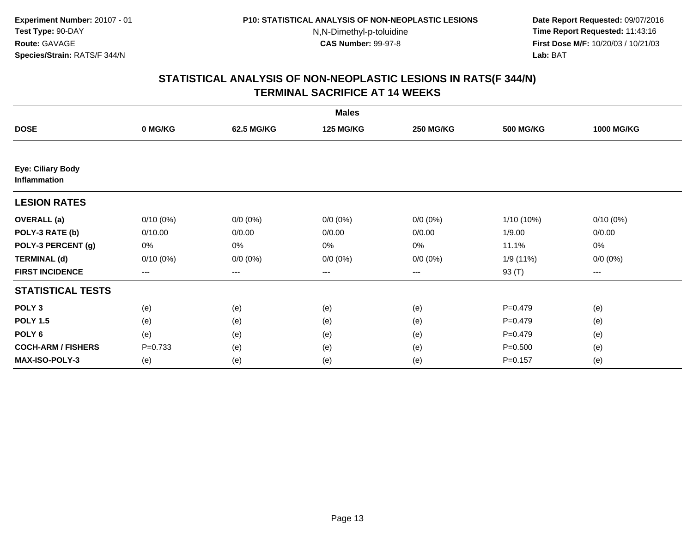**Date Report Requested:** 09/07/2016 **Time Report Requested:** 11:43:16 **First Dose M/F:** 10/20/03 / 10/21/03<br>**Lab:** BAT **Lab:** BAT

|                                          |             |             | <b>Males</b>     |                        |                  |                   |
|------------------------------------------|-------------|-------------|------------------|------------------------|------------------|-------------------|
| <b>DOSE</b>                              | 0 MG/KG     | 62.5 MG/KG  | <b>125 MG/KG</b> | <b>250 MG/KG</b>       | <b>500 MG/KG</b> | <b>1000 MG/KG</b> |
|                                          |             |             |                  |                        |                  |                   |
| <b>Eye: Ciliary Body</b><br>Inflammation |             |             |                  |                        |                  |                   |
| <b>LESION RATES</b>                      |             |             |                  |                        |                  |                   |
| <b>OVERALL</b> (a)                       | $0/10(0\%)$ | $0/0 (0\%)$ | $0/0 (0\%)$      | $0/0 (0\%)$            | $1/10(10\%)$     | $0/10(0\%)$       |
| POLY-3 RATE (b)                          | 0/10.00     | 0/0.00      | 0/0.00           | 0/0.00                 | 1/9.00           | 0/0.00            |
| POLY-3 PERCENT (g)                       | 0%          | 0%          | 0%               | 0%                     | 11.1%            | 0%                |
| <b>TERMINAL (d)</b>                      | $0/10(0\%)$ | $0/0 (0\%)$ | $0/0 (0\%)$      | $0/0 (0\%)$            | 1/9 (11%)        | $0/0 (0\%)$       |
| <b>FIRST INCIDENCE</b>                   | $--$        | ---         | ---              | $\qquad \qquad \cdots$ | 93 (T)           | ---               |
| <b>STATISTICAL TESTS</b>                 |             |             |                  |                        |                  |                   |
| POLY <sub>3</sub>                        | (e)         | (e)         | (e)              | (e)                    | $P = 0.479$      | (e)               |
| <b>POLY 1.5</b>                          | (e)         | (e)         | (e)              | (e)                    | $P = 0.479$      | (e)               |
| POLY <sub>6</sub>                        | (e)         | (e)         | (e)              | (e)                    | $P = 0.479$      | (e)               |
| <b>COCH-ARM / FISHERS</b>                | $P = 0.733$ | (e)         | (e)              | (e)                    | $P = 0.500$      | (e)               |
| <b>MAX-ISO-POLY-3</b>                    | (e)         | (e)         | (e)              | (e)                    | $P = 0.157$      | (e)               |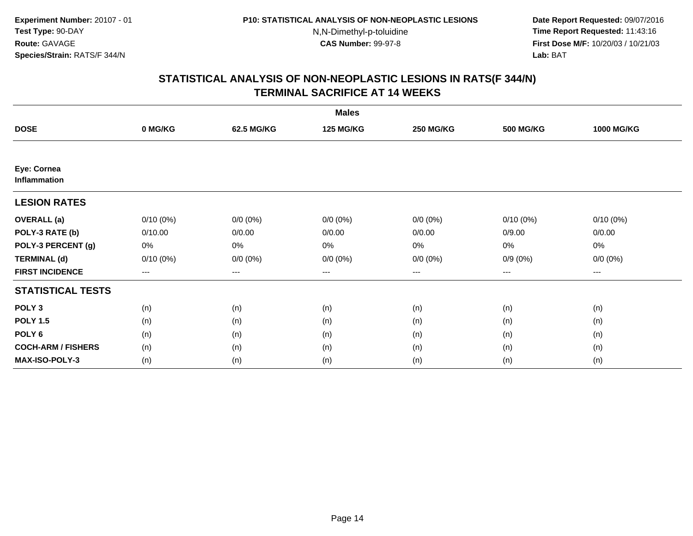**Date Report Requested:** 09/07/2016 **Time Report Requested:** 11:43:16 **First Dose M/F:** 10/20/03 / 10/21/03<br>**Lab:** BAT **Lab:** BAT

| <b>Males</b>                |                        |             |                  |                   |                  |                   |  |  |
|-----------------------------|------------------------|-------------|------------------|-------------------|------------------|-------------------|--|--|
| <b>DOSE</b>                 | 0 MG/KG                | 62.5 MG/KG  | <b>125 MG/KG</b> | <b>250 MG/KG</b>  | <b>500 MG/KG</b> | <b>1000 MG/KG</b> |  |  |
|                             |                        |             |                  |                   |                  |                   |  |  |
| Eye: Cornea<br>Inflammation |                        |             |                  |                   |                  |                   |  |  |
| <b>LESION RATES</b>         |                        |             |                  |                   |                  |                   |  |  |
| <b>OVERALL</b> (a)          | $0/10(0\%)$            | $0/0 (0\%)$ | $0/0 (0\%)$      | $0/0 (0\%)$       | $0/10(0\%)$      | $0/10(0\%)$       |  |  |
| POLY-3 RATE (b)             | 0/10.00                | 0/0.00      | 0/0.00           | 0/0.00            | 0/9.00           | 0/0.00            |  |  |
| POLY-3 PERCENT (g)          | 0%                     | 0%          | 0%               | 0%                | 0%               | 0%                |  |  |
| <b>TERMINAL (d)</b>         | $0/10(0\%)$            | $0/0 (0\%)$ | $0/0 (0\%)$      | $0/0 (0\%)$       | $0/9(0\%)$       | $0/0 (0\%)$       |  |  |
| <b>FIRST INCIDENCE</b>      | $\qquad \qquad \cdots$ | $---$       | ---              | $\qquad \qquad -$ | $---$            | $---$             |  |  |
| <b>STATISTICAL TESTS</b>    |                        |             |                  |                   |                  |                   |  |  |
| POLY <sub>3</sub>           | (n)                    | (n)         | (n)              | (n)               | (n)              | (n)               |  |  |
| <b>POLY 1.5</b>             | (n)                    | (n)         | (n)              | (n)               | (n)              | (n)               |  |  |
| POLY <sub>6</sub>           | (n)                    | (n)         | (n)              | (n)               | (n)              | (n)               |  |  |
| <b>COCH-ARM / FISHERS</b>   | (n)                    | (n)         | (n)              | (n)               | (n)              | (n)               |  |  |
| MAX-ISO-POLY-3              | (n)                    | (n)         | (n)              | (n)               | (n)              | (n)               |  |  |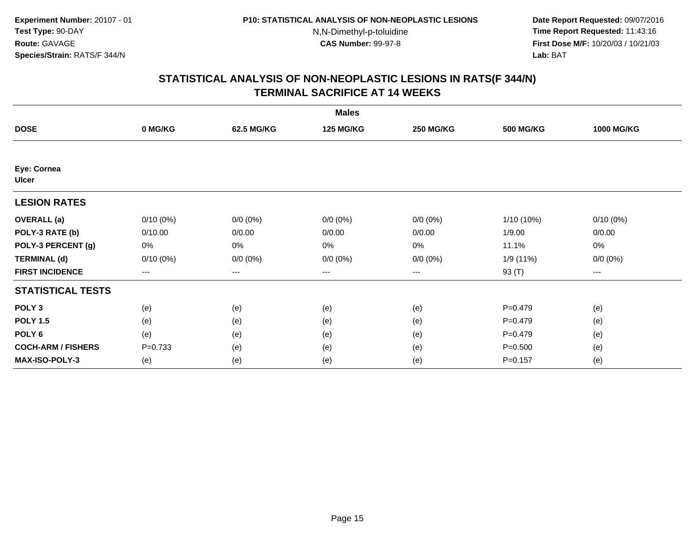**Date Report Requested:** 09/07/2016 **Time Report Requested:** 11:43:16 **First Dose M/F:** 10/20/03 / 10/21/03<br>**Lab:** BAT **Lab:** BAT

| <b>Males</b>                |             |             |                  |                  |                  |                   |  |  |
|-----------------------------|-------------|-------------|------------------|------------------|------------------|-------------------|--|--|
| <b>DOSE</b>                 | 0 MG/KG     | 62.5 MG/KG  | <b>125 MG/KG</b> | <b>250 MG/KG</b> | <b>500 MG/KG</b> | <b>1000 MG/KG</b> |  |  |
|                             |             |             |                  |                  |                  |                   |  |  |
| Eye: Cornea<br><b>Ulcer</b> |             |             |                  |                  |                  |                   |  |  |
| <b>LESION RATES</b>         |             |             |                  |                  |                  |                   |  |  |
| <b>OVERALL</b> (a)          | $0/10(0\%)$ | $0/0 (0\%)$ | $0/0 (0\%)$      | $0/0 (0\%)$      | 1/10 (10%)       | $0/10(0\%)$       |  |  |
| POLY-3 RATE (b)             | 0/10.00     | 0/0.00      | 0/0.00           | 0/0.00           | 1/9.00           | 0/0.00            |  |  |
| POLY-3 PERCENT (g)          | 0%          | $0\%$       | 0%               | 0%               | 11.1%            | 0%                |  |  |
| <b>TERMINAL (d)</b>         | $0/10(0\%)$ | $0/0 (0\%)$ | $0/0 (0\%)$      | $0/0 (0\%)$      | 1/9 (11%)        | $0/0 (0\%)$       |  |  |
| <b>FIRST INCIDENCE</b>      | $\cdots$    | $\cdots$    | $\cdots$         | $\cdots$         | 93 (T)           | ---               |  |  |
| <b>STATISTICAL TESTS</b>    |             |             |                  |                  |                  |                   |  |  |
| POLY <sub>3</sub>           | (e)         | (e)         | (e)              | (e)              | $P = 0.479$      | (e)               |  |  |
| <b>POLY 1.5</b>             | (e)         | (e)         | (e)              | (e)              | $P=0.479$        | (e)               |  |  |
| POLY <sub>6</sub>           | (e)         | (e)         | (e)              | (e)              | $P = 0.479$      | (e)               |  |  |
| <b>COCH-ARM / FISHERS</b>   | $P=0.733$   | (e)         | (e)              | (e)              | $P = 0.500$      | (e)               |  |  |
| <b>MAX-ISO-POLY-3</b>       | (e)         | (e)         | (e)              | (e)              | $P = 0.157$      | (e)               |  |  |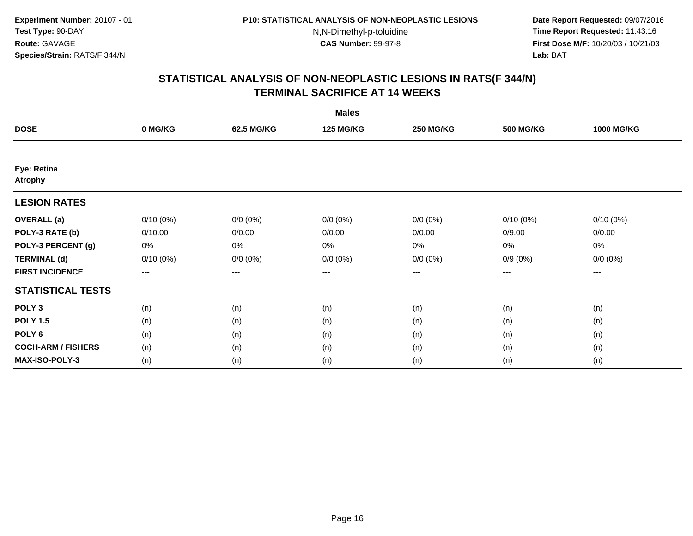**Date Report Requested:** 09/07/2016 **Time Report Requested:** 11:43:16 **First Dose M/F:** 10/20/03 / 10/21/03<br>**Lab:** BAT **Lab:** BAT

| <b>Males</b>                  |                        |             |                  |                   |                  |                   |  |  |
|-------------------------------|------------------------|-------------|------------------|-------------------|------------------|-------------------|--|--|
| <b>DOSE</b>                   | 0 MG/KG                | 62.5 MG/KG  | <b>125 MG/KG</b> | <b>250 MG/KG</b>  | <b>500 MG/KG</b> | <b>1000 MG/KG</b> |  |  |
|                               |                        |             |                  |                   |                  |                   |  |  |
| Eye: Retina<br><b>Atrophy</b> |                        |             |                  |                   |                  |                   |  |  |
| <b>LESION RATES</b>           |                        |             |                  |                   |                  |                   |  |  |
| <b>OVERALL</b> (a)            | $0/10(0\%)$            | $0/0 (0\%)$ | $0/0 (0\%)$      | $0/0 (0\%)$       | $0/10(0\%)$      | $0/10(0\%)$       |  |  |
| POLY-3 RATE (b)               | 0/10.00                | 0/0.00      | 0/0.00           | 0/0.00            | 0/9.00           | 0/0.00            |  |  |
| POLY-3 PERCENT (g)            | 0%                     | 0%          | 0%               | 0%                | 0%               | 0%                |  |  |
| <b>TERMINAL (d)</b>           | $0/10(0\%)$            | $0/0 (0\%)$ | $0/0 (0\%)$      | $0/0 (0\%)$       | $0/9(0\%)$       | $0/0 (0\%)$       |  |  |
| <b>FIRST INCIDENCE</b>        | $\qquad \qquad \cdots$ | $---$       | ---              | $\qquad \qquad -$ | $---$            | $---$             |  |  |
| <b>STATISTICAL TESTS</b>      |                        |             |                  |                   |                  |                   |  |  |
| POLY <sub>3</sub>             | (n)                    | (n)         | (n)              | (n)               | (n)              | (n)               |  |  |
| <b>POLY 1.5</b>               | (n)                    | (n)         | (n)              | (n)               | (n)              | (n)               |  |  |
| POLY <sub>6</sub>             | (n)                    | (n)         | (n)              | (n)               | (n)              | (n)               |  |  |
| <b>COCH-ARM / FISHERS</b>     | (n)                    | (n)         | (n)              | (n)               | (n)              | (n)               |  |  |
| MAX-ISO-POLY-3                | (n)                    | (n)         | (n)              | (n)               | (n)              | (n)               |  |  |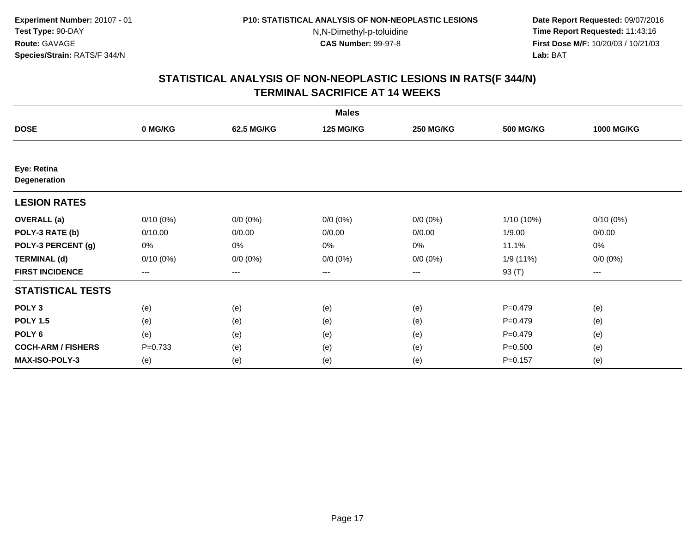**Date Report Requested:** 09/07/2016 **Time Report Requested:** 11:43:16 **First Dose M/F:** 10/20/03 / 10/21/03<br>**Lab:** BAT **Lab:** BAT

| <b>Males</b>                       |                        |             |                  |                   |                  |                   |  |  |
|------------------------------------|------------------------|-------------|------------------|-------------------|------------------|-------------------|--|--|
| <b>DOSE</b>                        | 0 MG/KG                | 62.5 MG/KG  | <b>125 MG/KG</b> | <b>250 MG/KG</b>  | <b>500 MG/KG</b> | <b>1000 MG/KG</b> |  |  |
|                                    |                        |             |                  |                   |                  |                   |  |  |
| Eye: Retina<br><b>Degeneration</b> |                        |             |                  |                   |                  |                   |  |  |
| <b>LESION RATES</b>                |                        |             |                  |                   |                  |                   |  |  |
| <b>OVERALL</b> (a)                 | $0/10(0\%)$            | $0/0 (0\%)$ | $0/0 (0\%)$      | $0/0 (0\%)$       | 1/10 (10%)       | $0/10(0\%)$       |  |  |
| POLY-3 RATE (b)                    | 0/10.00                | 0/0.00      | 0/0.00           | 0/0.00            | 1/9.00           | 0/0.00            |  |  |
| POLY-3 PERCENT (g)                 | 0%                     | 0%          | 0%               | 0%                | 11.1%            | 0%                |  |  |
| <b>TERMINAL (d)</b>                | $0/10(0\%)$            | $0/0 (0\%)$ | $0/0 (0\%)$      | $0/0 (0\%)$       | 1/9 (11%)        | $0/0 (0\%)$       |  |  |
| <b>FIRST INCIDENCE</b>             | $\qquad \qquad \cdots$ | $---$       | ---              | $\qquad \qquad -$ | 93 (T)           | $---$             |  |  |
| <b>STATISTICAL TESTS</b>           |                        |             |                  |                   |                  |                   |  |  |
| POLY <sub>3</sub>                  | (e)                    | (e)         | (e)              | (e)               | $P=0.479$        | (e)               |  |  |
| <b>POLY 1.5</b>                    | (e)                    | (e)         | (e)              | (e)               | $P=0.479$        | (e)               |  |  |
| POLY <sub>6</sub>                  | (e)                    | (e)         | (e)              | (e)               | $P=0.479$        | (e)               |  |  |
| <b>COCH-ARM / FISHERS</b>          | $P=0.733$              | (e)         | (e)              | (e)               | $P = 0.500$      | (e)               |  |  |
| <b>MAX-ISO-POLY-3</b>              | (e)                    | (e)         | (e)              | (e)               | $P = 0.157$      | (e)               |  |  |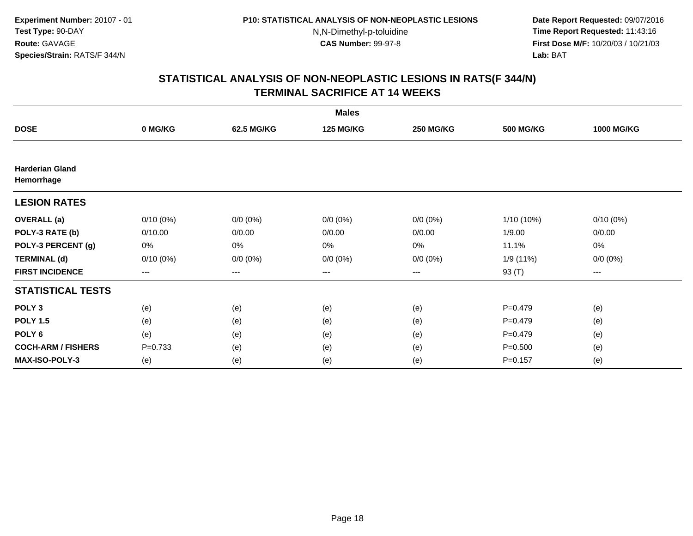**Date Report Requested:** 09/07/2016 **Time Report Requested:** 11:43:16 **First Dose M/F:** 10/20/03 / 10/21/03<br>**Lab:** BAT **Lab:** BAT

| <b>Males</b>                         |             |             |                  |                  |                  |                   |  |  |
|--------------------------------------|-------------|-------------|------------------|------------------|------------------|-------------------|--|--|
| <b>DOSE</b>                          | 0 MG/KG     | 62.5 MG/KG  | <b>125 MG/KG</b> | <b>250 MG/KG</b> | <b>500 MG/KG</b> | <b>1000 MG/KG</b> |  |  |
|                                      |             |             |                  |                  |                  |                   |  |  |
| <b>Harderian Gland</b><br>Hemorrhage |             |             |                  |                  |                  |                   |  |  |
| <b>LESION RATES</b>                  |             |             |                  |                  |                  |                   |  |  |
| <b>OVERALL</b> (a)                   | $0/10(0\%)$ | $0/0 (0\%)$ | $0/0 (0\%)$      | $0/0 (0\%)$      | $1/10(10\%)$     | $0/10(0\%)$       |  |  |
| POLY-3 RATE (b)                      | 0/10.00     | 0/0.00      | 0/0.00           | 0/0.00           | 1/9.00           | 0/0.00            |  |  |
| POLY-3 PERCENT (g)                   | 0%          | 0%          | 0%               | 0%               | 11.1%            | 0%                |  |  |
| <b>TERMINAL (d)</b>                  | $0/10(0\%)$ | $0/0 (0\%)$ | $0/0 (0\%)$      | $0/0 (0\%)$      | 1/9 (11%)        | $0/0 (0\%)$       |  |  |
| <b>FIRST INCIDENCE</b>               | $\cdots$    | ---         | ---              | $\cdots$         | 93 (T)           | $---$             |  |  |
| <b>STATISTICAL TESTS</b>             |             |             |                  |                  |                  |                   |  |  |
| POLY <sub>3</sub>                    | (e)         | (e)         | (e)              | (e)              | $P=0.479$        | (e)               |  |  |
| <b>POLY 1.5</b>                      | (e)         | (e)         | (e)              | (e)              | $P=0.479$        | (e)               |  |  |
| POLY <sub>6</sub>                    | (e)         | (e)         | (e)              | (e)              | $P = 0.479$      | (e)               |  |  |
| <b>COCH-ARM / FISHERS</b>            | $P=0.733$   | (e)         | (e)              | (e)              | $P = 0.500$      | (e)               |  |  |
| <b>MAX-ISO-POLY-3</b>                | (e)         | (e)         | (e)              | (e)              | $P = 0.157$      | (e)               |  |  |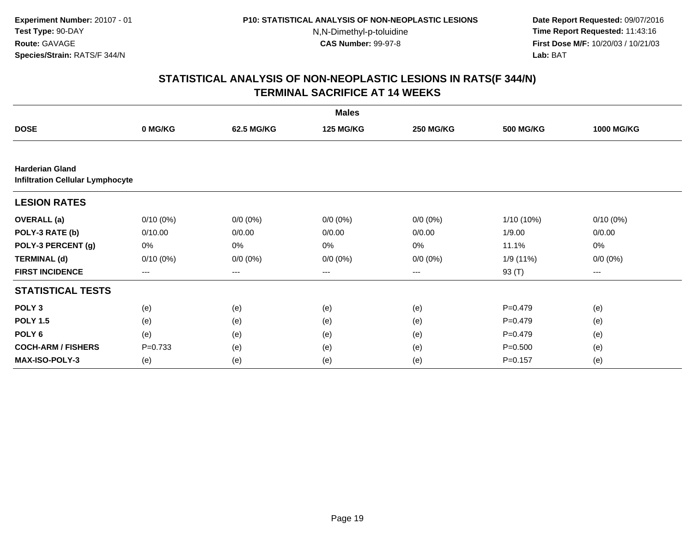**Date Report Requested:** 09/07/2016 **Time Report Requested:** 11:43:16 **First Dose M/F:** 10/20/03 / 10/21/03<br>**Lab:** BAT **Lab:** BAT

| <b>Males</b>                                                      |             |             |                  |                  |                  |                   |  |  |
|-------------------------------------------------------------------|-------------|-------------|------------------|------------------|------------------|-------------------|--|--|
| <b>DOSE</b>                                                       | 0 MG/KG     | 62.5 MG/KG  | <b>125 MG/KG</b> | <b>250 MG/KG</b> | <b>500 MG/KG</b> | <b>1000 MG/KG</b> |  |  |
|                                                                   |             |             |                  |                  |                  |                   |  |  |
| <b>Harderian Gland</b><br><b>Infiltration Cellular Lymphocyte</b> |             |             |                  |                  |                  |                   |  |  |
| <b>LESION RATES</b>                                               |             |             |                  |                  |                  |                   |  |  |
| <b>OVERALL</b> (a)                                                | $0/10(0\%)$ | $0/0 (0\%)$ | $0/0 (0\%)$      | $0/0 (0\%)$      | 1/10 (10%)       | $0/10(0\%)$       |  |  |
| POLY-3 RATE (b)                                                   | 0/10.00     | 0/0.00      | 0/0.00           | 0/0.00           | 1/9.00           | 0/0.00            |  |  |
| POLY-3 PERCENT (g)                                                | 0%          | 0%          | 0%               | 0%               | 11.1%            | 0%                |  |  |
| <b>TERMINAL (d)</b>                                               | $0/10(0\%)$ | $0/0 (0\%)$ | $0/0 (0\%)$      | $0/0 (0\%)$      | 1/9 (11%)        | $0/0 (0\%)$       |  |  |
| <b>FIRST INCIDENCE</b>                                            | $---$       | ---         | ---              | $--$             | 93 (T)           | $--$              |  |  |
| <b>STATISTICAL TESTS</b>                                          |             |             |                  |                  |                  |                   |  |  |
| POLY <sub>3</sub>                                                 | (e)         | (e)         | (e)              | (e)              | $P=0.479$        | (e)               |  |  |
| <b>POLY 1.5</b>                                                   | (e)         | (e)         | (e)              | (e)              | $P=0.479$        | (e)               |  |  |
| POLY 6                                                            | (e)         | (e)         | (e)              | (e)              | $P=0.479$        | (e)               |  |  |
| <b>COCH-ARM / FISHERS</b>                                         | $P = 0.733$ | (e)         | (e)              | (e)              | $P = 0.500$      | (e)               |  |  |
| <b>MAX-ISO-POLY-3</b>                                             | (e)         | (e)         | (e)              | (e)              | $P = 0.157$      | (e)               |  |  |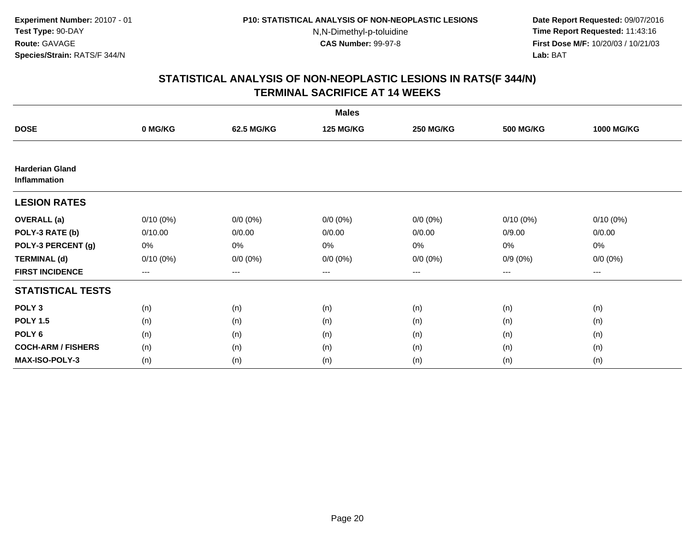**Date Report Requested:** 09/07/2016 **Time Report Requested:** 11:43:16 **First Dose M/F:** 10/20/03 / 10/21/03<br>**Lab:** BAT **Lab:** BAT

| <b>Males</b>                           |             |             |                  |                  |                  |                   |  |  |
|----------------------------------------|-------------|-------------|------------------|------------------|------------------|-------------------|--|--|
| <b>DOSE</b>                            | 0 MG/KG     | 62.5 MG/KG  | <b>125 MG/KG</b> | <b>250 MG/KG</b> | <b>500 MG/KG</b> | <b>1000 MG/KG</b> |  |  |
|                                        |             |             |                  |                  |                  |                   |  |  |
| <b>Harderian Gland</b><br>Inflammation |             |             |                  |                  |                  |                   |  |  |
| <b>LESION RATES</b>                    |             |             |                  |                  |                  |                   |  |  |
| <b>OVERALL</b> (a)                     | $0/10(0\%)$ | $0/0 (0\%)$ | $0/0 (0\%)$      | $0/0 (0\%)$      | $0/10(0\%)$      | $0/10(0\%)$       |  |  |
| POLY-3 RATE (b)                        | 0/10.00     | 0/0.00      | 0/0.00           | 0/0.00           | 0/9.00           | 0/0.00            |  |  |
| POLY-3 PERCENT (g)                     | 0%          | 0%          | 0%               | 0%               | $0\%$            | $0\%$             |  |  |
| <b>TERMINAL (d)</b>                    | $0/10(0\%)$ | $0/0 (0\%)$ | $0/0 (0\%)$      | $0/0 (0\%)$      | $0/9(0\%)$       | $0/0 (0\%)$       |  |  |
| <b>FIRST INCIDENCE</b>                 | $\cdots$    | ---         | ---              | $\cdots$         | $\cdots$         | $---$             |  |  |
| <b>STATISTICAL TESTS</b>               |             |             |                  |                  |                  |                   |  |  |
| POLY <sub>3</sub>                      | (n)         | (n)         | (n)              | (n)              | (n)              | (n)               |  |  |
| <b>POLY 1.5</b>                        | (n)         | (n)         | (n)              | (n)              | (n)              | (n)               |  |  |
| POLY <sub>6</sub>                      | (n)         | (n)         | (n)              | (n)              | (n)              | (n)               |  |  |
| <b>COCH-ARM / FISHERS</b>              | (n)         | (n)         | (n)              | (n)              | (n)              | (n)               |  |  |
| <b>MAX-ISO-POLY-3</b>                  | (n)         | (n)         | (n)              | (n)              | (n)              | (n)               |  |  |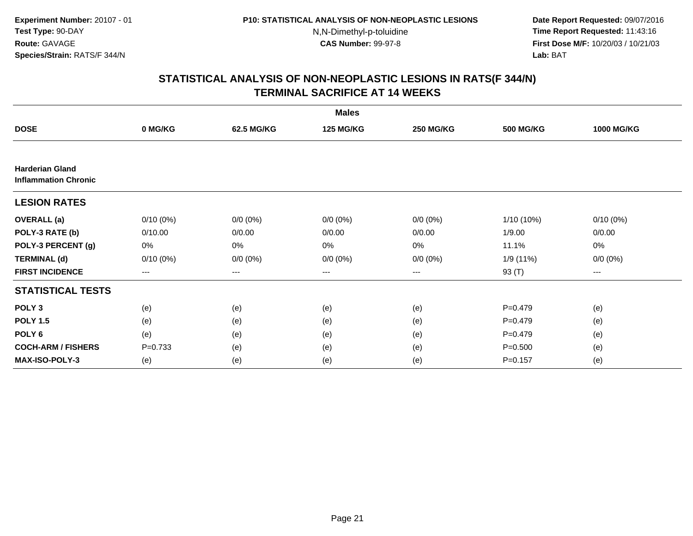**Date Report Requested:** 09/07/2016 **Time Report Requested:** 11:43:16 **First Dose M/F:** 10/20/03 / 10/21/03<br>**Lab:** BAT **Lab:** BAT

| <b>Males</b>                                          |                        |             |                  |                  |                  |                   |  |  |
|-------------------------------------------------------|------------------------|-------------|------------------|------------------|------------------|-------------------|--|--|
| <b>DOSE</b>                                           | 0 MG/KG                | 62.5 MG/KG  | <b>125 MG/KG</b> | <b>250 MG/KG</b> | <b>500 MG/KG</b> | <b>1000 MG/KG</b> |  |  |
|                                                       |                        |             |                  |                  |                  |                   |  |  |
| <b>Harderian Gland</b><br><b>Inflammation Chronic</b> |                        |             |                  |                  |                  |                   |  |  |
| <b>LESION RATES</b>                                   |                        |             |                  |                  |                  |                   |  |  |
| <b>OVERALL</b> (a)                                    | $0/10(0\%)$            | $0/0 (0\%)$ | $0/0 (0\%)$      | $0/0 (0\%)$      | $1/10(10\%)$     | $0/10(0\%)$       |  |  |
| POLY-3 RATE (b)                                       | 0/10.00                | 0/0.00      | 0/0.00           | 0/0.00           | 1/9.00           | 0/0.00            |  |  |
| POLY-3 PERCENT (g)                                    | 0%                     | 0%          | 0%               | 0%               | 11.1%            | 0%                |  |  |
| <b>TERMINAL (d)</b>                                   | $0/10(0\%)$            | $0/0 (0\%)$ | $0/0 (0\%)$      | $0/0 (0\%)$      | 1/9 (11%)        | $0/0 (0\%)$       |  |  |
| <b>FIRST INCIDENCE</b>                                | $\qquad \qquad \cdots$ | ---         | ---              | $--$             | 93 (T)           | ---               |  |  |
| <b>STATISTICAL TESTS</b>                              |                        |             |                  |                  |                  |                   |  |  |
| POLY <sub>3</sub>                                     | (e)                    | (e)         | (e)              | (e)              | $P = 0.479$      | (e)               |  |  |
| <b>POLY 1.5</b>                                       | (e)                    | (e)         | (e)              | (e)              | $P = 0.479$      | (e)               |  |  |
| POLY <sub>6</sub>                                     | (e)                    | (e)         | (e)              | (e)              | $P = 0.479$      | (e)               |  |  |
| <b>COCH-ARM / FISHERS</b>                             | $P = 0.733$            | (e)         | (e)              | (e)              | $P = 0.500$      | (e)               |  |  |
| <b>MAX-ISO-POLY-3</b>                                 | (e)                    | (e)         | (e)              | (e)              | $P = 0.157$      | (e)               |  |  |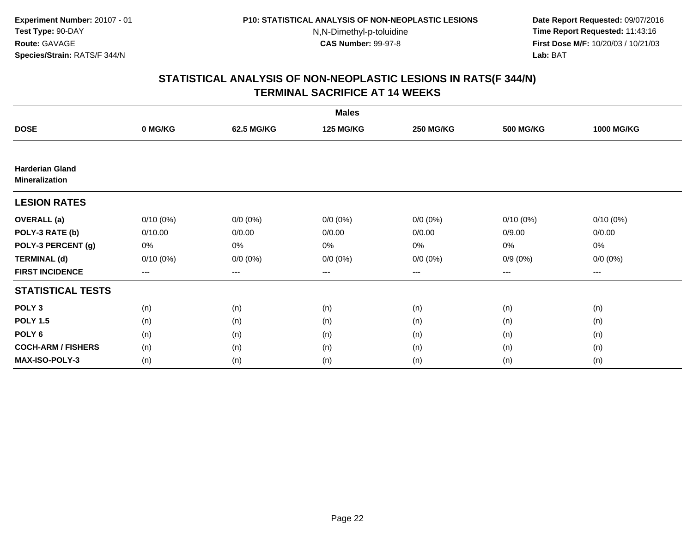**Date Report Requested:** 09/07/2016 **Time Report Requested:** 11:43:16 **First Dose M/F:** 10/20/03 / 10/21/03<br>**Lab:** BAT **Lab:** BAT

| <b>Males</b>                                    |             |             |                  |                  |                  |                   |  |  |
|-------------------------------------------------|-------------|-------------|------------------|------------------|------------------|-------------------|--|--|
| <b>DOSE</b>                                     | 0 MG/KG     | 62.5 MG/KG  | <b>125 MG/KG</b> | <b>250 MG/KG</b> | <b>500 MG/KG</b> | <b>1000 MG/KG</b> |  |  |
|                                                 |             |             |                  |                  |                  |                   |  |  |
| <b>Harderian Gland</b><br><b>Mineralization</b> |             |             |                  |                  |                  |                   |  |  |
| <b>LESION RATES</b>                             |             |             |                  |                  |                  |                   |  |  |
| <b>OVERALL</b> (a)                              | $0/10(0\%)$ | $0/0 (0\%)$ | $0/0 (0\%)$      | $0/0 (0\%)$      | $0/10(0\%)$      | $0/10(0\%)$       |  |  |
| POLY-3 RATE (b)                                 | 0/10.00     | 0/0.00      | 0/0.00           | 0/0.00           | 0/9.00           | 0/0.00            |  |  |
| POLY-3 PERCENT (g)                              | 0%          | 0%          | 0%               | 0%               | $0\%$            | $0\%$             |  |  |
| <b>TERMINAL (d)</b>                             | $0/10(0\%)$ | $0/0 (0\%)$ | $0/0 (0\%)$      | $0/0 (0\%)$      | $0/9(0\%)$       | $0/0 (0\%)$       |  |  |
| <b>FIRST INCIDENCE</b>                          | $\cdots$    | ---         | ---              | $\cdots$         | $\cdots$         | $---$             |  |  |
| <b>STATISTICAL TESTS</b>                        |             |             |                  |                  |                  |                   |  |  |
| POLY <sub>3</sub>                               | (n)         | (n)         | (n)              | (n)              | (n)              | (n)               |  |  |
| <b>POLY 1.5</b>                                 | (n)         | (n)         | (n)              | (n)              | (n)              | (n)               |  |  |
| POLY <sub>6</sub>                               | (n)         | (n)         | (n)              | (n)              | (n)              | (n)               |  |  |
| <b>COCH-ARM / FISHERS</b>                       | (n)         | (n)         | (n)              | (n)              | (n)              | (n)               |  |  |
| <b>MAX-ISO-POLY-3</b>                           | (n)         | (n)         | (n)              | (n)              | (n)              | (n)               |  |  |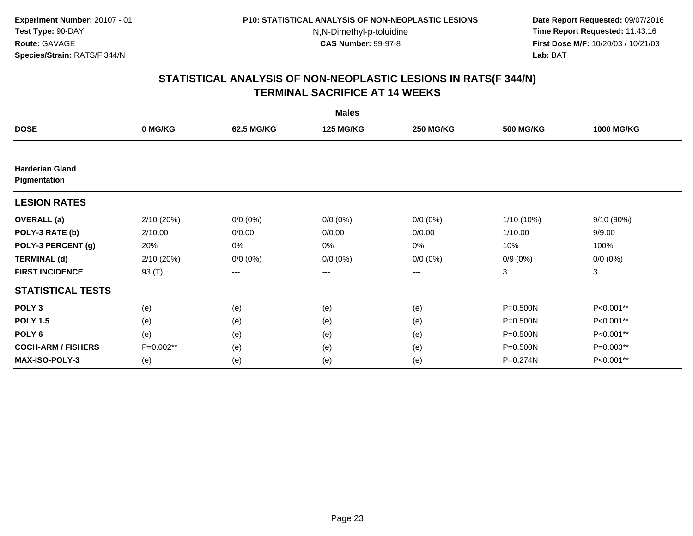**Date Report Requested:** 09/07/2016 **Time Report Requested:** 11:43:16 **First Dose M/F:** 10/20/03 / 10/21/03<br>**Lab:** BAT **Lab:** BAT

| <b>Males</b>                           |            |             |                  |                  |                  |                   |  |  |
|----------------------------------------|------------|-------------|------------------|------------------|------------------|-------------------|--|--|
| <b>DOSE</b>                            | 0 MG/KG    | 62.5 MG/KG  | <b>125 MG/KG</b> | <b>250 MG/KG</b> | <b>500 MG/KG</b> | <b>1000 MG/KG</b> |  |  |
|                                        |            |             |                  |                  |                  |                   |  |  |
| <b>Harderian Gland</b><br>Pigmentation |            |             |                  |                  |                  |                   |  |  |
| <b>LESION RATES</b>                    |            |             |                  |                  |                  |                   |  |  |
| <b>OVERALL</b> (a)                     | 2/10 (20%) | $0/0 (0\%)$ | $0/0 (0\%)$      | $0/0 (0\%)$      | 1/10 (10%)       | 9/10 (90%)        |  |  |
| POLY-3 RATE (b)                        | 2/10.00    | 0/0.00      | 0/0.00           | 0/0.00           | 1/10.00          | 9/9.00            |  |  |
| POLY-3 PERCENT (g)                     | 20%        | 0%          | 0%               | 0%               | 10%              | 100%              |  |  |
| <b>TERMINAL (d)</b>                    | 2/10 (20%) | $0/0 (0\%)$ | $0/0 (0\%)$      | $0/0 (0\%)$      | $0/9(0\%)$       | $0/0 (0\%)$       |  |  |
| <b>FIRST INCIDENCE</b>                 | 93 (T)     | $---$       | $---$            | $---$            | 3                | 3                 |  |  |
| <b>STATISTICAL TESTS</b>               |            |             |                  |                  |                  |                   |  |  |
| POLY <sub>3</sub>                      | (e)        | (e)         | (e)              | (e)              | $P = 0.500N$     | P<0.001**         |  |  |
| <b>POLY 1.5</b>                        | (e)        | (e)         | (e)              | (e)              | P=0.500N         | P<0.001**         |  |  |
| POLY <sub>6</sub>                      | (e)        | (e)         | (e)              | (e)              | P=0.500N         | P<0.001**         |  |  |
| <b>COCH-ARM / FISHERS</b>              | P=0.002**  | (e)         | (e)              | (e)              | P=0.500N         | P=0.003**         |  |  |
| <b>MAX-ISO-POLY-3</b>                  | (e)        | (e)         | (e)              | (e)              | P=0.274N         | P<0.001**         |  |  |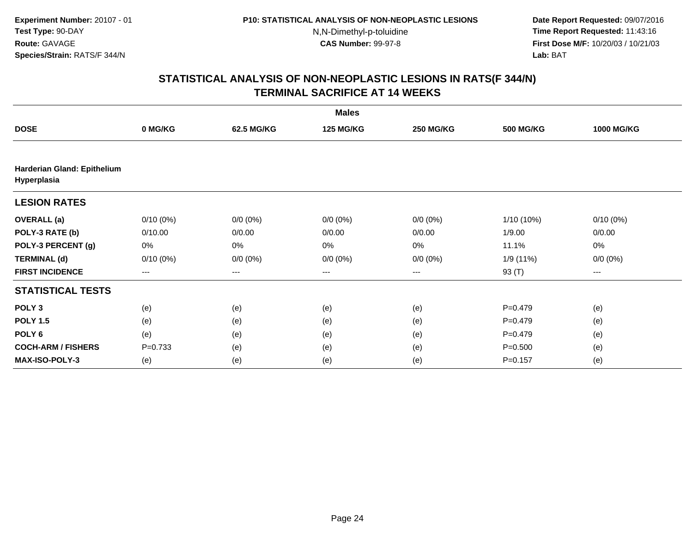**Date Report Requested:** 09/07/2016 **Time Report Requested:** 11:43:16 **First Dose M/F:** 10/20/03 / 10/21/03<br>**Lab:** BAT **Lab:** BAT

|                                            | <b>Males</b> |             |                  |                  |                  |                   |  |  |  |
|--------------------------------------------|--------------|-------------|------------------|------------------|------------------|-------------------|--|--|--|
| <b>DOSE</b>                                | 0 MG/KG      | 62.5 MG/KG  | <b>125 MG/KG</b> | <b>250 MG/KG</b> | <b>500 MG/KG</b> | <b>1000 MG/KG</b> |  |  |  |
|                                            |              |             |                  |                  |                  |                   |  |  |  |
| Harderian Gland: Epithelium<br>Hyperplasia |              |             |                  |                  |                  |                   |  |  |  |
| <b>LESION RATES</b>                        |              |             |                  |                  |                  |                   |  |  |  |
| <b>OVERALL</b> (a)                         | $0/10(0\%)$  | $0/0 (0\%)$ | $0/0 (0\%)$      | $0/0 (0\%)$      | $1/10(10\%)$     | $0/10(0\%)$       |  |  |  |
| POLY-3 RATE (b)                            | 0/10.00      | 0/0.00      | 0/0.00           | 0/0.00           | 1/9.00           | 0/0.00            |  |  |  |
| POLY-3 PERCENT (g)                         | 0%           | 0%          | 0%               | 0%               | 11.1%            | 0%                |  |  |  |
| <b>TERMINAL (d)</b>                        | $0/10(0\%)$  | $0/0 (0\%)$ | $0/0 (0\%)$      | $0/0 (0\%)$      | 1/9(11%)         | $0/0 (0\%)$       |  |  |  |
| <b>FIRST INCIDENCE</b>                     | ---          | ---         | $--$             | ---              | 93 (T)           | ---               |  |  |  |
| <b>STATISTICAL TESTS</b>                   |              |             |                  |                  |                  |                   |  |  |  |
| POLY <sub>3</sub>                          | (e)          | (e)         | (e)              | (e)              | $P=0.479$        | (e)               |  |  |  |
| <b>POLY 1.5</b>                            | (e)          | (e)         | (e)              | (e)              | $P=0.479$        | (e)               |  |  |  |
| POLY <sub>6</sub>                          | (e)          | (e)         | (e)              | (e)              | $P=0.479$        | (e)               |  |  |  |
| <b>COCH-ARM / FISHERS</b>                  | $P = 0.733$  | (e)         | (e)              | (e)              | $P = 0.500$      | (e)               |  |  |  |
| <b>MAX-ISO-POLY-3</b>                      | (e)          | (e)         | (e)              | (e)              | $P = 0.157$      | (e)               |  |  |  |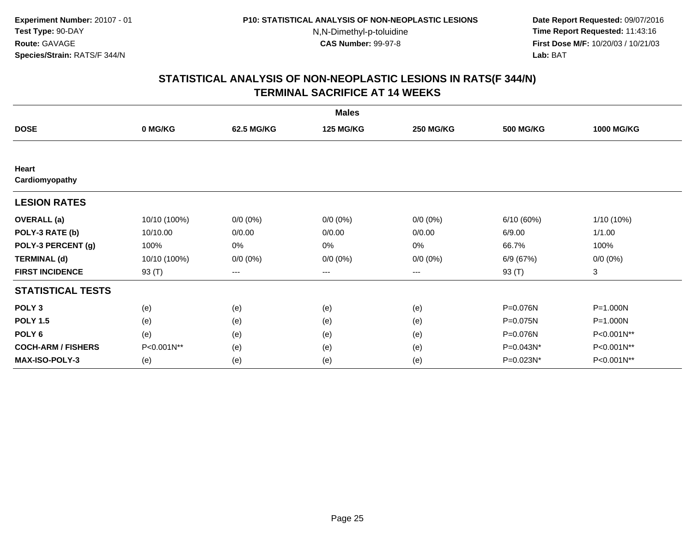**Date Report Requested:** 09/07/2016 **Time Report Requested:** 11:43:16 **First Dose M/F:** 10/20/03 / 10/21/03<br>**Lab:** BAT **Lab:** BAT

|                           |              |             | <b>Males</b>     |                  |                  |                   |
|---------------------------|--------------|-------------|------------------|------------------|------------------|-------------------|
| <b>DOSE</b>               | 0 MG/KG      | 62.5 MG/KG  | <b>125 MG/KG</b> | <b>250 MG/KG</b> | <b>500 MG/KG</b> | <b>1000 MG/KG</b> |
|                           |              |             |                  |                  |                  |                   |
| Heart<br>Cardiomyopathy   |              |             |                  |                  |                  |                   |
| <b>LESION RATES</b>       |              |             |                  |                  |                  |                   |
| <b>OVERALL</b> (a)        | 10/10 (100%) | $0/0 (0\%)$ | $0/0 (0\%)$      | $0/0 (0\%)$      | 6/10 (60%)       | 1/10 (10%)        |
| POLY-3 RATE (b)           | 10/10.00     | 0/0.00      | 0/0.00           | 0/0.00           | 6/9.00           | 1/1.00            |
| POLY-3 PERCENT (g)        | 100%         | 0%          | 0%               | 0%               | 66.7%            | 100%              |
| <b>TERMINAL (d)</b>       | 10/10 (100%) | $0/0 (0\%)$ | $0/0 (0\%)$      | $0/0 (0\%)$      | 6/9 (67%)        | $0/0 (0\%)$       |
| <b>FIRST INCIDENCE</b>    | 93 (T)       | $--$        | ---              | ---              | 93 (T)           | 3                 |
| <b>STATISTICAL TESTS</b>  |              |             |                  |                  |                  |                   |
| POLY <sub>3</sub>         | (e)          | (e)         | (e)              | (e)              | P=0.076N         | $P = 1.000N$      |
| <b>POLY 1.5</b>           | (e)          | (e)         | (e)              | (e)              | P=0.075N         | P=1.000N          |
| POLY <sub>6</sub>         | (e)          | (e)         | (e)              | (e)              | P=0.076N         | P<0.001N**        |
| <b>COCH-ARM / FISHERS</b> | P<0.001N**   | (e)         | (e)              | (e)              | P=0.043N*        | P<0.001N**        |
| <b>MAX-ISO-POLY-3</b>     | (e)          | (e)         | (e)              | (e)              | P=0.023N*        | P<0.001N**        |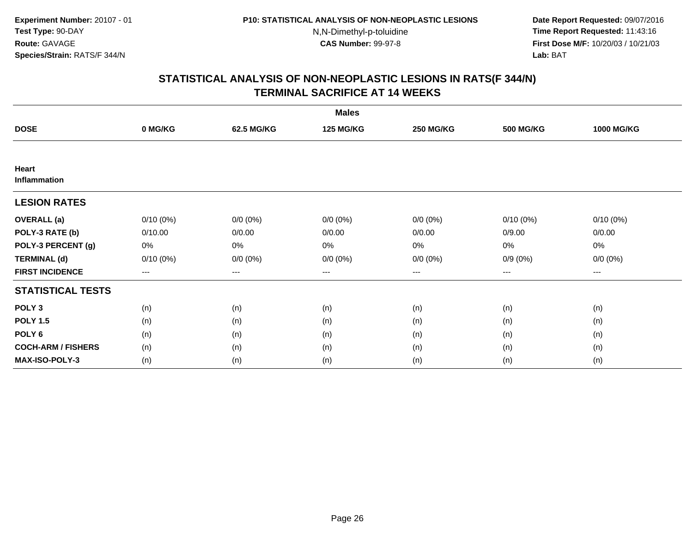**Date Report Requested:** 09/07/2016 **Time Report Requested:** 11:43:16 **First Dose M/F:** 10/20/03 / 10/21/03<br>**Lab:** BAT **Lab:** BAT

| <b>Males</b>              |                        |             |                  |                   |                  |                   |  |  |
|---------------------------|------------------------|-------------|------------------|-------------------|------------------|-------------------|--|--|
| <b>DOSE</b>               | 0 MG/KG                | 62.5 MG/KG  | <b>125 MG/KG</b> | <b>250 MG/KG</b>  | <b>500 MG/KG</b> | <b>1000 MG/KG</b> |  |  |
|                           |                        |             |                  |                   |                  |                   |  |  |
| Heart<br>Inflammation     |                        |             |                  |                   |                  |                   |  |  |
| <b>LESION RATES</b>       |                        |             |                  |                   |                  |                   |  |  |
| <b>OVERALL</b> (a)        | $0/10(0\%)$            | $0/0 (0\%)$ | $0/0 (0\%)$      | $0/0 (0\%)$       | $0/10(0\%)$      | $0/10(0\%)$       |  |  |
| POLY-3 RATE (b)           | 0/10.00                | 0/0.00      | 0/0.00           | 0/0.00            | 0/9.00           | 0/0.00            |  |  |
| POLY-3 PERCENT (g)        | 0%                     | 0%          | 0%               | 0%                | 0%               | 0%                |  |  |
| <b>TERMINAL (d)</b>       | $0/10(0\%)$            | $0/0 (0\%)$ | $0/0 (0\%)$      | $0/0 (0\%)$       | $0/9(0\%)$       | $0/0 (0\%)$       |  |  |
| <b>FIRST INCIDENCE</b>    | $\qquad \qquad \cdots$ | $---$       | ---              | $\qquad \qquad -$ | $---$            | $---$             |  |  |
| <b>STATISTICAL TESTS</b>  |                        |             |                  |                   |                  |                   |  |  |
| POLY <sub>3</sub>         | (n)                    | (n)         | (n)              | (n)               | (n)              | (n)               |  |  |
| <b>POLY 1.5</b>           | (n)                    | (n)         | (n)              | (n)               | (n)              | (n)               |  |  |
| POLY <sub>6</sub>         | (n)                    | (n)         | (n)              | (n)               | (n)              | (n)               |  |  |
| <b>COCH-ARM / FISHERS</b> | (n)                    | (n)         | (n)              | (n)               | (n)              | (n)               |  |  |
| <b>MAX-ISO-POLY-3</b>     | (n)                    | (n)         | (n)              | (n)               | (n)              | (n)               |  |  |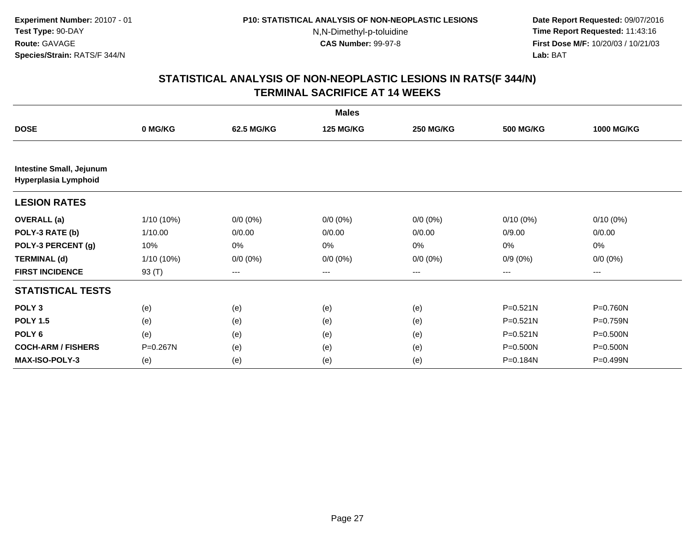**Date Report Requested:** 09/07/2016 **Time Report Requested:** 11:43:16 **First Dose M/F:** 10/20/03 / 10/21/03<br>**Lab:** BAT **Lab:** BAT

|                                 |              |             | <b>Males</b>     |                        |                  |                   |
|---------------------------------|--------------|-------------|------------------|------------------------|------------------|-------------------|
| <b>DOSE</b>                     | 0 MG/KG      | 62.5 MG/KG  | <b>125 MG/KG</b> | <b>250 MG/KG</b>       | <b>500 MG/KG</b> | <b>1000 MG/KG</b> |
| <b>Intestine Small, Jejunum</b> |              |             |                  |                        |                  |                   |
| Hyperplasia Lymphoid            |              |             |                  |                        |                  |                   |
| <b>LESION RATES</b>             |              |             |                  |                        |                  |                   |
| <b>OVERALL</b> (a)              | $1/10(10\%)$ | $0/0 (0\%)$ | $0/0 (0\%)$      | $0/0 (0\%)$            | $0/10(0\%)$      | $0/10(0\%)$       |
| POLY-3 RATE (b)                 | 1/10.00      | 0/0.00      | 0/0.00           | 0/0.00                 | 0/9.00           | 0/0.00            |
| POLY-3 PERCENT (g)              | 10%          | 0%          | 0%               | 0%                     | 0%               | 0%                |
| <b>TERMINAL (d)</b>             | $1/10(10\%)$ | $0/0 (0\%)$ | $0/0 (0\%)$      | $0/0 (0\%)$            | $0/9(0\%)$       | $0/0 (0\%)$       |
| <b>FIRST INCIDENCE</b>          | 93 (T)       | ---         | $---$            | $\qquad \qquad \cdots$ | ---              | ---               |
| <b>STATISTICAL TESTS</b>        |              |             |                  |                        |                  |                   |
| POLY <sub>3</sub>               | (e)          | (e)         | (e)              | (e)                    | $P = 0.521N$     | P=0.760N          |
| <b>POLY 1.5</b>                 | (e)          | (e)         | (e)              | (e)                    | $P = 0.521N$     | P=0.759N          |
| POLY <sub>6</sub>               | (e)          | (e)         | (e)              | (e)                    | $P = 0.521N$     | $P = 0.500N$      |
| <b>COCH-ARM / FISHERS</b>       | P=0.267N     | (e)         | (e)              | (e)                    | $P = 0.500N$     | P=0.500N          |
| MAX-ISO-POLY-3                  | (e)          | (e)         | (e)              | (e)                    | P=0.184N         | P=0.499N          |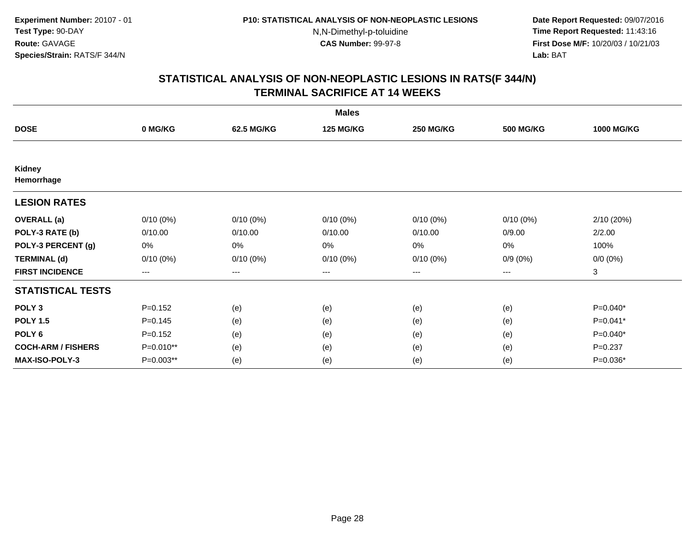**Date Report Requested:** 09/07/2016 **Time Report Requested:** 11:43:16 **First Dose M/F:** 10/20/03 / 10/21/03<br>**Lab:** BAT **Lab:** BAT

|                           |             |                   | <b>Males</b>     |                  |                  |                   |
|---------------------------|-------------|-------------------|------------------|------------------|------------------|-------------------|
| <b>DOSE</b>               | 0 MG/KG     | 62.5 MG/KG        | <b>125 MG/KG</b> | <b>250 MG/KG</b> | <b>500 MG/KG</b> | <b>1000 MG/KG</b> |
|                           |             |                   |                  |                  |                  |                   |
| Kidney<br>Hemorrhage      |             |                   |                  |                  |                  |                   |
| <b>LESION RATES</b>       |             |                   |                  |                  |                  |                   |
| <b>OVERALL</b> (a)        | $0/10(0\%)$ | $0/10(0\%)$       | $0/10(0\%)$      | $0/10(0\%)$      | $0/10(0\%)$      | 2/10 (20%)        |
| POLY-3 RATE (b)           | 0/10.00     | 0/10.00           | 0/10.00          | 0/10.00          | 0/9.00           | 2/2.00            |
| POLY-3 PERCENT (g)        | 0%          | 0%                | 0%               | 0%               | 0%               | 100%              |
| <b>TERMINAL (d)</b>       | $0/10(0\%)$ | $0/10(0\%)$       | $0/10(0\%)$      | $0/10(0\%)$      | $0/9(0\%)$       | $0/0 (0\%)$       |
| <b>FIRST INCIDENCE</b>    | ---         | $\qquad \qquad -$ | ---              | $---$            | ---              | 3                 |
| <b>STATISTICAL TESTS</b>  |             |                   |                  |                  |                  |                   |
| POLY <sub>3</sub>         | $P=0.152$   | (e)               | (e)              | (e)              | (e)              | P=0.040*          |
| <b>POLY 1.5</b>           | $P = 0.145$ | (e)               | (e)              | (e)              | (e)              | P=0.041*          |
| POLY <sub>6</sub>         | $P = 0.152$ | (e)               | (e)              | (e)              | (e)              | $P=0.040*$        |
| <b>COCH-ARM / FISHERS</b> | P=0.010**   | (e)               | (e)              | (e)              | (e)              | $P = 0.237$       |
| MAX-ISO-POLY-3            | P=0.003**   | (e)               | (e)              | (e)              | (e)              | P=0.036*          |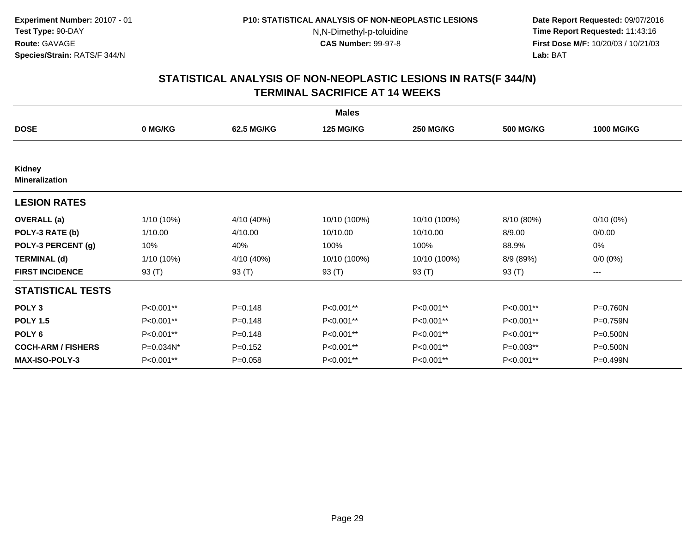**Date Report Requested:** 09/07/2016 **Time Report Requested:** 11:43:16 **First Dose M/F:** 10/20/03 / 10/21/03<br>**Lab:** BAT **Lab:** BAT

|                                 |            |             | <b>Males</b>     |                  |                  |                   |
|---------------------------------|------------|-------------|------------------|------------------|------------------|-------------------|
| <b>DOSE</b>                     | 0 MG/KG    | 62.5 MG/KG  | <b>125 MG/KG</b> | <b>250 MG/KG</b> | <b>500 MG/KG</b> | <b>1000 MG/KG</b> |
|                                 |            |             |                  |                  |                  |                   |
| Kidney<br><b>Mineralization</b> |            |             |                  |                  |                  |                   |
| <b>LESION RATES</b>             |            |             |                  |                  |                  |                   |
| <b>OVERALL</b> (a)              | 1/10 (10%) | 4/10 (40%)  | 10/10 (100%)     | 10/10 (100%)     | 8/10 (80%)       | $0/10(0\%)$       |
| POLY-3 RATE (b)                 | 1/10.00    | 4/10.00     | 10/10.00         | 10/10.00         | 8/9.00           | 0/0.00            |
| POLY-3 PERCENT (g)              | 10%        | 40%         | 100%             | 100%             | 88.9%            | 0%                |
| <b>TERMINAL (d)</b>             | 1/10 (10%) | 4/10 (40%)  | 10/10 (100%)     | 10/10 (100%)     | 8/9 (89%)        | $0/0 (0\%)$       |
| <b>FIRST INCIDENCE</b>          | 93 (T)     | 93 (T)      | 93 (T)           | 93 (T)           | 93 (T)           | ---               |
| <b>STATISTICAL TESTS</b>        |            |             |                  |                  |                  |                   |
| POLY <sub>3</sub>               | P<0.001**  | $P = 0.148$ | P<0.001**        | P<0.001**        | P<0.001**        | P=0.760N          |
| <b>POLY 1.5</b>                 | P<0.001**  | $P = 0.148$ | P<0.001**        | P<0.001**        | P<0.001**        | P=0.759N          |
| POLY <sub>6</sub>               | P<0.001**  | $P = 0.148$ | P<0.001**        | P<0.001**        | P<0.001**        | P=0.500N          |
| <b>COCH-ARM / FISHERS</b>       | P=0.034N*  | $P=0.152$   | P<0.001**        | P<0.001**        | P=0.003**        | $P = 0.500N$      |
| <b>MAX-ISO-POLY-3</b>           | P<0.001**  | $P = 0.058$ | P<0.001**        | P<0.001**        | P<0.001**        | P=0.499N          |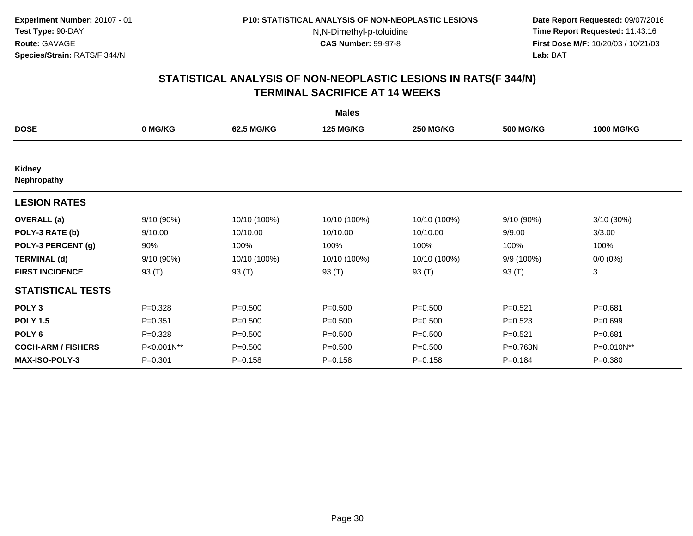**Date Report Requested:** 09/07/2016 **Time Report Requested:** 11:43:16 **First Dose M/F:** 10/20/03 / 10/21/03<br>**Lab:** BAT **Lab:** BAT

|                           |             |              | <b>Males</b>     |                  |                  |                   |
|---------------------------|-------------|--------------|------------------|------------------|------------------|-------------------|
| <b>DOSE</b>               | 0 MG/KG     | 62.5 MG/KG   | <b>125 MG/KG</b> | <b>250 MG/KG</b> | <b>500 MG/KG</b> | <b>1000 MG/KG</b> |
|                           |             |              |                  |                  |                  |                   |
| Kidney<br>Nephropathy     |             |              |                  |                  |                  |                   |
| <b>LESION RATES</b>       |             |              |                  |                  |                  |                   |
| <b>OVERALL</b> (a)        | 9/10 (90%)  | 10/10 (100%) | 10/10 (100%)     | 10/10 (100%)     | 9/10 (90%)       | 3/10 (30%)        |
| POLY-3 RATE (b)           | 9/10.00     | 10/10.00     | 10/10.00         | 10/10.00         | 9/9.00           | 3/3.00            |
| POLY-3 PERCENT (g)        | 90%         | 100%         | 100%             | 100%             | 100%             | 100%              |
| <b>TERMINAL (d)</b>       | 9/10 (90%)  | 10/10 (100%) | 10/10 (100%)     | 10/10 (100%)     | 9/9 (100%)       | $0/0 (0\%)$       |
| <b>FIRST INCIDENCE</b>    | 93 (T)      | 93 (T)       | 93 (T)           | 93 (T)           | 93 (T)           | 3                 |
| <b>STATISTICAL TESTS</b>  |             |              |                  |                  |                  |                   |
| POLY <sub>3</sub>         | $P = 0.328$ | $P = 0.500$  | $P = 0.500$      | $P = 0.500$      | $P = 0.521$      | $P = 0.681$       |
| <b>POLY 1.5</b>           | $P = 0.351$ | $P = 0.500$  | $P = 0.500$      | $P = 0.500$      | $P=0.523$        | $P=0.699$         |
| POLY <sub>6</sub>         | $P=0.328$   | $P = 0.500$  | $P = 0.500$      | $P = 0.500$      | $P = 0.521$      | $P = 0.681$       |
| <b>COCH-ARM / FISHERS</b> | P<0.001N**  | $P = 0.500$  | $P = 0.500$      | $P = 0.500$      | P=0.763N         | P=0.010N**        |
| <b>MAX-ISO-POLY-3</b>     | $P = 0.301$ | $P = 0.158$  | $P = 0.158$      | $P = 0.158$      | $P = 0.184$      | $P = 0.380$       |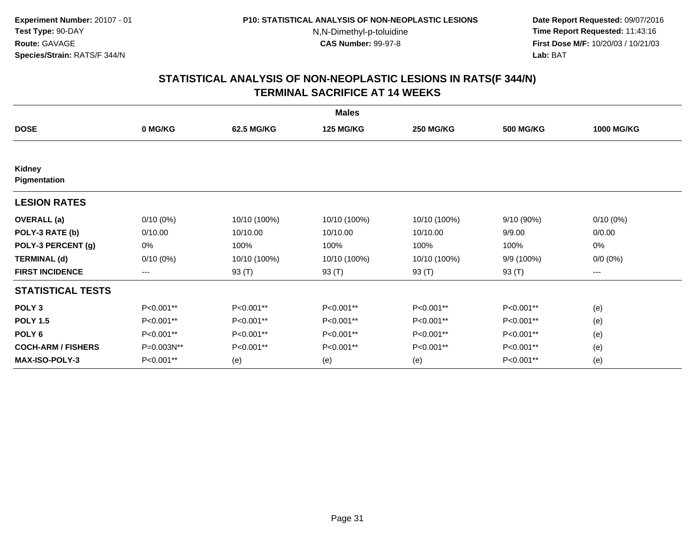**Date Report Requested:** 09/07/2016 **Time Report Requested:** 11:43:16 **First Dose M/F:** 10/20/03 / 10/21/03<br>**Lab:** BAT **Lab:** BAT

|                           |             |              | <b>Males</b>     |                  |                  |                   |
|---------------------------|-------------|--------------|------------------|------------------|------------------|-------------------|
| <b>DOSE</b>               | 0 MG/KG     | 62.5 MG/KG   | <b>125 MG/KG</b> | <b>250 MG/KG</b> | <b>500 MG/KG</b> | <b>1000 MG/KG</b> |
|                           |             |              |                  |                  |                  |                   |
| Kidney<br>Pigmentation    |             |              |                  |                  |                  |                   |
| <b>LESION RATES</b>       |             |              |                  |                  |                  |                   |
| <b>OVERALL</b> (a)        | $0/10(0\%)$ | 10/10 (100%) | 10/10 (100%)     | 10/10 (100%)     | 9/10 (90%)       | $0/10(0\%)$       |
| POLY-3 RATE (b)           | 0/10.00     | 10/10.00     | 10/10.00         | 10/10.00         | 9/9.00           | 0/0.00            |
| POLY-3 PERCENT (g)        | 0%          | 100%         | 100%             | 100%             | 100%             | 0%                |
| <b>TERMINAL (d)</b>       | $0/10(0\%)$ | 10/10 (100%) | 10/10 (100%)     | 10/10 (100%)     | 9/9 (100%)       | $0/0 (0\%)$       |
| <b>FIRST INCIDENCE</b>    | ---         | 93 (T)       | 93 (T)           | 93 (T)           | 93 (T)           | ---               |
| <b>STATISTICAL TESTS</b>  |             |              |                  |                  |                  |                   |
| POLY <sub>3</sub>         | P<0.001**   | P<0.001**    | P<0.001**        | P<0.001**        | P<0.001**        | (e)               |
| <b>POLY 1.5</b>           | P<0.001**   | P<0.001**    | P<0.001**        | P<0.001**        | P<0.001**        | (e)               |
| POLY <sub>6</sub>         | P<0.001**   | P<0.001**    | P<0.001**        | P<0.001**        | P<0.001**        | (e)               |
| <b>COCH-ARM / FISHERS</b> | P=0.003N**  | P<0.001**    | P<0.001**        | P<0.001**        | P<0.001**        | (e)               |
| <b>MAX-ISO-POLY-3</b>     | P<0.001**   | (e)          | (e)              | (e)              | P<0.001**        | (e)               |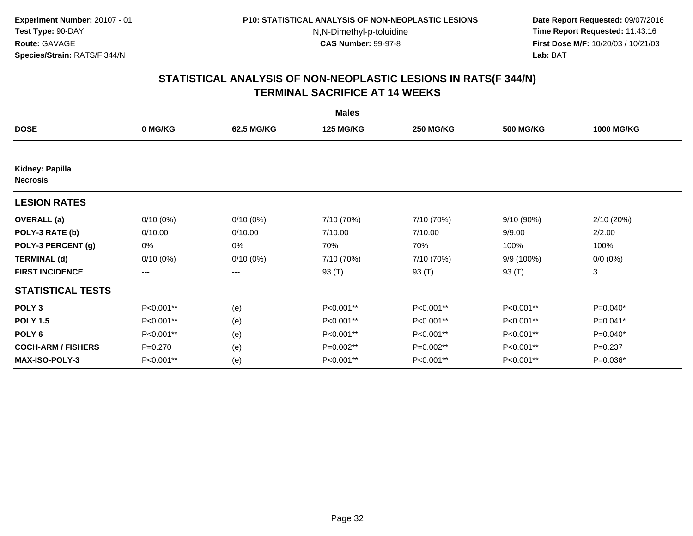**Date Report Requested:** 09/07/2016 **Time Report Requested:** 11:43:16 **First Dose M/F:** 10/20/03 / 10/21/03<br>**Lab:** BAT **Lab:** BAT

|                                    |                   |                   | <b>Males</b>     |                  |                  |                   |
|------------------------------------|-------------------|-------------------|------------------|------------------|------------------|-------------------|
| <b>DOSE</b>                        | 0 MG/KG           | 62.5 MG/KG        | <b>125 MG/KG</b> | <b>250 MG/KG</b> | <b>500 MG/KG</b> | <b>1000 MG/KG</b> |
|                                    |                   |                   |                  |                  |                  |                   |
| Kidney: Papilla<br><b>Necrosis</b> |                   |                   |                  |                  |                  |                   |
| <b>LESION RATES</b>                |                   |                   |                  |                  |                  |                   |
| <b>OVERALL</b> (a)                 | $0/10(0\%)$       | $0/10(0\%)$       | 7/10 (70%)       | 7/10 (70%)       | 9/10 (90%)       | 2/10 (20%)        |
| POLY-3 RATE (b)                    | 0/10.00           | 0/10.00           | 7/10.00          | 7/10.00          | 9/9.00           | 2/2.00            |
| POLY-3 PERCENT (g)                 | 0%                | 0%                | 70%              | 70%              | 100%             | 100%              |
| <b>TERMINAL (d)</b>                | $0/10(0\%)$       | $0/10(0\%)$       | 7/10 (70%)       | 7/10 (70%)       | 9/9 (100%)       | $0/0 (0\%)$       |
| <b>FIRST INCIDENCE</b>             | $\qquad \qquad -$ | $\qquad \qquad -$ | 93 (T)           | 93 (T)           | 93 (T)           | 3                 |
| <b>STATISTICAL TESTS</b>           |                   |                   |                  |                  |                  |                   |
| POLY <sub>3</sub>                  | P<0.001**         | (e)               | P<0.001**        | P<0.001**        | P<0.001**        | P=0.040*          |
| <b>POLY 1.5</b>                    | P<0.001**         | (e)               | P<0.001**        | P<0.001**        | P<0.001**        | $P=0.041*$        |
| POLY <sub>6</sub>                  | P<0.001**         | (e)               | P<0.001**        | P<0.001**        | P<0.001**        | $P=0.040*$        |
| <b>COCH-ARM / FISHERS</b>          | $P=0.270$         | (e)               | P=0.002**        | P=0.002**        | P<0.001**        | $P=0.237$         |
| <b>MAX-ISO-POLY-3</b>              | P<0.001**         | (e)               | P<0.001**        | P<0.001**        | P<0.001**        | P=0.036*          |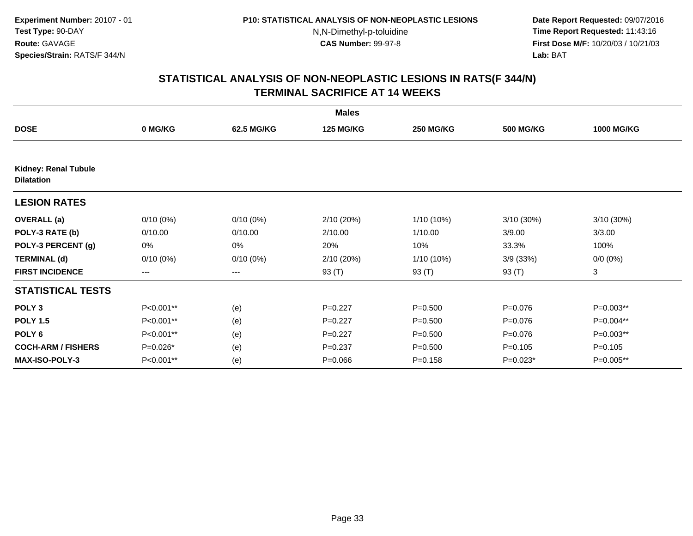**Date Report Requested:** 09/07/2016 **Time Report Requested:** 11:43:16 **First Dose M/F:** 10/20/03 / 10/21/03<br>**Lab:** BAT **Lab:** BAT

|                                                  |                   |             | <b>Males</b>     |                  |                  |                   |
|--------------------------------------------------|-------------------|-------------|------------------|------------------|------------------|-------------------|
| <b>DOSE</b>                                      | 0 MG/KG           | 62.5 MG/KG  | <b>125 MG/KG</b> | <b>250 MG/KG</b> | <b>500 MG/KG</b> | <b>1000 MG/KG</b> |
|                                                  |                   |             |                  |                  |                  |                   |
| <b>Kidney: Renal Tubule</b><br><b>Dilatation</b> |                   |             |                  |                  |                  |                   |
| <b>LESION RATES</b>                              |                   |             |                  |                  |                  |                   |
| <b>OVERALL</b> (a)                               | $0/10(0\%)$       | $0/10(0\%)$ | 2/10(20%)        | 1/10 (10%)       | 3/10(30%)        | 3/10 (30%)        |
| POLY-3 RATE (b)                                  | 0/10.00           | 0/10.00     | 2/10.00          | 1/10.00          | 3/9.00           | 3/3.00            |
| POLY-3 PERCENT (g)                               | 0%                | 0%          | 20%              | 10%              | 33.3%            | 100%              |
| <b>TERMINAL (d)</b>                              | $0/10(0\%)$       | $0/10(0\%)$ | 2/10 (20%)       | 1/10 (10%)       | 3/9(33%)         | $0/0 (0\%)$       |
| <b>FIRST INCIDENCE</b>                           | $\qquad \qquad -$ | $---$       | 93 (T)           | 93 (T)           | 93 (T)           | 3                 |
| <b>STATISTICAL TESTS</b>                         |                   |             |                  |                  |                  |                   |
| POLY <sub>3</sub>                                | P<0.001**         | (e)         | $P=0.227$        | $P = 0.500$      | $P = 0.076$      | $P=0.003**$       |
| <b>POLY 1.5</b>                                  | P<0.001**         | (e)         | $P=0.227$        | $P = 0.500$      | $P = 0.076$      | P=0.004**         |
| POLY <sub>6</sub>                                | P<0.001**         | (e)         | $P=0.227$        | $P = 0.500$      | $P = 0.076$      | P=0.003**         |
| <b>COCH-ARM / FISHERS</b>                        | P=0.026*          | (e)         | $P = 0.237$      | $P = 0.500$      | $P = 0.105$      | $P = 0.105$       |
| MAX-ISO-POLY-3                                   | P<0.001**         | (e)         | $P = 0.066$      | $P = 0.158$      | $P=0.023*$       | P=0.005**         |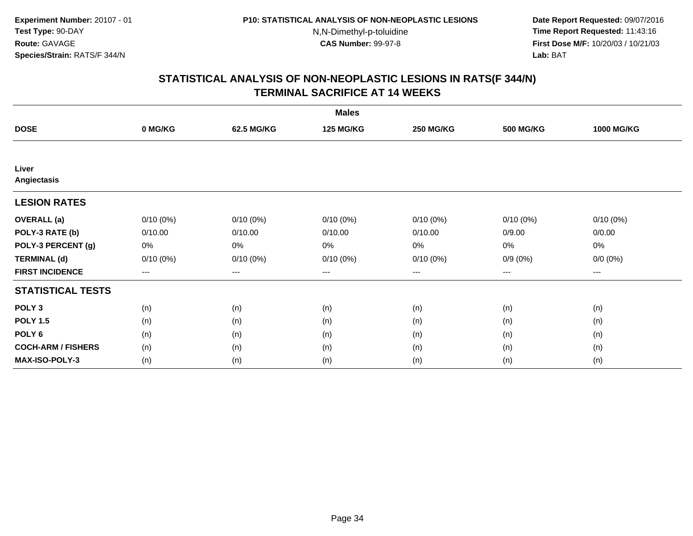**Date Report Requested:** 09/07/2016 **Time Report Requested:** 11:43:16 **First Dose M/F:** 10/20/03 / 10/21/03<br>**Lab:** BAT **Lab:** BAT

|                           |             |             | <b>Males</b>     |                  |                  |                   |
|---------------------------|-------------|-------------|------------------|------------------|------------------|-------------------|
| <b>DOSE</b>               | 0 MG/KG     | 62.5 MG/KG  | <b>125 MG/KG</b> | <b>250 MG/KG</b> | <b>500 MG/KG</b> | <b>1000 MG/KG</b> |
|                           |             |             |                  |                  |                  |                   |
| Liver<br>Angiectasis      |             |             |                  |                  |                  |                   |
| <b>LESION RATES</b>       |             |             |                  |                  |                  |                   |
| <b>OVERALL</b> (a)        | $0/10(0\%)$ | $0/10(0\%)$ | $0/10(0\%)$      | $0/10(0\%)$      | $0/10(0\%)$      | $0/10(0\%)$       |
| POLY-3 RATE (b)           | 0/10.00     | 0/10.00     | 0/10.00          | 0/10.00          | 0/9.00           | 0/0.00            |
| POLY-3 PERCENT (g)        | 0%          | 0%          | 0%               | 0%               | 0%               | $0\%$             |
| <b>TERMINAL (d)</b>       | $0/10(0\%)$ | $0/10(0\%)$ | $0/10(0\%)$      | $0/10(0\%)$      | $0/9(0\%)$       | $0/0 (0\%)$       |
| <b>FIRST INCIDENCE</b>    | $--$        | $--$        | $---$            | ---              | ---              | $---$             |
| <b>STATISTICAL TESTS</b>  |             |             |                  |                  |                  |                   |
| POLY <sub>3</sub>         | (n)         | (n)         | (n)              | (n)              | (n)              | (n)               |
| <b>POLY 1.5</b>           | (n)         | (n)         | (n)              | (n)              | (n)              | (n)               |
| POLY <sub>6</sub>         | (n)         | (n)         | (n)              | (n)              | (n)              | (n)               |
| <b>COCH-ARM / FISHERS</b> | (n)         | (n)         | (n)              | (n)              | (n)              | (n)               |
| <b>MAX-ISO-POLY-3</b>     | (n)         | (n)         | (n)              | (n)              | (n)              | (n)               |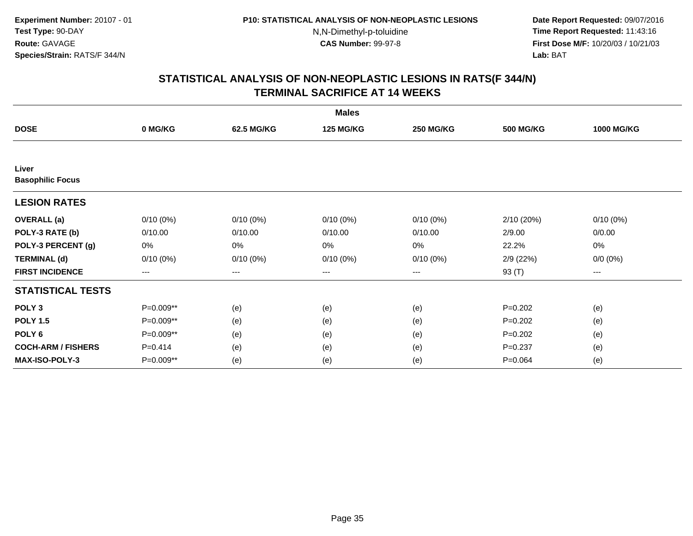**Date Report Requested:** 09/07/2016 **Time Report Requested:** 11:43:16 **First Dose M/F:** 10/20/03 / 10/21/03<br>**Lab:** BAT **Lab:** BAT

|                                  |                   |             | <b>Males</b>     |                  |                  |                   |
|----------------------------------|-------------------|-------------|------------------|------------------|------------------|-------------------|
| <b>DOSE</b>                      | 0 MG/KG           | 62.5 MG/KG  | <b>125 MG/KG</b> | <b>250 MG/KG</b> | <b>500 MG/KG</b> | <b>1000 MG/KG</b> |
|                                  |                   |             |                  |                  |                  |                   |
| Liver<br><b>Basophilic Focus</b> |                   |             |                  |                  |                  |                   |
| <b>LESION RATES</b>              |                   |             |                  |                  |                  |                   |
| <b>OVERALL</b> (a)               | $0/10(0\%)$       | $0/10(0\%)$ | $0/10(0\%)$      | $0/10(0\%)$      | 2/10(20%)        | 0/10(0%)          |
| POLY-3 RATE (b)                  | 0/10.00           | 0/10.00     | 0/10.00          | 0/10.00          | 2/9.00           | 0/0.00            |
| POLY-3 PERCENT (g)               | 0%                | $0\%$       | 0%               | 0%               | 22.2%            | $0\%$             |
| <b>TERMINAL (d)</b>              | $0/10(0\%)$       | $0/10(0\%)$ | $0/10(0\%)$      | $0/10(0\%)$      | 2/9(22%)         | $0/0 (0\%)$       |
| <b>FIRST INCIDENCE</b>           | $\qquad \qquad -$ | ---         | ---              | $---$            | 93 (T)           | ---               |
| <b>STATISTICAL TESTS</b>         |                   |             |                  |                  |                  |                   |
| POLY <sub>3</sub>                | P=0.009**         | (e)         | (e)              | (e)              | $P = 0.202$      | (e)               |
| <b>POLY 1.5</b>                  | P=0.009**         | (e)         | (e)              | (e)              | $P=0.202$        | (e)               |
| POLY <sub>6</sub>                | P=0.009**         | (e)         | (e)              | (e)              | $P = 0.202$      | (e)               |
| <b>COCH-ARM / FISHERS</b>        | $P=0.414$         | (e)         | (e)              | (e)              | $P = 0.237$      | (e)               |
| <b>MAX-ISO-POLY-3</b>            | P=0.009**         | (e)         | (e)              | (e)              | $P = 0.064$      | (e)               |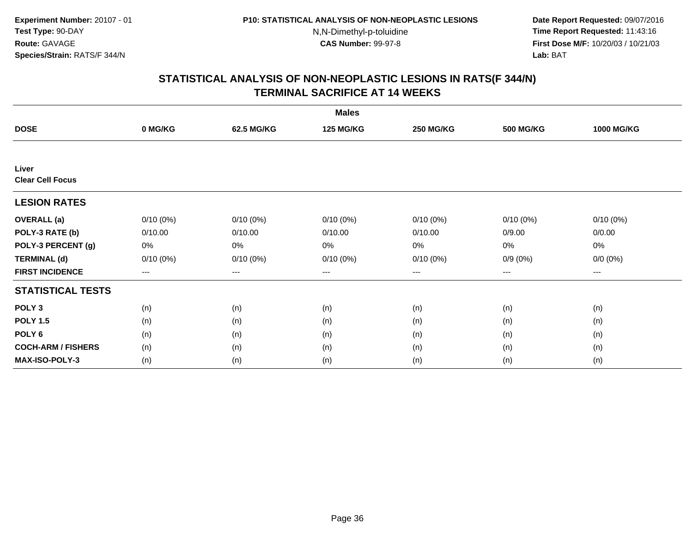**Date Report Requested:** 09/07/2016 **Time Report Requested:** 11:43:16 **First Dose M/F:** 10/20/03 / 10/21/03<br>**Lab:** BAT **Lab:** BAT

|                           |             |             | <b>Males</b>     |                  |                  |                   |
|---------------------------|-------------|-------------|------------------|------------------|------------------|-------------------|
| <b>DOSE</b>               | 0 MG/KG     | 62.5 MG/KG  | <b>125 MG/KG</b> | <b>250 MG/KG</b> | <b>500 MG/KG</b> | <b>1000 MG/KG</b> |
|                           |             |             |                  |                  |                  |                   |
| Liver                     |             |             |                  |                  |                  |                   |
| <b>Clear Cell Focus</b>   |             |             |                  |                  |                  |                   |
| <b>LESION RATES</b>       |             |             |                  |                  |                  |                   |
| <b>OVERALL</b> (a)        | $0/10(0\%)$ | $0/10(0\%)$ | $0/10(0\%)$      | $0/10(0\%)$      | $0/10(0\%)$      | $0/10(0\%)$       |
| POLY-3 RATE (b)           | 0/10.00     | 0/10.00     | 0/10.00          | 0/10.00          | 0/9.00           | 0/0.00            |
| POLY-3 PERCENT (g)        | 0%          | 0%          | 0%               | 0%               | 0%               | 0%                |
| <b>TERMINAL (d)</b>       | $0/10(0\%)$ | $0/10(0\%)$ | $0/10(0\%)$      | $0/10(0\%)$      | $0/9(0\%)$       | $0/0 (0\%)$       |
| <b>FIRST INCIDENCE</b>    | ---         | $---$       | ---              | ---              | $---$            | $---$             |
| <b>STATISTICAL TESTS</b>  |             |             |                  |                  |                  |                   |
| POLY <sub>3</sub>         | (n)         | (n)         | (n)              | (n)              | (n)              | (n)               |
| <b>POLY 1.5</b>           | (n)         | (n)         | (n)              | (n)              | (n)              | (n)               |
| POLY <sub>6</sub>         | (n)         | (n)         | (n)              | (n)              | (n)              | (n)               |
| <b>COCH-ARM / FISHERS</b> | (n)         | (n)         | (n)              | (n)              | (n)              | (n)               |
| <b>MAX-ISO-POLY-3</b>     | (n)         | (n)         | (n)              | (n)              | (n)              | (n)               |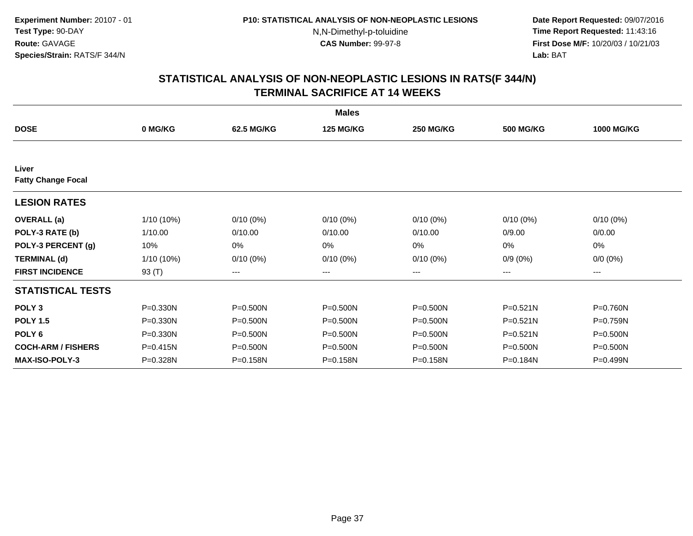**Date Report Requested:** 09/07/2016 **Time Report Requested:** 11:43:16 **First Dose M/F:** 10/20/03 / 10/21/03<br>**Lab:** BAT **Lab:** BAT

|                                    |              |              | <b>Males</b>     |                  |                  |                   |
|------------------------------------|--------------|--------------|------------------|------------------|------------------|-------------------|
| <b>DOSE</b>                        | 0 MG/KG      | 62.5 MG/KG   | <b>125 MG/KG</b> | <b>250 MG/KG</b> | <b>500 MG/KG</b> | <b>1000 MG/KG</b> |
|                                    |              |              |                  |                  |                  |                   |
| Liver<br><b>Fatty Change Focal</b> |              |              |                  |                  |                  |                   |
| <b>LESION RATES</b>                |              |              |                  |                  |                  |                   |
| <b>OVERALL</b> (a)                 | 1/10 (10%)   | $0/10(0\%)$  | $0/10(0\%)$      | $0/10(0\%)$      | $0/10(0\%)$      | $0/10(0\%)$       |
| POLY-3 RATE (b)                    | 1/10.00      | 0/10.00      | 0/10.00          | 0/10.00          | 0/9.00           | 0/0.00            |
| POLY-3 PERCENT (g)                 | 10%          | 0%           | 0%               | 0%               | 0%               | 0%                |
| <b>TERMINAL (d)</b>                | $1/10(10\%)$ | $0/10(0\%)$  | $0/10(0\%)$      | $0/10(0\%)$      | $0/9(0\%)$       | $0/0 (0\%)$       |
| <b>FIRST INCIDENCE</b>             | 93 (T)       | $---$        | ---              | ---              | $---$            | ---               |
| <b>STATISTICAL TESTS</b>           |              |              |                  |                  |                  |                   |
| POLY <sub>3</sub>                  | $P = 0.330N$ | P=0.500N     | $P = 0.500N$     | $P = 0.500N$     | $P = 0.521N$     | P=0.760N          |
| <b>POLY 1.5</b>                    | $P = 0.330N$ | P=0.500N     | $P = 0.500N$     | $P = 0.500N$     | $P = 0.521N$     | P=0.759N          |
| POLY <sub>6</sub>                  | $P = 0.330N$ | $P = 0.500N$ | $P = 0.500N$     | $P = 0.500N$     | $P = 0.521N$     | $P = 0.500N$      |
| <b>COCH-ARM / FISHERS</b>          | P=0.415N     | P=0.500N     | P=0.500N         | $P = 0.500N$     | $P = 0.500N$     | P=0.500N          |
| <b>MAX-ISO-POLY-3</b>              | P=0.328N     | P=0.158N     | P=0.158N         | P=0.158N         | P=0.184N         | P=0.499N          |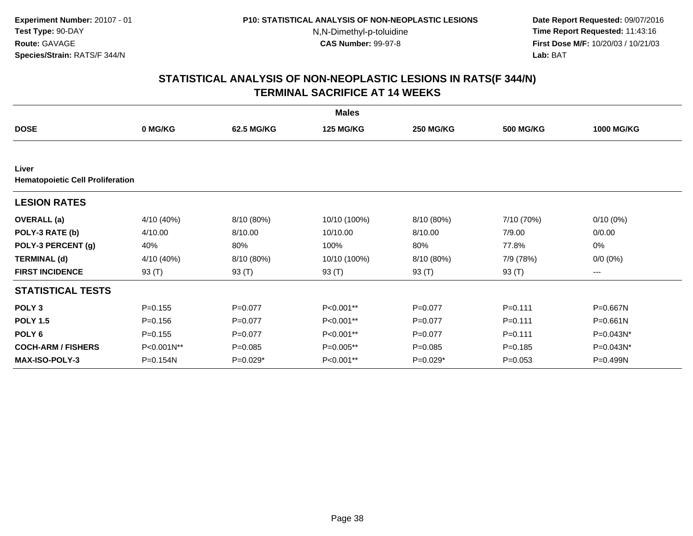**Date Report Requested:** 09/07/2016 **Time Report Requested:** 11:43:16 **First Dose M/F:** 10/20/03 / 10/21/03<br>**Lab:** BAT **Lab:** BAT

|                                                  | <b>Males</b> |             |                  |                  |                  |                   |  |  |  |
|--------------------------------------------------|--------------|-------------|------------------|------------------|------------------|-------------------|--|--|--|
| <b>DOSE</b>                                      | 0 MG/KG      | 62.5 MG/KG  | <b>125 MG/KG</b> | <b>250 MG/KG</b> | <b>500 MG/KG</b> | <b>1000 MG/KG</b> |  |  |  |
|                                                  |              |             |                  |                  |                  |                   |  |  |  |
| Liver<br><b>Hematopoietic Cell Proliferation</b> |              |             |                  |                  |                  |                   |  |  |  |
| <b>LESION RATES</b>                              |              |             |                  |                  |                  |                   |  |  |  |
| <b>OVERALL</b> (a)                               | 4/10 (40%)   | 8/10 (80%)  | 10/10 (100%)     | 8/10 (80%)       | 7/10 (70%)       | $0/10(0\%)$       |  |  |  |
| POLY-3 RATE (b)                                  | 4/10.00      | 8/10.00     | 10/10.00         | 8/10.00          | 7/9.00           | 0/0.00            |  |  |  |
| POLY-3 PERCENT (g)                               | 40%          | 80%         | 100%             | 80%              | 77.8%            | 0%                |  |  |  |
| <b>TERMINAL (d)</b>                              | 4/10 (40%)   | 8/10 (80%)  | 10/10 (100%)     | 8/10 (80%)       | 7/9 (78%)        | $0/0 (0\%)$       |  |  |  |
| <b>FIRST INCIDENCE</b>                           | 93 (T)       | 93 (T)      | 93 (T)           | 93 (T)           | 93 (T)           | ---               |  |  |  |
| <b>STATISTICAL TESTS</b>                         |              |             |                  |                  |                  |                   |  |  |  |
| POLY <sub>3</sub>                                | $P = 0.155$  | $P=0.077$   | P<0.001**        | $P=0.077$        | $P = 0.111$      | P=0.667N          |  |  |  |
| <b>POLY 1.5</b>                                  | $P = 0.156$  | $P = 0.077$ | P<0.001**        | $P=0.077$        | $P = 0.111$      | P=0.661N          |  |  |  |
| POLY <sub>6</sub>                                | $P = 0.155$  | $P = 0.077$ | P<0.001**        | $P = 0.077$      | $P = 0.111$      | P=0.043N*         |  |  |  |
| <b>COCH-ARM / FISHERS</b>                        | P<0.001N**   | $P = 0.085$ | P=0.005**        | $P = 0.085$      | $P = 0.185$      | P=0.043N*         |  |  |  |
| <b>MAX-ISO-POLY-3</b>                            | $P = 0.154N$ | $P=0.029*$  | P<0.001**        | $P=0.029*$       | $P = 0.053$      | $P = 0.499N$      |  |  |  |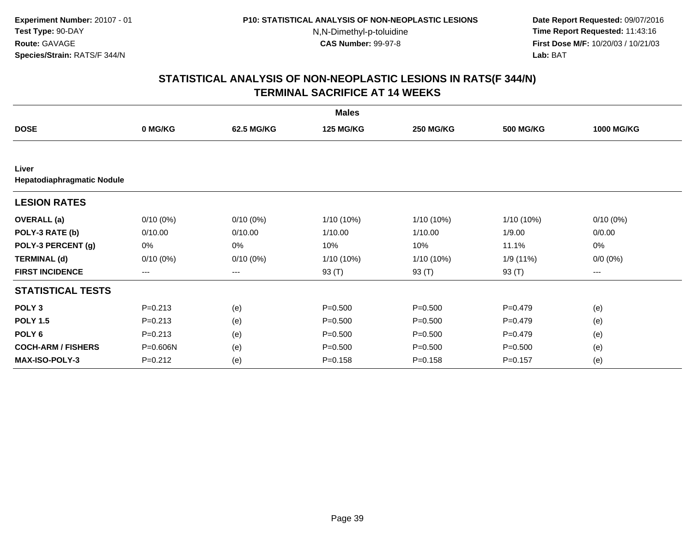**Date Report Requested:** 09/07/2016 **Time Report Requested:** 11:43:16 **First Dose M/F:** 10/20/03 / 10/21/03<br>**Lab:** BAT **Lab:** BAT

|                                     | <b>Males</b>           |             |                  |                  |                  |                   |  |  |  |
|-------------------------------------|------------------------|-------------|------------------|------------------|------------------|-------------------|--|--|--|
| <b>DOSE</b>                         | 0 MG/KG                | 62.5 MG/KG  | <b>125 MG/KG</b> | <b>250 MG/KG</b> | <b>500 MG/KG</b> | <b>1000 MG/KG</b> |  |  |  |
|                                     |                        |             |                  |                  |                  |                   |  |  |  |
| Liver<br>Hepatodiaphragmatic Nodule |                        |             |                  |                  |                  |                   |  |  |  |
| <b>LESION RATES</b>                 |                        |             |                  |                  |                  |                   |  |  |  |
| <b>OVERALL</b> (a)                  | $0/10(0\%)$            | $0/10(0\%)$ | 1/10 (10%)       | $1/10(10\%)$     | 1/10 (10%)       | $0/10(0\%)$       |  |  |  |
| POLY-3 RATE (b)                     | 0/10.00                | 0/10.00     | 1/10.00          | 1/10.00          | 1/9.00           | 0/0.00            |  |  |  |
| POLY-3 PERCENT (g)                  | 0%                     | 0%          | 10%              | 10%              | 11.1%            | 0%                |  |  |  |
| <b>TERMINAL (d)</b>                 | $0/10(0\%)$            | $0/10(0\%)$ | 1/10 (10%)       | $1/10(10\%)$     | 1/9 (11%)        | $0/0 (0\%)$       |  |  |  |
| <b>FIRST INCIDENCE</b>              | $\qquad \qquad \cdots$ | ---         | 93 (T)           | 93 (T)           | 93 (T)           | ---               |  |  |  |
| <b>STATISTICAL TESTS</b>            |                        |             |                  |                  |                  |                   |  |  |  |
| POLY <sub>3</sub>                   | $P = 0.213$            | (e)         | $P = 0.500$      | $P = 0.500$      | $P=0.479$        | (e)               |  |  |  |
| <b>POLY 1.5</b>                     | $P = 0.213$            | (e)         | $P = 0.500$      | $P = 0.500$      | $P=0.479$        | (e)               |  |  |  |
| POLY <sub>6</sub>                   | $P = 0.213$            | (e)         | $P = 0.500$      | $P = 0.500$      | $P=0.479$        | (e)               |  |  |  |
| <b>COCH-ARM / FISHERS</b>           | P=0.606N               | (e)         | $P = 0.500$      | $P = 0.500$      | $P = 0.500$      | (e)               |  |  |  |
| MAX-ISO-POLY-3                      | $P = 0.212$            | (e)         | $P = 0.158$      | $P = 0.158$      | $P = 0.157$      | (e)               |  |  |  |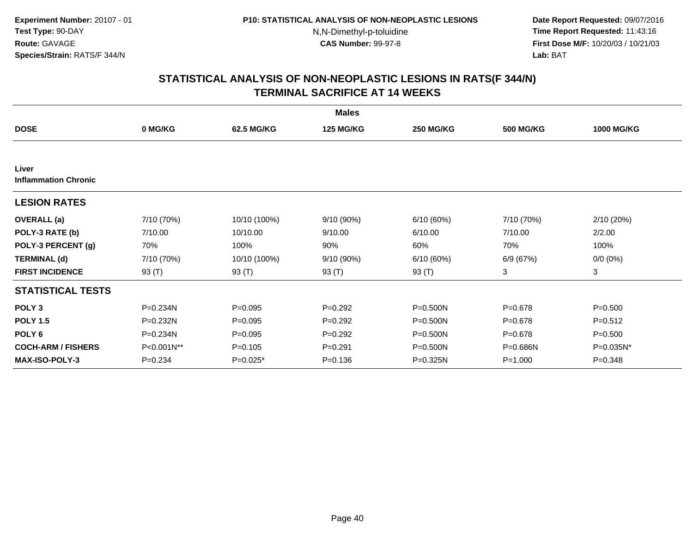**Date Report Requested:** 09/07/2016 **Time Report Requested:** 11:43:16 **First Dose M/F:** 10/20/03 / 10/21/03<br>**Lab:** BAT **Lab:** BAT

|                                      |             |              | <b>Males</b>     |                  |                  |                   |
|--------------------------------------|-------------|--------------|------------------|------------------|------------------|-------------------|
| <b>DOSE</b>                          | 0 MG/KG     | 62.5 MG/KG   | <b>125 MG/KG</b> | <b>250 MG/KG</b> | <b>500 MG/KG</b> | <b>1000 MG/KG</b> |
|                                      |             |              |                  |                  |                  |                   |
| Liver<br><b>Inflammation Chronic</b> |             |              |                  |                  |                  |                   |
| <b>LESION RATES</b>                  |             |              |                  |                  |                  |                   |
| <b>OVERALL</b> (a)                   | 7/10 (70%)  | 10/10 (100%) | 9/10 (90%)       | 6/10(60%)        | 7/10 (70%)       | 2/10(20%)         |
| POLY-3 RATE (b)                      | 7/10.00     | 10/10.00     | 9/10.00          | 6/10.00          | 7/10.00          | 2/2.00            |
| POLY-3 PERCENT (g)                   | 70%         | 100%         | 90%              | 60%              | 70%              | 100%              |
| <b>TERMINAL (d)</b>                  | 7/10 (70%)  | 10/10 (100%) | 9/10 (90%)       | 6/10(60%)        | 6/9 (67%)        | $0/0 (0\%)$       |
| <b>FIRST INCIDENCE</b>               | 93 (T)      | 93 (T)       | 93 (T)           | 93 (T)           | 3                | 3                 |
| <b>STATISTICAL TESTS</b>             |             |              |                  |                  |                  |                   |
| POLY <sub>3</sub>                    | P=0.234N    | $P = 0.095$  | $P = 0.292$      | $P = 0.500N$     | $P = 0.678$      | $P = 0.500$       |
| <b>POLY 1.5</b>                      | P=0.232N    | $P = 0.095$  | $P=0.292$        | $P = 0.500N$     | $P = 0.678$      | $P = 0.512$       |
| POLY <sub>6</sub>                    | P=0.234N    | $P = 0.095$  | $P=0.292$        | $P = 0.500N$     | $P = 0.678$      | $P = 0.500$       |
| <b>COCH-ARM / FISHERS</b>            | P<0.001N**  | $P = 0.105$  | $P = 0.291$      | P=0.500N         | P=0.686N         | P=0.035N*         |
| <b>MAX-ISO-POLY-3</b>                | $P = 0.234$ | $P=0.025*$   | $P = 0.136$      | P=0.325N         | $P = 1.000$      | $P = 0.348$       |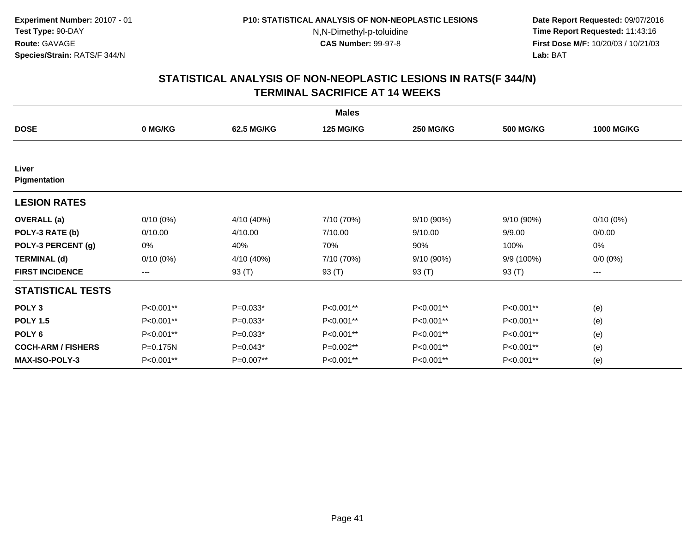**Date Report Requested:** 09/07/2016 **Time Report Requested:** 11:43:16 **First Dose M/F:** 10/20/03 / 10/21/03<br>**Lab:** BAT **Lab:** BAT

|                           |             |            | <b>Males</b>     |                  |                  |                   |
|---------------------------|-------------|------------|------------------|------------------|------------------|-------------------|
| <b>DOSE</b>               | 0 MG/KG     | 62.5 MG/KG | <b>125 MG/KG</b> | <b>250 MG/KG</b> | <b>500 MG/KG</b> | <b>1000 MG/KG</b> |
|                           |             |            |                  |                  |                  |                   |
| Liver<br>Pigmentation     |             |            |                  |                  |                  |                   |
| <b>LESION RATES</b>       |             |            |                  |                  |                  |                   |
| <b>OVERALL</b> (a)        | 0/10(0%)    | 4/10 (40%) | 7/10 (70%)       | 9/10 (90%)       | 9/10 (90%)       | $0/10(0\%)$       |
| POLY-3 RATE (b)           | 0/10.00     | 4/10.00    | 7/10.00          | 9/10.00          | 9/9.00           | 0/0.00            |
| POLY-3 PERCENT (g)        | 0%          | 40%        | 70%              | 90%              | 100%             | $0\%$             |
| <b>TERMINAL (d)</b>       | $0/10(0\%)$ | 4/10 (40%) | 7/10 (70%)       | 9/10 (90%)       | 9/9 (100%)       | $0/0 (0\%)$       |
| <b>FIRST INCIDENCE</b>    | $--$        | 93 (T)     | 93 (T)           | 93 (T)           | 93 (T)           | ---               |
| <b>STATISTICAL TESTS</b>  |             |            |                  |                  |                  |                   |
| POLY <sub>3</sub>         | P<0.001**   | $P=0.033*$ | P<0.001**        | P<0.001**        | P<0.001**        | (e)               |
| <b>POLY 1.5</b>           | P<0.001**   | $P=0.033*$ | P<0.001**        | P<0.001**        | P<0.001**        | (e)               |
| POLY <sub>6</sub>         | P<0.001**   | $P=0.033*$ | P<0.001**        | P<0.001**        | P<0.001**        | (e)               |
| <b>COCH-ARM / FISHERS</b> | P=0.175N    | $P=0.043*$ | P=0.002**        | P<0.001**        | P<0.001**        | (e)               |
| <b>MAX-ISO-POLY-3</b>     | P<0.001**   | P=0.007**  | P<0.001**        | P<0.001**        | P<0.001**        | (e)               |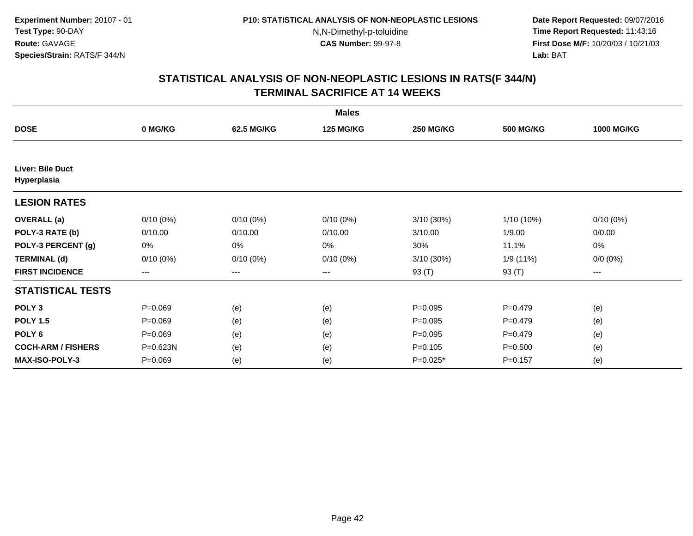**Date Report Requested:** 09/07/2016 **Time Report Requested:** 11:43:16 **First Dose M/F:** 10/20/03 / 10/21/03<br>**Lab:** BAT **Lab:** BAT

|                                        |             |                   | <b>Males</b>     |                  |                  |                   |
|----------------------------------------|-------------|-------------------|------------------|------------------|------------------|-------------------|
| <b>DOSE</b>                            | 0 MG/KG     | 62.5 MG/KG        | <b>125 MG/KG</b> | <b>250 MG/KG</b> | <b>500 MG/KG</b> | <b>1000 MG/KG</b> |
|                                        |             |                   |                  |                  |                  |                   |
| <b>Liver: Bile Duct</b><br>Hyperplasia |             |                   |                  |                  |                  |                   |
| <b>LESION RATES</b>                    |             |                   |                  |                  |                  |                   |
| <b>OVERALL</b> (a)                     | $0/10(0\%)$ | $0/10(0\%)$       | $0/10(0\%)$      | $3/10(30\%)$     | 1/10 (10%)       | $0/10(0\%)$       |
| POLY-3 RATE (b)                        | 0/10.00     | 0/10.00           | 0/10.00          | 3/10.00          | 1/9.00           | 0/0.00            |
| POLY-3 PERCENT (g)                     | 0%          | 0%                | 0%               | 30%              | 11.1%            | 0%                |
| <b>TERMINAL (d)</b>                    | $0/10(0\%)$ | $0/10(0\%)$       | $0/10(0\%)$      | 3/10 (30%)       | 1/9 (11%)        | $0/0 (0\%)$       |
| <b>FIRST INCIDENCE</b>                 | ---         | $\qquad \qquad -$ | ---              | 93 (T)           | 93 (T)           | ---               |
| <b>STATISTICAL TESTS</b>               |             |                   |                  |                  |                  |                   |
| POLY <sub>3</sub>                      | $P = 0.069$ | (e)               | (e)              | $P = 0.095$      | $P = 0.479$      | (e)               |
| <b>POLY 1.5</b>                        | $P=0.069$   | (e)               | (e)              | $P=0.095$        | $P = 0.479$      | (e)               |
| POLY <sub>6</sub>                      | $P=0.069$   | (e)               | (e)              | $P = 0.095$      | $P=0.479$        | (e)               |
| <b>COCH-ARM / FISHERS</b>              | P=0.623N    | (e)               | (e)              | $P = 0.105$      | $P = 0.500$      | (e)               |
| <b>MAX-ISO-POLY-3</b>                  | $P = 0.069$ | (e)               | (e)              | $P=0.025*$       | $P = 0.157$      | (e)               |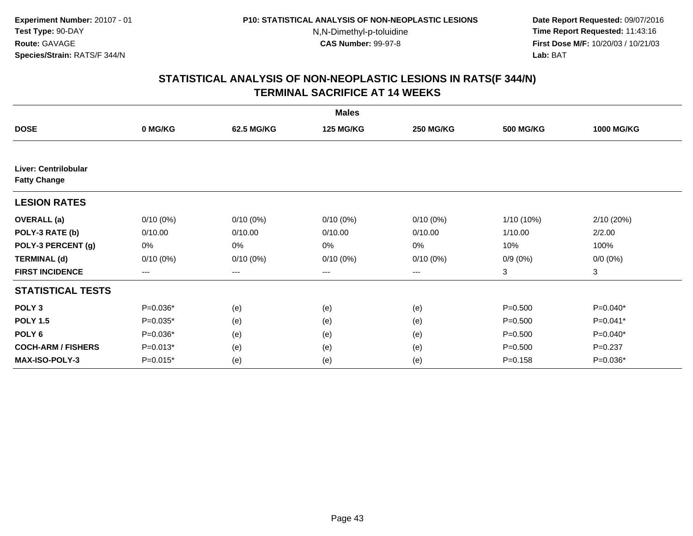**Date Report Requested:** 09/07/2016 **Time Report Requested:** 11:43:16 **First Dose M/F:** 10/20/03 / 10/21/03<br>**Lab:** BAT **Lab:** BAT

|                                             | <b>Males</b>           |                        |                  |                  |                  |                   |  |  |  |
|---------------------------------------------|------------------------|------------------------|------------------|------------------|------------------|-------------------|--|--|--|
| <b>DOSE</b>                                 | 0 MG/KG                | 62.5 MG/KG             | <b>125 MG/KG</b> | <b>250 MG/KG</b> | <b>500 MG/KG</b> | <b>1000 MG/KG</b> |  |  |  |
|                                             |                        |                        |                  |                  |                  |                   |  |  |  |
| Liver: Centrilobular<br><b>Fatty Change</b> |                        |                        |                  |                  |                  |                   |  |  |  |
| <b>LESION RATES</b>                         |                        |                        |                  |                  |                  |                   |  |  |  |
| <b>OVERALL</b> (a)                          | $0/10(0\%)$            | $0/10(0\%)$            | $0/10(0\%)$      | $0/10(0\%)$      | 1/10 (10%)       | 2/10 (20%)        |  |  |  |
| POLY-3 RATE (b)                             | 0/10.00                | 0/10.00                | 0/10.00          | 0/10.00          | 1/10.00          | 2/2.00            |  |  |  |
| POLY-3 PERCENT (g)                          | 0%                     | 0%                     | 0%               | 0%               | 10%              | 100%              |  |  |  |
| <b>TERMINAL (d)</b>                         | $0/10(0\%)$            | $0/10(0\%)$            | $0/10(0\%)$      | $0/10(0\%)$      | $0/9(0\%)$       | $0/0 (0\%)$       |  |  |  |
| <b>FIRST INCIDENCE</b>                      | $\qquad \qquad \cdots$ | $\qquad \qquad \cdots$ | ---              | ---              | 3                | 3                 |  |  |  |
| <b>STATISTICAL TESTS</b>                    |                        |                        |                  |                  |                  |                   |  |  |  |
| POLY <sub>3</sub>                           | $P=0.036*$             | (e)                    | (e)              | (e)              | $P = 0.500$      | P=0.040*          |  |  |  |
| <b>POLY 1.5</b>                             | $P=0.035*$             | (e)                    | (e)              | (e)              | $P = 0.500$      | P=0.041*          |  |  |  |
| POLY <sub>6</sub>                           | $P=0.036*$             | (e)                    | (e)              | (e)              | $P = 0.500$      | $P=0.040*$        |  |  |  |
| <b>COCH-ARM / FISHERS</b>                   | $P=0.013*$             | (e)                    | (e)              | (e)              | $P = 0.500$      | $P = 0.237$       |  |  |  |
| MAX-ISO-POLY-3                              | $P=0.015*$             | (e)                    | (e)              | (e)              | $P = 0.158$      | $P=0.036*$        |  |  |  |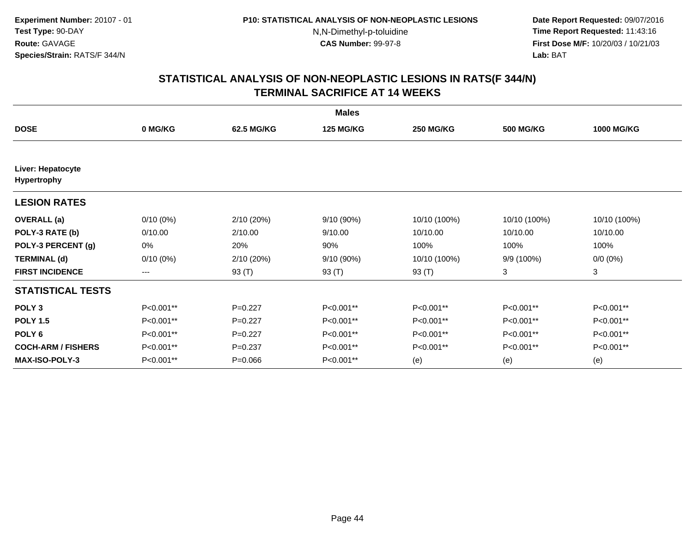**Date Report Requested:** 09/07/2016 **Time Report Requested:** 11:43:16 **First Dose M/F:** 10/20/03 / 10/21/03<br>**Lab:** BAT **Lab:** BAT

|                                  | <b>Males</b> |             |                  |                  |                  |                   |  |  |  |
|----------------------------------|--------------|-------------|------------------|------------------|------------------|-------------------|--|--|--|
| <b>DOSE</b>                      | 0 MG/KG      | 62.5 MG/KG  | <b>125 MG/KG</b> | <b>250 MG/KG</b> | <b>500 MG/KG</b> | <b>1000 MG/KG</b> |  |  |  |
| Liver: Hepatocyte<br>Hypertrophy |              |             |                  |                  |                  |                   |  |  |  |
| <b>LESION RATES</b>              |              |             |                  |                  |                  |                   |  |  |  |
| <b>OVERALL</b> (a)               | $0/10(0\%)$  | 2/10 (20%)  | 9/10 (90%)       | 10/10 (100%)     | 10/10 (100%)     | 10/10 (100%)      |  |  |  |
| POLY-3 RATE (b)                  | 0/10.00      | 2/10.00     | 9/10.00          | 10/10.00         | 10/10.00         | 10/10.00          |  |  |  |
| POLY-3 PERCENT (g)               | 0%           | 20%         | 90%              | 100%             | 100%             | 100%              |  |  |  |
| <b>TERMINAL (d)</b>              | $0/10(0\%)$  | 2/10 (20%)  | 9/10 (90%)       | 10/10 (100%)     | 9/9 (100%)       | $0/0 (0\%)$       |  |  |  |
| <b>FIRST INCIDENCE</b>           | $---$        | 93 (T)      | 93 (T)           | 93 (T)           | 3                | 3                 |  |  |  |
| <b>STATISTICAL TESTS</b>         |              |             |                  |                  |                  |                   |  |  |  |
| POLY <sub>3</sub>                | P<0.001**    | $P=0.227$   | P<0.001**        | P<0.001**        | P<0.001**        | P<0.001**         |  |  |  |
| <b>POLY 1.5</b>                  | P<0.001**    | $P=0.227$   | P<0.001**        | P<0.001**        | P<0.001**        | P<0.001**         |  |  |  |
| POLY <sub>6</sub>                | P<0.001**    | $P=0.227$   | P<0.001**        | P<0.001**        | P<0.001**        | P<0.001**         |  |  |  |
| <b>COCH-ARM / FISHERS</b>        | P<0.001**    | $P=0.237$   | P<0.001**        | P<0.001**        | P<0.001**        | P<0.001**         |  |  |  |
| <b>MAX-ISO-POLY-3</b>            | P<0.001**    | $P = 0.066$ | P<0.001**        | (e)              | (e)              | (e)               |  |  |  |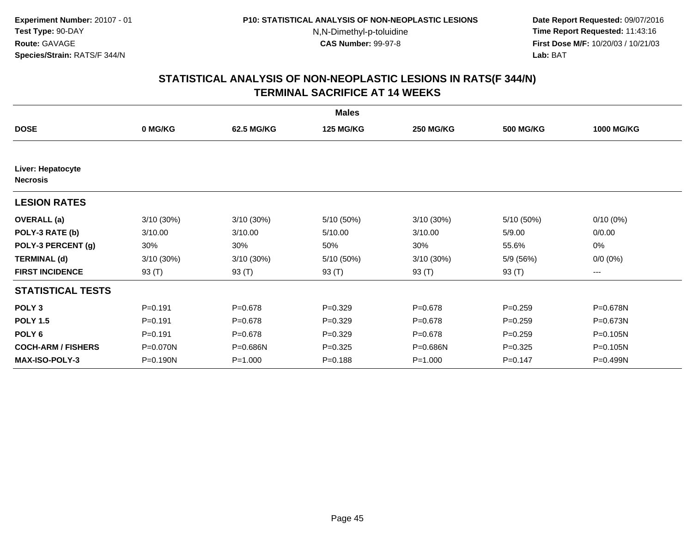**Date Report Requested:** 09/07/2016 **Time Report Requested:** 11:43:16 **First Dose M/F:** 10/20/03 / 10/21/03<br>**Lab:** BAT **Lab:** BAT

|                                      |              |              | <b>Males</b>     |                  |                  |                   |
|--------------------------------------|--------------|--------------|------------------|------------------|------------------|-------------------|
| <b>DOSE</b>                          | 0 MG/KG      | 62.5 MG/KG   | <b>125 MG/KG</b> | <b>250 MG/KG</b> | <b>500 MG/KG</b> | <b>1000 MG/KG</b> |
|                                      |              |              |                  |                  |                  |                   |
| Liver: Hepatocyte<br><b>Necrosis</b> |              |              |                  |                  |                  |                   |
| <b>LESION RATES</b>                  |              |              |                  |                  |                  |                   |
| <b>OVERALL</b> (a)                   | $3/10(30\%)$ | $3/10(30\%)$ | 5/10 (50%)       | $3/10(30\%)$     | 5/10 (50%)       | $0/10(0\%)$       |
| POLY-3 RATE (b)                      | 3/10.00      | 3/10.00      | 5/10.00          | 3/10.00          | 5/9.00           | 0/0.00            |
| POLY-3 PERCENT (g)                   | 30%          | 30%          | 50%              | 30%              | 55.6%            | 0%                |
| <b>TERMINAL (d)</b>                  | $3/10(30\%)$ | $3/10(30\%)$ | 5/10 (50%)       | 3/10 (30%)       | 5/9 (56%)        | $0/0 (0\%)$       |
| <b>FIRST INCIDENCE</b>               | 93 $(T)$     | 93 (T)       | 93 (T)           | 93 (T)           | 93 (T)           | ---               |
| <b>STATISTICAL TESTS</b>             |              |              |                  |                  |                  |                   |
| POLY <sub>3</sub>                    | $P = 0.191$  | $P = 0.678$  | $P=0.329$        | $P = 0.678$      | $P = 0.259$      | P=0.678N          |
| <b>POLY 1.5</b>                      | $P = 0.191$  | $P = 0.678$  | $P=0.329$        | $P = 0.678$      | $P = 0.259$      | P=0.673N          |
| POLY <sub>6</sub>                    | $P = 0.191$  | $P = 0.678$  | $P=0.329$        | $P = 0.678$      | $P = 0.259$      | P=0.105N          |
| <b>COCH-ARM / FISHERS</b>            | P=0.070N     | P=0.686N     | $P = 0.325$      | P=0.686N         | $P=0.325$        | P=0.105N          |
| <b>MAX-ISO-POLY-3</b>                | P=0.190N     | $P = 1.000$  | $P = 0.188$      | $P = 1.000$      | $P = 0.147$      | P=0.499N          |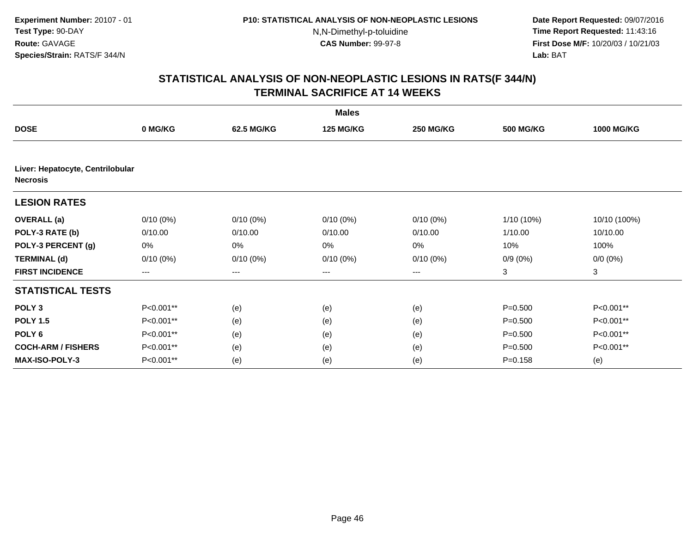**Date Report Requested:** 09/07/2016 **Time Report Requested:** 11:43:16 **First Dose M/F:** 10/20/03 / 10/21/03<br>**Lab:** BAT **Lab:** BAT

|                                  | <b>Males</b> |             |                  |                  |                  |                   |  |  |  |
|----------------------------------|--------------|-------------|------------------|------------------|------------------|-------------------|--|--|--|
| <b>DOSE</b>                      | 0 MG/KG      | 62.5 MG/KG  | <b>125 MG/KG</b> | <b>250 MG/KG</b> | <b>500 MG/KG</b> | <b>1000 MG/KG</b> |  |  |  |
| Liver: Hepatocyte, Centrilobular |              |             |                  |                  |                  |                   |  |  |  |
| <b>Necrosis</b>                  |              |             |                  |                  |                  |                   |  |  |  |
| <b>LESION RATES</b>              |              |             |                  |                  |                  |                   |  |  |  |
| <b>OVERALL</b> (a)               | $0/10(0\%)$  | $0/10(0\%)$ | $0/10(0\%)$      | $0/10(0\%)$      | $1/10(10\%)$     | 10/10 (100%)      |  |  |  |
| POLY-3 RATE (b)                  | 0/10.00      | 0/10.00     | 0/10.00          | 0/10.00          | 1/10.00          | 10/10.00          |  |  |  |
| POLY-3 PERCENT (g)               | 0%           | 0%          | 0%               | 0%               | 10%              | 100%              |  |  |  |
| <b>TERMINAL (d)</b>              | $0/10(0\%)$  | $0/10(0\%)$ | $0/10(0\%)$      | $0/10(0\%)$      | $0/9(0\%)$       | $0/0 (0\%)$       |  |  |  |
| <b>FIRST INCIDENCE</b>           | ---          | ---         | ---              | $---$            | 3                | 3                 |  |  |  |
| <b>STATISTICAL TESTS</b>         |              |             |                  |                  |                  |                   |  |  |  |
| POLY <sub>3</sub>                | P<0.001**    | (e)         | (e)              | (e)              | $P = 0.500$      | P<0.001**         |  |  |  |
| <b>POLY 1.5</b>                  | P<0.001**    | (e)         | (e)              | (e)              | $P = 0.500$      | P<0.001**         |  |  |  |
| POLY <sub>6</sub>                | P<0.001**    | (e)         | (e)              | (e)              | $P = 0.500$      | P<0.001**         |  |  |  |
| <b>COCH-ARM / FISHERS</b>        | P<0.001**    | (e)         | (e)              | (e)              | $P = 0.500$      | P<0.001**         |  |  |  |
| <b>MAX-ISO-POLY-3</b>            | P<0.001**    | (e)         | (e)              | (e)              | $P = 0.158$      | (e)               |  |  |  |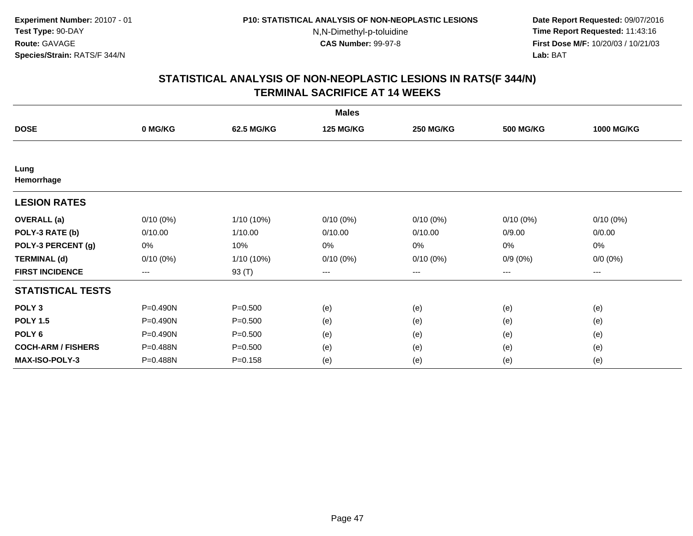**Date Report Requested:** 09/07/2016 **Time Report Requested:** 11:43:16 **First Dose M/F:** 10/20/03 / 10/21/03<br>**Lab:** BAT **Lab:** BAT

|                           |              |             | <b>Males</b>     |                        |                  |                     |
|---------------------------|--------------|-------------|------------------|------------------------|------------------|---------------------|
| <b>DOSE</b>               | 0 MG/KG      | 62.5 MG/KG  | <b>125 MG/KG</b> | <b>250 MG/KG</b>       | <b>500 MG/KG</b> | <b>1000 MG/KG</b>   |
|                           |              |             |                  |                        |                  |                     |
| Lung<br>Hemorrhage        |              |             |                  |                        |                  |                     |
| <b>LESION RATES</b>       |              |             |                  |                        |                  |                     |
| <b>OVERALL</b> (a)        | $0/10(0\%)$  | 1/10 (10%)  | $0/10(0\%)$      | $0/10(0\%)$            | $0/10(0\%)$      | $0/10(0\%)$         |
| POLY-3 RATE (b)           | 0/10.00      | 1/10.00     | 0/10.00          | 0/10.00                | 0/9.00           | 0/0.00              |
| POLY-3 PERCENT (g)        | 0%           | 10%         | 0%               | 0%                     | 0%               | 0%                  |
| <b>TERMINAL (d)</b>       | $0/10(0\%)$  | 1/10 (10%)  | $0/10(0\%)$      | $0/10(0\%)$            | $0/9(0\%)$       | $0/0 (0\%)$         |
| <b>FIRST INCIDENCE</b>    | $---$        | 93 (T)      | ---              | $\qquad \qquad \cdots$ | ---              | $\qquad \qquad - -$ |
| <b>STATISTICAL TESTS</b>  |              |             |                  |                        |                  |                     |
| POLY <sub>3</sub>         | $P = 0.490N$ | $P = 0.500$ | (e)              | (e)                    | (e)              | (e)                 |
| <b>POLY 1.5</b>           | P=0.490N     | $P = 0.500$ | (e)              | (e)                    | (e)              | (e)                 |
| POLY <sub>6</sub>         | P=0.490N     | $P = 0.500$ | (e)              | (e)                    | (e)              | (e)                 |
| <b>COCH-ARM / FISHERS</b> | P=0.488N     | $P = 0.500$ | (e)              | (e)                    | (e)              | (e)                 |
| <b>MAX-ISO-POLY-3</b>     | P=0.488N     | $P = 0.158$ | (e)              | (e)                    | (e)              | (e)                 |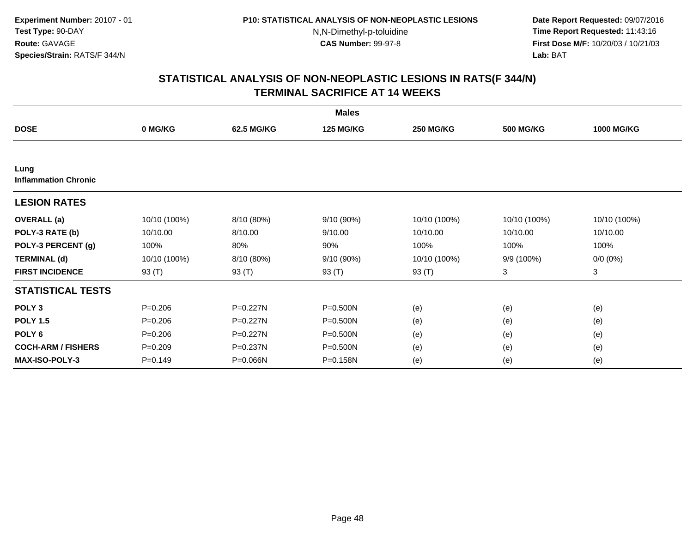**Date Report Requested:** 09/07/2016 **Time Report Requested:** 11:43:16 **First Dose M/F:** 10/20/03 / 10/21/03<br>**Lab:** BAT **Lab:** BAT

|                                     |              |              | <b>Males</b>     |                  |                  |                   |
|-------------------------------------|--------------|--------------|------------------|------------------|------------------|-------------------|
| <b>DOSE</b>                         | 0 MG/KG      | 62.5 MG/KG   | <b>125 MG/KG</b> | <b>250 MG/KG</b> | <b>500 MG/KG</b> | <b>1000 MG/KG</b> |
|                                     |              |              |                  |                  |                  |                   |
| Lung<br><b>Inflammation Chronic</b> |              |              |                  |                  |                  |                   |
| <b>LESION RATES</b>                 |              |              |                  |                  |                  |                   |
| <b>OVERALL</b> (a)                  | 10/10 (100%) | 8/10 (80%)   | 9/10(90%)        | 10/10 (100%)     | 10/10 (100%)     | 10/10 (100%)      |
| POLY-3 RATE (b)                     | 10/10.00     | 8/10.00      | 9/10.00          | 10/10.00         | 10/10.00         | 10/10.00          |
| POLY-3 PERCENT (g)                  | 100%         | 80%          | 90%              | 100%             | 100%             | 100%              |
| <b>TERMINAL (d)</b>                 | 10/10 (100%) | 8/10 (80%)   | 9/10 (90%)       | 10/10 (100%)     | 9/9 (100%)       | $0/0 (0\%)$       |
| <b>FIRST INCIDENCE</b>              | 93 (T)       | 93 (T)       | 93 (T)           | 93 (T)           | 3                | 3                 |
| <b>STATISTICAL TESTS</b>            |              |              |                  |                  |                  |                   |
| POLY <sub>3</sub>                   | $P = 0.206$  | $P = 0.227N$ | $P = 0.500N$     | (e)              | (e)              | (e)               |
| <b>POLY 1.5</b>                     | $P = 0.206$  | P=0.227N     | P=0.500N         | (e)              | (e)              | (e)               |
| POLY <sub>6</sub>                   | $P = 0.206$  | $P = 0.227N$ | P=0.500N         | (e)              | (e)              | (e)               |
| <b>COCH-ARM / FISHERS</b>           | $P = 0.209$  | P=0.237N     | P=0.500N         | (e)              | (e)              | (e)               |
| <b>MAX-ISO-POLY-3</b>               | $P = 0.149$  | P=0.066N     | P=0.158N         | (e)              | (e)              | (e)               |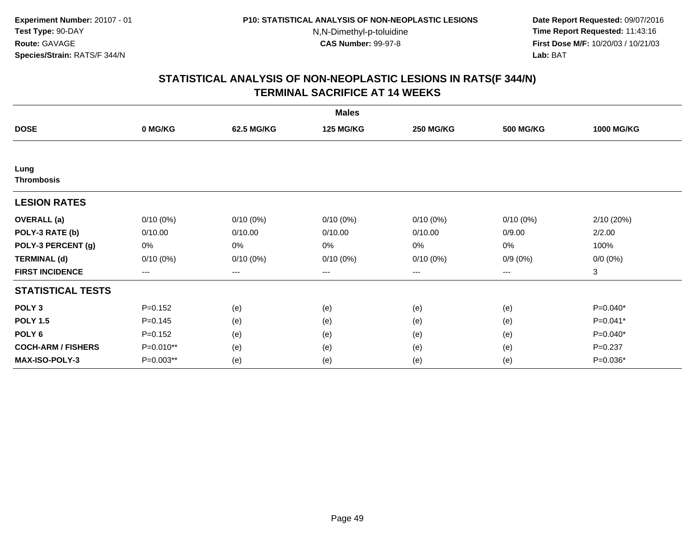**Date Report Requested:** 09/07/2016 **Time Report Requested:** 11:43:16 **First Dose M/F:** 10/20/03 / 10/21/03<br>**Lab:** BAT **Lab:** BAT

| <b>Males</b>              |             |             |                  |                  |                  |                   |  |  |
|---------------------------|-------------|-------------|------------------|------------------|------------------|-------------------|--|--|
| <b>DOSE</b>               | 0 MG/KG     | 62.5 MG/KG  | <b>125 MG/KG</b> | <b>250 MG/KG</b> | <b>500 MG/KG</b> | <b>1000 MG/KG</b> |  |  |
|                           |             |             |                  |                  |                  |                   |  |  |
| Lung<br><b>Thrombosis</b> |             |             |                  |                  |                  |                   |  |  |
| <b>LESION RATES</b>       |             |             |                  |                  |                  |                   |  |  |
| <b>OVERALL</b> (a)        | $0/10(0\%)$ | $0/10(0\%)$ | $0/10(0\%)$      | $0/10(0\%)$      | $0/10(0\%)$      | 2/10(20%)         |  |  |
| POLY-3 RATE (b)           | 0/10.00     | 0/10.00     | 0/10.00          | 0/10.00          | 0/9.00           | 2/2.00            |  |  |
| POLY-3 PERCENT (g)        | 0%          | 0%          | 0%               | 0%               | 0%               | 100%              |  |  |
| <b>TERMINAL (d)</b>       | $0/10(0\%)$ | $0/10(0\%)$ | $0/10(0\%)$      | $0/10(0\%)$      | $0/9(0\%)$       | $0/0 (0\%)$       |  |  |
| <b>FIRST INCIDENCE</b>    | $--$        | $--$        | $---$            | ---              | ---              | 3                 |  |  |
| <b>STATISTICAL TESTS</b>  |             |             |                  |                  |                  |                   |  |  |
| POLY <sub>3</sub>         | $P = 0.152$ | (e)         | (e)              | (e)              | (e)              | P=0.040*          |  |  |
| <b>POLY 1.5</b>           | $P = 0.145$ | (e)         | (e)              | (e)              | (e)              | P=0.041*          |  |  |
| POLY <sub>6</sub>         | $P = 0.152$ | (e)         | (e)              | (e)              | (e)              | P=0.040*          |  |  |
| <b>COCH-ARM / FISHERS</b> | P=0.010**   | (e)         | (e)              | (e)              | (e)              | $P = 0.237$       |  |  |
| <b>MAX-ISO-POLY-3</b>     | P=0.003**   | (e)         | (e)              | (e)              | (e)              | P=0.036*          |  |  |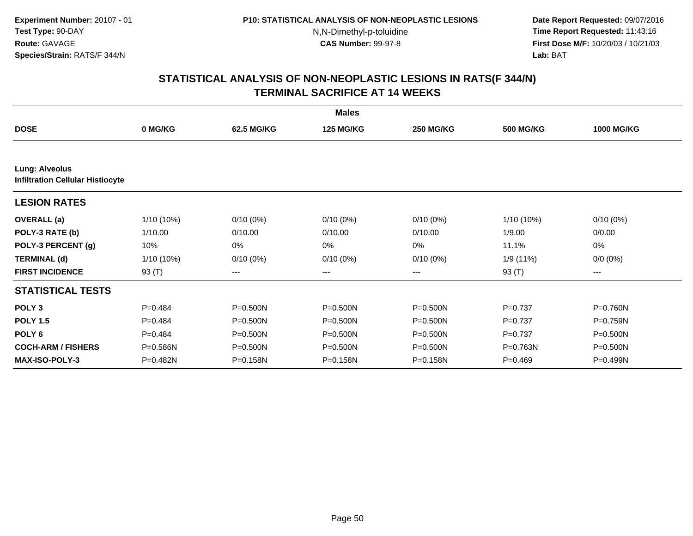**Date Report Requested:** 09/07/2016 **Time Report Requested:** 11:43:16 **First Dose M/F:** 10/20/03 / 10/21/03<br>**Lab:** BAT **Lab:** BAT

|                                                                  |              |              | <b>Males</b>     |                  |                  |                   |
|------------------------------------------------------------------|--------------|--------------|------------------|------------------|------------------|-------------------|
| <b>DOSE</b>                                                      | 0 MG/KG      | 62.5 MG/KG   | <b>125 MG/KG</b> | <b>250 MG/KG</b> | <b>500 MG/KG</b> | <b>1000 MG/KG</b> |
|                                                                  |              |              |                  |                  |                  |                   |
| <b>Lung: Alveolus</b><br><b>Infiltration Cellular Histiocyte</b> |              |              |                  |                  |                  |                   |
| <b>LESION RATES</b>                                              |              |              |                  |                  |                  |                   |
| <b>OVERALL</b> (a)                                               | $1/10(10\%)$ | $0/10(0\%)$  | $0/10(0\%)$      | $0/10(0\%)$      | $1/10(10\%)$     | $0/10(0\%)$       |
| POLY-3 RATE (b)                                                  | 1/10.00      | 0/10.00      | 0/10.00          | 0/10.00          | 1/9.00           | 0/0.00            |
| POLY-3 PERCENT (g)                                               | 10%          | 0%           | 0%               | 0%               | 11.1%            | 0%                |
| <b>TERMINAL (d)</b>                                              | $1/10(10\%)$ | $0/10(0\%)$  | $0/10(0\%)$      | $0/10(0\%)$      | 1/9(11%)         | $0/0 (0\%)$       |
| <b>FIRST INCIDENCE</b>                                           | 93 (T)       | ---          | ---              | ---              | 93 (T)           | ---               |
| <b>STATISTICAL TESTS</b>                                         |              |              |                  |                  |                  |                   |
| POLY <sub>3</sub>                                                | $P=0.484$    | P=0.500N     | P=0.500N         | P=0.500N         | $P = 0.737$      | P=0.760N          |
| <b>POLY 1.5</b>                                                  | $P=0.484$    | P=0.500N     | P=0.500N         | P=0.500N         | $P = 0.737$      | P=0.759N          |
| POLY <sub>6</sub>                                                | $P=0.484$    | $P = 0.500N$ | P=0.500N         | P=0.500N         | $P = 0.737$      | P=0.500N          |
| <b>COCH-ARM / FISHERS</b>                                        | P=0.586N     | P=0.500N     | P=0.500N         | P=0.500N         | P=0.763N         | P=0.500N          |
| <b>MAX-ISO-POLY-3</b>                                            | P=0.482N     | P=0.158N     | P=0.158N         | P=0.158N         | $P=0.469$        | P=0.499N          |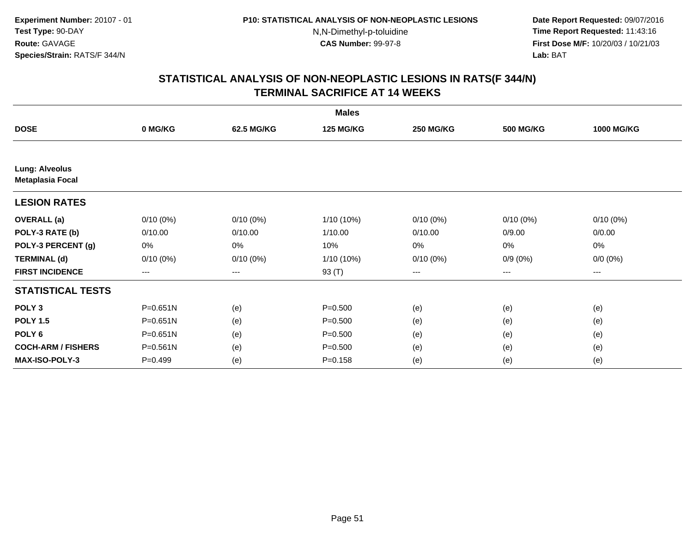**Date Report Requested:** 09/07/2016 **Time Report Requested:** 11:43:16 **First Dose M/F:** 10/20/03 / 10/21/03<br>**Lab:** BAT **Lab:** BAT

|                                                  | <b>Males</b>      |             |                  |                   |                  |                   |  |  |  |
|--------------------------------------------------|-------------------|-------------|------------------|-------------------|------------------|-------------------|--|--|--|
| <b>DOSE</b>                                      | 0 MG/KG           | 62.5 MG/KG  | <b>125 MG/KG</b> | <b>250 MG/KG</b>  | <b>500 MG/KG</b> | <b>1000 MG/KG</b> |  |  |  |
|                                                  |                   |             |                  |                   |                  |                   |  |  |  |
| <b>Lung: Alveolus</b><br><b>Metaplasia Focal</b> |                   |             |                  |                   |                  |                   |  |  |  |
| <b>LESION RATES</b>                              |                   |             |                  |                   |                  |                   |  |  |  |
| <b>OVERALL</b> (a)                               | $0/10(0\%)$       | $0/10(0\%)$ | 1/10 (10%)       | $0/10(0\%)$       | $0/10(0\%)$      | $0/10(0\%)$       |  |  |  |
| POLY-3 RATE (b)                                  | 0/10.00           | 0/10.00     | 1/10.00          | 0/10.00           | 0/9.00           | 0/0.00            |  |  |  |
| POLY-3 PERCENT (g)                               | 0%                | 0%          | 10%              | 0%                | $0\%$            | 0%                |  |  |  |
| <b>TERMINAL (d)</b>                              | $0/10(0\%)$       | $0/10(0\%)$ | 1/10 (10%)       | $0/10(0\%)$       | $0/9(0\%)$       | $0/0 (0\%)$       |  |  |  |
| <b>FIRST INCIDENCE</b>                           | $\qquad \qquad -$ | ---         | 93 (T)           | $\qquad \qquad -$ | $---$            | ---               |  |  |  |
| <b>STATISTICAL TESTS</b>                         |                   |             |                  |                   |                  |                   |  |  |  |
| POLY <sub>3</sub>                                | $P = 0.651N$      | (e)         | $P = 0.500$      | (e)               | (e)              | (e)               |  |  |  |
| <b>POLY 1.5</b>                                  | $P = 0.651N$      | (e)         | $P = 0.500$      | (e)               | (e)              | (e)               |  |  |  |
| POLY <sub>6</sub>                                | $P = 0.651N$      | (e)         | $P = 0.500$      | (e)               | (e)              | (e)               |  |  |  |
| <b>COCH-ARM / FISHERS</b>                        | $P = 0.561N$      | (e)         | $P = 0.500$      | (e)               | (e)              | (e)               |  |  |  |
| MAX-ISO-POLY-3                                   | $P=0.499$         | (e)         | $P = 0.158$      | (e)               | (e)              | (e)               |  |  |  |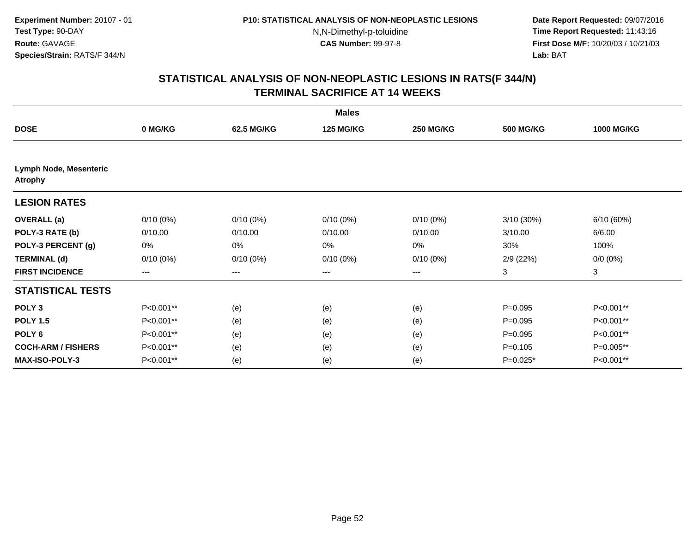**Date Report Requested:** 09/07/2016 **Time Report Requested:** 11:43:16 **First Dose M/F:** 10/20/03 / 10/21/03<br>**Lab:** BAT **Lab:** BAT

| <b>Males</b>                                    |                        |             |                  |                  |                  |                   |  |  |
|-------------------------------------------------|------------------------|-------------|------------------|------------------|------------------|-------------------|--|--|
| <b>DOSE</b>                                     | 0 MG/KG                | 62.5 MG/KG  | <b>125 MG/KG</b> | <b>250 MG/KG</b> | <b>500 MG/KG</b> | <b>1000 MG/KG</b> |  |  |
|                                                 |                        |             |                  |                  |                  |                   |  |  |
| <b>Lymph Node, Mesenteric</b><br><b>Atrophy</b> |                        |             |                  |                  |                  |                   |  |  |
| <b>LESION RATES</b>                             |                        |             |                  |                  |                  |                   |  |  |
| <b>OVERALL</b> (a)                              | $0/10(0\%)$            | $0/10(0\%)$ | $0/10(0\%)$      | $0/10(0\%)$      | $3/10(30\%)$     | 6/10(60%)         |  |  |
| POLY-3 RATE (b)                                 | 0/10.00                | 0/10.00     | 0/10.00          | 0/10.00          | 3/10.00          | 6/6.00            |  |  |
| POLY-3 PERCENT (g)                              | 0%                     | 0%          | 0%               | 0%               | 30%              | 100%              |  |  |
| <b>TERMINAL (d)</b>                             | $0/10(0\%)$            | $0/10(0\%)$ | $0/10(0\%)$      | $0/10(0\%)$      | 2/9(22%)         | $0/0 (0\%)$       |  |  |
| <b>FIRST INCIDENCE</b>                          | $\qquad \qquad \cdots$ | $---$       | $---$            | ---              | 3                | 3                 |  |  |
| <b>STATISTICAL TESTS</b>                        |                        |             |                  |                  |                  |                   |  |  |
| POLY <sub>3</sub>                               | P<0.001**              | (e)         | (e)              | (e)              | $P=0.095$        | P<0.001**         |  |  |
| <b>POLY 1.5</b>                                 | P<0.001**              | (e)         | (e)              | (e)              | $P=0.095$        | P<0.001**         |  |  |
| POLY <sub>6</sub>                               | P<0.001**              | (e)         | (e)              | (e)              | $P=0.095$        | P<0.001**         |  |  |
| <b>COCH-ARM / FISHERS</b>                       | P<0.001**              | (e)         | (e)              | (e)              | $P = 0.105$      | P=0.005**         |  |  |
| <b>MAX-ISO-POLY-3</b>                           | P<0.001**              | (e)         | (e)              | (e)              | $P=0.025*$       | P<0.001**         |  |  |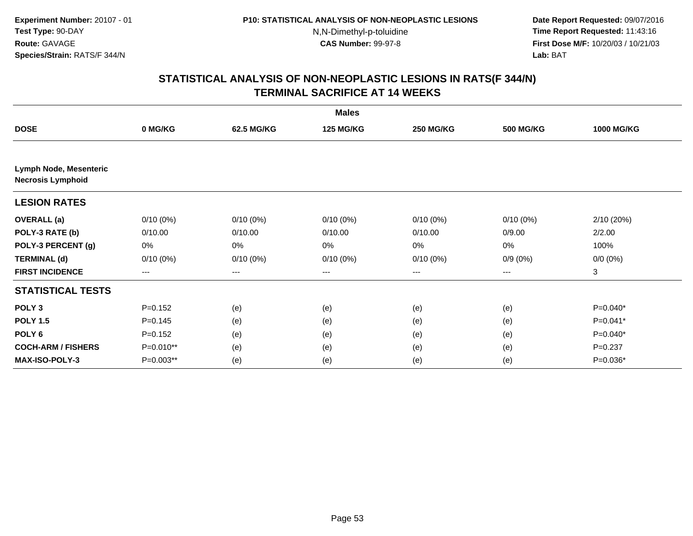**Date Report Requested:** 09/07/2016 **Time Report Requested:** 11:43:16 **First Dose M/F:** 10/20/03 / 10/21/03<br>**Lab:** BAT **Lab:** BAT

|                                                    |             |             | <b>Males</b>     |                  |                  |                   |
|----------------------------------------------------|-------------|-------------|------------------|------------------|------------------|-------------------|
| <b>DOSE</b>                                        | 0 MG/KG     | 62.5 MG/KG  | <b>125 MG/KG</b> | <b>250 MG/KG</b> | <b>500 MG/KG</b> | <b>1000 MG/KG</b> |
|                                                    |             |             |                  |                  |                  |                   |
| Lymph Node, Mesenteric<br><b>Necrosis Lymphoid</b> |             |             |                  |                  |                  |                   |
| <b>LESION RATES</b>                                |             |             |                  |                  |                  |                   |
| <b>OVERALL</b> (a)                                 | $0/10(0\%)$ | $0/10(0\%)$ | $0/10(0\%)$      | $0/10(0\%)$      | $0/10(0\%)$      | 2/10(20%)         |
| POLY-3 RATE (b)                                    | 0/10.00     | 0/10.00     | 0/10.00          | 0/10.00          | 0/9.00           | 2/2.00            |
| POLY-3 PERCENT (g)                                 | 0%          | 0%          | 0%               | 0%               | 0%               | 100%              |
| <b>TERMINAL (d)</b>                                | $0/10(0\%)$ | $0/10(0\%)$ | $0/10(0\%)$      | $0/10(0\%)$      | $0/9(0\%)$       | $0/0 (0\%)$       |
| <b>FIRST INCIDENCE</b>                             | ---         | ---         | ---              | $--$             | ---              | 3                 |
| <b>STATISTICAL TESTS</b>                           |             |             |                  |                  |                  |                   |
| POLY <sub>3</sub>                                  | $P=0.152$   | (e)         | (e)              | (e)              | (e)              | $P=0.040*$        |
| <b>POLY 1.5</b>                                    | $P = 0.145$ | (e)         | (e)              | (e)              | (e)              | $P=0.041*$        |
| POLY <sub>6</sub>                                  | $P=0.152$   | (e)         | (e)              | (e)              | (e)              | $P=0.040*$        |
| <b>COCH-ARM / FISHERS</b>                          | P=0.010**   | (e)         | (e)              | (e)              | (e)              | $P = 0.237$       |
| <b>MAX-ISO-POLY-3</b>                              | $P=0.003**$ | (e)         | (e)              | (e)              | (e)              | $P=0.036*$        |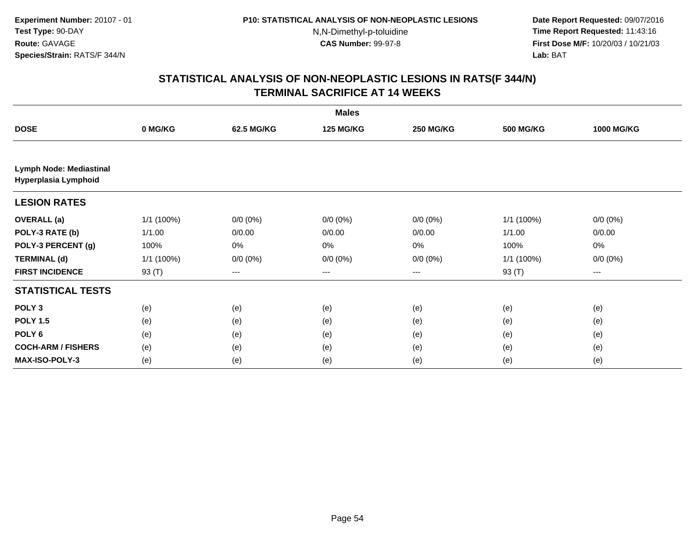**Date Report Requested:** 09/07/2016 **Time Report Requested:** 11:43:16 **First Dose M/F:** 10/20/03 / 10/21/03<br>**Lab:** BAT **Lab:** BAT

| <b>Males</b>                                    |            |             |                  |                        |                  |                   |  |  |
|-------------------------------------------------|------------|-------------|------------------|------------------------|------------------|-------------------|--|--|
| <b>DOSE</b>                                     | 0 MG/KG    | 62.5 MG/KG  | <b>125 MG/KG</b> | <b>250 MG/KG</b>       | <b>500 MG/KG</b> | <b>1000 MG/KG</b> |  |  |
|                                                 |            |             |                  |                        |                  |                   |  |  |
| Lymph Node: Mediastinal<br>Hyperplasia Lymphoid |            |             |                  |                        |                  |                   |  |  |
| <b>LESION RATES</b>                             |            |             |                  |                        |                  |                   |  |  |
| <b>OVERALL</b> (a)                              | 1/1 (100%) | $0/0 (0\%)$ | $0/0 (0\%)$      | $0/0 (0\%)$            | 1/1 (100%)       | $0/0 (0\%)$       |  |  |
| POLY-3 RATE (b)                                 | 1/1.00     | 0/0.00      | 0/0.00           | 0/0.00                 | 1/1.00           | 0/0.00            |  |  |
| POLY-3 PERCENT (g)                              | 100%       | 0%          | 0%               | 0%                     | 100%             | 0%                |  |  |
| <b>TERMINAL (d)</b>                             | 1/1 (100%) | $0/0 (0\%)$ | $0/0 (0\%)$      | $0/0 (0\%)$            | 1/1(100%)        | $0/0 (0\%)$       |  |  |
| <b>FIRST INCIDENCE</b>                          | 93 (T)     | ---         | ---              | $\qquad \qquad \cdots$ | 93 (T)           | ---               |  |  |
| <b>STATISTICAL TESTS</b>                        |            |             |                  |                        |                  |                   |  |  |
| POLY <sub>3</sub>                               | (e)        | (e)         | (e)              | (e)                    | (e)              | (e)               |  |  |
| <b>POLY 1.5</b>                                 | (e)        | (e)         | (e)              | (e)                    | (e)              | (e)               |  |  |
| POLY 6                                          | (e)        | (e)         | (e)              | (e)                    | (e)              | (e)               |  |  |
| <b>COCH-ARM / FISHERS</b>                       | (e)        | (e)         | (e)              | (e)                    | (e)              | (e)               |  |  |
| <b>MAX-ISO-POLY-3</b>                           | (e)        | (e)         | (e)              | (e)                    | (e)              | (e)               |  |  |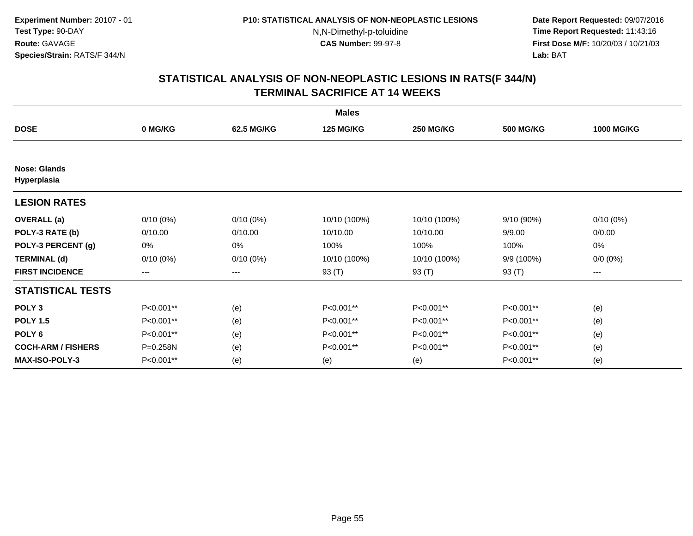**Date Report Requested:** 09/07/2016 **Time Report Requested:** 11:43:16 **First Dose M/F:** 10/20/03 / 10/21/03<br>**Lab:** BAT **Lab:** BAT

|                                    | <b>Males</b> |                   |                  |                  |                  |                   |  |  |  |
|------------------------------------|--------------|-------------------|------------------|------------------|------------------|-------------------|--|--|--|
| <b>DOSE</b>                        | 0 MG/KG      | 62.5 MG/KG        | <b>125 MG/KG</b> | <b>250 MG/KG</b> | <b>500 MG/KG</b> | <b>1000 MG/KG</b> |  |  |  |
|                                    |              |                   |                  |                  |                  |                   |  |  |  |
| <b>Nose: Glands</b><br>Hyperplasia |              |                   |                  |                  |                  |                   |  |  |  |
| <b>LESION RATES</b>                |              |                   |                  |                  |                  |                   |  |  |  |
| <b>OVERALL</b> (a)                 | $0/10(0\%)$  | $0/10(0\%)$       | 10/10 (100%)     | 10/10 (100%)     | 9/10(90%)        | $0/10(0\%)$       |  |  |  |
| POLY-3 RATE (b)                    | 0/10.00      | 0/10.00           | 10/10.00         | 10/10.00         | 9/9.00           | 0/0.00            |  |  |  |
| POLY-3 PERCENT (g)                 | 0%           | 0%                | 100%             | 100%             | 100%             | 0%                |  |  |  |
| <b>TERMINAL (d)</b>                | $0/10(0\%)$  | $0/10(0\%)$       | 10/10 (100%)     | 10/10 (100%)     | 9/9 (100%)       | $0/0 (0\%)$       |  |  |  |
| <b>FIRST INCIDENCE</b>             | $--$         | $\qquad \qquad -$ | 93 (T)           | 93 (T)           | 93 (T)           | ---               |  |  |  |
| <b>STATISTICAL TESTS</b>           |              |                   |                  |                  |                  |                   |  |  |  |
| POLY <sub>3</sub>                  | P<0.001**    | (e)               | P<0.001**        | P<0.001**        | P<0.001**        | (e)               |  |  |  |
| <b>POLY 1.5</b>                    | P<0.001**    | (e)               | P<0.001**        | P<0.001**        | P<0.001**        | (e)               |  |  |  |
| POLY <sub>6</sub>                  | P<0.001**    | (e)               | P<0.001**        | P<0.001**        | P<0.001**        | (e)               |  |  |  |
| <b>COCH-ARM / FISHERS</b>          | P=0.258N     | (e)               | P<0.001**        | P<0.001**        | P<0.001**        | (e)               |  |  |  |
| <b>MAX-ISO-POLY-3</b>              | P<0.001**    | (e)               | (e)              | (e)              | P<0.001**        | (e)               |  |  |  |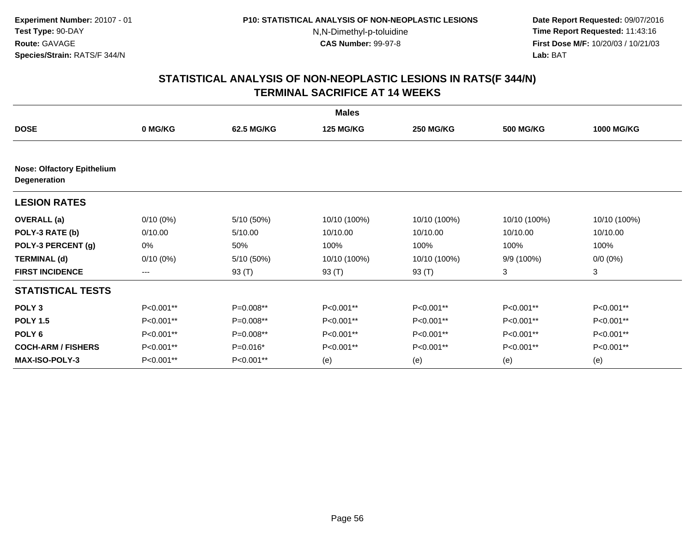**Date Report Requested:** 09/07/2016 **Time Report Requested:** 11:43:16 **First Dose M/F:** 10/20/03 / 10/21/03<br>**Lab:** BAT **Lab:** BAT

|                                                   | <b>Males</b> |            |                  |                  |                  |                   |  |  |  |
|---------------------------------------------------|--------------|------------|------------------|------------------|------------------|-------------------|--|--|--|
| <b>DOSE</b>                                       | 0 MG/KG      | 62.5 MG/KG | <b>125 MG/KG</b> | <b>250 MG/KG</b> | <b>500 MG/KG</b> | <b>1000 MG/KG</b> |  |  |  |
| <b>Nose: Olfactory Epithelium</b><br>Degeneration |              |            |                  |                  |                  |                   |  |  |  |
| <b>LESION RATES</b>                               |              |            |                  |                  |                  |                   |  |  |  |
| <b>OVERALL</b> (a)                                | $0/10(0\%)$  | 5/10 (50%) | 10/10 (100%)     | 10/10 (100%)     | 10/10 (100%)     | 10/10 (100%)      |  |  |  |
| POLY-3 RATE (b)                                   | 0/10.00      | 5/10.00    | 10/10.00         | 10/10.00         | 10/10.00         | 10/10.00          |  |  |  |
| POLY-3 PERCENT (g)                                | 0%           | 50%        | 100%             | 100%             | 100%             | 100%              |  |  |  |
| <b>TERMINAL (d)</b>                               | $0/10(0\%)$  | 5/10 (50%) | 10/10 (100%)     | 10/10 (100%)     | 9/9 (100%)       | $0/0 (0\%)$       |  |  |  |
| <b>FIRST INCIDENCE</b>                            | ---          | 93 (T)     | 93 (T)           | 93 (T)           | 3                | 3                 |  |  |  |
| <b>STATISTICAL TESTS</b>                          |              |            |                  |                  |                  |                   |  |  |  |
| POLY <sub>3</sub>                                 | P<0.001**    | P=0.008**  | P<0.001**        | P<0.001**        | P<0.001**        | P<0.001**         |  |  |  |
| <b>POLY 1.5</b>                                   | P<0.001**    | P=0.008**  | P<0.001**        | P<0.001**        | P<0.001**        | P<0.001**         |  |  |  |
| POLY <sub>6</sub>                                 | P<0.001**    | P=0.008**  | P<0.001**        | P<0.001**        | P<0.001**        | P<0.001**         |  |  |  |
| <b>COCH-ARM / FISHERS</b>                         | P<0.001**    | $P=0.016*$ | P<0.001**        | P<0.001**        | P<0.001**        | P<0.001**         |  |  |  |
| <b>MAX-ISO-POLY-3</b>                             | P<0.001**    | P<0.001**  | (e)              | (e)              | (e)              | (e)               |  |  |  |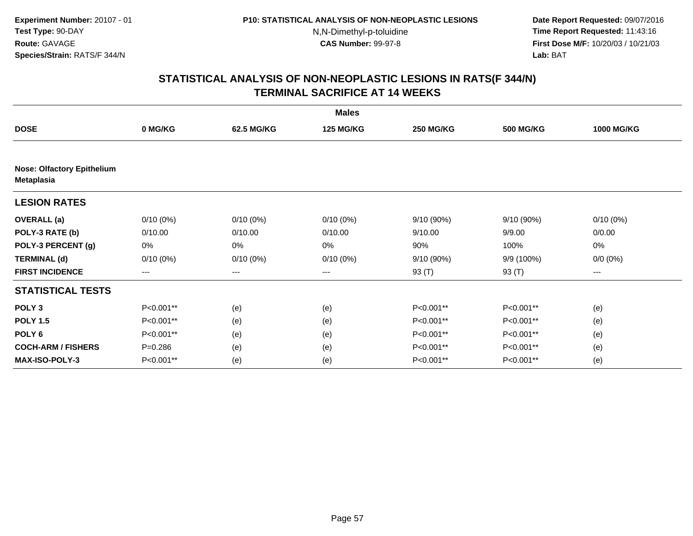**Date Report Requested:** 09/07/2016 **Time Report Requested:** 11:43:16 **First Dose M/F:** 10/20/03 / 10/21/03<br>**Lab:** BAT **Lab:** BAT

|                                                 | <b>Males</b> |             |                  |                  |                  |                   |  |  |  |
|-------------------------------------------------|--------------|-------------|------------------|------------------|------------------|-------------------|--|--|--|
| <b>DOSE</b>                                     | 0 MG/KG      | 62.5 MG/KG  | <b>125 MG/KG</b> | <b>250 MG/KG</b> | <b>500 MG/KG</b> | <b>1000 MG/KG</b> |  |  |  |
|                                                 |              |             |                  |                  |                  |                   |  |  |  |
| <b>Nose: Olfactory Epithelium</b><br>Metaplasia |              |             |                  |                  |                  |                   |  |  |  |
| <b>LESION RATES</b>                             |              |             |                  |                  |                  |                   |  |  |  |
| <b>OVERALL</b> (a)                              | $0/10(0\%)$  | $0/10(0\%)$ | $0/10(0\%)$      | 9/10 (90%)       | 9/10(90%)        | $0/10(0\%)$       |  |  |  |
| POLY-3 RATE (b)                                 | 0/10.00      | 0/10.00     | 0/10.00          | 9/10.00          | 9/9.00           | 0/0.00            |  |  |  |
| POLY-3 PERCENT (g)                              | 0%           | 0%          | 0%               | 90%              | 100%             | 0%                |  |  |  |
| <b>TERMINAL (d)</b>                             | $0/10(0\%)$  | $0/10(0\%)$ | $0/10(0\%)$      | 9/10 (90%)       | 9/9 (100%)       | $0/0 (0\%)$       |  |  |  |
| <b>FIRST INCIDENCE</b>                          | ---          | ---         | ---              | 93 (T)           | 93 (T)           | ---               |  |  |  |
| <b>STATISTICAL TESTS</b>                        |              |             |                  |                  |                  |                   |  |  |  |
| POLY <sub>3</sub>                               | P<0.001**    | (e)         | (e)              | P<0.001**        | P<0.001**        | (e)               |  |  |  |
| <b>POLY 1.5</b>                                 | P<0.001**    | (e)         | (e)              | P<0.001**        | P<0.001**        | (e)               |  |  |  |
| POLY <sub>6</sub>                               | P<0.001**    | (e)         | (e)              | P<0.001**        | P<0.001**        | (e)               |  |  |  |
| <b>COCH-ARM / FISHERS</b>                       | $P = 0.286$  | (e)         | (e)              | P<0.001**        | P<0.001**        | (e)               |  |  |  |
| <b>MAX-ISO-POLY-3</b>                           | P<0.001**    | (e)         | (e)              | P<0.001**        | P<0.001**        | (e)               |  |  |  |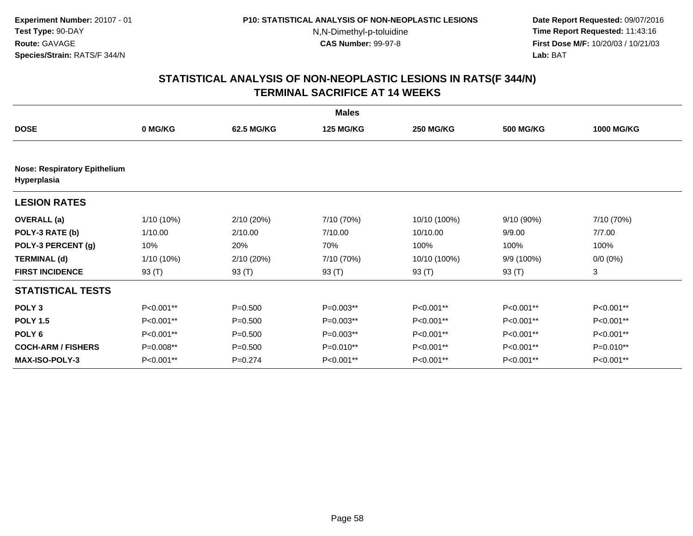**Date Report Requested:** 09/07/2016 **Time Report Requested:** 11:43:16 **First Dose M/F:** 10/20/03 / 10/21/03<br>**Lab:** BAT **Lab:** BAT

|                                                    |              |             | <b>Males</b>     |                  |                  |                   |
|----------------------------------------------------|--------------|-------------|------------------|------------------|------------------|-------------------|
| <b>DOSE</b>                                        | 0 MG/KG      | 62.5 MG/KG  | <b>125 MG/KG</b> | <b>250 MG/KG</b> | <b>500 MG/KG</b> | <b>1000 MG/KG</b> |
|                                                    |              |             |                  |                  |                  |                   |
| <b>Nose: Respiratory Epithelium</b><br>Hyperplasia |              |             |                  |                  |                  |                   |
| <b>LESION RATES</b>                                |              |             |                  |                  |                  |                   |
| <b>OVERALL</b> (a)                                 | 1/10 (10%)   | 2/10(20%)   | 7/10 (70%)       | 10/10 (100%)     | 9/10 (90%)       | 7/10 (70%)        |
| POLY-3 RATE (b)                                    | 1/10.00      | 2/10.00     | 7/10.00          | 10/10.00         | 9/9.00           | 7/7.00            |
| POLY-3 PERCENT (g)                                 | 10%          | 20%         | 70%              | 100%             | 100%             | 100%              |
| <b>TERMINAL (d)</b>                                | $1/10(10\%)$ | 2/10 (20%)  | 7/10 (70%)       | 10/10 (100%)     | 9/9 (100%)       | $0/0 (0\%)$       |
| <b>FIRST INCIDENCE</b>                             | 93 $(T)$     | 93 (T)      | 93 $(T)$         | 93 $(T)$         | 93 (T)           | 3                 |
| <b>STATISTICAL TESTS</b>                           |              |             |                  |                  |                  |                   |
| POLY <sub>3</sub>                                  | P<0.001**    | $P = 0.500$ | $P=0.003**$      | P<0.001**        | P<0.001**        | P<0.001**         |
| <b>POLY 1.5</b>                                    | P<0.001**    | $P = 0.500$ | $P=0.003**$      | P<0.001**        | P<0.001**        | P<0.001**         |
| POLY <sub>6</sub>                                  | P<0.001**    | $P = 0.500$ | $P=0.003**$      | P<0.001**        | P<0.001**        | P<0.001**         |
| <b>COCH-ARM / FISHERS</b>                          | P=0.008**    | $P = 0.500$ | P=0.010**        | P<0.001**        | P<0.001**        | P=0.010**         |
| MAX-ISO-POLY-3                                     | P<0.001**    | $P = 0.274$ | P<0.001**        | P<0.001**        | P<0.001**        | P<0.001**         |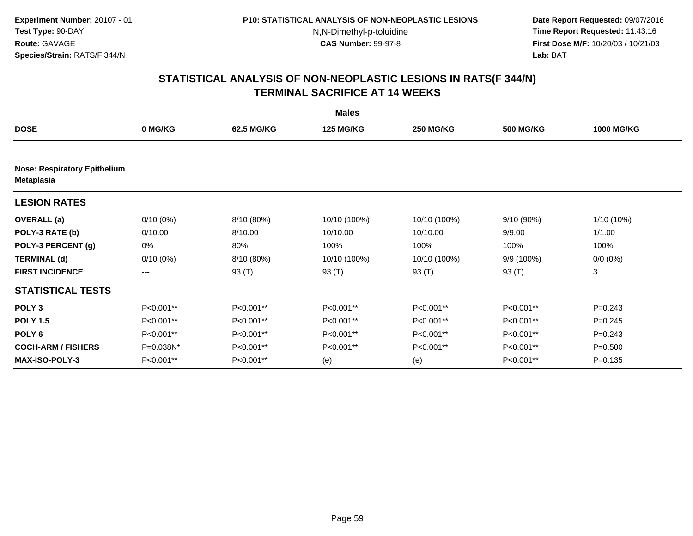**Date Report Requested:** 09/07/2016 **Time Report Requested:** 11:43:16 **First Dose M/F:** 10/20/03 / 10/21/03<br>**Lab:** BAT **Lab:** BAT

|                                                          | <b>Males</b> |            |                  |                  |                  |                   |  |  |  |
|----------------------------------------------------------|--------------|------------|------------------|------------------|------------------|-------------------|--|--|--|
| <b>DOSE</b>                                              | 0 MG/KG      | 62.5 MG/KG | <b>125 MG/KG</b> | <b>250 MG/KG</b> | <b>500 MG/KG</b> | <b>1000 MG/KG</b> |  |  |  |
|                                                          |              |            |                  |                  |                  |                   |  |  |  |
| <b>Nose: Respiratory Epithelium</b><br><b>Metaplasia</b> |              |            |                  |                  |                  |                   |  |  |  |
| <b>LESION RATES</b>                                      |              |            |                  |                  |                  |                   |  |  |  |
| <b>OVERALL</b> (a)                                       | $0/10(0\%)$  | 8/10 (80%) | 10/10 (100%)     | 10/10 (100%)     | 9/10 (90%)       | 1/10 (10%)        |  |  |  |
| POLY-3 RATE (b)                                          | 0/10.00      | 8/10.00    | 10/10.00         | 10/10.00         | 9/9.00           | 1/1.00            |  |  |  |
| POLY-3 PERCENT (g)                                       | 0%           | 80%        | 100%             | 100%             | 100%             | 100%              |  |  |  |
| <b>TERMINAL (d)</b>                                      | $0/10(0\%)$  | 8/10 (80%) | 10/10 (100%)     | 10/10 (100%)     | 9/9 (100%)       | $0/0 (0\%)$       |  |  |  |
| <b>FIRST INCIDENCE</b>                                   | ---          | 93 (T)     | 93 $(T)$         | 93 (T)           | 93 (T)           | 3                 |  |  |  |
| <b>STATISTICAL TESTS</b>                                 |              |            |                  |                  |                  |                   |  |  |  |
| POLY <sub>3</sub>                                        | P<0.001**    | P<0.001**  | P<0.001**        | P<0.001**        | P<0.001**        | $P=0.243$         |  |  |  |
| <b>POLY 1.5</b>                                          | P<0.001**    | P<0.001**  | P<0.001**        | P<0.001**        | P<0.001**        | $P=0.245$         |  |  |  |
| POLY <sub>6</sub>                                        | P<0.001**    | P<0.001**  | P<0.001**        | P<0.001**        | P<0.001**        | $P=0.243$         |  |  |  |
| <b>COCH-ARM / FISHERS</b>                                | P=0.038N*    | P<0.001**  | P<0.001**        | P<0.001**        | P<0.001**        | $P = 0.500$       |  |  |  |
| <b>MAX-ISO-POLY-3</b>                                    | P<0.001**    | P<0.001**  | (e)              | (e)              | P<0.001**        | $P=0.135$         |  |  |  |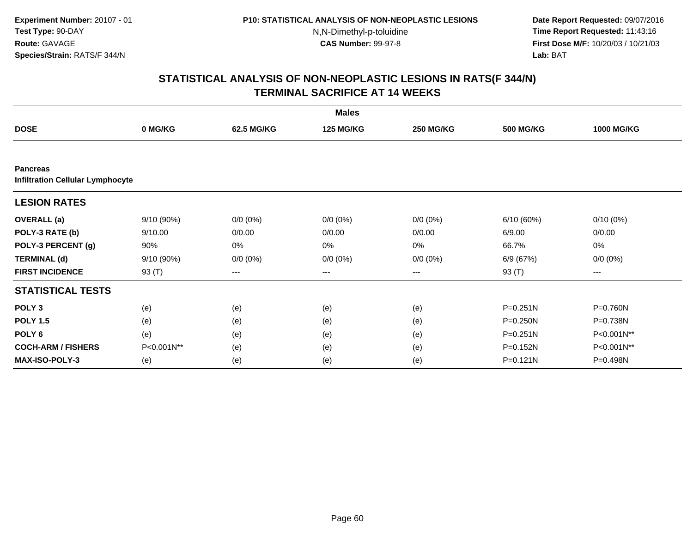**Date Report Requested:** 09/07/2016 **Time Report Requested:** 11:43:16 **First Dose M/F:** 10/20/03 / 10/21/03<br>**Lab:** BAT **Lab:** BAT

| <b>Males</b>                                               |            |             |                  |                   |                  |                     |  |  |
|------------------------------------------------------------|------------|-------------|------------------|-------------------|------------------|---------------------|--|--|
| <b>DOSE</b>                                                | 0 MG/KG    | 62.5 MG/KG  | <b>125 MG/KG</b> | <b>250 MG/KG</b>  | <b>500 MG/KG</b> | <b>1000 MG/KG</b>   |  |  |
|                                                            |            |             |                  |                   |                  |                     |  |  |
| <b>Pancreas</b><br><b>Infiltration Cellular Lymphocyte</b> |            |             |                  |                   |                  |                     |  |  |
| <b>LESION RATES</b>                                        |            |             |                  |                   |                  |                     |  |  |
| <b>OVERALL</b> (a)                                         | 9/10(90%)  | $0/0 (0\%)$ | $0/0 (0\%)$      | $0/0 (0\%)$       | 6/10(60%)        | $0/10(0\%)$         |  |  |
| POLY-3 RATE (b)                                            | 9/10.00    | 0/0.00      | 0/0.00           | 0/0.00            | 6/9.00           | 0/0.00              |  |  |
| POLY-3 PERCENT (g)                                         | 90%        | 0%          | 0%               | 0%                | 66.7%            | 0%                  |  |  |
| <b>TERMINAL (d)</b>                                        | 9/10 (90%) | $0/0 (0\%)$ | $0/0 (0\%)$      | $0/0 (0\%)$       | 6/9 (67%)        | $0/0 (0\%)$         |  |  |
| <b>FIRST INCIDENCE</b>                                     | 93 (T)     | $---$       | ---              | $\qquad \qquad -$ | 93 (T)           | $\qquad \qquad - -$ |  |  |
| <b>STATISTICAL TESTS</b>                                   |            |             |                  |                   |                  |                     |  |  |
| POLY <sub>3</sub>                                          | (e)        | (e)         | (e)              | (e)               | $P = 0.251N$     | P=0.760N            |  |  |
| <b>POLY 1.5</b>                                            | (e)        | (e)         | (e)              | (e)               | $P = 0.250N$     | P=0.738N            |  |  |
| POLY <sub>6</sub>                                          | (e)        | (e)         | (e)              | (e)               | $P = 0.251N$     | P<0.001N**          |  |  |
| <b>COCH-ARM / FISHERS</b>                                  | P<0.001N** | (e)         | (e)              | (e)               | $P = 0.152N$     | P<0.001N**          |  |  |
| MAX-ISO-POLY-3                                             | (e)        | (e)         | (e)              | (e)               | $P = 0.121N$     | P=0.498N            |  |  |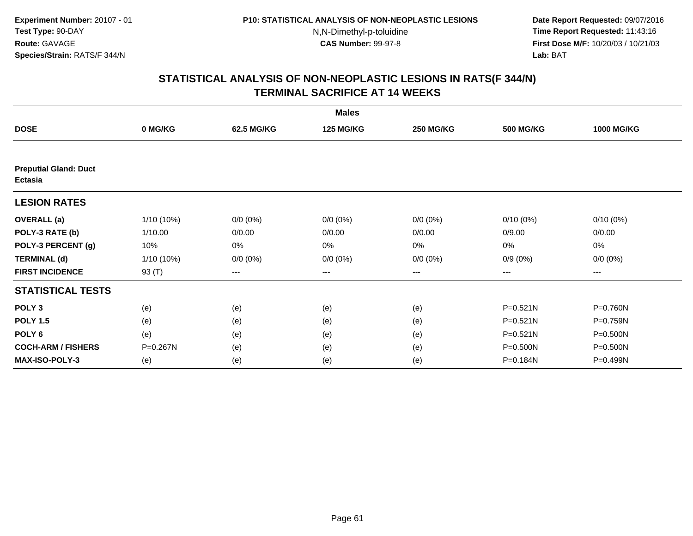**Date Report Requested:** 09/07/2016 **Time Report Requested:** 11:43:16 **First Dose M/F:** 10/20/03 / 10/21/03<br>**Lab:** BAT **Lab:** BAT

|                                         |              |             | <b>Males</b>     |                  |                  |                   |
|-----------------------------------------|--------------|-------------|------------------|------------------|------------------|-------------------|
| <b>DOSE</b>                             | 0 MG/KG      | 62.5 MG/KG  | <b>125 MG/KG</b> | <b>250 MG/KG</b> | <b>500 MG/KG</b> | <b>1000 MG/KG</b> |
|                                         |              |             |                  |                  |                  |                   |
| <b>Preputial Gland: Duct</b><br>Ectasia |              |             |                  |                  |                  |                   |
| <b>LESION RATES</b>                     |              |             |                  |                  |                  |                   |
| <b>OVERALL</b> (a)                      | $1/10(10\%)$ | $0/0 (0\%)$ | $0/0 (0\%)$      | $0/0 (0\%)$      | $0/10(0\%)$      | $0/10(0\%)$       |
| POLY-3 RATE (b)                         | 1/10.00      | 0/0.00      | 0/0.00           | 0/0.00           | 0/9.00           | 0/0.00            |
| POLY-3 PERCENT (g)                      | 10%          | 0%          | 0%               | 0%               | 0%               | 0%                |
| <b>TERMINAL (d)</b>                     | $1/10(10\%)$ | $0/0 (0\%)$ | $0/0 (0\%)$      | $0/0 (0\%)$      | $0/9(0\%)$       | $0/0 (0\%)$       |
| <b>FIRST INCIDENCE</b>                  | 93 (T)       | $---$       | $---$            | $---$            | $---$            | ---               |
| <b>STATISTICAL TESTS</b>                |              |             |                  |                  |                  |                   |
| POLY <sub>3</sub>                       | (e)          | (e)         | (e)              | (e)              | $P = 0.521N$     | P=0.760N          |
| <b>POLY 1.5</b>                         | (e)          | (e)         | (e)              | (e)              | $P = 0.521N$     | P=0.759N          |
| POLY <sub>6</sub>                       | (e)          | (e)         | (e)              | (e)              | $P = 0.521N$     | P=0.500N          |
| <b>COCH-ARM / FISHERS</b>               | P=0.267N     | (e)         | (e)              | (e)              | P=0.500N         | P=0.500N          |
| <b>MAX-ISO-POLY-3</b>                   | (e)          | (e)         | (e)              | (e)              | P=0.184N         | P=0.499N          |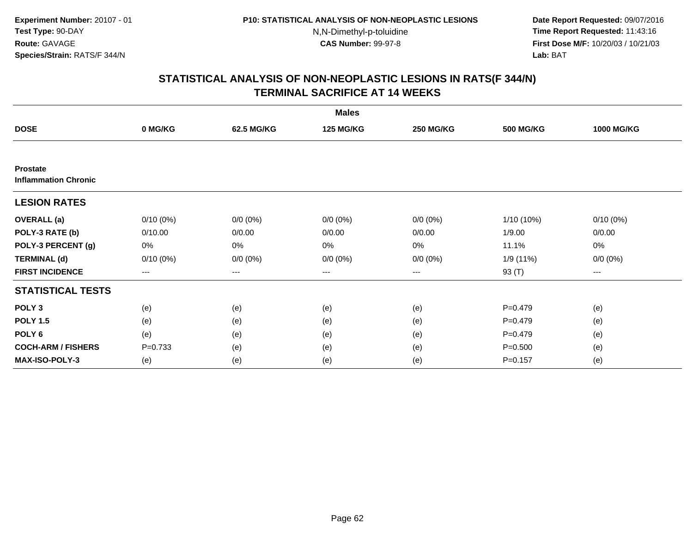**Date Report Requested:** 09/07/2016 **Time Report Requested:** 11:43:16 **First Dose M/F:** 10/20/03 / 10/21/03<br>**Lab:** BAT **Lab:** BAT

| <b>Males</b>                                   |             |             |                  |                  |                  |                   |  |
|------------------------------------------------|-------------|-------------|------------------|------------------|------------------|-------------------|--|
| <b>DOSE</b>                                    | 0 MG/KG     | 62.5 MG/KG  | <b>125 MG/KG</b> | <b>250 MG/KG</b> | <b>500 MG/KG</b> | <b>1000 MG/KG</b> |  |
|                                                |             |             |                  |                  |                  |                   |  |
| <b>Prostate</b><br><b>Inflammation Chronic</b> |             |             |                  |                  |                  |                   |  |
| <b>LESION RATES</b>                            |             |             |                  |                  |                  |                   |  |
| <b>OVERALL</b> (a)                             | $0/10(0\%)$ | $0/0 (0\%)$ | $0/0 (0\%)$      | $0/0 (0\%)$      | $1/10(10\%)$     | $0/10(0\%)$       |  |
| POLY-3 RATE (b)                                | 0/10.00     | 0/0.00      | 0/0.00           | 0/0.00           | 1/9.00           | 0/0.00            |  |
| POLY-3 PERCENT (g)                             | 0%          | 0%          | 0%               | 0%               | 11.1%            | 0%                |  |
| <b>TERMINAL (d)</b>                            | $0/10(0\%)$ | $0/0 (0\%)$ | $0/0 (0\%)$      | $0/0 (0\%)$      | 1/9 (11%)        | $0/0 (0\%)$       |  |
| <b>FIRST INCIDENCE</b>                         | $--$        | ---         | ---              | $--$             | 93 (T)           | ---               |  |
| <b>STATISTICAL TESTS</b>                       |             |             |                  |                  |                  |                   |  |
| POLY <sub>3</sub>                              | (e)         | (e)         | (e)              | (e)              | $P = 0.479$      | (e)               |  |
| <b>POLY 1.5</b>                                | (e)         | (e)         | (e)              | (e)              | $P = 0.479$      | (e)               |  |
| POLY <sub>6</sub>                              | (e)         | (e)         | (e)              | (e)              | $P=0.479$        | (e)               |  |
| <b>COCH-ARM / FISHERS</b>                      | $P = 0.733$ | (e)         | (e)              | (e)              | $P = 0.500$      | (e)               |  |
| <b>MAX-ISO-POLY-3</b>                          | (e)         | (e)         | (e)              | (e)              | $P = 0.157$      | (e)               |  |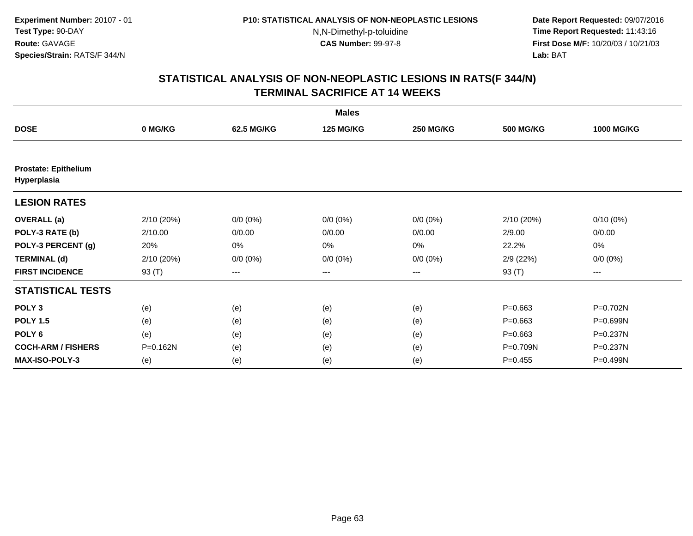**Date Report Requested:** 09/07/2016 **Time Report Requested:** 11:43:16 **First Dose M/F:** 10/20/03 / 10/21/03<br>**Lab:** BAT **Lab:** BAT

|                                            |            |             | <b>Males</b>     |                  |                  |                   |
|--------------------------------------------|------------|-------------|------------------|------------------|------------------|-------------------|
| <b>DOSE</b>                                | 0 MG/KG    | 62.5 MG/KG  | <b>125 MG/KG</b> | <b>250 MG/KG</b> | <b>500 MG/KG</b> | <b>1000 MG/KG</b> |
|                                            |            |             |                  |                  |                  |                   |
| <b>Prostate: Epithelium</b><br>Hyperplasia |            |             |                  |                  |                  |                   |
| <b>LESION RATES</b>                        |            |             |                  |                  |                  |                   |
| <b>OVERALL</b> (a)                         | 2/10 (20%) | $0/0 (0\%)$ | $0/0 (0\%)$      | $0/0 (0\%)$      | 2/10 (20%)       | $0/10(0\%)$       |
| POLY-3 RATE (b)                            | 2/10.00    | 0/0.00      | 0/0.00           | 0/0.00           | 2/9.00           | 0/0.00            |
| POLY-3 PERCENT (g)                         | 20%        | 0%          | 0%               | 0%               | 22.2%            | 0%                |
| <b>TERMINAL (d)</b>                        | 2/10 (20%) | $0/0 (0\%)$ | $0/0 (0\%)$      | $0/0 (0\%)$      | 2/9(22%)         | $0/0 (0\%)$       |
| <b>FIRST INCIDENCE</b>                     | 93 (T)     | ---         | ---              | $--$             | 93 (T)           | ---               |
| <b>STATISTICAL TESTS</b>                   |            |             |                  |                  |                  |                   |
| POLY <sub>3</sub>                          | (e)        | (e)         | (e)              | (e)              | $P = 0.663$      | P=0.702N          |
| <b>POLY 1.5</b>                            | (e)        | (e)         | (e)              | (e)              | $P = 0.663$      | P=0.699N          |
| POLY <sub>6</sub>                          | (e)        | (e)         | (e)              | (e)              | $P = 0.663$      | P=0.237N          |
| <b>COCH-ARM / FISHERS</b>                  | P=0.162N   | (e)         | (e)              | (e)              | P=0.709N         | $P = 0.237N$      |
| <b>MAX-ISO-POLY-3</b>                      | (e)        | (e)         | (e)              | (e)              | $P=0.455$        | P=0.499N          |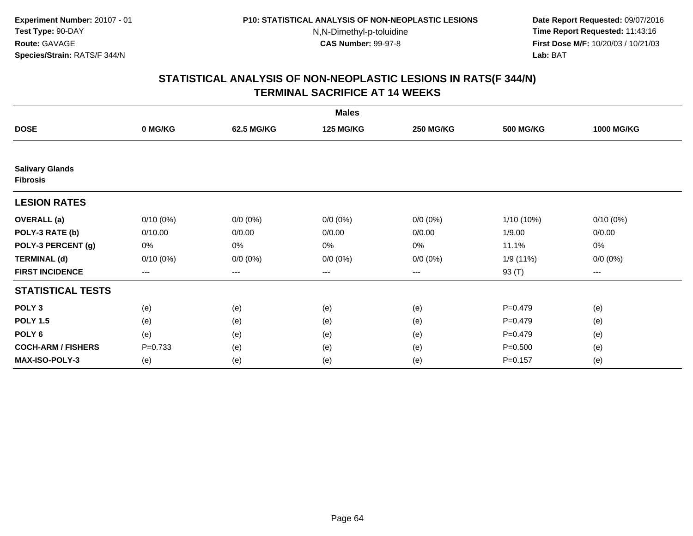**Date Report Requested:** 09/07/2016 **Time Report Requested:** 11:43:16 **First Dose M/F:** 10/20/03 / 10/21/03<br>**Lab:** BAT **Lab:** BAT

|                                           |             |             | <b>Males</b>     |                  |                  |                   |
|-------------------------------------------|-------------|-------------|------------------|------------------|------------------|-------------------|
| <b>DOSE</b>                               | 0 MG/KG     | 62.5 MG/KG  | <b>125 MG/KG</b> | <b>250 MG/KG</b> | <b>500 MG/KG</b> | <b>1000 MG/KG</b> |
|                                           |             |             |                  |                  |                  |                   |
| <b>Salivary Glands</b><br><b>Fibrosis</b> |             |             |                  |                  |                  |                   |
| <b>LESION RATES</b>                       |             |             |                  |                  |                  |                   |
| <b>OVERALL</b> (a)                        | $0/10(0\%)$ | $0/0 (0\%)$ | $0/0 (0\%)$      | $0/0 (0\%)$      | 1/10 (10%)       | $0/10(0\%)$       |
| POLY-3 RATE (b)                           | 0/10.00     | 0/0.00      | 0/0.00           | 0/0.00           | 1/9.00           | 0/0.00            |
| POLY-3 PERCENT (g)                        | 0%          | 0%          | 0%               | 0%               | 11.1%            | 0%                |
| <b>TERMINAL (d)</b>                       | $0/10(0\%)$ | $0/0 (0\%)$ | $0/0 (0\%)$      | $0/0 (0\%)$      | 1/9 (11%)        | $0/0 (0\%)$       |
| <b>FIRST INCIDENCE</b>                    | $--$        | $--$        | ---              | ---              | 93 (T)           | $--$              |
| <b>STATISTICAL TESTS</b>                  |             |             |                  |                  |                  |                   |
| POLY <sub>3</sub>                         | (e)         | (e)         | (e)              | (e)              | $P=0.479$        | (e)               |
| <b>POLY 1.5</b>                           | (e)         | (e)         | (e)              | (e)              | $P=0.479$        | (e)               |
| POLY <sub>6</sub>                         | (e)         | (e)         | (e)              | (e)              | $P=0.479$        | (e)               |
| <b>COCH-ARM / FISHERS</b>                 | $P = 0.733$ | (e)         | (e)              | (e)              | $P = 0.500$      | (e)               |
| <b>MAX-ISO-POLY-3</b>                     | (e)         | (e)         | (e)              | (e)              | $P = 0.157$      | (e)               |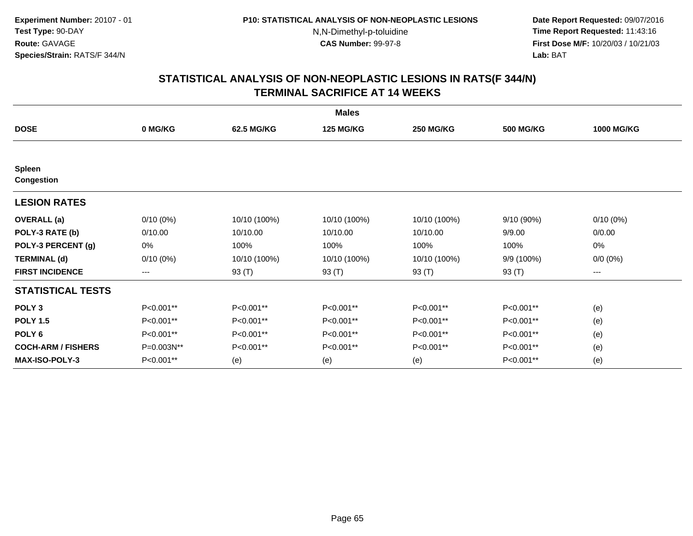**Date Report Requested:** 09/07/2016 **Time Report Requested:** 11:43:16 **First Dose M/F:** 10/20/03 / 10/21/03<br>**Lab:** BAT **Lab:** BAT

|                                    |             |              | <b>Males</b>     |                  |                  |                   |
|------------------------------------|-------------|--------------|------------------|------------------|------------------|-------------------|
| <b>DOSE</b>                        | 0 MG/KG     | 62.5 MG/KG   | <b>125 MG/KG</b> | <b>250 MG/KG</b> | <b>500 MG/KG</b> | <b>1000 MG/KG</b> |
|                                    |             |              |                  |                  |                  |                   |
| <b>Spleen</b><br><b>Congestion</b> |             |              |                  |                  |                  |                   |
| <b>LESION RATES</b>                |             |              |                  |                  |                  |                   |
| <b>OVERALL</b> (a)                 | $0/10(0\%)$ | 10/10 (100%) | 10/10 (100%)     | 10/10 (100%)     | 9/10(90%)        | $0/10(0\%)$       |
| POLY-3 RATE (b)                    | 0/10.00     | 10/10.00     | 10/10.00         | 10/10.00         | 9/9.00           | 0/0.00            |
| POLY-3 PERCENT (g)                 | 0%          | 100%         | 100%             | 100%             | 100%             | 0%                |
| <b>TERMINAL (d)</b>                | $0/10(0\%)$ | 10/10 (100%) | 10/10 (100%)     | 10/10 (100%)     | 9/9 (100%)       | $0/0 (0\%)$       |
| <b>FIRST INCIDENCE</b>             | ---         | 93 (T)       | 93 (T)           | 93 (T)           | 93 (T)           | ---               |
| <b>STATISTICAL TESTS</b>           |             |              |                  |                  |                  |                   |
| POLY <sub>3</sub>                  | P<0.001**   | P<0.001**    | P<0.001**        | P<0.001**        | P<0.001**        | (e)               |
| <b>POLY 1.5</b>                    | P<0.001**   | P<0.001**    | P<0.001**        | P<0.001**        | P<0.001**        | (e)               |
| POLY <sub>6</sub>                  | P<0.001**   | P<0.001**    | P<0.001**        | P<0.001**        | P<0.001**        | (e)               |
| <b>COCH-ARM / FISHERS</b>          | P=0.003N**  | P<0.001**    | P<0.001**        | P<0.001**        | P<0.001**        | (e)               |
| <b>MAX-ISO-POLY-3</b>              | P<0.001**   | (e)          | (e)              | (e)              | P<0.001**        | (e)               |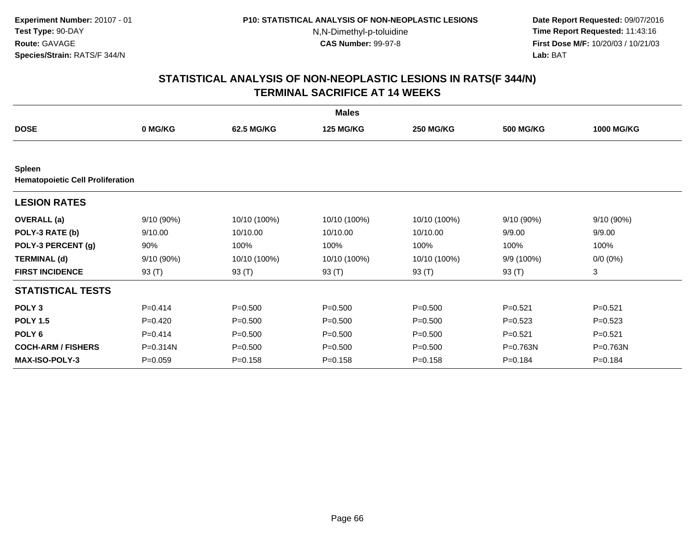**Date Report Requested:** 09/07/2016 **Time Report Requested:** 11:43:16 **First Dose M/F:** 10/20/03 / 10/21/03<br>**Lab:** BAT **Lab:** BAT

|                                                          |              |              | <b>Males</b>     |                  |                  |                   |
|----------------------------------------------------------|--------------|--------------|------------------|------------------|------------------|-------------------|
| <b>DOSE</b>                                              | 0 MG/KG      | 62.5 MG/KG   | <b>125 MG/KG</b> | <b>250 MG/KG</b> | <b>500 MG/KG</b> | <b>1000 MG/KG</b> |
|                                                          |              |              |                  |                  |                  |                   |
| <b>Spleen</b><br><b>Hematopoietic Cell Proliferation</b> |              |              |                  |                  |                  |                   |
| <b>LESION RATES</b>                                      |              |              |                  |                  |                  |                   |
| <b>OVERALL</b> (a)                                       | 9/10(90%)    | 10/10 (100%) | 10/10 (100%)     | 10/10 (100%)     | 9/10 (90%)       | 9/10 (90%)        |
| POLY-3 RATE (b)                                          | 9/10.00      | 10/10.00     | 10/10.00         | 10/10.00         | 9/9.00           | 9/9.00            |
| POLY-3 PERCENT (g)                                       | 90%          | 100%         | 100%             | 100%             | 100%             | 100%              |
| <b>TERMINAL (d)</b>                                      | $9/10(90\%)$ | 10/10 (100%) | 10/10 (100%)     | 10/10 (100%)     | 9/9 (100%)       | $0/0 (0\%)$       |
| <b>FIRST INCIDENCE</b>                                   | 93 $(T)$     | 93 $(T)$     | 93 $(T)$         | 93 $(T)$         | 93 $(T)$         | 3                 |
| <b>STATISTICAL TESTS</b>                                 |              |              |                  |                  |                  |                   |
| POLY <sub>3</sub>                                        | $P=0.414$    | $P = 0.500$  | $P = 0.500$      | $P = 0.500$      | $P = 0.521$      | $P = 0.521$       |
| <b>POLY 1.5</b>                                          | $P=0.420$    | $P = 0.500$  | $P = 0.500$      | $P = 0.500$      | $P=0.523$        | $P=0.523$         |
| POLY <sub>6</sub>                                        | $P=0.414$    | $P = 0.500$  | $P = 0.500$      | $P = 0.500$      | $P = 0.521$      | $P=0.521$         |
| <b>COCH-ARM / FISHERS</b>                                | P=0.314N     | $P = 0.500$  | $P = 0.500$      | $P = 0.500$      | $P = 0.763N$     | P=0.763N          |
| <b>MAX-ISO-POLY-3</b>                                    | $P = 0.059$  | $P = 0.158$  | $P = 0.158$      | $P = 0.158$      | $P = 0.184$      | $P = 0.184$       |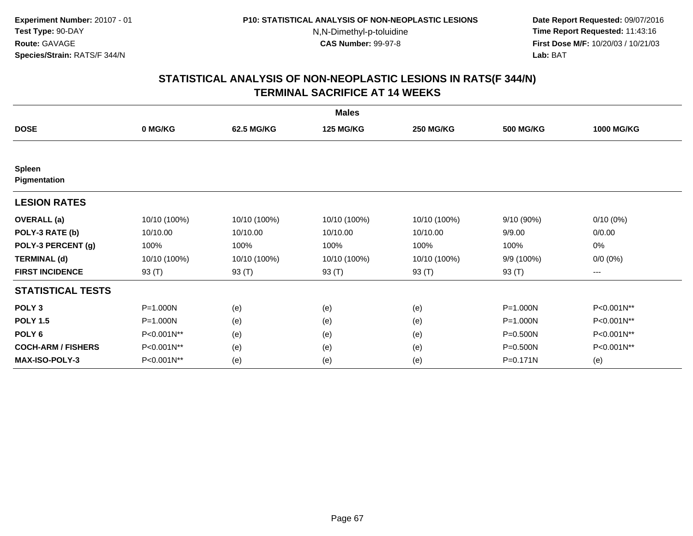**Date Report Requested:** 09/07/2016 **Time Report Requested:** 11:43:16 **First Dose M/F:** 10/20/03 / 10/21/03<br>**Lab:** BAT **Lab:** BAT

|                               |              |              | <b>Males</b>     |                  |                  |                   |
|-------------------------------|--------------|--------------|------------------|------------------|------------------|-------------------|
| <b>DOSE</b>                   | 0 MG/KG      | 62.5 MG/KG   | <b>125 MG/KG</b> | <b>250 MG/KG</b> | <b>500 MG/KG</b> | <b>1000 MG/KG</b> |
|                               |              |              |                  |                  |                  |                   |
| <b>Spleen</b><br>Pigmentation |              |              |                  |                  |                  |                   |
| <b>LESION RATES</b>           |              |              |                  |                  |                  |                   |
| <b>OVERALL</b> (a)            | 10/10 (100%) | 10/10 (100%) | 10/10 (100%)     | 10/10 (100%)     | 9/10 (90%)       | $0/10(0\%)$       |
| POLY-3 RATE (b)               | 10/10.00     | 10/10.00     | 10/10.00         | 10/10.00         | 9/9.00           | 0/0.00            |
| POLY-3 PERCENT (g)            | 100%         | 100%         | 100%             | 100%             | 100%             | 0%                |
| <b>TERMINAL (d)</b>           | 10/10 (100%) | 10/10 (100%) | 10/10 (100%)     | 10/10 (100%)     | 9/9 (100%)       | $0/0 (0\%)$       |
| <b>FIRST INCIDENCE</b>        | 93 (T)       | 93 (T)       | 93 (T)           | 93 (T)           | 93 (T)           | ---               |
| <b>STATISTICAL TESTS</b>      |              |              |                  |                  |                  |                   |
| POLY <sub>3</sub>             | P=1.000N     | (e)          | (e)              | (e)              | P=1.000N         | P<0.001N**        |
| <b>POLY 1.5</b>               | P=1.000N     | (e)          | (e)              | (e)              | P=1.000N         | P<0.001N**        |
| POLY <sub>6</sub>             | P<0.001N**   | (e)          | (e)              | (e)              | P=0.500N         | P<0.001N**        |
| <b>COCH-ARM / FISHERS</b>     | P<0.001N**   | (e)          | (e)              | (e)              | P=0.500N         | P<0.001N**        |
| <b>MAX-ISO-POLY-3</b>         | P<0.001N**   | (e)          | (e)              | (e)              | P=0.171N         | (e)               |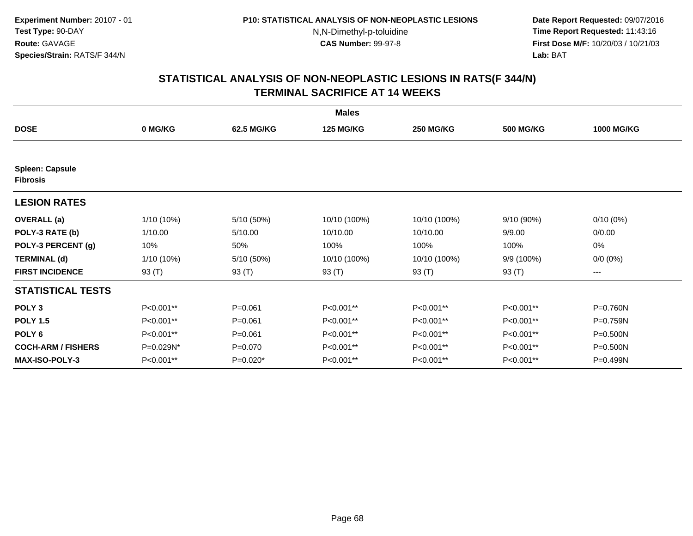**Date Report Requested:** 09/07/2016 **Time Report Requested:** 11:43:16 **First Dose M/F:** 10/20/03 / 10/21/03<br>**Lab:** BAT **Lab:** BAT

|                                           |            |             | <b>Males</b>     |                  |                  |                   |
|-------------------------------------------|------------|-------------|------------------|------------------|------------------|-------------------|
| <b>DOSE</b>                               | 0 MG/KG    | 62.5 MG/KG  | <b>125 MG/KG</b> | <b>250 MG/KG</b> | <b>500 MG/KG</b> | <b>1000 MG/KG</b> |
|                                           |            |             |                  |                  |                  |                   |
| <b>Spleen: Capsule</b><br><b>Fibrosis</b> |            |             |                  |                  |                  |                   |
| <b>LESION RATES</b>                       |            |             |                  |                  |                  |                   |
| <b>OVERALL</b> (a)                        | 1/10 (10%) | 5/10 (50%)  | 10/10 (100%)     | 10/10 (100%)     | 9/10 (90%)       | $0/10(0\%)$       |
| POLY-3 RATE (b)                           | 1/10.00    | 5/10.00     | 10/10.00         | 10/10.00         | 9/9.00           | 0/0.00            |
| POLY-3 PERCENT (g)                        | 10%        | 50%         | 100%             | 100%             | 100%             | 0%                |
| <b>TERMINAL (d)</b>                       | 1/10 (10%) | 5/10 (50%)  | 10/10 (100%)     | 10/10 (100%)     | 9/9 (100%)       | $0/0 (0\%)$       |
| <b>FIRST INCIDENCE</b>                    | 93 (T)     | 93 (T)      | 93 (T)           | 93 (T)           | 93 (T)           | ---               |
| <b>STATISTICAL TESTS</b>                  |            |             |                  |                  |                  |                   |
| POLY <sub>3</sub>                         | P<0.001**  | $P = 0.061$ | P<0.001**        | P<0.001**        | P<0.001**        | P=0.760N          |
| <b>POLY 1.5</b>                           | P<0.001**  | $P = 0.061$ | P<0.001**        | P<0.001**        | P<0.001**        | P=0.759N          |
| POLY <sub>6</sub>                         | P<0.001**  | $P = 0.061$ | P<0.001**        | P<0.001**        | P<0.001**        | P=0.500N          |
| <b>COCH-ARM / FISHERS</b>                 | P=0.029N*  | $P = 0.070$ | P<0.001**        | P<0.001**        | P<0.001**        | P=0.500N          |
| <b>MAX-ISO-POLY-3</b>                     | P<0.001**  | $P=0.020*$  | P<0.001**        | P<0.001**        | P<0.001**        | $P = 0.499N$      |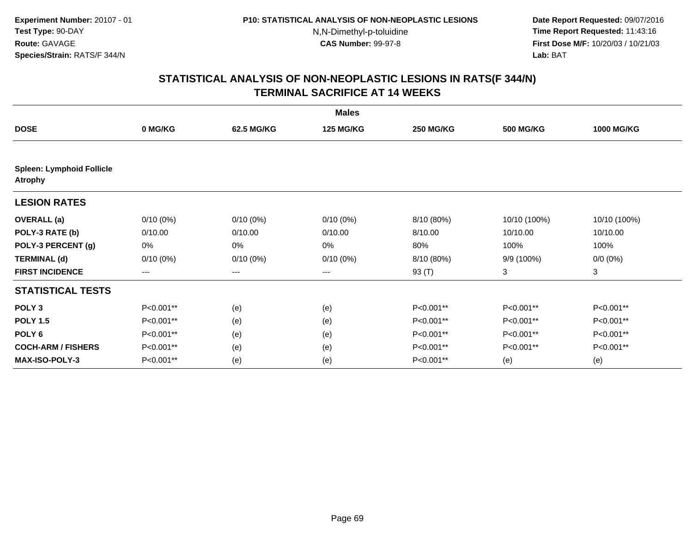**Date Report Requested:** 09/07/2016 **Time Report Requested:** 11:43:16 **First Dose M/F:** 10/20/03 / 10/21/03<br>**Lab:** BAT **Lab:** BAT

|                                                    | <b>Males</b> |             |                  |                  |                  |                   |  |  |  |
|----------------------------------------------------|--------------|-------------|------------------|------------------|------------------|-------------------|--|--|--|
| <b>DOSE</b>                                        | 0 MG/KG      | 62.5 MG/KG  | <b>125 MG/KG</b> | <b>250 MG/KG</b> | <b>500 MG/KG</b> | <b>1000 MG/KG</b> |  |  |  |
| <b>Spleen: Lymphoid Follicle</b><br><b>Atrophy</b> |              |             |                  |                  |                  |                   |  |  |  |
| <b>LESION RATES</b>                                |              |             |                  |                  |                  |                   |  |  |  |
| <b>OVERALL</b> (a)                                 | $0/10(0\%)$  | $0/10(0\%)$ | $0/10(0\%)$      | 8/10 (80%)       | 10/10 (100%)     | 10/10 (100%)      |  |  |  |
| POLY-3 RATE (b)                                    | 0/10.00      | 0/10.00     | 0/10.00          | 8/10.00          | 10/10.00         | 10/10.00          |  |  |  |
| POLY-3 PERCENT (g)                                 | 0%           | 0%          | 0%               | 80%              | 100%             | 100%              |  |  |  |
| <b>TERMINAL (d)</b>                                | $0/10(0\%)$  | $0/10(0\%)$ | $0/10(0\%)$      | 8/10 (80%)       | 9/9 (100%)       | $0/0 (0\%)$       |  |  |  |
| <b>FIRST INCIDENCE</b>                             | ---          | ---         | ---              | 93 (T)           | 3                | 3                 |  |  |  |
| <b>STATISTICAL TESTS</b>                           |              |             |                  |                  |                  |                   |  |  |  |
| POLY <sub>3</sub>                                  | P<0.001**    | (e)         | (e)              | P<0.001**        | P<0.001**        | P<0.001**         |  |  |  |
| <b>POLY 1.5</b>                                    | P<0.001**    | (e)         | (e)              | P<0.001**        | P<0.001**        | P<0.001**         |  |  |  |
| POLY <sub>6</sub>                                  | P<0.001**    | (e)         | (e)              | P<0.001**        | P<0.001**        | P<0.001**         |  |  |  |
| <b>COCH-ARM / FISHERS</b>                          | P<0.001**    | (e)         | (e)              | P<0.001**        | P<0.001**        | P<0.001**         |  |  |  |
| <b>MAX-ISO-POLY-3</b>                              | P<0.001**    | (e)         | (e)              | P<0.001**        | (e)              | (e)               |  |  |  |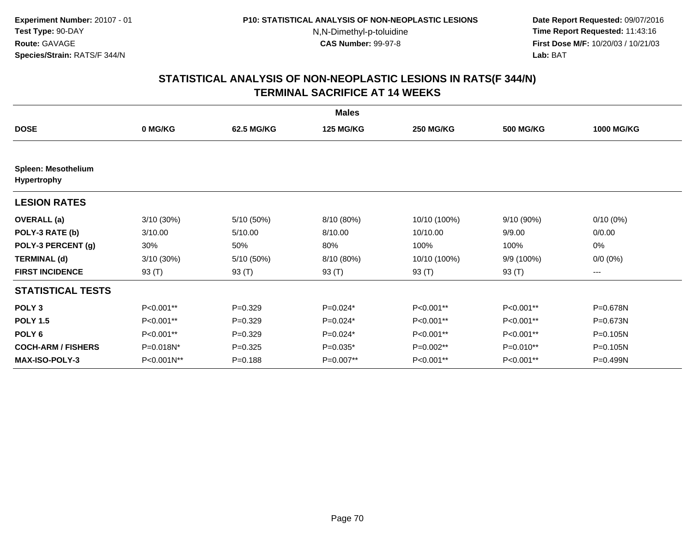**Date Report Requested:** 09/07/2016 **Time Report Requested:** 11:43:16 **First Dose M/F:** 10/20/03 / 10/21/03<br>**Lab:** BAT **Lab:** BAT

|                                                  |              |             | <b>Males</b>     |                  |                  |                   |
|--------------------------------------------------|--------------|-------------|------------------|------------------|------------------|-------------------|
| <b>DOSE</b>                                      | 0 MG/KG      | 62.5 MG/KG  | <b>125 MG/KG</b> | <b>250 MG/KG</b> | <b>500 MG/KG</b> | <b>1000 MG/KG</b> |
|                                                  |              |             |                  |                  |                  |                   |
| <b>Spleen: Mesothelium</b><br><b>Hypertrophy</b> |              |             |                  |                  |                  |                   |
| <b>LESION RATES</b>                              |              |             |                  |                  |                  |                   |
| <b>OVERALL</b> (a)                               | $3/10(30\%)$ | 5/10 (50%)  | 8/10 (80%)       | 10/10 (100%)     | 9/10 (90%)       | $0/10(0\%)$       |
| POLY-3 RATE (b)                                  | 3/10.00      | 5/10.00     | 8/10.00          | 10/10.00         | 9/9.00           | 0/0.00            |
| POLY-3 PERCENT (g)                               | 30%          | 50%         | 80%              | 100%             | 100%             | 0%                |
| <b>TERMINAL (d)</b>                              | $3/10(30\%)$ | 5/10 (50%)  | 8/10 (80%)       | 10/10 (100%)     | 9/9 (100%)       | $0/0 (0\%)$       |
| <b>FIRST INCIDENCE</b>                           | 93 (T)       | 93 (T)      | 93 (T)           | 93 (T)           | 93 (T)           | ---               |
| <b>STATISTICAL TESTS</b>                         |              |             |                  |                  |                  |                   |
| POLY <sub>3</sub>                                | P<0.001**    | $P=0.329$   | $P=0.024*$       | P<0.001**        | P<0.001**        | P=0.678N          |
| <b>POLY 1.5</b>                                  | P<0.001**    | $P=0.329$   | $P=0.024*$       | P<0.001**        | P<0.001**        | P=0.673N          |
| POLY <sub>6</sub>                                | P<0.001**    | $P=0.329$   | $P=0.024*$       | P<0.001**        | P<0.001**        | P=0.105N          |
| <b>COCH-ARM / FISHERS</b>                        | P=0.018N*    | $P = 0.325$ | $P=0.035*$       | P=0.002**        | P=0.010**        | P=0.105N          |
| MAX-ISO-POLY-3                                   | P<0.001N**   | $P = 0.188$ | $P=0.007**$      | P<0.001**        | P<0.001**        | P=0.499N          |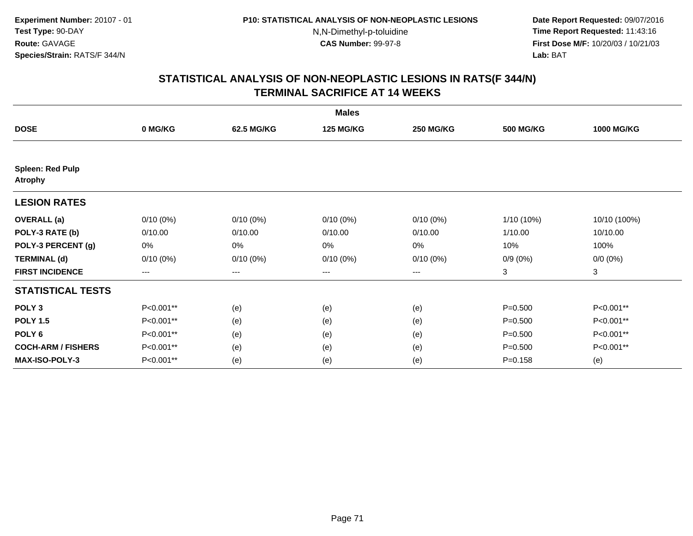**Date Report Requested:** 09/07/2016 **Time Report Requested:** 11:43:16 **First Dose M/F:** 10/20/03 / 10/21/03<br>**Lab:** BAT **Lab:** BAT

|                                           | <b>Males</b>      |                   |                  |                  |                  |                   |  |  |
|-------------------------------------------|-------------------|-------------------|------------------|------------------|------------------|-------------------|--|--|
| <b>DOSE</b>                               | 0 MG/KG           | 62.5 MG/KG        | <b>125 MG/KG</b> | <b>250 MG/KG</b> | <b>500 MG/KG</b> | <b>1000 MG/KG</b> |  |  |
|                                           |                   |                   |                  |                  |                  |                   |  |  |
| <b>Spleen: Red Pulp</b><br><b>Atrophy</b> |                   |                   |                  |                  |                  |                   |  |  |
| <b>LESION RATES</b>                       |                   |                   |                  |                  |                  |                   |  |  |
| <b>OVERALL</b> (a)                        | $0/10(0\%)$       | $0/10(0\%)$       | $0/10(0\%)$      | $0/10(0\%)$      | 1/10 (10%)       | 10/10 (100%)      |  |  |
| POLY-3 RATE (b)                           | 0/10.00           | 0/10.00           | 0/10.00          | 0/10.00          | 1/10.00          | 10/10.00          |  |  |
| POLY-3 PERCENT (g)                        | 0%                | 0%                | 0%               | 0%               | 10%              | 100%              |  |  |
| <b>TERMINAL (d)</b>                       | $0/10(0\%)$       | $0/10(0\%)$       | $0/10(0\%)$      | $0/10(0\%)$      | $0/9(0\%)$       | $0/0 (0\%)$       |  |  |
| <b>FIRST INCIDENCE</b>                    | $\qquad \qquad -$ | $\qquad \qquad -$ | ---              | $---$            | 3                | 3                 |  |  |
| <b>STATISTICAL TESTS</b>                  |                   |                   |                  |                  |                  |                   |  |  |
| POLY <sub>3</sub>                         | P<0.001**         | (e)               | (e)              | (e)              | $P = 0.500$      | P<0.001**         |  |  |
| <b>POLY 1.5</b>                           | P<0.001**         | (e)               | (e)              | (e)              | $P = 0.500$      | P<0.001**         |  |  |
| POLY <sub>6</sub>                         | P<0.001**         | (e)               | (e)              | (e)              | $P = 0.500$      | P<0.001**         |  |  |
| <b>COCH-ARM / FISHERS</b>                 | P<0.001**         | (e)               | (e)              | (e)              | $P = 0.500$      | P<0.001**         |  |  |
| <b>MAX-ISO-POLY-3</b>                     | P<0.001**         | (e)               | (e)              | (e)              | $P = 0.158$      | (e)               |  |  |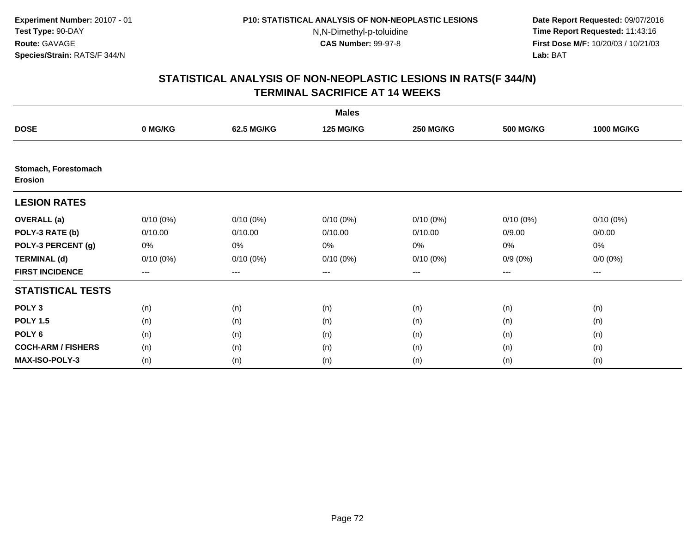**Date Report Requested:** 09/07/2016 **Time Report Requested:** 11:43:16 **First Dose M/F:** 10/20/03 / 10/21/03<br>**Lab:** BAT **Lab:** BAT

| <b>Males</b>                           |             |             |                  |                  |                  |                   |  |  |
|----------------------------------------|-------------|-------------|------------------|------------------|------------------|-------------------|--|--|
| <b>DOSE</b>                            | 0 MG/KG     | 62.5 MG/KG  | <b>125 MG/KG</b> | <b>250 MG/KG</b> | <b>500 MG/KG</b> | <b>1000 MG/KG</b> |  |  |
|                                        |             |             |                  |                  |                  |                   |  |  |
| Stomach, Forestomach<br><b>Erosion</b> |             |             |                  |                  |                  |                   |  |  |
| <b>LESION RATES</b>                    |             |             |                  |                  |                  |                   |  |  |
| <b>OVERALL</b> (a)                     | $0/10(0\%)$ | $0/10(0\%)$ | $0/10(0\%)$      | $0/10(0\%)$      | $0/10(0\%)$      | $0/10(0\%)$       |  |  |
| POLY-3 RATE (b)                        | 0/10.00     | 0/10.00     | 0/10.00          | 0/10.00          | 0/9.00           | 0/0.00            |  |  |
| POLY-3 PERCENT (g)                     | 0%          | 0%          | 0%               | 0%               | 0%               | 0%                |  |  |
| <b>TERMINAL (d)</b>                    | $0/10(0\%)$ | $0/10(0\%)$ | $0/10(0\%)$      | 0/10(0%)         | $0/9(0\%)$       | $0/0 (0\%)$       |  |  |
| <b>FIRST INCIDENCE</b>                 | ---         | ---         | ---              | $--$             | $--$             | ---               |  |  |
| <b>STATISTICAL TESTS</b>               |             |             |                  |                  |                  |                   |  |  |
| POLY <sub>3</sub>                      | (n)         | (n)         | (n)              | (n)              | (n)              | (n)               |  |  |
| <b>POLY 1.5</b>                        | (n)         | (n)         | (n)              | (n)              | (n)              | (n)               |  |  |
| POLY <sub>6</sub>                      | (n)         | (n)         | (n)              | (n)              | (n)              | (n)               |  |  |
| <b>COCH-ARM / FISHERS</b>              | (n)         | (n)         | (n)              | (n)              | (n)              | (n)               |  |  |
| <b>MAX-ISO-POLY-3</b>                  | (n)         | (n)         | (n)              | (n)              | (n)              | (n)               |  |  |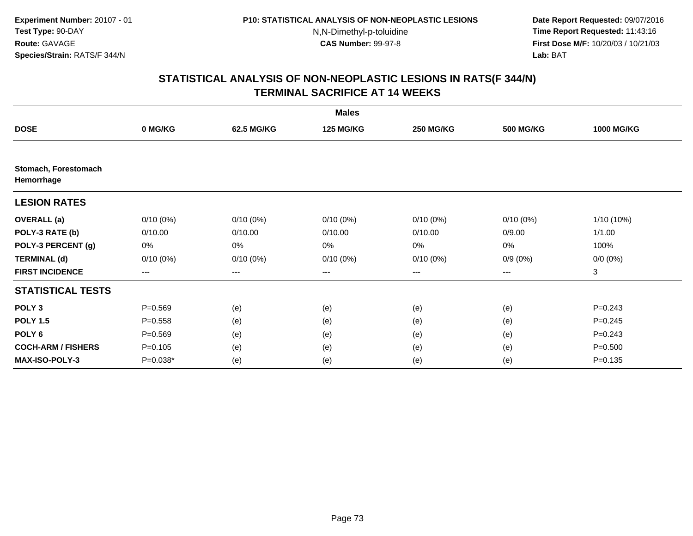**Date Report Requested:** 09/07/2016 **Time Report Requested:** 11:43:16 **First Dose M/F:** 10/20/03 / 10/21/03<br>**Lab:** BAT **Lab:** BAT

|                                    |             |             | <b>Males</b>     |                  |                  |                   |
|------------------------------------|-------------|-------------|------------------|------------------|------------------|-------------------|
| <b>DOSE</b>                        | 0 MG/KG     | 62.5 MG/KG  | <b>125 MG/KG</b> | <b>250 MG/KG</b> | <b>500 MG/KG</b> | <b>1000 MG/KG</b> |
|                                    |             |             |                  |                  |                  |                   |
| Stomach, Forestomach<br>Hemorrhage |             |             |                  |                  |                  |                   |
| <b>LESION RATES</b>                |             |             |                  |                  |                  |                   |
| <b>OVERALL</b> (a)                 | $0/10(0\%)$ | $0/10(0\%)$ | $0/10(0\%)$      | $0/10(0\%)$      | $0/10(0\%)$      | $1/10(10\%)$      |
| POLY-3 RATE (b)                    | 0/10.00     | 0/10.00     | 0/10.00          | 0/10.00          | 0/9.00           | 1/1.00            |
| POLY-3 PERCENT (g)                 | 0%          | 0%          | 0%               | 0%               | 0%               | 100%              |
| <b>TERMINAL (d)</b>                | $0/10(0\%)$ | $0/10(0\%)$ | $0/10(0\%)$      | $0/10(0\%)$      | $0/9(0\%)$       | $0/0 (0\%)$       |
| <b>FIRST INCIDENCE</b>             | $--$        | ---         | ---              | $--$             | ---              | 3                 |
| <b>STATISTICAL TESTS</b>           |             |             |                  |                  |                  |                   |
| POLY <sub>3</sub>                  | $P = 0.569$ | (e)         | (e)              | (e)              | (e)              | $P=0.243$         |
| <b>POLY 1.5</b>                    | $P = 0.558$ | (e)         | (e)              | (e)              | (e)              | $P=0.245$         |
| POLY <sub>6</sub>                  | $P = 0.569$ | (e)         | (e)              | (e)              | (e)              | $P=0.243$         |
| <b>COCH-ARM / FISHERS</b>          | $P = 0.105$ | (e)         | (e)              | (e)              | (e)              | $P = 0.500$       |
| <b>MAX-ISO-POLY-3</b>              | $P=0.038*$  | (e)         | (e)              | (e)              | (e)              | $P = 0.135$       |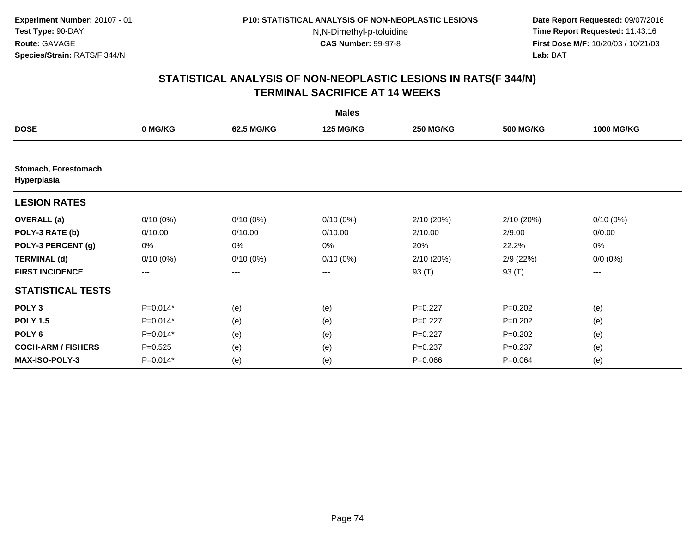**Date Report Requested:** 09/07/2016 **Time Report Requested:** 11:43:16 **First Dose M/F:** 10/20/03 / 10/21/03<br>**Lab:** BAT **Lab:** BAT

|                                     |             |             | <b>Males</b>     |                  |                  |                   |
|-------------------------------------|-------------|-------------|------------------|------------------|------------------|-------------------|
| <b>DOSE</b>                         | 0 MG/KG     | 62.5 MG/KG  | <b>125 MG/KG</b> | <b>250 MG/KG</b> | <b>500 MG/KG</b> | <b>1000 MG/KG</b> |
|                                     |             |             |                  |                  |                  |                   |
| Stomach, Forestomach<br>Hyperplasia |             |             |                  |                  |                  |                   |
| <b>LESION RATES</b>                 |             |             |                  |                  |                  |                   |
| <b>OVERALL</b> (a)                  | $0/10(0\%)$ | $0/10(0\%)$ | $0/10(0\%)$      | 2/10 (20%)       | 2/10(20%)        | $0/10(0\%)$       |
| POLY-3 RATE (b)                     | 0/10.00     | 0/10.00     | 0/10.00          | 2/10.00          | 2/9.00           | 0/0.00            |
| POLY-3 PERCENT (g)                  | 0%          | 0%          | 0%               | 20%              | 22.2%            | 0%                |
| <b>TERMINAL (d)</b>                 | $0/10(0\%)$ | $0/10(0\%)$ | $0/10(0\%)$      | 2/10(20%)        | 2/9(22%)         | $0/0 (0\%)$       |
| <b>FIRST INCIDENCE</b>              | ---         | ---         | ---              | 93 (T)           | 93 (T)           | ---               |
| <b>STATISTICAL TESTS</b>            |             |             |                  |                  |                  |                   |
| POLY <sub>3</sub>                   | $P=0.014*$  | (e)         | (e)              | $P=0.227$        | $P=0.202$        | (e)               |
| <b>POLY 1.5</b>                     | $P=0.014*$  | (e)         | (e)              | $P=0.227$        | $P=0.202$        | (e)               |
| POLY <sub>6</sub>                   | $P=0.014*$  | (e)         | (e)              | $P=0.227$        | $P=0.202$        | (e)               |
| <b>COCH-ARM / FISHERS</b>           | $P = 0.525$ | (e)         | (e)              | $P = 0.237$      | $P = 0.237$      | (e)               |
| <b>MAX-ISO-POLY-3</b>               | $P=0.014*$  | (e)         | (e)              | $P = 0.066$      | $P = 0.064$      | (e)               |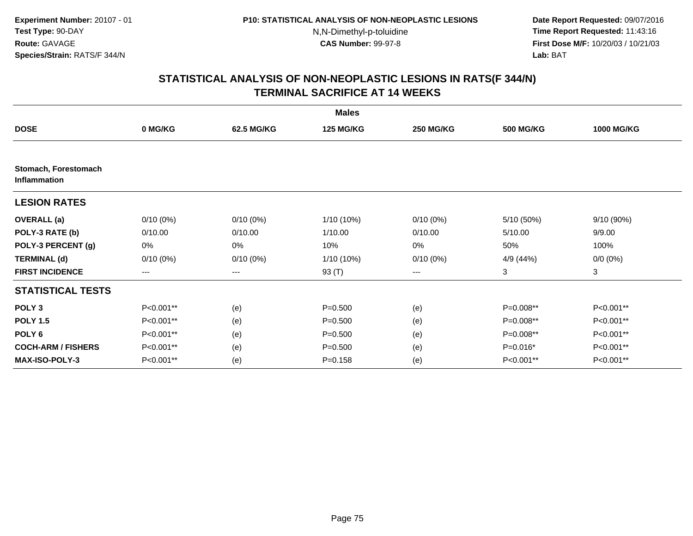**Date Report Requested:** 09/07/2016 **Time Report Requested:** 11:43:16 **First Dose M/F:** 10/20/03 / 10/21/03<br>**Lab:** BAT **Lab:** BAT

|                                      |                        |             | <b>Males</b>     |                  |                  |                   |
|--------------------------------------|------------------------|-------------|------------------|------------------|------------------|-------------------|
| <b>DOSE</b>                          | 0 MG/KG                | 62.5 MG/KG  | <b>125 MG/KG</b> | <b>250 MG/KG</b> | <b>500 MG/KG</b> | <b>1000 MG/KG</b> |
|                                      |                        |             |                  |                  |                  |                   |
| Stomach, Forestomach<br>Inflammation |                        |             |                  |                  |                  |                   |
| <b>LESION RATES</b>                  |                        |             |                  |                  |                  |                   |
| <b>OVERALL</b> (a)                   | $0/10(0\%)$            | $0/10(0\%)$ | 1/10 (10%)       | $0/10(0\%)$      | 5/10(50%)        | $9/10(90\%)$      |
| POLY-3 RATE (b)                      | 0/10.00                | 0/10.00     | 1/10.00          | 0/10.00          | 5/10.00          | 9/9.00            |
| POLY-3 PERCENT (g)                   | 0%                     | 0%          | 10%              | 0%               | 50%              | 100%              |
| <b>TERMINAL (d)</b>                  | $0/10(0\%)$            | $0/10(0\%)$ | 1/10 (10%)       | $0/10(0\%)$      | 4/9 (44%)        | $0/0 (0\%)$       |
| <b>FIRST INCIDENCE</b>               | $\qquad \qquad \cdots$ | ---         | 93 (T)           | ---              | 3                | 3                 |
| <b>STATISTICAL TESTS</b>             |                        |             |                  |                  |                  |                   |
| POLY <sub>3</sub>                    | P<0.001**              | (e)         | $P = 0.500$      | (e)              | P=0.008**        | P<0.001**         |
| <b>POLY 1.5</b>                      | P<0.001**              | (e)         | $P = 0.500$      | (e)              | P=0.008**        | P<0.001**         |
| POLY <sub>6</sub>                    | P<0.001**              | (e)         | $P = 0.500$      | (e)              | P=0.008**        | P<0.001**         |
| <b>COCH-ARM / FISHERS</b>            | P<0.001**              | (e)         | $P = 0.500$      | (e)              | $P=0.016*$       | P<0.001**         |
| <b>MAX-ISO-POLY-3</b>                | P<0.001**              | (e)         | $P = 0.158$      | (e)              | P<0.001**        | P<0.001**         |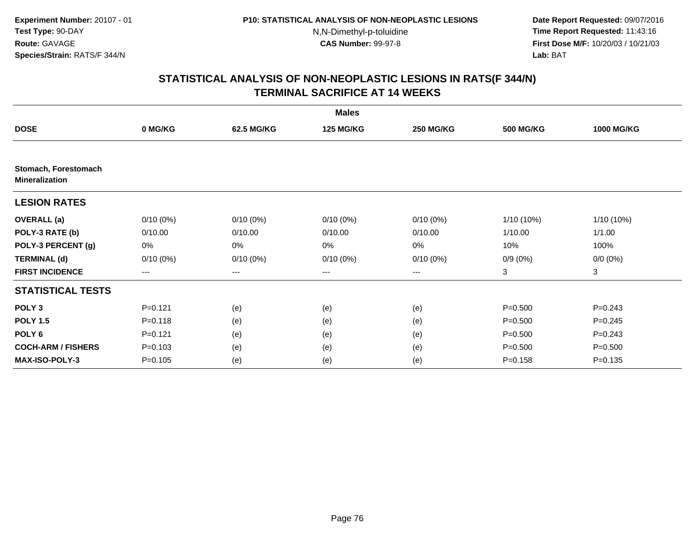**Date Report Requested:** 09/07/2016 **Time Report Requested:** 11:43:16 **First Dose M/F:** 10/20/03 / 10/21/03<br>**Lab:** BAT **Lab:** BAT

|                                               |             |             | <b>Males</b>     |                  |                  |                   |
|-----------------------------------------------|-------------|-------------|------------------|------------------|------------------|-------------------|
| <b>DOSE</b>                                   | 0 MG/KG     | 62.5 MG/KG  | <b>125 MG/KG</b> | <b>250 MG/KG</b> | <b>500 MG/KG</b> | <b>1000 MG/KG</b> |
|                                               |             |             |                  |                  |                  |                   |
| Stomach, Forestomach<br><b>Mineralization</b> |             |             |                  |                  |                  |                   |
| <b>LESION RATES</b>                           |             |             |                  |                  |                  |                   |
| <b>OVERALL</b> (a)                            | $0/10(0\%)$ | $0/10(0\%)$ | $0/10(0\%)$      | $0/10(0\%)$      | 1/10 (10%)       | 1/10 (10%)        |
| POLY-3 RATE (b)                               | 0/10.00     | 0/10.00     | 0/10.00          | 0/10.00          | 1/10.00          | 1/1.00            |
| POLY-3 PERCENT (g)                            | 0%          | 0%          | 0%               | 0%               | 10%              | 100%              |
| <b>TERMINAL (d)</b>                           | $0/10(0\%)$ | $0/10(0\%)$ | $0/10(0\%)$      | $0/10(0\%)$      | $0/9(0\%)$       | $0/0 (0\%)$       |
| <b>FIRST INCIDENCE</b>                        | $---$       | ---         | ---              | $--$             | 3                | 3                 |
| <b>STATISTICAL TESTS</b>                      |             |             |                  |                  |                  |                   |
| POLY <sub>3</sub>                             | $P = 0.121$ | (e)         | (e)              | (e)              | $P = 0.500$      | $P = 0.243$       |
| <b>POLY 1.5</b>                               | $P = 0.118$ | (e)         | (e)              | (e)              | $P = 0.500$      | $P=0.245$         |
| POLY <sub>6</sub>                             | $P = 0.121$ | (e)         | (e)              | (e)              | $P = 0.500$      | $P=0.243$         |
| <b>COCH-ARM / FISHERS</b>                     | $P = 0.103$ | (e)         | (e)              | (e)              | $P = 0.500$      | $P = 0.500$       |
| <b>MAX-ISO-POLY-3</b>                         | $P = 0.105$ | (e)         | (e)              | (e)              | $P = 0.158$      | $P = 0.135$       |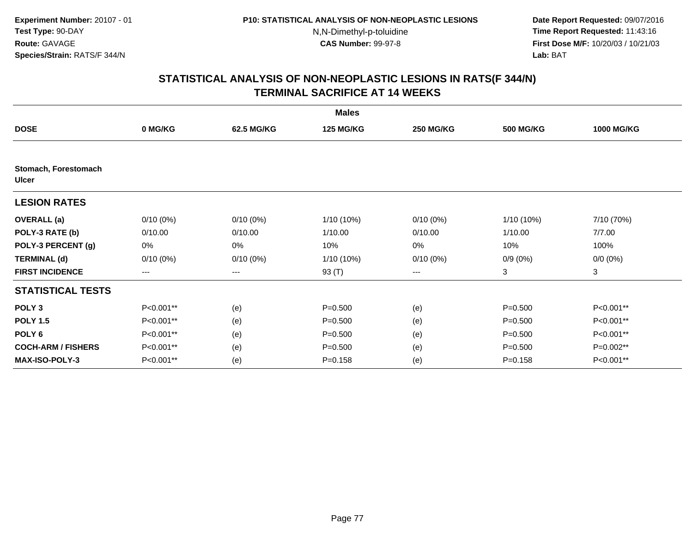**Date Report Requested:** 09/07/2016 **Time Report Requested:** 11:43:16 **First Dose M/F:** 10/20/03 / 10/21/03<br>**Lab:** BAT **Lab:** BAT

|                               |             |             | <b>Males</b>     |                  |                  |                   |
|-------------------------------|-------------|-------------|------------------|------------------|------------------|-------------------|
| <b>DOSE</b>                   | 0 MG/KG     | 62.5 MG/KG  | <b>125 MG/KG</b> | <b>250 MG/KG</b> | <b>500 MG/KG</b> | <b>1000 MG/KG</b> |
|                               |             |             |                  |                  |                  |                   |
| Stomach, Forestomach<br>Ulcer |             |             |                  |                  |                  |                   |
| <b>LESION RATES</b>           |             |             |                  |                  |                  |                   |
| <b>OVERALL (a)</b>            | $0/10(0\%)$ | $0/10(0\%)$ | $1/10(10\%)$     | $0/10(0\%)$      | $1/10(10\%)$     | 7/10 (70%)        |
| POLY-3 RATE (b)               | 0/10.00     | 0/10.00     | 1/10.00          | 0/10.00          | 1/10.00          | 7/7.00            |
| POLY-3 PERCENT (g)            | 0%          | 0%          | 10%              | 0%               | 10%              | 100%              |
| <b>TERMINAL (d)</b>           | $0/10(0\%)$ | $0/10(0\%)$ | $1/10(10\%)$     | $0/10(0\%)$      | $0/9(0\%)$       | $0/0 (0\%)$       |
| <b>FIRST INCIDENCE</b>        | $---$       | ---         | 93 (T)           | ---              | 3                | 3                 |
| <b>STATISTICAL TESTS</b>      |             |             |                  |                  |                  |                   |
| POLY <sub>3</sub>             | P<0.001**   | (e)         | $P = 0.500$      | (e)              | $P = 0.500$      | P<0.001**         |
| <b>POLY 1.5</b>               | P<0.001**   | (e)         | $P = 0.500$      | (e)              | $P = 0.500$      | P<0.001**         |
| POLY <sub>6</sub>             | P<0.001**   | (e)         | $P = 0.500$      | (e)              | $P = 0.500$      | P<0.001**         |
| <b>COCH-ARM / FISHERS</b>     | P<0.001**   | (e)         | $P = 0.500$      | (e)              | $P = 0.500$      | P=0.002**         |
| <b>MAX-ISO-POLY-3</b>         | P<0.001**   | (e)         | $P = 0.158$      | (e)              | $P = 0.158$      | P<0.001**         |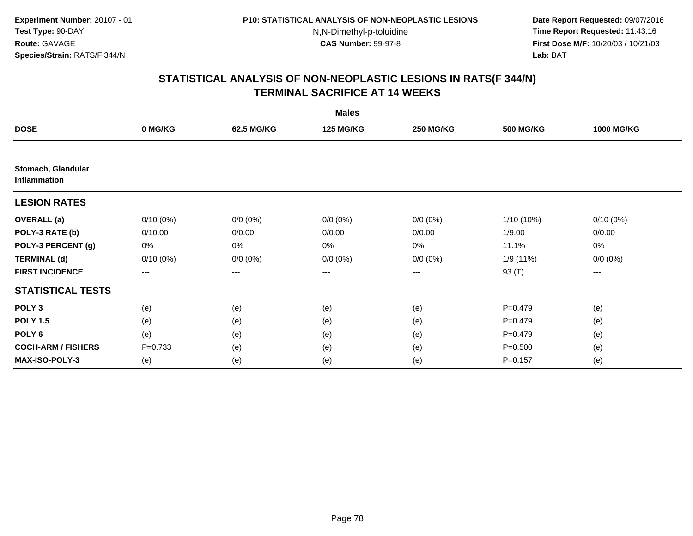**Date Report Requested:** 09/07/2016 **Time Report Requested:** 11:43:16 **First Dose M/F:** 10/20/03 / 10/21/03<br>**Lab:** BAT **Lab:** BAT

|                                    | <b>Males</b> |             |                  |                  |                  |                   |  |  |  |
|------------------------------------|--------------|-------------|------------------|------------------|------------------|-------------------|--|--|--|
| <b>DOSE</b>                        | 0 MG/KG      | 62.5 MG/KG  | <b>125 MG/KG</b> | <b>250 MG/KG</b> | <b>500 MG/KG</b> | <b>1000 MG/KG</b> |  |  |  |
|                                    |              |             |                  |                  |                  |                   |  |  |  |
| Stomach, Glandular<br>Inflammation |              |             |                  |                  |                  |                   |  |  |  |
| <b>LESION RATES</b>                |              |             |                  |                  |                  |                   |  |  |  |
| <b>OVERALL</b> (a)                 | $0/10(0\%)$  | $0/0 (0\%)$ | $0/0 (0\%)$      | $0/0 (0\%)$      | 1/10 (10%)       | $0/10(0\%)$       |  |  |  |
| POLY-3 RATE (b)                    | 0/10.00      | 0/0.00      | 0/0.00           | 0/0.00           | 1/9.00           | 0/0.00            |  |  |  |
| POLY-3 PERCENT (g)                 | 0%           | 0%          | 0%               | 0%               | 11.1%            | 0%                |  |  |  |
| <b>TERMINAL (d)</b>                | $0/10(0\%)$  | $0/0 (0\%)$ | $0/0 (0\%)$      | $0/0 (0\%)$      | 1/9 (11%)        | $0/0 (0\%)$       |  |  |  |
| <b>FIRST INCIDENCE</b>             | $---$        | ---         | ---              | $--$             | 93 (T)           | ---               |  |  |  |
| <b>STATISTICAL TESTS</b>           |              |             |                  |                  |                  |                   |  |  |  |
| POLY <sub>3</sub>                  | (e)          | (e)         | (e)              | (e)              | $P=0.479$        | (e)               |  |  |  |
| <b>POLY 1.5</b>                    | (e)          | (e)         | (e)              | (e)              | $P=0.479$        | (e)               |  |  |  |
| POLY <sub>6</sub>                  | (e)          | (e)         | (e)              | (e)              | $P=0.479$        | (e)               |  |  |  |
| <b>COCH-ARM / FISHERS</b>          | $P=0.733$    | (e)         | (e)              | (e)              | $P = 0.500$      | (e)               |  |  |  |
| <b>MAX-ISO-POLY-3</b>              | (e)          | (e)         | (e)              | (e)              | $P = 0.157$      | (e)               |  |  |  |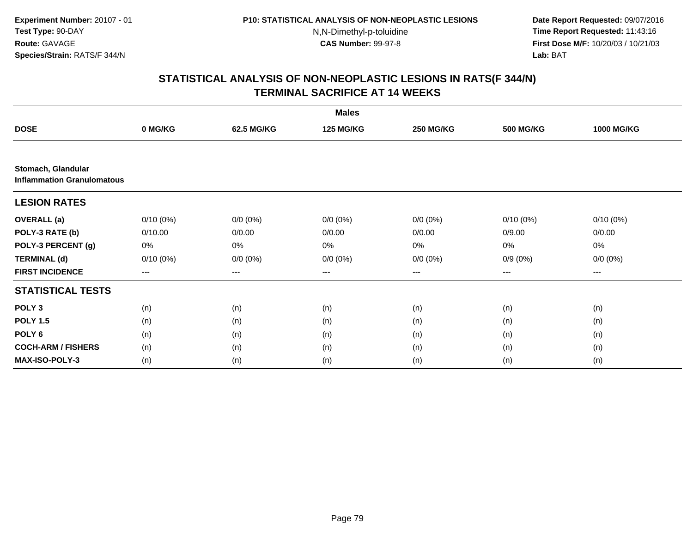**Date Report Requested:** 09/07/2016 **Time Report Requested:** 11:43:16 **First Dose M/F:** 10/20/03 / 10/21/03<br>**Lab:** BAT **Lab:** BAT

| <b>Males</b>                                            |             |             |                  |                  |                  |                   |  |
|---------------------------------------------------------|-------------|-------------|------------------|------------------|------------------|-------------------|--|
| <b>DOSE</b>                                             | 0 MG/KG     | 62.5 MG/KG  | <b>125 MG/KG</b> | <b>250 MG/KG</b> | <b>500 MG/KG</b> | <b>1000 MG/KG</b> |  |
|                                                         |             |             |                  |                  |                  |                   |  |
| Stomach, Glandular<br><b>Inflammation Granulomatous</b> |             |             |                  |                  |                  |                   |  |
| <b>LESION RATES</b>                                     |             |             |                  |                  |                  |                   |  |
| <b>OVERALL</b> (a)                                      | $0/10(0\%)$ | $0/0 (0\%)$ | $0/0 (0\%)$      | $0/0 (0\%)$      | $0/10(0\%)$      | $0/10(0\%)$       |  |
| POLY-3 RATE (b)                                         | 0/10.00     | 0/0.00      | 0/0.00           | 0/0.00           | 0/9.00           | 0/0.00            |  |
| POLY-3 PERCENT (g)                                      | 0%          | 0%          | 0%               | 0%               | 0%               | 0%                |  |
| <b>TERMINAL (d)</b>                                     | $0/10(0\%)$ | $0/0 (0\%)$ | $0/0 (0\%)$      | $0/0 (0\%)$      | $0/9(0\%)$       | $0/0 (0\%)$       |  |
| <b>FIRST INCIDENCE</b>                                  | ---         | ---         | $--$             | ---              | ---              | $--$              |  |
| <b>STATISTICAL TESTS</b>                                |             |             |                  |                  |                  |                   |  |
| POLY <sub>3</sub>                                       | (n)         | (n)         | (n)              | (n)              | (n)              | (n)               |  |
| <b>POLY 1.5</b>                                         | (n)         | (n)         | (n)              | (n)              | (n)              | (n)               |  |
| POLY <sub>6</sub>                                       | (n)         | (n)         | (n)              | (n)              | (n)              | (n)               |  |
| <b>COCH-ARM / FISHERS</b>                               | (n)         | (n)         | (n)              | (n)              | (n)              | (n)               |  |
| MAX-ISO-POLY-3                                          | (n)         | (n)         | (n)              | (n)              | (n)              | (n)               |  |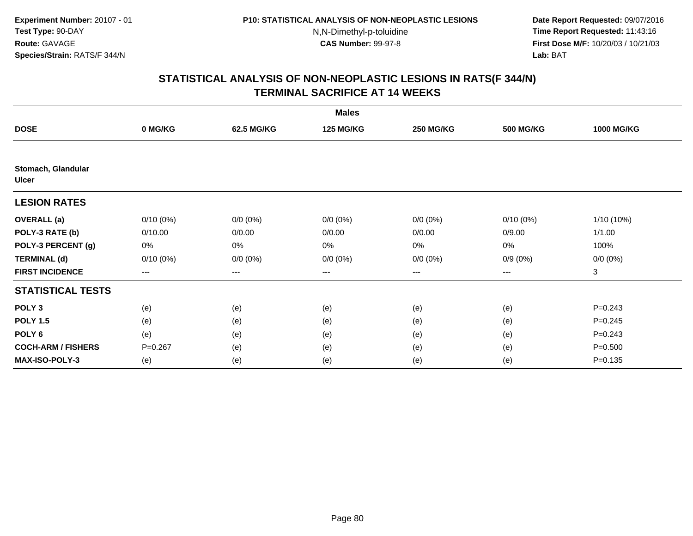**Date Report Requested:** 09/07/2016 **Time Report Requested:** 11:43:16 **First Dose M/F:** 10/20/03 / 10/21/03<br>**Lab:** BAT **Lab:** BAT

| <b>Males</b>                       |                   |             |                  |                        |                  |                   |  |  |
|------------------------------------|-------------------|-------------|------------------|------------------------|------------------|-------------------|--|--|
| <b>DOSE</b>                        | 0 MG/KG           | 62.5 MG/KG  | <b>125 MG/KG</b> | <b>250 MG/KG</b>       | <b>500 MG/KG</b> | <b>1000 MG/KG</b> |  |  |
|                                    |                   |             |                  |                        |                  |                   |  |  |
| Stomach, Glandular<br><b>Ulcer</b> |                   |             |                  |                        |                  |                   |  |  |
| <b>LESION RATES</b>                |                   |             |                  |                        |                  |                   |  |  |
| <b>OVERALL</b> (a)                 | $0/10(0\%)$       | $0/0 (0\%)$ | $0/0 (0\%)$      | $0/0 (0\%)$            | $0/10(0\%)$      | $1/10(10\%)$      |  |  |
| POLY-3 RATE (b)                    | 0/10.00           | 0/0.00      | 0/0.00           | 0/0.00                 | 0/9.00           | 1/1.00            |  |  |
| POLY-3 PERCENT (g)                 | 0%                | 0%          | 0%               | 0%                     | $0\%$            | 100%              |  |  |
| <b>TERMINAL (d)</b>                | $0/10(0\%)$       | $0/0 (0\%)$ | $0/0 (0\%)$      | $0/0 (0\%)$            | $0/9(0\%)$       | $0/0 (0\%)$       |  |  |
| <b>FIRST INCIDENCE</b>             | $\qquad \qquad -$ | ---         | ---              | $\qquad \qquad \cdots$ | $---$            | 3                 |  |  |
| <b>STATISTICAL TESTS</b>           |                   |             |                  |                        |                  |                   |  |  |
| POLY <sub>3</sub>                  | (e)               | (e)         | (e)              | (e)                    | (e)              | $P = 0.243$       |  |  |
| <b>POLY 1.5</b>                    | (e)               | (e)         | (e)              | (e)                    | (e)              | $P = 0.245$       |  |  |
| POLY <sub>6</sub>                  | (e)               | (e)         | (e)              | (e)                    | (e)              | $P = 0.243$       |  |  |
| <b>COCH-ARM / FISHERS</b>          | $P = 0.267$       | (e)         | (e)              | (e)                    | (e)              | $P = 0.500$       |  |  |
| <b>MAX-ISO-POLY-3</b>              | (e)               | (e)         | (e)              | (e)                    | (e)              | $P = 0.135$       |  |  |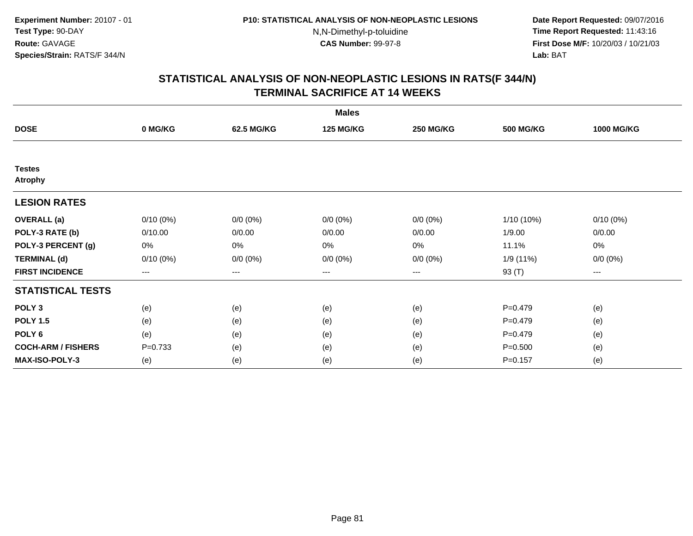**Date Report Requested:** 09/07/2016 **Time Report Requested:** 11:43:16 **First Dose M/F:** 10/20/03 / 10/21/03<br>**Lab:** BAT **Lab:** BAT

| <b>Males</b>                    |             |             |                  |                  |                  |                   |  |  |
|---------------------------------|-------------|-------------|------------------|------------------|------------------|-------------------|--|--|
| <b>DOSE</b>                     | 0 MG/KG     | 62.5 MG/KG  | <b>125 MG/KG</b> | <b>250 MG/KG</b> | <b>500 MG/KG</b> | <b>1000 MG/KG</b> |  |  |
|                                 |             |             |                  |                  |                  |                   |  |  |
| <b>Testes</b><br><b>Atrophy</b> |             |             |                  |                  |                  |                   |  |  |
| <b>LESION RATES</b>             |             |             |                  |                  |                  |                   |  |  |
| <b>OVERALL</b> (a)              | $0/10(0\%)$ | $0/0 (0\%)$ | $0/0 (0\%)$      | $0/0 (0\%)$      | 1/10 (10%)       | $0/10(0\%)$       |  |  |
| POLY-3 RATE (b)                 | 0/10.00     | 0/0.00      | 0/0.00           | 0/0.00           | 1/9.00           | 0/0.00            |  |  |
| POLY-3 PERCENT (g)              | 0%          | 0%          | 0%               | 0%               | 11.1%            | 0%                |  |  |
| <b>TERMINAL (d)</b>             | $0/10(0\%)$ | $0/0 (0\%)$ | $0/0 (0\%)$      | $0/0 (0\%)$      | 1/9 (11%)        | $0/0 (0\%)$       |  |  |
| <b>FIRST INCIDENCE</b>          | ---         | $---$       | ---              | ---              | 93 (T)           | $---$             |  |  |
| <b>STATISTICAL TESTS</b>        |             |             |                  |                  |                  |                   |  |  |
| POLY <sub>3</sub>               | (e)         | (e)         | (e)              | (e)              | $P = 0.479$      | (e)               |  |  |
| <b>POLY 1.5</b>                 | (e)         | (e)         | (e)              | (e)              | $P=0.479$        | (e)               |  |  |
| POLY <sub>6</sub>               | (e)         | (e)         | (e)              | (e)              | $P = 0.479$      | (e)               |  |  |
| <b>COCH-ARM / FISHERS</b>       | $P = 0.733$ | (e)         | (e)              | (e)              | $P = 0.500$      | (e)               |  |  |
| <b>MAX-ISO-POLY-3</b>           | (e)         | (e)         | (e)              | (e)              | $P = 0.157$      | (e)               |  |  |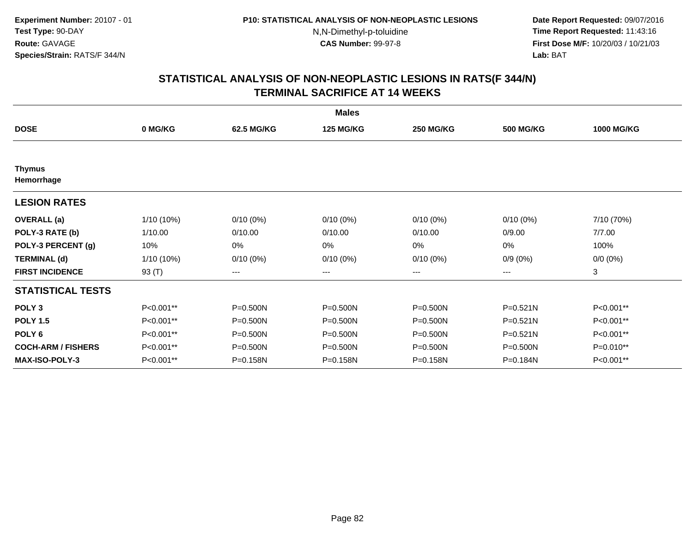**Date Report Requested:** 09/07/2016 **Time Report Requested:** 11:43:16 **First Dose M/F:** 10/20/03 / 10/21/03<br>**Lab:** BAT **Lab:** BAT

|                             |            |              | <b>Males</b>     |                  |                  |                   |
|-----------------------------|------------|--------------|------------------|------------------|------------------|-------------------|
| <b>DOSE</b>                 | 0 MG/KG    | 62.5 MG/KG   | <b>125 MG/KG</b> | <b>250 MG/KG</b> | <b>500 MG/KG</b> | <b>1000 MG/KG</b> |
|                             |            |              |                  |                  |                  |                   |
| <b>Thymus</b><br>Hemorrhage |            |              |                  |                  |                  |                   |
| <b>LESION RATES</b>         |            |              |                  |                  |                  |                   |
| <b>OVERALL</b> (a)          | 1/10 (10%) | $0/10(0\%)$  | $0/10(0\%)$      | $0/10(0\%)$      | $0/10(0\%)$      | 7/10 (70%)        |
| POLY-3 RATE (b)             | 1/10.00    | 0/10.00      | 0/10.00          | 0/10.00          | 0/9.00           | 7/7.00            |
| POLY-3 PERCENT (g)          | 10%        | 0%           | 0%               | 0%               | 0%               | 100%              |
| <b>TERMINAL (d)</b>         | 1/10 (10%) | $0/10(0\%)$  | $0/10(0\%)$      | $0/10(0\%)$      | $0/9(0\%)$       | $0/0 (0\%)$       |
| <b>FIRST INCIDENCE</b>      | 93 (T)     | $--$         | ---              | ---              | ---              | 3                 |
| <b>STATISTICAL TESTS</b>    |            |              |                  |                  |                  |                   |
| POLY <sub>3</sub>           | P<0.001**  | P=0.500N     | P=0.500N         | P=0.500N         | P=0.521N         | P<0.001**         |
| <b>POLY 1.5</b>             | P<0.001**  | $P = 0.500N$ | P=0.500N         | P=0.500N         | P=0.521N         | P<0.001**         |
| POLY <sub>6</sub>           | P<0.001**  | $P = 0.500N$ | $P = 0.500N$     | $P = 0.500N$     | $P = 0.521N$     | P<0.001**         |
| <b>COCH-ARM / FISHERS</b>   | P<0.001**  | $P = 0.500N$ | P=0.500N         | P=0.500N         | $P = 0.500N$     | $P=0.010**$       |
| MAX-ISO-POLY-3              | P<0.001**  | P=0.158N     | P=0.158N         | P=0.158N         | P=0.184N         | P<0.001**         |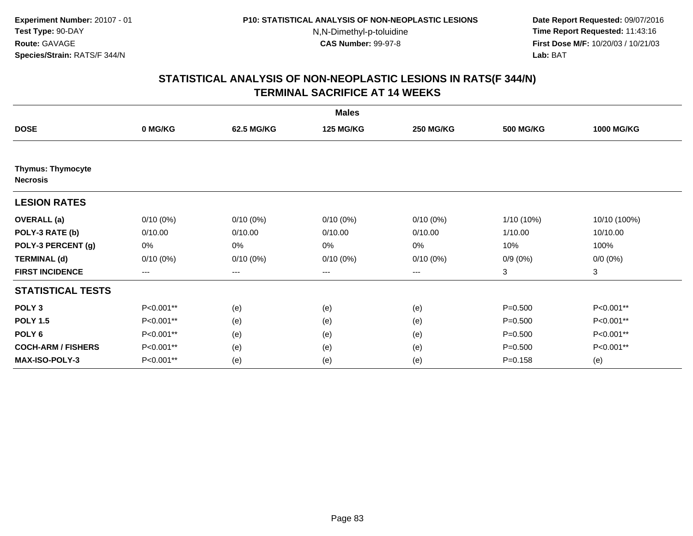**Date Report Requested:** 09/07/2016 **Time Report Requested:** 11:43:16 **First Dose M/F:** 10/20/03 / 10/21/03<br>**Lab:** BAT **Lab:** BAT

|                                             | <b>Males</b>      |                   |                  |                  |                  |                   |  |  |
|---------------------------------------------|-------------------|-------------------|------------------|------------------|------------------|-------------------|--|--|
| <b>DOSE</b>                                 | 0 MG/KG           | 62.5 MG/KG        | <b>125 MG/KG</b> | <b>250 MG/KG</b> | <b>500 MG/KG</b> | <b>1000 MG/KG</b> |  |  |
|                                             |                   |                   |                  |                  |                  |                   |  |  |
| <b>Thymus: Thymocyte</b><br><b>Necrosis</b> |                   |                   |                  |                  |                  |                   |  |  |
| <b>LESION RATES</b>                         |                   |                   |                  |                  |                  |                   |  |  |
| <b>OVERALL</b> (a)                          | $0/10(0\%)$       | $0/10(0\%)$       | $0/10(0\%)$      | $0/10(0\%)$      | 1/10 (10%)       | 10/10 (100%)      |  |  |
| POLY-3 RATE (b)                             | 0/10.00           | 0/10.00           | 0/10.00          | 0/10.00          | 1/10.00          | 10/10.00          |  |  |
| POLY-3 PERCENT (g)                          | 0%                | 0%                | 0%               | 0%               | 10%              | 100%              |  |  |
| <b>TERMINAL (d)</b>                         | $0/10(0\%)$       | $0/10(0\%)$       | $0/10(0\%)$      | $0/10(0\%)$      | $0/9(0\%)$       | $0/0 (0\%)$       |  |  |
| <b>FIRST INCIDENCE</b>                      | $\qquad \qquad -$ | $\qquad \qquad -$ | ---              | $---$            | 3                | 3                 |  |  |
| <b>STATISTICAL TESTS</b>                    |                   |                   |                  |                  |                  |                   |  |  |
| POLY <sub>3</sub>                           | P<0.001**         | (e)               | (e)              | (e)              | $P = 0.500$      | P<0.001**         |  |  |
| <b>POLY 1.5</b>                             | P<0.001**         | (e)               | (e)              | (e)              | $P = 0.500$      | P<0.001**         |  |  |
| POLY <sub>6</sub>                           | P<0.001**         | (e)               | (e)              | (e)              | $P = 0.500$      | P<0.001**         |  |  |
| <b>COCH-ARM / FISHERS</b>                   | P<0.001**         | (e)               | (e)              | (e)              | $P = 0.500$      | P<0.001**         |  |  |
| <b>MAX-ISO-POLY-3</b>                       | P<0.001**         | (e)               | (e)              | (e)              | $P = 0.158$      | (e)               |  |  |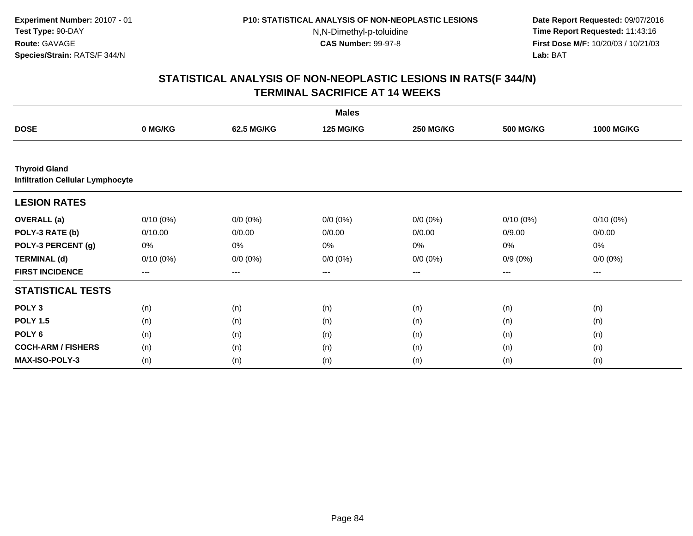**Date Report Requested:** 09/07/2016 **Time Report Requested:** 11:43:16 **First Dose M/F:** 10/20/03 / 10/21/03<br>**Lab:** BAT **Lab:** BAT

|                                                                 | <b>Males</b> |             |                  |                  |                  |                   |  |  |
|-----------------------------------------------------------------|--------------|-------------|------------------|------------------|------------------|-------------------|--|--|
| <b>DOSE</b>                                                     | 0 MG/KG      | 62.5 MG/KG  | <b>125 MG/KG</b> | <b>250 MG/KG</b> | <b>500 MG/KG</b> | <b>1000 MG/KG</b> |  |  |
|                                                                 |              |             |                  |                  |                  |                   |  |  |
| <b>Thyroid Gland</b><br><b>Infiltration Cellular Lymphocyte</b> |              |             |                  |                  |                  |                   |  |  |
| <b>LESION RATES</b>                                             |              |             |                  |                  |                  |                   |  |  |
| <b>OVERALL</b> (a)                                              | $0/10(0\%)$  | $0/0 (0\%)$ | $0/0 (0\%)$      | $0/0 (0\%)$      | $0/10(0\%)$      | $0/10(0\%)$       |  |  |
| POLY-3 RATE (b)                                                 | 0/10.00      | 0/0.00      | 0/0.00           | 0/0.00           | 0/9.00           | 0/0.00            |  |  |
| POLY-3 PERCENT (g)                                              | 0%           | 0%          | 0%               | 0%               | 0%               | 0%                |  |  |
| <b>TERMINAL (d)</b>                                             | $0/10(0\%)$  | $0/0 (0\%)$ | $0/0 (0\%)$      | $0/0 (0\%)$      | $0/9(0\%)$       | $0/0 (0\%)$       |  |  |
| <b>FIRST INCIDENCE</b>                                          | $--$         | ---         | ---              | $--$             | ---              | $--$              |  |  |
| <b>STATISTICAL TESTS</b>                                        |              |             |                  |                  |                  |                   |  |  |
| POLY <sub>3</sub>                                               | (n)          | (n)         | (n)              | (n)              | (n)              | (n)               |  |  |
| <b>POLY 1.5</b>                                                 | (n)          | (n)         | (n)              | (n)              | (n)              | (n)               |  |  |
| POLY <sub>6</sub>                                               | (n)          | (n)         | (n)              | (n)              | (n)              | (n)               |  |  |
| <b>COCH-ARM / FISHERS</b>                                       | (n)          | (n)         | (n)              | (n)              | (n)              | (n)               |  |  |
| MAX-ISO-POLY-3                                                  | (n)          | (n)         | (n)              | (n)              | (n)              | (n)               |  |  |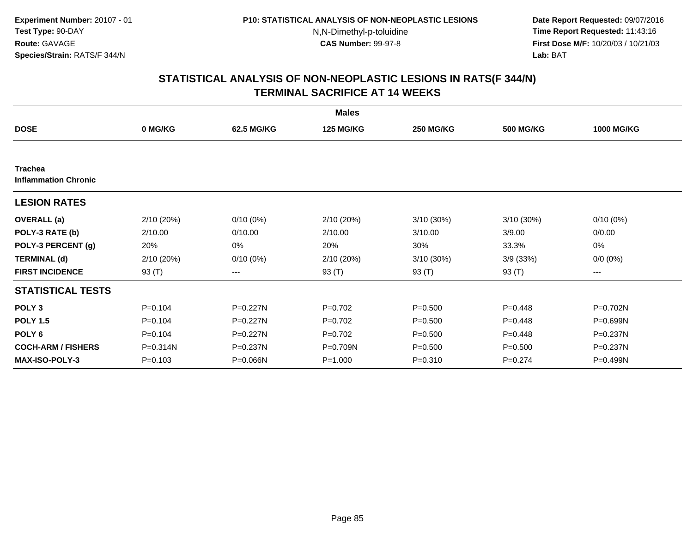**Date Report Requested:** 09/07/2016 **Time Report Requested:** 11:43:16 **First Dose M/F:** 10/20/03 / 10/21/03<br>**Lab:** BAT **Lab:** BAT

|                                               |             |              | <b>Males</b>     |                  |                  |                   |
|-----------------------------------------------|-------------|--------------|------------------|------------------|------------------|-------------------|
| <b>DOSE</b>                                   | 0 MG/KG     | 62.5 MG/KG   | <b>125 MG/KG</b> | <b>250 MG/KG</b> | <b>500 MG/KG</b> | <b>1000 MG/KG</b> |
|                                               |             |              |                  |                  |                  |                   |
| <b>Trachea</b><br><b>Inflammation Chronic</b> |             |              |                  |                  |                  |                   |
| <b>LESION RATES</b>                           |             |              |                  |                  |                  |                   |
| <b>OVERALL</b> (a)                            | 2/10 (20%)  | $0/10(0\%)$  | 2/10(20%)        | 3/10 (30%)       | $3/10(30\%)$     | $0/10(0\%)$       |
| POLY-3 RATE (b)                               | 2/10.00     | 0/10.00      | 2/10.00          | 3/10.00          | 3/9.00           | 0/0.00            |
| POLY-3 PERCENT (g)                            | 20%         | 0%           | 20%              | 30%              | 33.3%            | 0%                |
| <b>TERMINAL (d)</b>                           | 2/10 (20%)  | $0/10(0\%)$  | 2/10(20%)        | $3/10(30\%)$     | 3/9(33%)         | $0/0 (0\%)$       |
| <b>FIRST INCIDENCE</b>                        | 93 $(T)$    | ---          | 93 $(T)$         | 93 $(T)$         | 93 $(T)$         | ---               |
| <b>STATISTICAL TESTS</b>                      |             |              |                  |                  |                  |                   |
| POLY <sub>3</sub>                             | $P = 0.104$ | P=0.227N     | $P=0.702$        | $P = 0.500$      | $P = 0.448$      | P=0.702N          |
| <b>POLY 1.5</b>                               | $P = 0.104$ | P=0.227N     | $P=0.702$        | $P = 0.500$      | $P = 0.448$      | P=0.699N          |
| POLY <sub>6</sub>                             | $P = 0.104$ | $P = 0.227N$ | $P=0.702$        | $P = 0.500$      | $P = 0.448$      | P=0.237N          |
| <b>COCH-ARM / FISHERS</b>                     | P=0.314N    | P=0.237N     | P=0.709N         | $P = 0.500$      | $P = 0.500$      | P=0.237N          |
| <b>MAX-ISO-POLY-3</b>                         | $P = 0.103$ | P=0.066N     | $P = 1.000$      | $P = 0.310$      | $P = 0.274$      | P=0.499N          |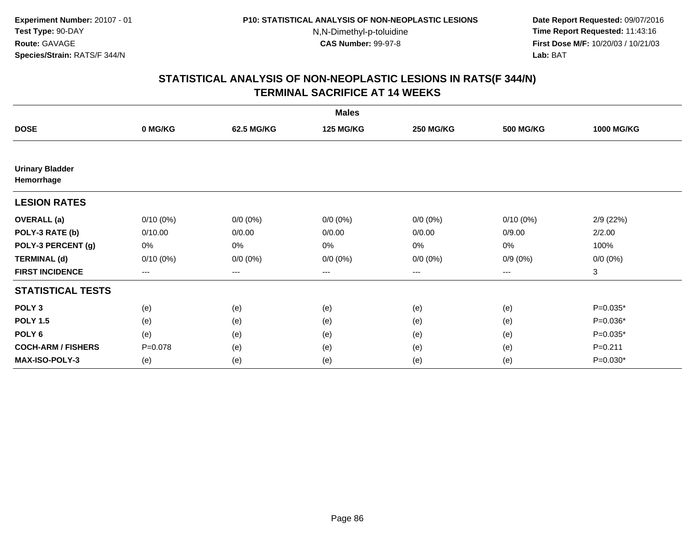**Date Report Requested:** 09/07/2016 **Time Report Requested:** 11:43:16 **First Dose M/F:** 10/20/03 / 10/21/03<br>**Lab:** BAT **Lab:** BAT

|                                      |                        |                        | <b>Males</b>     |                  |                  |                   |
|--------------------------------------|------------------------|------------------------|------------------|------------------|------------------|-------------------|
| <b>DOSE</b>                          | 0 MG/KG                | 62.5 MG/KG             | <b>125 MG/KG</b> | <b>250 MG/KG</b> | <b>500 MG/KG</b> | <b>1000 MG/KG</b> |
|                                      |                        |                        |                  |                  |                  |                   |
| <b>Urinary Bladder</b><br>Hemorrhage |                        |                        |                  |                  |                  |                   |
| <b>LESION RATES</b>                  |                        |                        |                  |                  |                  |                   |
| <b>OVERALL</b> (a)                   | $0/10(0\%)$            | $0/0 (0\%)$            | $0/0 (0\%)$      | $0/0 (0\%)$      | $0/10(0\%)$      | 2/9(22%)          |
| POLY-3 RATE (b)                      | 0/10.00                | 0/0.00                 | 0/0.00           | 0/0.00           | 0/9.00           | 2/2.00            |
| POLY-3 PERCENT (g)                   | 0%                     | 0%                     | 0%               | 0%               | 0%               | 100%              |
| <b>TERMINAL (d)</b>                  | $0/10(0\%)$            | $0/0 (0\%)$            | $0/0 (0\%)$      | $0/0 (0\%)$      | $0/9(0\%)$       | $0/0 (0\%)$       |
| <b>FIRST INCIDENCE</b>               | $\qquad \qquad \cdots$ | $\qquad \qquad \cdots$ | ---              | ---              | ---              | 3                 |
| <b>STATISTICAL TESTS</b>             |                        |                        |                  |                  |                  |                   |
| POLY <sub>3</sub>                    | (e)                    | (e)                    | (e)              | (e)              | (e)              | $P=0.035*$        |
| <b>POLY 1.5</b>                      | (e)                    | (e)                    | (e)              | (e)              | (e)              | $P=0.036*$        |
| POLY <sub>6</sub>                    | (e)                    | (e)                    | (e)              | (e)              | (e)              | $P=0.035*$        |
| <b>COCH-ARM / FISHERS</b>            | $P = 0.078$            | (e)                    | (e)              | (e)              | (e)              | $P = 0.211$       |
| <b>MAX-ISO-POLY-3</b>                | (e)                    | (e)                    | (e)              | (e)              | (e)              | $P=0.030*$        |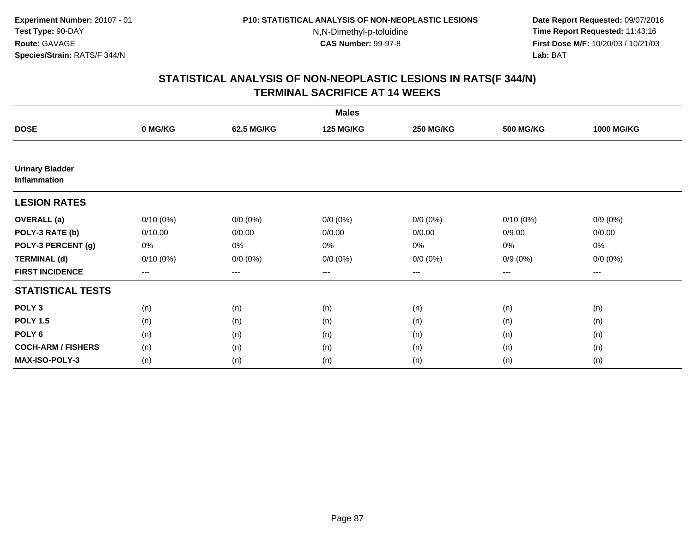**Date Report Requested:** 09/07/2016 **Time Report Requested:** 11:43:16 **First Dose M/F:** 10/20/03 / 10/21/03<br>**Lab:** BAT **Lab:** BAT

| <b>Males</b>                           |             |             |                  |                  |                  |                   |  |
|----------------------------------------|-------------|-------------|------------------|------------------|------------------|-------------------|--|
| <b>DOSE</b>                            | 0 MG/KG     | 62.5 MG/KG  | <b>125 MG/KG</b> | <b>250 MG/KG</b> | <b>500 MG/KG</b> | <b>1000 MG/KG</b> |  |
|                                        |             |             |                  |                  |                  |                   |  |
| <b>Urinary Bladder</b><br>Inflammation |             |             |                  |                  |                  |                   |  |
| <b>LESION RATES</b>                    |             |             |                  |                  |                  |                   |  |
| <b>OVERALL</b> (a)                     | $0/10(0\%)$ | $0/0 (0\%)$ | $0/0 (0\%)$      | $0/0 (0\%)$      | $0/10(0\%)$      | $0/9(0\%)$        |  |
| POLY-3 RATE (b)                        | 0/10.00     | 0/0.00      | 0/0.00           | 0/0.00           | 0/9.00           | 0/0.00            |  |
| POLY-3 PERCENT (g)                     | 0%          | 0%          | 0%               | 0%               | $0\%$            | $0\%$             |  |
| <b>TERMINAL (d)</b>                    | $0/10(0\%)$ | $0/0 (0\%)$ | $0/0 (0\%)$      | $0/0 (0\%)$      | $0/9(0\%)$       | $0/0 (0\%)$       |  |
| <b>FIRST INCIDENCE</b>                 | $\cdots$    | $\cdots$    | ---              | $\cdots$         | $\cdots$         | $---$             |  |
| <b>STATISTICAL TESTS</b>               |             |             |                  |                  |                  |                   |  |
| POLY <sub>3</sub>                      | (n)         | (n)         | (n)              | (n)              | (n)              | (n)               |  |
| <b>POLY 1.5</b>                        | (n)         | (n)         | (n)              | (n)              | (n)              | (n)               |  |
| POLY <sub>6</sub>                      | (n)         | (n)         | (n)              | (n)              | (n)              | (n)               |  |
| <b>COCH-ARM / FISHERS</b>              | (n)         | (n)         | (n)              | (n)              | (n)              | (n)               |  |
| <b>MAX-ISO-POLY-3</b>                  | (n)         | (n)         | (n)              | (n)              | (n)              | (n)               |  |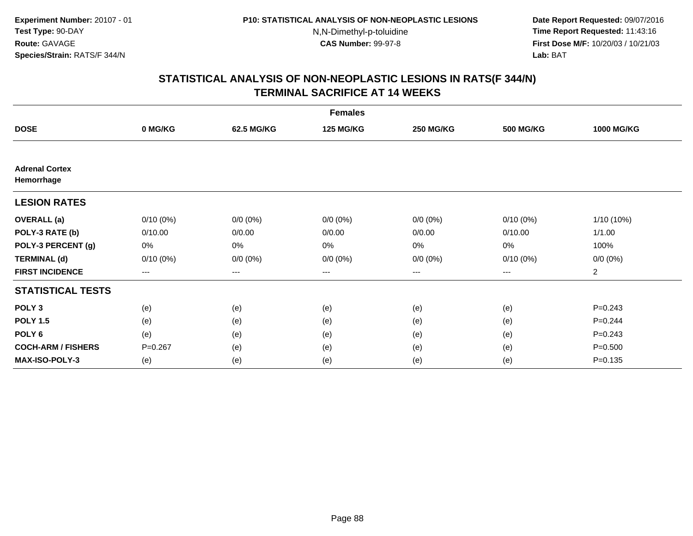**Date Report Requested:** 09/07/2016 **Time Report Requested:** 11:43:16 **First Dose M/F:** 10/20/03 / 10/21/03<br>**Lab:** BAT **Lab:** BAT

| <b>Females</b>                      |             |                   |                  |                  |                  |                   |  |  |
|-------------------------------------|-------------|-------------------|------------------|------------------|------------------|-------------------|--|--|
| <b>DOSE</b>                         | 0 MG/KG     | 62.5 MG/KG        | <b>125 MG/KG</b> | <b>250 MG/KG</b> | <b>500 MG/KG</b> | <b>1000 MG/KG</b> |  |  |
|                                     |             |                   |                  |                  |                  |                   |  |  |
| <b>Adrenal Cortex</b><br>Hemorrhage |             |                   |                  |                  |                  |                   |  |  |
| <b>LESION RATES</b>                 |             |                   |                  |                  |                  |                   |  |  |
| <b>OVERALL</b> (a)                  | $0/10(0\%)$ | $0/0 (0\%)$       | $0/0 (0\%)$      | $0/0 (0\%)$      | $0/10(0\%)$      | 1/10 (10%)        |  |  |
| POLY-3 RATE (b)                     | 0/10.00     | 0/0.00            | 0/0.00           | 0/0.00           | 0/10.00          | 1/1.00            |  |  |
| POLY-3 PERCENT (g)                  | 0%          | 0%                | 0%               | 0%               | 0%               | 100%              |  |  |
| <b>TERMINAL (d)</b>                 | $0/10(0\%)$ | $0/0 (0\%)$       | $0/0 (0\%)$      | $0/0 (0\%)$      | $0/10(0\%)$      | $0/0 (0\%)$       |  |  |
| <b>FIRST INCIDENCE</b>              | ---         | $\qquad \qquad -$ | ---              | $---$            | ---              | $\overline{a}$    |  |  |
| <b>STATISTICAL TESTS</b>            |             |                   |                  |                  |                  |                   |  |  |
| POLY <sub>3</sub>                   | (e)         | (e)               | (e)              | (e)              | (e)              | $P = 0.243$       |  |  |
| <b>POLY 1.5</b>                     | (e)         | (e)               | (e)              | (e)              | (e)              | $P = 0.244$       |  |  |
| POLY <sub>6</sub>                   | (e)         | (e)               | (e)              | (e)              | (e)              | $P = 0.243$       |  |  |
| <b>COCH-ARM / FISHERS</b>           | $P=0.267$   | (e)               | (e)              | (e)              | (e)              | $P = 0.500$       |  |  |
| MAX-ISO-POLY-3                      | (e)         | (e)               | (e)              | (e)              | (e)              | $P = 0.135$       |  |  |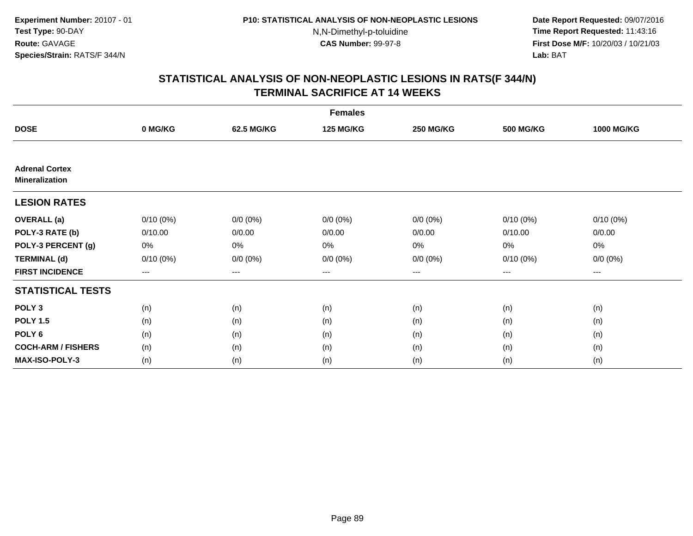**Date Report Requested:** 09/07/2016 **Time Report Requested:** 11:43:16 **First Dose M/F:** 10/20/03 / 10/21/03<br>**Lab:** BAT **Lab:** BAT

| <b>Females</b>                                 |                     |                   |                  |                   |                  |                   |  |  |
|------------------------------------------------|---------------------|-------------------|------------------|-------------------|------------------|-------------------|--|--|
| <b>DOSE</b>                                    | 0 MG/KG             | 62.5 MG/KG        | <b>125 MG/KG</b> | <b>250 MG/KG</b>  | <b>500 MG/KG</b> | <b>1000 MG/KG</b> |  |  |
|                                                |                     |                   |                  |                   |                  |                   |  |  |
| <b>Adrenal Cortex</b><br><b>Mineralization</b> |                     |                   |                  |                   |                  |                   |  |  |
| <b>LESION RATES</b>                            |                     |                   |                  |                   |                  |                   |  |  |
| <b>OVERALL</b> (a)                             | $0/10(0\%)$         | $0/0 (0\%)$       | $0/0 (0\%)$      | $0/0 (0\%)$       | $0/10(0\%)$      | $0/10(0\%)$       |  |  |
| POLY-3 RATE (b)                                | 0/10.00             | 0/0.00            | 0/0.00           | 0/0.00            | 0/10.00          | 0/0.00            |  |  |
| POLY-3 PERCENT (g)                             | 0%                  | 0%                | 0%               | 0%                | $0\%$            | 0%                |  |  |
| <b>TERMINAL (d)</b>                            | $0/10(0\%)$         | $0/0 (0\%)$       | $0/0 (0\%)$      | $0/0 (0\%)$       | 0/10(0%)         | $0/0 (0\%)$       |  |  |
| <b>FIRST INCIDENCE</b>                         | $\qquad \qquad - -$ | $\qquad \qquad -$ | ---              | $\qquad \qquad -$ | $---$            | ---               |  |  |
| <b>STATISTICAL TESTS</b>                       |                     |                   |                  |                   |                  |                   |  |  |
| POLY <sub>3</sub>                              | (n)                 | (n)               | (n)              | (n)               | (n)              | (n)               |  |  |
| <b>POLY 1.5</b>                                | (n)                 | (n)               | (n)              | (n)               | (n)              | (n)               |  |  |
| POLY <sub>6</sub>                              | (n)                 | (n)               | (n)              | (n)               | (n)              | (n)               |  |  |
| <b>COCH-ARM / FISHERS</b>                      | (n)                 | (n)               | (n)              | (n)               | (n)              | (n)               |  |  |
| <b>MAX-ISO-POLY-3</b>                          | (n)                 | (n)               | (n)              | (n)               | (n)              | (n)               |  |  |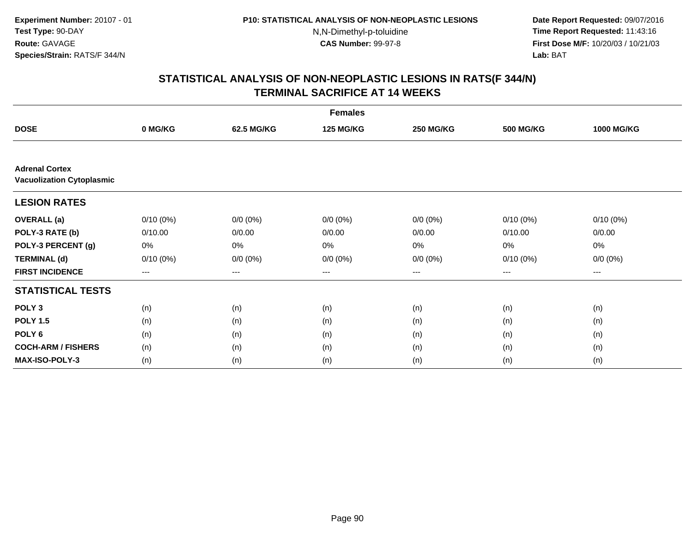**Date Report Requested:** 09/07/2016 **Time Report Requested:** 11:43:16 **First Dose M/F:** 10/20/03 / 10/21/03<br>**Lab:** BAT **Lab:** BAT

| <b>Females</b>                                            |             |             |                  |                  |                   |                   |  |
|-----------------------------------------------------------|-------------|-------------|------------------|------------------|-------------------|-------------------|--|
| <b>DOSE</b>                                               | 0 MG/KG     | 62.5 MG/KG  | <b>125 MG/KG</b> | <b>250 MG/KG</b> | <b>500 MG/KG</b>  | <b>1000 MG/KG</b> |  |
|                                                           |             |             |                  |                  |                   |                   |  |
| <b>Adrenal Cortex</b><br><b>Vacuolization Cytoplasmic</b> |             |             |                  |                  |                   |                   |  |
| <b>LESION RATES</b>                                       |             |             |                  |                  |                   |                   |  |
| <b>OVERALL</b> (a)                                        | $0/10(0\%)$ | $0/0 (0\%)$ | $0/0 (0\%)$      | $0/0 (0\%)$      | $0/10(0\%)$       | $0/10(0\%)$       |  |
| POLY-3 RATE (b)                                           | 0/10.00     | 0/0.00      | 0/0.00           | 0/0.00           | 0/10.00           | 0/0.00            |  |
| POLY-3 PERCENT (g)                                        | 0%          | 0%          | 0%               | 0%               | 0%                | 0%                |  |
| <b>TERMINAL (d)</b>                                       | $0/10(0\%)$ | $0/0 (0\%)$ | $0/0 (0\%)$      | $0/0 (0\%)$      | $0/10(0\%)$       | $0/0 (0\%)$       |  |
| <b>FIRST INCIDENCE</b>                                    | $---$       | $---$       | ---              | $--$             | $\qquad \qquad -$ | ---               |  |
| <b>STATISTICAL TESTS</b>                                  |             |             |                  |                  |                   |                   |  |
| POLY <sub>3</sub>                                         | (n)         | (n)         | (n)              | (n)              | (n)               | (n)               |  |
| <b>POLY 1.5</b>                                           | (n)         | (n)         | (n)              | (n)              | (n)               | (n)               |  |
| POLY <sub>6</sub>                                         | (n)         | (n)         | (n)              | (n)              | (n)               | (n)               |  |
| <b>COCH-ARM / FISHERS</b>                                 | (n)         | (n)         | (n)              | (n)              | (n)               | (n)               |  |
| <b>MAX-ISO-POLY-3</b>                                     | (n)         | (n)         | (n)              | (n)              | (n)               | (n)               |  |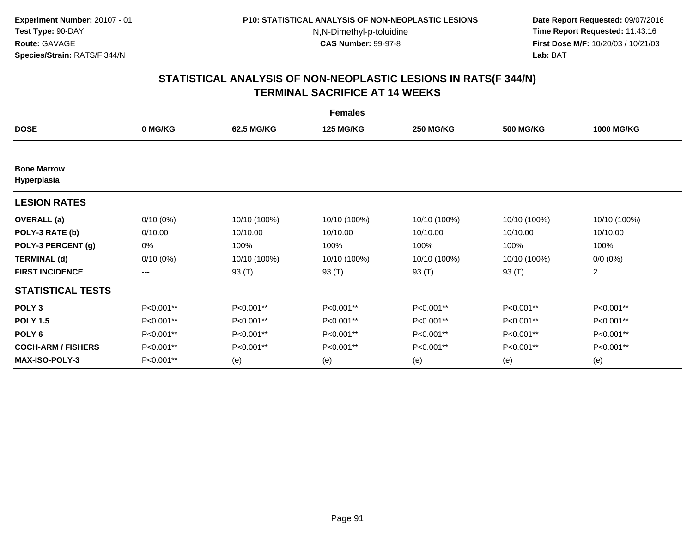**Date Report Requested:** 09/07/2016 **Time Report Requested:** 11:43:16 **First Dose M/F:** 10/20/03 / 10/21/03<br>**Lab:** BAT **Lab:** BAT

|                                   | <b>Females</b> |              |                  |                  |                  |                   |  |  |  |
|-----------------------------------|----------------|--------------|------------------|------------------|------------------|-------------------|--|--|--|
| <b>DOSE</b>                       | 0 MG/KG        | 62.5 MG/KG   | <b>125 MG/KG</b> | <b>250 MG/KG</b> | <b>500 MG/KG</b> | <b>1000 MG/KG</b> |  |  |  |
|                                   |                |              |                  |                  |                  |                   |  |  |  |
| <b>Bone Marrow</b><br>Hyperplasia |                |              |                  |                  |                  |                   |  |  |  |
| <b>LESION RATES</b>               |                |              |                  |                  |                  |                   |  |  |  |
| <b>OVERALL</b> (a)                | $0/10(0\%)$    | 10/10 (100%) | 10/10 (100%)     | 10/10 (100%)     | 10/10 (100%)     | 10/10 (100%)      |  |  |  |
| POLY-3 RATE (b)                   | 0/10.00        | 10/10.00     | 10/10.00         | 10/10.00         | 10/10.00         | 10/10.00          |  |  |  |
| POLY-3 PERCENT (g)                | 0%             | 100%         | 100%             | 100%             | 100%             | 100%              |  |  |  |
| <b>TERMINAL (d)</b>               | $0/10(0\%)$    | 10/10 (100%) | 10/10 (100%)     | 10/10 (100%)     | 10/10 (100%)     | $0/0 (0\%)$       |  |  |  |
| <b>FIRST INCIDENCE</b>            | ---            | 93 (T)       | 93 (T)           | 93 (T)           | 93 (T)           | $\overline{c}$    |  |  |  |
| <b>STATISTICAL TESTS</b>          |                |              |                  |                  |                  |                   |  |  |  |
| POLY <sub>3</sub>                 | P<0.001**      | P<0.001**    | P<0.001**        | P<0.001**        | P<0.001**        | P<0.001**         |  |  |  |
| <b>POLY 1.5</b>                   | P<0.001**      | P<0.001**    | P<0.001**        | P<0.001**        | P<0.001**        | P<0.001**         |  |  |  |
| POLY <sub>6</sub>                 | P<0.001**      | P<0.001**    | P<0.001**        | P<0.001**        | P<0.001**        | P<0.001**         |  |  |  |
| <b>COCH-ARM / FISHERS</b>         | P<0.001**      | P<0.001**    | P<0.001**        | P<0.001**        | P<0.001**        | P<0.001**         |  |  |  |
| <b>MAX-ISO-POLY-3</b>             | P<0.001**      | (e)          | (e)              | (e)              | (e)              | (e)               |  |  |  |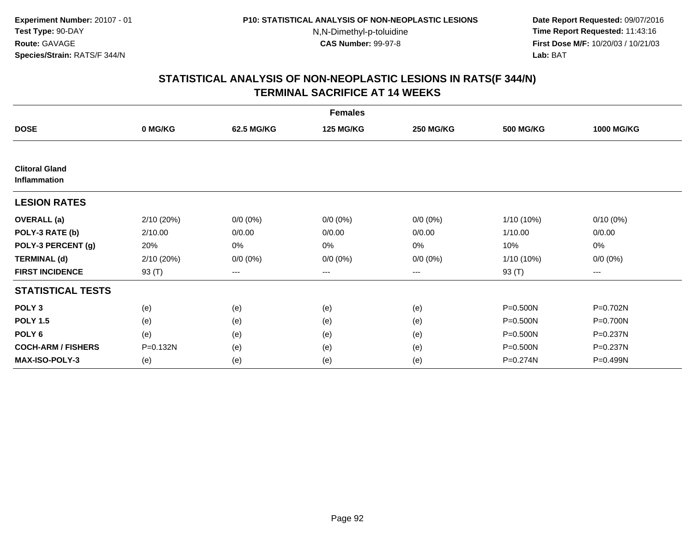**Date Report Requested:** 09/07/2016 **Time Report Requested:** 11:43:16 **First Dose M/F:** 10/20/03 / 10/21/03<br>**Lab:** BAT **Lab:** BAT

|                                              |            |             | <b>Females</b>   |                  |                  |                   |
|----------------------------------------------|------------|-------------|------------------|------------------|------------------|-------------------|
| <b>DOSE</b>                                  | 0 MG/KG    | 62.5 MG/KG  | <b>125 MG/KG</b> | <b>250 MG/KG</b> | <b>500 MG/KG</b> | <b>1000 MG/KG</b> |
|                                              |            |             |                  |                  |                  |                   |
| <b>Clitoral Gland</b><br><b>Inflammation</b> |            |             |                  |                  |                  |                   |
| <b>LESION RATES</b>                          |            |             |                  |                  |                  |                   |
| <b>OVERALL</b> (a)                           | 2/10 (20%) | $0/0 (0\%)$ | $0/0 (0\%)$      | $0/0 (0\%)$      | 1/10 (10%)       | $0/10(0\%)$       |
| POLY-3 RATE (b)                              | 2/10.00    | 0/0.00      | 0/0.00           | 0/0.00           | 1/10.00          | 0/0.00            |
| POLY-3 PERCENT (g)                           | 20%        | 0%          | 0%               | 0%               | 10%              | 0%                |
| <b>TERMINAL (d)</b>                          | 2/10 (20%) | $0/0 (0\%)$ | $0/0 (0\%)$      | $0/0 (0\%)$      | 1/10 (10%)       | $0/0 (0\%)$       |
| <b>FIRST INCIDENCE</b>                       | 93 (T)     | $--$        | ---              | ---              | 93 (T)           | ---               |
| <b>STATISTICAL TESTS</b>                     |            |             |                  |                  |                  |                   |
| POLY <sub>3</sub>                            | (e)        | (e)         | (e)              | (e)              | $P = 0.500N$     | P=0.702N          |
| <b>POLY 1.5</b>                              | (e)        | (e)         | (e)              | (e)              | P=0.500N         | P=0.700N          |
| POLY <sub>6</sub>                            | (e)        | (e)         | (e)              | (e)              | P=0.500N         | P=0.237N          |
| <b>COCH-ARM / FISHERS</b>                    | P=0.132N   | (e)         | (e)              | (e)              | P=0.500N         | $P = 0.237N$      |
| <b>MAX-ISO-POLY-3</b>                        | (e)        | (e)         | (e)              | (e)              | P=0.274N         | P=0.499N          |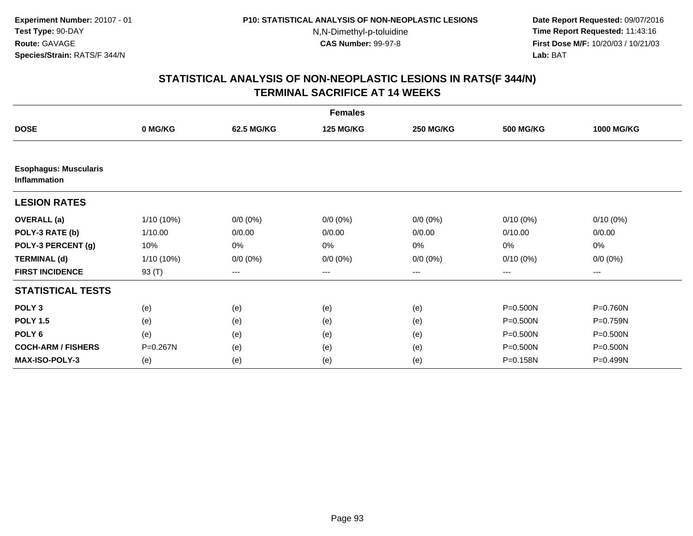**Date Report Requested:** 09/07/2016 **Time Report Requested:** 11:43:16 **First Dose M/F:** 10/20/03 / 10/21/03<br>**Lab:** BAT **Lab:** BAT

|                                                     | <b>Females</b> |             |                  |                  |                  |                   |  |  |
|-----------------------------------------------------|----------------|-------------|------------------|------------------|------------------|-------------------|--|--|
| <b>DOSE</b>                                         | 0 MG/KG        | 62.5 MG/KG  | <b>125 MG/KG</b> | <b>250 MG/KG</b> | <b>500 MG/KG</b> | <b>1000 MG/KG</b> |  |  |
|                                                     |                |             |                  |                  |                  |                   |  |  |
| <b>Esophagus: Muscularis</b><br><b>Inflammation</b> |                |             |                  |                  |                  |                   |  |  |
| <b>LESION RATES</b>                                 |                |             |                  |                  |                  |                   |  |  |
| <b>OVERALL</b> (a)                                  | $1/10(10\%)$   | $0/0 (0\%)$ | $0/0 (0\%)$      | $0/0 (0\%)$      | $0/10(0\%)$      | $0/10(0\%)$       |  |  |
| POLY-3 RATE (b)                                     | 1/10.00        | 0/0.00      | 0/0.00           | 0/0.00           | 0/10.00          | 0/0.00            |  |  |
| POLY-3 PERCENT (g)                                  | 10%            | 0%          | 0%               | 0%               | 0%               | 0%                |  |  |
| <b>TERMINAL (d)</b>                                 | $1/10(10\%)$   | $0/0 (0\%)$ | $0/0 (0\%)$      | $0/0 (0\%)$      | $0/10(0\%)$      | $0/0 (0\%)$       |  |  |
| <b>FIRST INCIDENCE</b>                              | 93 (T)         | ---         | ---              | $--$             | ---              | ---               |  |  |
| <b>STATISTICAL TESTS</b>                            |                |             |                  |                  |                  |                   |  |  |
| POLY <sub>3</sub>                                   | (e)            | (e)         | (e)              | (e)              | $P = 0.500N$     | P=0.760N          |  |  |
| <b>POLY 1.5</b>                                     | (e)            | (e)         | (e)              | (e)              | $P = 0.500N$     | P=0.759N          |  |  |
| POLY <sub>6</sub>                                   | (e)            | (e)         | (e)              | (e)              | $P = 0.500N$     | $P = 0.500N$      |  |  |
| <b>COCH-ARM / FISHERS</b>                           | P=0.267N       | (e)         | (e)              | (e)              | P=0.500N         | P=0.500N          |  |  |
| MAX-ISO-POLY-3                                      | (e)            | (e)         | (e)              | (e)              | P=0.158N         | P=0.499N          |  |  |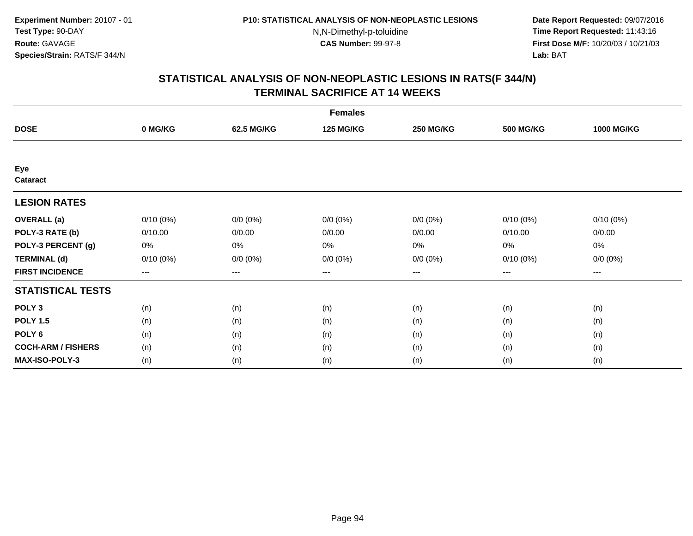**Date Report Requested:** 09/07/2016 **Time Report Requested:** 11:43:16 **First Dose M/F:** 10/20/03 / 10/21/03<br>**Lab:** BAT **Lab:** BAT

| <b>Females</b>            |             |             |                  |                  |                  |                   |  |  |
|---------------------------|-------------|-------------|------------------|------------------|------------------|-------------------|--|--|
| <b>DOSE</b>               | 0 MG/KG     | 62.5 MG/KG  | <b>125 MG/KG</b> | <b>250 MG/KG</b> | <b>500 MG/KG</b> | <b>1000 MG/KG</b> |  |  |
|                           |             |             |                  |                  |                  |                   |  |  |
| Eye<br>Cataract           |             |             |                  |                  |                  |                   |  |  |
| <b>LESION RATES</b>       |             |             |                  |                  |                  |                   |  |  |
| <b>OVERALL</b> (a)        | $0/10(0\%)$ | $0/0 (0\%)$ | $0/0 (0\%)$      | $0/0 (0\%)$      | $0/10(0\%)$      | $0/10(0\%)$       |  |  |
| POLY-3 RATE (b)           | 0/10.00     | 0/0.00      | 0/0.00           | 0/0.00           | 0/10.00          | 0/0.00            |  |  |
| POLY-3 PERCENT (g)        | 0%          | 0%          | 0%               | 0%               | 0%               | 0%                |  |  |
| <b>TERMINAL (d)</b>       | $0/10(0\%)$ | $0/0 (0\%)$ | $0/0 (0\%)$      | $0/0 (0\%)$      | 0/10(0%)         | $0/0 (0\%)$       |  |  |
| <b>FIRST INCIDENCE</b>    | $--$        | ---         | ---              | $--$             | ---              | ---               |  |  |
| <b>STATISTICAL TESTS</b>  |             |             |                  |                  |                  |                   |  |  |
| POLY <sub>3</sub>         | (n)         | (n)         | (n)              | (n)              | (n)              | (n)               |  |  |
| <b>POLY 1.5</b>           | (n)         | (n)         | (n)              | (n)              | (n)              | (n)               |  |  |
| POLY <sub>6</sub>         | (n)         | (n)         | (n)              | (n)              | (n)              | (n)               |  |  |
| <b>COCH-ARM / FISHERS</b> | (n)         | (n)         | (n)              | (n)              | (n)              | (n)               |  |  |
| <b>MAX-ISO-POLY-3</b>     | (n)         | (n)         | (n)              | (n)              | (n)              | (n)               |  |  |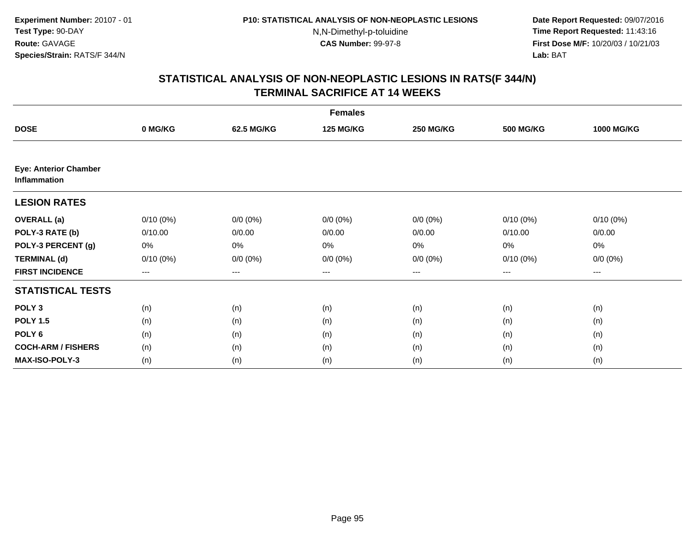**Date Report Requested:** 09/07/2016 **Time Report Requested:** 11:43:16 **First Dose M/F:** 10/20/03 / 10/21/03<br>**Lab:** BAT **Lab:** BAT

|                                              |             |             | <b>Females</b>   |                  |                  |                   |
|----------------------------------------------|-------------|-------------|------------------|------------------|------------------|-------------------|
| <b>DOSE</b>                                  | 0 MG/KG     | 62.5 MG/KG  | <b>125 MG/KG</b> | <b>250 MG/KG</b> | <b>500 MG/KG</b> | <b>1000 MG/KG</b> |
|                                              |             |             |                  |                  |                  |                   |
| <b>Eye: Anterior Chamber</b><br>Inflammation |             |             |                  |                  |                  |                   |
| <b>LESION RATES</b>                          |             |             |                  |                  |                  |                   |
| <b>OVERALL</b> (a)                           | $0/10(0\%)$ | $0/0 (0\%)$ | $0/0 (0\%)$      | $0/0 (0\%)$      | $0/10(0\%)$      | $0/10(0\%)$       |
| POLY-3 RATE (b)                              | 0/10.00     | 0/0.00      | 0/0.00           | 0/0.00           | 0/10.00          | 0/0.00            |
| POLY-3 PERCENT (g)                           | 0%          | 0%          | 0%               | 0%               | 0%               | 0%                |
| <b>TERMINAL (d)</b>                          | $0/10(0\%)$ | $0/0 (0\%)$ | $0/0 (0\%)$      | $0/0 (0\%)$      | $0/10(0\%)$      | $0/0 (0\%)$       |
| <b>FIRST INCIDENCE</b>                       | ---         | ---         | ---              | $--$             | $--$             | ---               |
| <b>STATISTICAL TESTS</b>                     |             |             |                  |                  |                  |                   |
| POLY <sub>3</sub>                            | (n)         | (n)         | (n)              | (n)              | (n)              | (n)               |
| <b>POLY 1.5</b>                              | (n)         | (n)         | (n)              | (n)              | (n)              | (n)               |
| POLY <sub>6</sub>                            | (n)         | (n)         | (n)              | (n)              | (n)              | (n)               |
| <b>COCH-ARM / FISHERS</b>                    | (n)         | (n)         | (n)              | (n)              | (n)              | (n)               |
| MAX-ISO-POLY-3                               | (n)         | (n)         | (n)              | (n)              | (n)              | (n)               |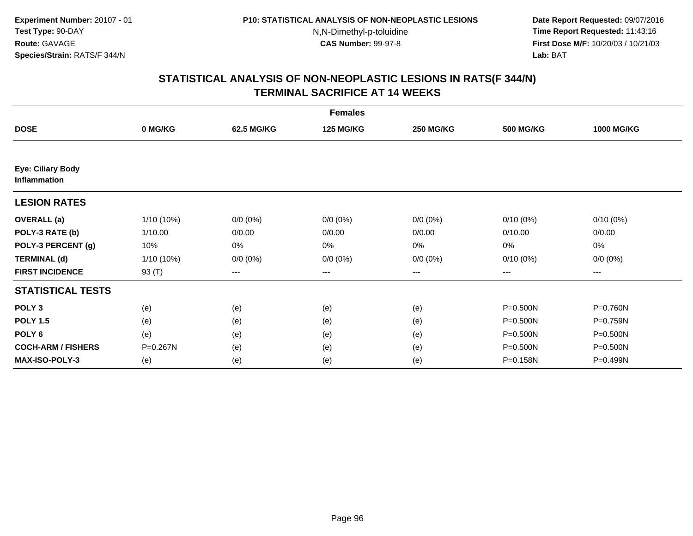**Date Report Requested:** 09/07/2016 **Time Report Requested:** 11:43:16 **First Dose M/F:** 10/20/03 / 10/21/03<br>**Lab:** BAT **Lab:** BAT

|                                          |              |                   | <b>Females</b>   |                  |                  |                   |
|------------------------------------------|--------------|-------------------|------------------|------------------|------------------|-------------------|
| <b>DOSE</b>                              | 0 MG/KG      | 62.5 MG/KG        | <b>125 MG/KG</b> | <b>250 MG/KG</b> | <b>500 MG/KG</b> | <b>1000 MG/KG</b> |
|                                          |              |                   |                  |                  |                  |                   |
| Eye: Ciliary Body<br><b>Inflammation</b> |              |                   |                  |                  |                  |                   |
| <b>LESION RATES</b>                      |              |                   |                  |                  |                  |                   |
| <b>OVERALL</b> (a)                       | $1/10(10\%)$ | $0/0 (0\%)$       | $0/0 (0\%)$      | $0/0 (0\%)$      | $0/10(0\%)$      | $0/10(0\%)$       |
| POLY-3 RATE (b)                          | 1/10.00      | 0/0.00            | 0/0.00           | 0/0.00           | 0/10.00          | 0/0.00            |
| POLY-3 PERCENT (g)                       | 10%          | $0\%$             | 0%               | 0%               | 0%               | 0%                |
| <b>TERMINAL (d)</b>                      | 1/10 (10%)   | $0/0 (0\%)$       | $0/0 (0\%)$      | $0/0 (0\%)$      | $0/10(0\%)$      | $0/0 (0\%)$       |
| <b>FIRST INCIDENCE</b>                   | 93 (T)       | $\qquad \qquad -$ | ---              | $---$            | $---$            | ---               |
| <b>STATISTICAL TESTS</b>                 |              |                   |                  |                  |                  |                   |
| POLY <sub>3</sub>                        | (e)          | (e)               | (e)              | (e)              | P=0.500N         | P=0.760N          |
| <b>POLY 1.5</b>                          | (e)          | (e)               | (e)              | (e)              | P=0.500N         | P=0.759N          |
| POLY <sub>6</sub>                        | (e)          | (e)               | (e)              | (e)              | $P = 0.500N$     | $P = 0.500N$      |
| <b>COCH-ARM / FISHERS</b>                | P=0.267N     | (e)               | (e)              | (e)              | P=0.500N         | P=0.500N          |
| <b>MAX-ISO-POLY-3</b>                    | (e)          | (e)               | (e)              | (e)              | P=0.158N         | P=0.499N          |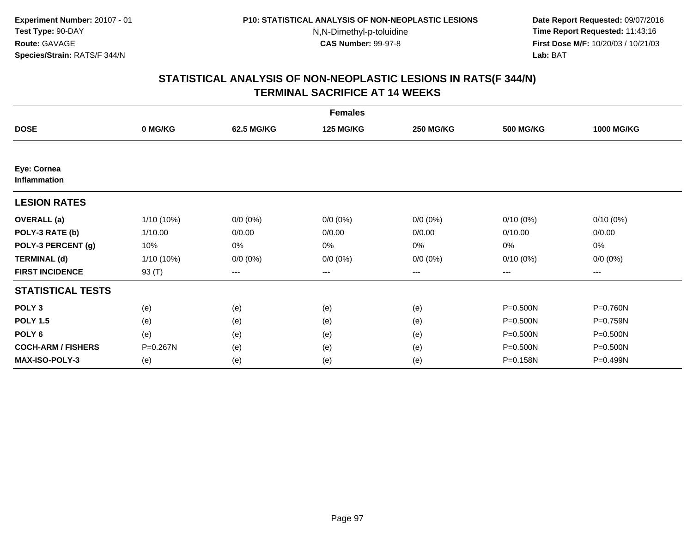**Date Report Requested:** 09/07/2016 **Time Report Requested:** 11:43:16 **First Dose M/F:** 10/20/03 / 10/21/03<br>**Lab:** BAT **Lab:** BAT

|                             |            |             | <b>Females</b>   |                  |                  |                   |
|-----------------------------|------------|-------------|------------------|------------------|------------------|-------------------|
| <b>DOSE</b>                 | 0 MG/KG    | 62.5 MG/KG  | <b>125 MG/KG</b> | <b>250 MG/KG</b> | <b>500 MG/KG</b> | <b>1000 MG/KG</b> |
|                             |            |             |                  |                  |                  |                   |
| Eye: Cornea<br>Inflammation |            |             |                  |                  |                  |                   |
| <b>LESION RATES</b>         |            |             |                  |                  |                  |                   |
| <b>OVERALL</b> (a)          | 1/10 (10%) | $0/0 (0\%)$ | $0/0 (0\%)$      | $0/0 (0\%)$      | $0/10(0\%)$      | $0/10(0\%)$       |
| POLY-3 RATE (b)             | 1/10.00    | 0/0.00      | 0/0.00           | 0/0.00           | 0/10.00          | 0/0.00            |
| POLY-3 PERCENT (g)          | 10%        | 0%          | 0%               | 0%               | 0%               | 0%                |
| <b>TERMINAL (d)</b>         | 1/10 (10%) | $0/0 (0\%)$ | $0/0 (0\%)$      | $0/0 (0\%)$      | $0/10(0\%)$      | $0/0 (0\%)$       |
| <b>FIRST INCIDENCE</b>      | 93 (T)     | $--$        | ---              | ---              | ---              | ---               |
| <b>STATISTICAL TESTS</b>    |            |             |                  |                  |                  |                   |
| POLY <sub>3</sub>           | (e)        | (e)         | (e)              | (e)              | P=0.500N         | P=0.760N          |
| <b>POLY 1.5</b>             | (e)        | (e)         | (e)              | (e)              | P=0.500N         | P=0.759N          |
| POLY <sub>6</sub>           | (e)        | (e)         | (e)              | (e)              | $P = 0.500N$     | P=0.500N          |
| <b>COCH-ARM / FISHERS</b>   | P=0.267N   | (e)         | (e)              | (e)              | P=0.500N         | P=0.500N          |
| <b>MAX-ISO-POLY-3</b>       | (e)        | (e)         | (e)              | (e)              | P=0.158N         | P=0.499N          |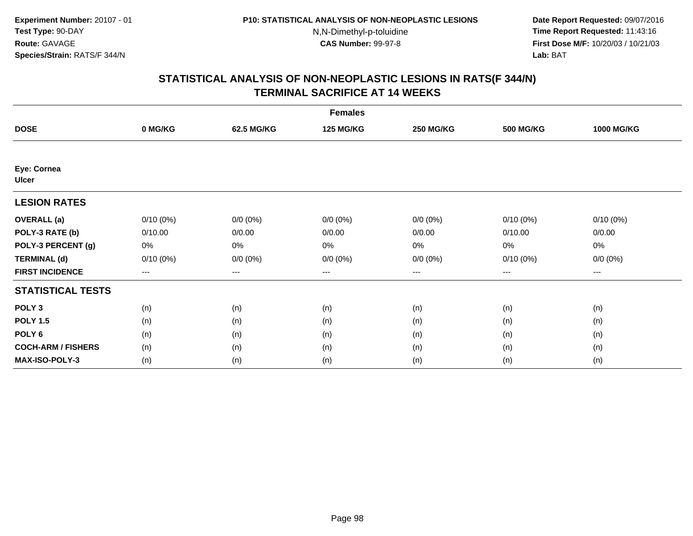**Date Report Requested:** 09/07/2016 **Time Report Requested:** 11:43:16 **First Dose M/F:** 10/20/03 / 10/21/03<br>**Lab:** BAT **Lab:** BAT

| <b>Females</b>              |             |             |                  |                  |                  |                   |  |  |
|-----------------------------|-------------|-------------|------------------|------------------|------------------|-------------------|--|--|
| <b>DOSE</b>                 | 0 MG/KG     | 62.5 MG/KG  | <b>125 MG/KG</b> | <b>250 MG/KG</b> | <b>500 MG/KG</b> | <b>1000 MG/KG</b> |  |  |
|                             |             |             |                  |                  |                  |                   |  |  |
| Eye: Cornea<br><b>Ulcer</b> |             |             |                  |                  |                  |                   |  |  |
| <b>LESION RATES</b>         |             |             |                  |                  |                  |                   |  |  |
| <b>OVERALL</b> (a)          | $0/10(0\%)$ | $0/0 (0\%)$ | $0/0 (0\%)$      | $0/0 (0\%)$      | $0/10(0\%)$      | $0/10(0\%)$       |  |  |
| POLY-3 RATE (b)             | 0/10.00     | 0/0.00      | 0/0.00           | 0/0.00           | 0/10.00          | 0/0.00            |  |  |
| POLY-3 PERCENT (g)          | 0%          | 0%          | 0%               | 0%               | 0%               | 0%                |  |  |
| <b>TERMINAL (d)</b>         | $0/10(0\%)$ | $0/0 (0\%)$ | $0/0 (0\%)$      | $0/0 (0\%)$      | $0/10(0\%)$      | $0/0 (0\%)$       |  |  |
| <b>FIRST INCIDENCE</b>      | ---         | $---$       | ---              | ---              | $---$            | $---$             |  |  |
| <b>STATISTICAL TESTS</b>    |             |             |                  |                  |                  |                   |  |  |
| POLY <sub>3</sub>           | (n)         | (n)         | (n)              | (n)              | (n)              | (n)               |  |  |
| <b>POLY 1.5</b>             | (n)         | (n)         | (n)              | (n)              | (n)              | (n)               |  |  |
| POLY <sub>6</sub>           | (n)         | (n)         | (n)              | (n)              | (n)              | (n)               |  |  |
| <b>COCH-ARM / FISHERS</b>   | (n)         | (n)         | (n)              | (n)              | (n)              | (n)               |  |  |
| <b>MAX-ISO-POLY-3</b>       | (n)         | (n)         | (n)              | (n)              | (n)              | (n)               |  |  |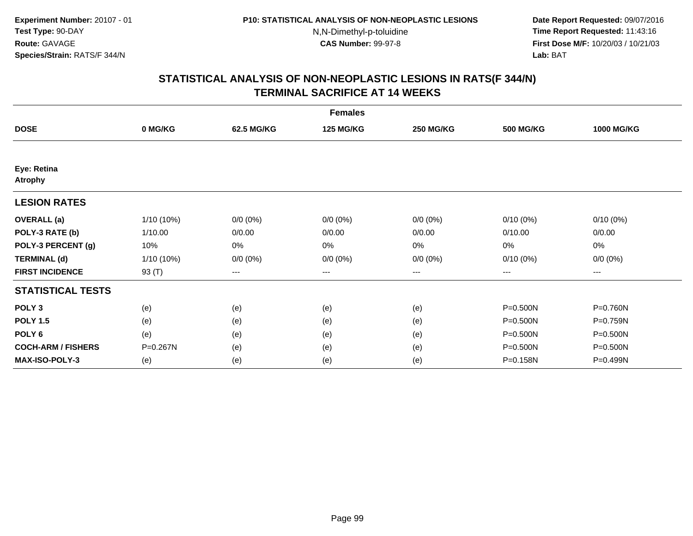**Date Report Requested:** 09/07/2016 **Time Report Requested:** 11:43:16 **First Dose M/F:** 10/20/03 / 10/21/03<br>**Lab:** BAT **Lab:** BAT

|                               |              |             | <b>Females</b>   |                  |                  |                   |
|-------------------------------|--------------|-------------|------------------|------------------|------------------|-------------------|
| <b>DOSE</b>                   | 0 MG/KG      | 62.5 MG/KG  | <b>125 MG/KG</b> | <b>250 MG/KG</b> | <b>500 MG/KG</b> | <b>1000 MG/KG</b> |
|                               |              |             |                  |                  |                  |                   |
| Eye: Retina<br><b>Atrophy</b> |              |             |                  |                  |                  |                   |
| <b>LESION RATES</b>           |              |             |                  |                  |                  |                   |
| <b>OVERALL</b> (a)            | $1/10(10\%)$ | $0/0 (0\%)$ | $0/0 (0\%)$      | $0/0 (0\%)$      | $0/10(0\%)$      | $0/10(0\%)$       |
| POLY-3 RATE (b)               | 1/10.00      | 0/0.00      | 0/0.00           | 0/0.00           | 0/10.00          | 0/0.00            |
| POLY-3 PERCENT (g)            | 10%          | 0%          | 0%               | 0%               | 0%               | 0%                |
| <b>TERMINAL (d)</b>           | 1/10 (10%)   | $0/0 (0\%)$ | $0/0 (0\%)$      | $0/0 (0\%)$      | $0/10(0\%)$      | $0/0 (0\%)$       |
| <b>FIRST INCIDENCE</b>        | 93 (T)       | $--$        | ---              | $---$            | ---              | ---               |
| <b>STATISTICAL TESTS</b>      |              |             |                  |                  |                  |                   |
| POLY <sub>3</sub>             | (e)          | (e)         | (e)              | (e)              | $P = 0.500N$     | P=0.760N          |
| <b>POLY 1.5</b>               | (e)          | (e)         | (e)              | (e)              | P=0.500N         | P=0.759N          |
| POLY <sub>6</sub>             | (e)          | (e)         | (e)              | (e)              | P=0.500N         | P=0.500N          |
| <b>COCH-ARM / FISHERS</b>     | P=0.267N     | (e)         | (e)              | (e)              | P=0.500N         | P=0.500N          |
| <b>MAX-ISO-POLY-3</b>         | (e)          | (e)         | (e)              | (e)              | P=0.158N         | P=0.499N          |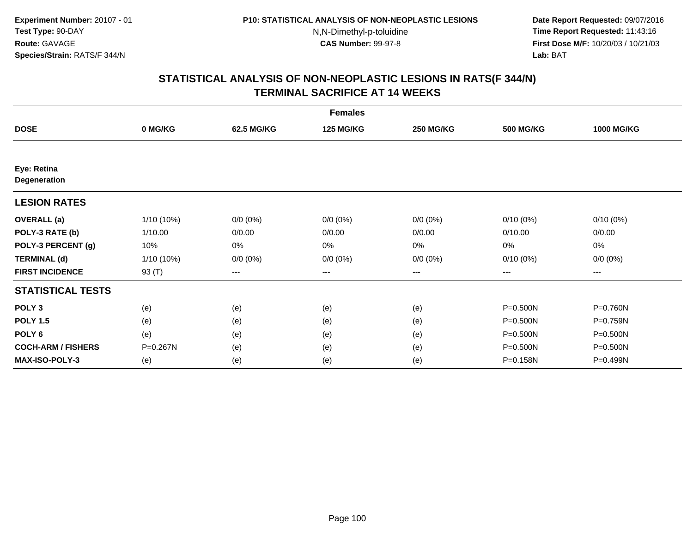**Date Report Requested:** 09/07/2016 **Time Report Requested:** 11:43:16 **First Dose M/F:** 10/20/03 / 10/21/03<br>**Lab:** BAT **Lab:** BAT

|                                    |              |                        | <b>Females</b>   |                  |                  |                   |
|------------------------------------|--------------|------------------------|------------------|------------------|------------------|-------------------|
| <b>DOSE</b>                        | 0 MG/KG      | 62.5 MG/KG             | <b>125 MG/KG</b> | <b>250 MG/KG</b> | <b>500 MG/KG</b> | <b>1000 MG/KG</b> |
|                                    |              |                        |                  |                  |                  |                   |
| Eye: Retina<br><b>Degeneration</b> |              |                        |                  |                  |                  |                   |
| <b>LESION RATES</b>                |              |                        |                  |                  |                  |                   |
| <b>OVERALL</b> (a)                 | $1/10(10\%)$ | $0/0 (0\%)$            | $0/0 (0\%)$      | $0/0 (0\%)$      | $0/10(0\%)$      | $0/10(0\%)$       |
| POLY-3 RATE (b)                    | 1/10.00      | 0/0.00                 | 0/0.00           | 0/0.00           | 0/10.00          | 0/0.00            |
| POLY-3 PERCENT (g)                 | 10%          | 0%                     | 0%               | 0%               | 0%               | 0%                |
| <b>TERMINAL (d)</b>                | $1/10(10\%)$ | $0/0 (0\%)$            | $0/0 (0\%)$      | $0/0 (0\%)$      | $0/10(0\%)$      | $0/0 (0\%)$       |
| <b>FIRST INCIDENCE</b>             | 93 (T)       | $\qquad \qquad \cdots$ | ---              | ---              | ---              | ---               |
| <b>STATISTICAL TESTS</b>           |              |                        |                  |                  |                  |                   |
| POLY <sub>3</sub>                  | (e)          | (e)                    | (e)              | (e)              | P=0.500N         | P=0.760N          |
| <b>POLY 1.5</b>                    | (e)          | (e)                    | (e)              | (e)              | P=0.500N         | P=0.759N          |
| POLY <sub>6</sub>                  | (e)          | (e)                    | (e)              | (e)              | P=0.500N         | P=0.500N          |
| <b>COCH-ARM / FISHERS</b>          | P=0.267N     | (e)                    | (e)              | (e)              | P=0.500N         | P=0.500N          |
| <b>MAX-ISO-POLY-3</b>              | (e)          | (e)                    | (e)              | (e)              | P=0.158N         | P=0.499N          |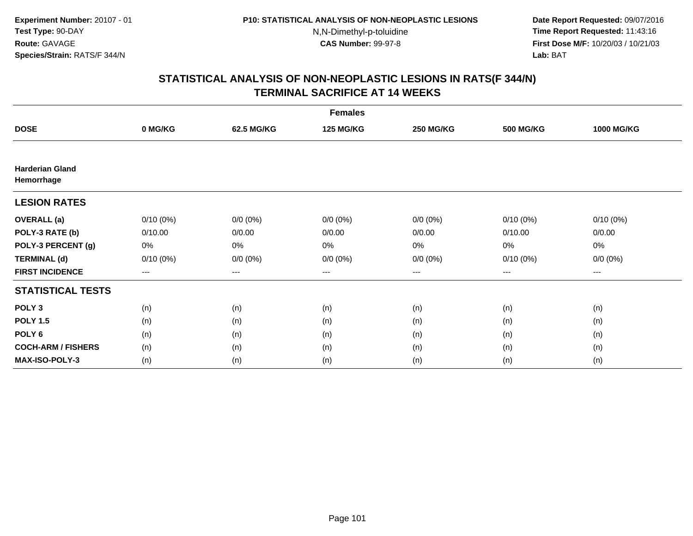**Date Report Requested:** 09/07/2016 **Time Report Requested:** 11:43:16 **First Dose M/F:** 10/20/03 / 10/21/03<br>**Lab:** BAT **Lab:** BAT

| <b>Females</b>                       |             |             |                  |                  |                  |                   |  |  |
|--------------------------------------|-------------|-------------|------------------|------------------|------------------|-------------------|--|--|
| <b>DOSE</b>                          | 0 MG/KG     | 62.5 MG/KG  | <b>125 MG/KG</b> | <b>250 MG/KG</b> | <b>500 MG/KG</b> | <b>1000 MG/KG</b> |  |  |
|                                      |             |             |                  |                  |                  |                   |  |  |
| <b>Harderian Gland</b><br>Hemorrhage |             |             |                  |                  |                  |                   |  |  |
| <b>LESION RATES</b>                  |             |             |                  |                  |                  |                   |  |  |
| <b>OVERALL</b> (a)                   | $0/10(0\%)$ | $0/0 (0\%)$ | $0/0 (0\%)$      | $0/0 (0\%)$      | $0/10(0\%)$      | $0/10(0\%)$       |  |  |
| POLY-3 RATE (b)                      | 0/10.00     | 0/0.00      | 0/0.00           | 0/0.00           | 0/10.00          | 0/0.00            |  |  |
| POLY-3 PERCENT (g)                   | 0%          | 0%          | 0%               | 0%               | 0%               | 0%                |  |  |
| <b>TERMINAL (d)</b>                  | $0/10(0\%)$ | $0/0 (0\%)$ | $0/0 (0\%)$      | $0/0 (0\%)$      | $0/10(0\%)$      | $0/0 (0\%)$       |  |  |
| <b>FIRST INCIDENCE</b>               | ---         | $---$       | ---              | ---              | $---$            | $---$             |  |  |
| <b>STATISTICAL TESTS</b>             |             |             |                  |                  |                  |                   |  |  |
| POLY <sub>3</sub>                    | (n)         | (n)         | (n)              | (n)              | (n)              | (n)               |  |  |
| <b>POLY 1.5</b>                      | (n)         | (n)         | (n)              | (n)              | (n)              | (n)               |  |  |
| POLY <sub>6</sub>                    | (n)         | (n)         | (n)              | (n)              | (n)              | (n)               |  |  |
| <b>COCH-ARM / FISHERS</b>            | (n)         | (n)         | (n)              | (n)              | (n)              | (n)               |  |  |
| <b>MAX-ISO-POLY-3</b>                | (n)         | (n)         | (n)              | (n)              | (n)              | (n)               |  |  |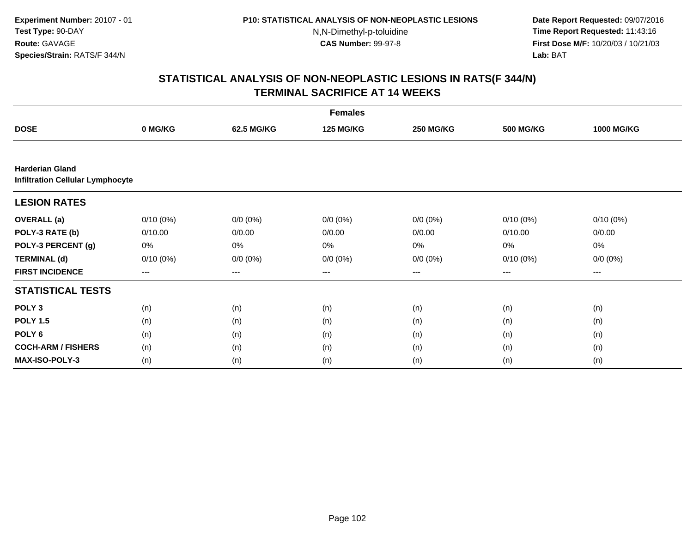**Date Report Requested:** 09/07/2016 **Time Report Requested:** 11:43:16 **First Dose M/F:** 10/20/03 / 10/21/03<br>**Lab:** BAT **Lab:** BAT

| <b>Females</b>                                                    |             |             |                  |                  |                  |                   |  |  |
|-------------------------------------------------------------------|-------------|-------------|------------------|------------------|------------------|-------------------|--|--|
| <b>DOSE</b>                                                       | 0 MG/KG     | 62.5 MG/KG  | <b>125 MG/KG</b> | <b>250 MG/KG</b> | <b>500 MG/KG</b> | <b>1000 MG/KG</b> |  |  |
|                                                                   |             |             |                  |                  |                  |                   |  |  |
| <b>Harderian Gland</b><br><b>Infiltration Cellular Lymphocyte</b> |             |             |                  |                  |                  |                   |  |  |
| <b>LESION RATES</b>                                               |             |             |                  |                  |                  |                   |  |  |
| <b>OVERALL</b> (a)                                                | $0/10(0\%)$ | $0/0 (0\%)$ | $0/0 (0\%)$      | $0/0 (0\%)$      | $0/10(0\%)$      | $0/10(0\%)$       |  |  |
| POLY-3 RATE (b)                                                   | 0/10.00     | 0/0.00      | 0/0.00           | 0/0.00           | 0/10.00          | 0/0.00            |  |  |
| POLY-3 PERCENT (g)                                                | 0%          | 0%          | 0%               | 0%               | 0%               | 0%                |  |  |
| <b>TERMINAL (d)</b>                                               | $0/10(0\%)$ | $0/0 (0\%)$ | $0/0 (0\%)$      | $0/0 (0\%)$      | 0/10(0%)         | $0/0 (0\%)$       |  |  |
| <b>FIRST INCIDENCE</b>                                            | ---         | ---         | ---              | $--$             | ---              | ---               |  |  |
| <b>STATISTICAL TESTS</b>                                          |             |             |                  |                  |                  |                   |  |  |
| POLY <sub>3</sub>                                                 | (n)         | (n)         | (n)              | (n)              | (n)              | (n)               |  |  |
| <b>POLY 1.5</b>                                                   | (n)         | (n)         | (n)              | (n)              | (n)              | (n)               |  |  |
| POLY <sub>6</sub>                                                 | (n)         | (n)         | (n)              | (n)              | (n)              | (n)               |  |  |
| <b>COCH-ARM / FISHERS</b>                                         | (n)         | (n)         | (n)              | (n)              | (n)              | (n)               |  |  |
| MAX-ISO-POLY-3                                                    | (n)         | (n)         | (n)              | (n)              | (n)              | (n)               |  |  |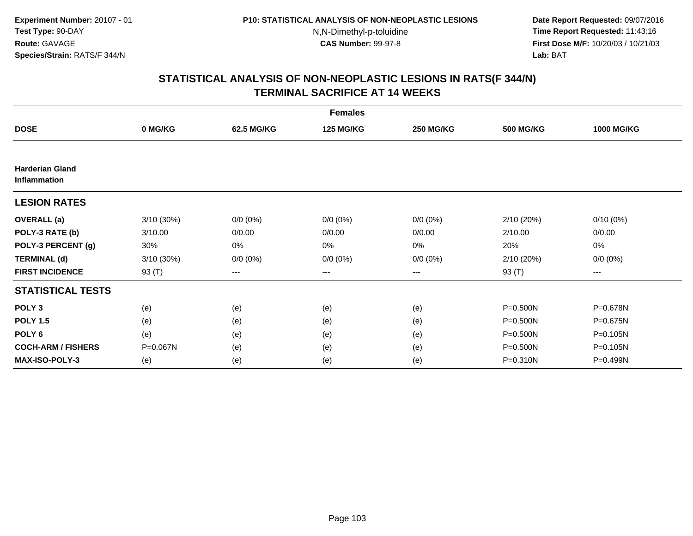**Date Report Requested:** 09/07/2016 **Time Report Requested:** 11:43:16 **First Dose M/F:** 10/20/03 / 10/21/03<br>**Lab:** BAT **Lab:** BAT

|                                               |            |             | <b>Females</b>   |                  |                  |                   |
|-----------------------------------------------|------------|-------------|------------------|------------------|------------------|-------------------|
| <b>DOSE</b>                                   | 0 MG/KG    | 62.5 MG/KG  | <b>125 MG/KG</b> | <b>250 MG/KG</b> | <b>500 MG/KG</b> | <b>1000 MG/KG</b> |
|                                               |            |             |                  |                  |                  |                   |
| <b>Harderian Gland</b><br><b>Inflammation</b> |            |             |                  |                  |                  |                   |
| <b>LESION RATES</b>                           |            |             |                  |                  |                  |                   |
| <b>OVERALL</b> (a)                            | 3/10 (30%) | $0/0 (0\%)$ | $0/0 (0\%)$      | $0/0 (0\%)$      | 2/10 (20%)       | $0/10(0\%)$       |
| POLY-3 RATE (b)                               | 3/10.00    | 0/0.00      | 0/0.00           | 0/0.00           | 2/10.00          | 0/0.00            |
| POLY-3 PERCENT (g)                            | 30%        | 0%          | 0%               | 0%               | 20%              | 0%                |
| <b>TERMINAL (d)</b>                           | 3/10 (30%) | $0/0 (0\%)$ | $0/0 (0\%)$      | $0/0 (0\%)$      | 2/10 (20%)       | $0/0 (0\%)$       |
| <b>FIRST INCIDENCE</b>                        | 93 (T)     | $--$        | ---              | ---              | 93 (T)           | ---               |
| <b>STATISTICAL TESTS</b>                      |            |             |                  |                  |                  |                   |
| POLY <sub>3</sub>                             | (e)        | (e)         | (e)              | (e)              | $P = 0.500N$     | P=0.678N          |
| <b>POLY 1.5</b>                               | (e)        | (e)         | (e)              | (e)              | P=0.500N         | P=0.675N          |
| POLY <sub>6</sub>                             | (e)        | (e)         | (e)              | (e)              | P=0.500N         | P=0.105N          |
| <b>COCH-ARM / FISHERS</b>                     | P=0.067N   | (e)         | (e)              | (e)              | P=0.500N         | P=0.105N          |
| <b>MAX-ISO-POLY-3</b>                         | (e)        | (e)         | (e)              | (e)              | P=0.310N         | P=0.499N          |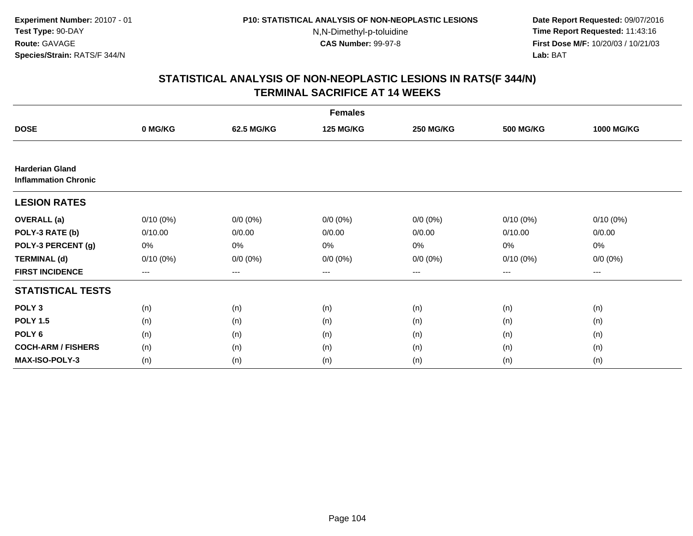**Date Report Requested:** 09/07/2016 **Time Report Requested:** 11:43:16 **First Dose M/F:** 10/20/03 / 10/21/03<br>**Lab:** BAT **Lab:** BAT

| <b>Females</b>                                        |             |             |                  |                        |                  |                   |  |  |
|-------------------------------------------------------|-------------|-------------|------------------|------------------------|------------------|-------------------|--|--|
| <b>DOSE</b>                                           | 0 MG/KG     | 62.5 MG/KG  | <b>125 MG/KG</b> | <b>250 MG/KG</b>       | <b>500 MG/KG</b> | <b>1000 MG/KG</b> |  |  |
|                                                       |             |             |                  |                        |                  |                   |  |  |
| <b>Harderian Gland</b><br><b>Inflammation Chronic</b> |             |             |                  |                        |                  |                   |  |  |
| <b>LESION RATES</b>                                   |             |             |                  |                        |                  |                   |  |  |
| <b>OVERALL</b> (a)                                    | $0/10(0\%)$ | $0/0 (0\%)$ | $0/0 (0\%)$      | $0/0 (0\%)$            | $0/10(0\%)$      | $0/10(0\%)$       |  |  |
| POLY-3 RATE (b)                                       | 0/10.00     | 0/0.00      | 0/0.00           | 0/0.00                 | 0/10.00          | 0/0.00            |  |  |
| POLY-3 PERCENT (g)                                    | 0%          | 0%          | 0%               | 0%                     | 0%               | 0%                |  |  |
| <b>TERMINAL (d)</b>                                   | $0/10(0\%)$ | $0/0 (0\%)$ | $0/0 (0\%)$      | $0/0 (0\%)$            | 0/10(0%)         | $0/0 (0\%)$       |  |  |
| <b>FIRST INCIDENCE</b>                                | $--$        | ---         | ---              | $\qquad \qquad \cdots$ | ---              | ---               |  |  |
| <b>STATISTICAL TESTS</b>                              |             |             |                  |                        |                  |                   |  |  |
| POLY <sub>3</sub>                                     | (n)         | (n)         | (n)              | (n)                    | (n)              | (n)               |  |  |
| <b>POLY 1.5</b>                                       | (n)         | (n)         | (n)              | (n)                    | (n)              | (n)               |  |  |
| POLY <sub>6</sub>                                     | (n)         | (n)         | (n)              | (n)                    | (n)              | (n)               |  |  |
| <b>COCH-ARM / FISHERS</b>                             | (n)         | (n)         | (n)              | (n)                    | (n)              | (n)               |  |  |
| <b>MAX-ISO-POLY-3</b>                                 | (n)         | (n)         | (n)              | (n)                    | (n)              | (n)               |  |  |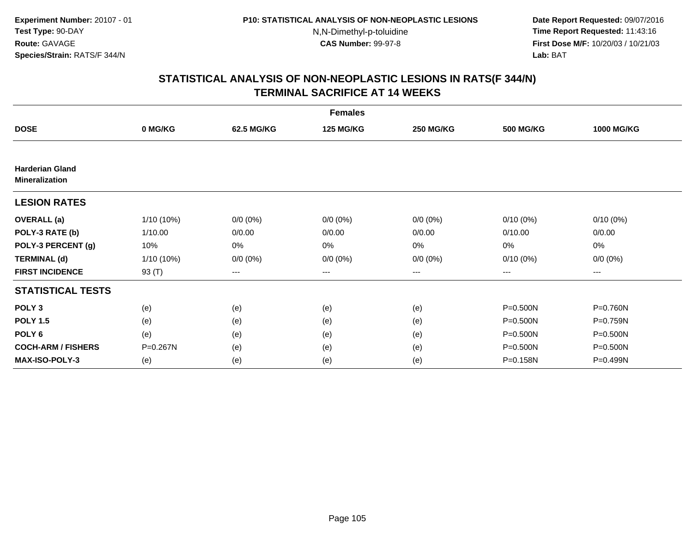**Date Report Requested:** 09/07/2016 **Time Report Requested:** 11:43:16 **First Dose M/F:** 10/20/03 / 10/21/03<br>**Lab:** BAT **Lab:** BAT

|                                                 |              |             | <b>Females</b>   |                  |                  |                   |
|-------------------------------------------------|--------------|-------------|------------------|------------------|------------------|-------------------|
| <b>DOSE</b>                                     | 0 MG/KG      | 62.5 MG/KG  | <b>125 MG/KG</b> | <b>250 MG/KG</b> | <b>500 MG/KG</b> | <b>1000 MG/KG</b> |
|                                                 |              |             |                  |                  |                  |                   |
| <b>Harderian Gland</b><br><b>Mineralization</b> |              |             |                  |                  |                  |                   |
| <b>LESION RATES</b>                             |              |             |                  |                  |                  |                   |
| <b>OVERALL</b> (a)                              | $1/10(10\%)$ | $0/0 (0\%)$ | $0/0 (0\%)$      | $0/0 (0\%)$      | $0/10(0\%)$      | $0/10(0\%)$       |
| POLY-3 RATE (b)                                 | 1/10.00      | 0/0.00      | 0/0.00           | 0/0.00           | 0/10.00          | 0/0.00            |
| POLY-3 PERCENT (g)                              | 10%          | 0%          | 0%               | 0%               | 0%               | 0%                |
| <b>TERMINAL (d)</b>                             | 1/10 (10%)   | $0/0 (0\%)$ | $0/0 (0\%)$      | $0/0 (0\%)$      | $0/10(0\%)$      | $0/0 (0\%)$       |
| <b>FIRST INCIDENCE</b>                          | 93 (T)       | $--$        | $---$            | ---              | ---              | ---               |
| <b>STATISTICAL TESTS</b>                        |              |             |                  |                  |                  |                   |
| POLY <sub>3</sub>                               | (e)          | (e)         | (e)              | (e)              | $P = 0.500N$     | P=0.760N          |
| <b>POLY 1.5</b>                                 | (e)          | (e)         | (e)              | (e)              | P=0.500N         | P=0.759N          |
| POLY <sub>6</sub>                               | (e)          | (e)         | (e)              | (e)              | P=0.500N         | P=0.500N          |
| <b>COCH-ARM / FISHERS</b>                       | P=0.267N     | (e)         | (e)              | (e)              | P=0.500N         | P=0.500N          |
| <b>MAX-ISO-POLY-3</b>                           | (e)          | (e)         | (e)              | (e)              | P=0.158N         | P=0.499N          |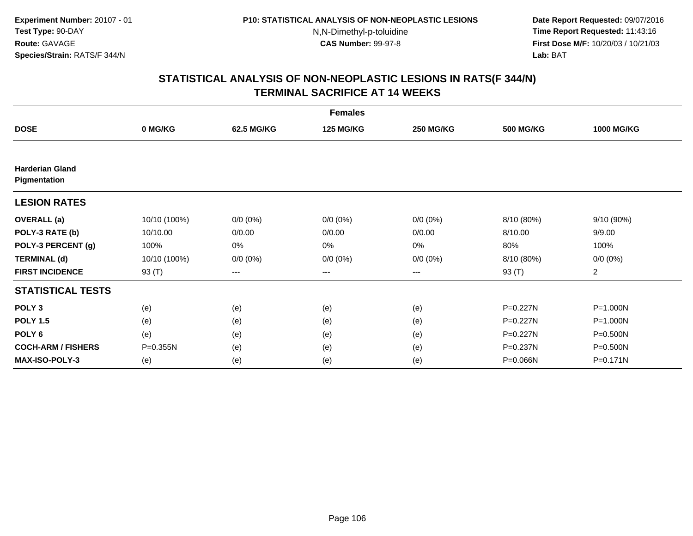**Date Report Requested:** 09/07/2016 **Time Report Requested:** 11:43:16 **First Dose M/F:** 10/20/03 / 10/21/03<br>**Lab:** BAT **Lab:** BAT

|                                        |              |             | <b>Females</b>   |                  |                  |                   |
|----------------------------------------|--------------|-------------|------------------|------------------|------------------|-------------------|
| <b>DOSE</b>                            | 0 MG/KG      | 62.5 MG/KG  | <b>125 MG/KG</b> | <b>250 MG/KG</b> | <b>500 MG/KG</b> | <b>1000 MG/KG</b> |
|                                        |              |             |                  |                  |                  |                   |
| <b>Harderian Gland</b><br>Pigmentation |              |             |                  |                  |                  |                   |
| <b>LESION RATES</b>                    |              |             |                  |                  |                  |                   |
| <b>OVERALL</b> (a)                     | 10/10 (100%) | $0/0 (0\%)$ | $0/0 (0\%)$      | $0/0 (0\%)$      | 8/10 (80%)       | 9/10 (90%)        |
| POLY-3 RATE (b)                        | 10/10.00     | 0/0.00      | 0/0.00           | 0/0.00           | 8/10.00          | 9/9.00            |
| POLY-3 PERCENT (g)                     | 100%         | 0%          | 0%               | 0%               | 80%              | 100%              |
| <b>TERMINAL (d)</b>                    | 10/10 (100%) | $0/0 (0\%)$ | $0/0 (0\%)$      | $0/0 (0\%)$      | 8/10 (80%)       | $0/0 (0\%)$       |
| <b>FIRST INCIDENCE</b>                 | 93 (T)       | $---$       | ---              | ---              | 93 (T)           | $\overline{a}$    |
| <b>STATISTICAL TESTS</b>               |              |             |                  |                  |                  |                   |
| POLY <sub>3</sub>                      | (e)          | (e)         | (e)              | (e)              | P=0.227N         | $P = 1.000N$      |
| <b>POLY 1.5</b>                        | (e)          | (e)         | (e)              | (e)              | P=0.227N         | P=1.000N          |
| POLY <sub>6</sub>                      | (e)          | (e)         | (e)              | (e)              | P=0.227N         | P=0.500N          |
| <b>COCH-ARM / FISHERS</b>              | P=0.355N     | (e)         | (e)              | (e)              | P=0.237N         | P=0.500N          |
| <b>MAX-ISO-POLY-3</b>                  | (e)          | (e)         | (e)              | (e)              | P=0.066N         | $P = 0.171N$      |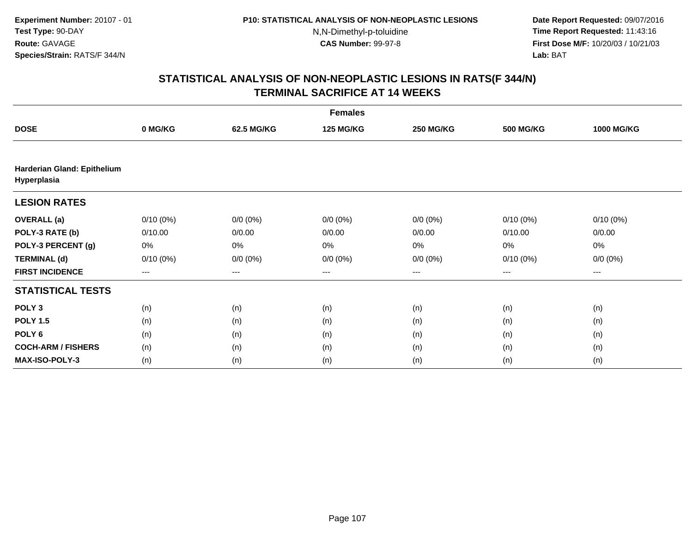**Date Report Requested:** 09/07/2016 **Time Report Requested:** 11:43:16 **First Dose M/F:** 10/20/03 / 10/21/03<br>**Lab:** BAT **Lab:** BAT

|                                            | <b>Females</b> |             |                  |                  |                  |                     |  |  |  |
|--------------------------------------------|----------------|-------------|------------------|------------------|------------------|---------------------|--|--|--|
| <b>DOSE</b>                                | 0 MG/KG        | 62.5 MG/KG  | <b>125 MG/KG</b> | <b>250 MG/KG</b> | <b>500 MG/KG</b> | <b>1000 MG/KG</b>   |  |  |  |
|                                            |                |             |                  |                  |                  |                     |  |  |  |
| Harderian Gland: Epithelium<br>Hyperplasia |                |             |                  |                  |                  |                     |  |  |  |
| <b>LESION RATES</b>                        |                |             |                  |                  |                  |                     |  |  |  |
| <b>OVERALL</b> (a)                         | $0/10(0\%)$    | $0/0 (0\%)$ | $0/0 (0\%)$      | $0/0 (0\%)$      | $0/10(0\%)$      | $0/10(0\%)$         |  |  |  |
| POLY-3 RATE (b)                            | 0/10.00        | 0/0.00      | 0/0.00           | 0/0.00           | 0/10.00          | 0/0.00              |  |  |  |
| POLY-3 PERCENT (g)                         | 0%             | 0%          | 0%               | 0%               | 0%               | 0%                  |  |  |  |
| <b>TERMINAL (d)</b>                        | $0/10(0\%)$    | $0/0 (0\%)$ | $0/0 (0\%)$      | $0/0 (0\%)$      | $0/10(0\%)$      | $0/0 (0\%)$         |  |  |  |
| <b>FIRST INCIDENCE</b>                     | ---            | ---         | $--$             | ---              | ---              | $\qquad \qquad - -$ |  |  |  |
| <b>STATISTICAL TESTS</b>                   |                |             |                  |                  |                  |                     |  |  |  |
| POLY <sub>3</sub>                          | (n)            | (n)         | (n)              | (n)              | (n)              | (n)                 |  |  |  |
| <b>POLY 1.5</b>                            | (n)            | (n)         | (n)              | (n)              | (n)              | (n)                 |  |  |  |
| POLY <sub>6</sub>                          | (n)            | (n)         | (n)              | (n)              | (n)              | (n)                 |  |  |  |
| <b>COCH-ARM / FISHERS</b>                  | (n)            | (n)         | (n)              | (n)              | (n)              | (n)                 |  |  |  |
| <b>MAX-ISO-POLY-3</b>                      | (n)            | (n)         | (n)              | (n)              | (n)              | (n)                 |  |  |  |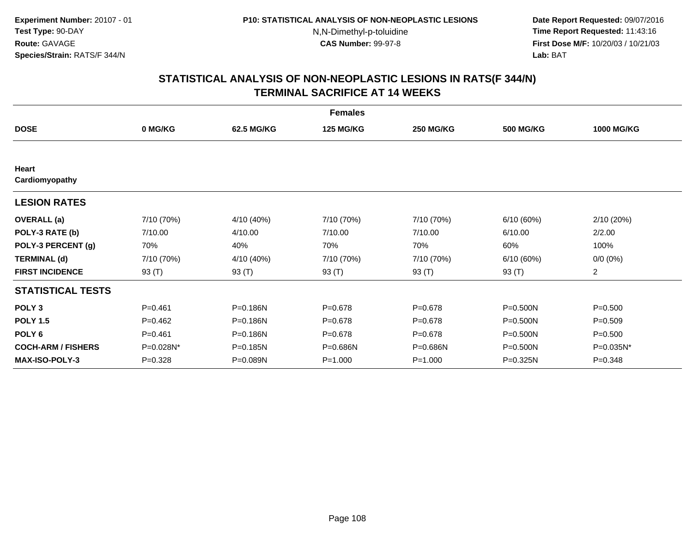**Date Report Requested:** 09/07/2016 **Time Report Requested:** 11:43:16 **First Dose M/F:** 10/20/03 / 10/21/03<br>**Lab:** BAT **Lab:** BAT

|                                |             |            | <b>Females</b>   |                  |                  |                   |
|--------------------------------|-------------|------------|------------------|------------------|------------------|-------------------|
| <b>DOSE</b>                    | 0 MG/KG     | 62.5 MG/KG | <b>125 MG/KG</b> | <b>250 MG/KG</b> | <b>500 MG/KG</b> | <b>1000 MG/KG</b> |
|                                |             |            |                  |                  |                  |                   |
| <b>Heart</b><br>Cardiomyopathy |             |            |                  |                  |                  |                   |
| <b>LESION RATES</b>            |             |            |                  |                  |                  |                   |
| <b>OVERALL</b> (a)             | 7/10 (70%)  | 4/10 (40%) | 7/10 (70%)       | 7/10 (70%)       | 6/10(60%)        | 2/10(20%)         |
| POLY-3 RATE (b)                | 7/10.00     | 4/10.00    | 7/10.00          | 7/10.00          | 6/10.00          | 2/2.00            |
| POLY-3 PERCENT (g)             | 70%         | 40%        | 70%              | 70%              | 60%              | 100%              |
| <b>TERMINAL (d)</b>            | 7/10 (70%)  | 4/10 (40%) | 7/10 (70%)       | 7/10 (70%)       | 6/10(60%)        | $0/0 (0\%)$       |
| <b>FIRST INCIDENCE</b>         | 93 (T)      | 93 (T)     | 93 (T)           | 93 (T)           | 93 (T)           | $\overline{2}$    |
| <b>STATISTICAL TESTS</b>       |             |            |                  |                  |                  |                   |
| POLY <sub>3</sub>              | $P=0.461$   | P=0.186N   | $P = 0.678$      | $P = 0.678$      | $P = 0.500N$     | $P = 0.500$       |
| <b>POLY 1.5</b>                | $P=0.462$   | P=0.186N   | $P = 0.678$      | $P = 0.678$      | $P = 0.500N$     | $P = 0.509$       |
| POLY <sub>6</sub>              | $P=0.461$   | P=0.186N   | $P = 0.678$      | $P=0.678$        | $P = 0.500N$     | $P = 0.500$       |
| <b>COCH-ARM / FISHERS</b>      | P=0.028N*   | P=0.185N   | P=0.686N         | P=0.686N         | P=0.500N         | P=0.035N*         |
| <b>MAX-ISO-POLY-3</b>          | $P = 0.328$ | P=0.089N   | $P = 1.000$      | $P = 1.000$      | P=0.325N         | $P = 0.348$       |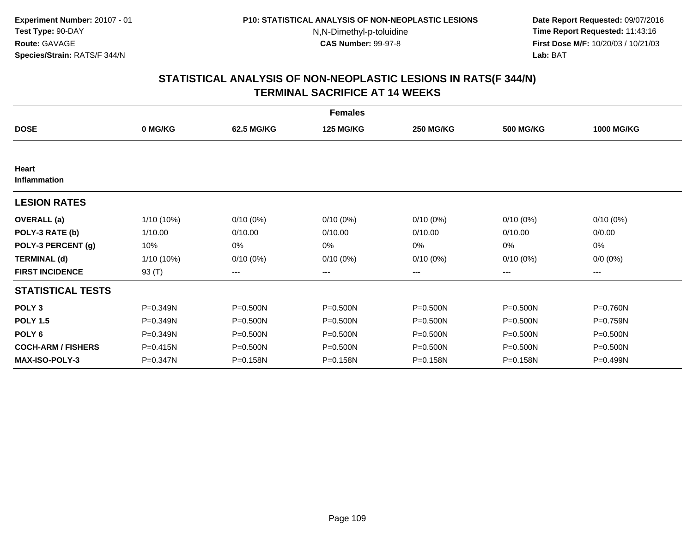**Date Report Requested:** 09/07/2016 **Time Report Requested:** 11:43:16 **First Dose M/F:** 10/20/03 / 10/21/03<br>**Lab:** BAT **Lab:** BAT

|                           |            |                   | <b>Females</b>   |                  |                  |                   |
|---------------------------|------------|-------------------|------------------|------------------|------------------|-------------------|
| <b>DOSE</b>               | 0 MG/KG    | 62.5 MG/KG        | <b>125 MG/KG</b> | <b>250 MG/KG</b> | <b>500 MG/KG</b> | <b>1000 MG/KG</b> |
|                           |            |                   |                  |                  |                  |                   |
| Heart<br>Inflammation     |            |                   |                  |                  |                  |                   |
| <b>LESION RATES</b>       |            |                   |                  |                  |                  |                   |
| <b>OVERALL</b> (a)        | 1/10 (10%) | $0/10(0\%)$       | $0/10(0\%)$      | $0/10(0\%)$      | $0/10(0\%)$      | $0/10(0\%)$       |
| POLY-3 RATE (b)           | 1/10.00    | 0/10.00           | 0/10.00          | 0/10.00          | 0/10.00          | 0/0.00            |
| POLY-3 PERCENT (g)        | 10%        | 0%                | 0%               | 0%               | 0%               | 0%                |
| <b>TERMINAL (d)</b>       | 1/10 (10%) | $0/10(0\%)$       | $0/10(0\%)$      | $0/10(0\%)$      | $0/10(0\%)$      | $0/0 (0\%)$       |
| <b>FIRST INCIDENCE</b>    | 93 (T)     | $\qquad \qquad -$ | ---              | ---              | ---              | ---               |
| <b>STATISTICAL TESTS</b>  |            |                   |                  |                  |                  |                   |
| POLY <sub>3</sub>         | P=0.349N   | $P = 0.500N$      | $P = 0.500N$     | $P = 0.500N$     | $P = 0.500N$     | P=0.760N          |
| <b>POLY 1.5</b>           | P=0.349N   | $P = 0.500N$      | P=0.500N         | $P = 0.500N$     | $P = 0.500N$     | P=0.759N          |
| POLY <sub>6</sub>         | P=0.349N   | $P = 0.500N$      | $P = 0.500N$     | $P = 0.500N$     | $P = 0.500N$     | $P = 0.500N$      |
| <b>COCH-ARM / FISHERS</b> | P=0.415N   | $P = 0.500N$      | P=0.500N         | P=0.500N         | P=0.500N         | P=0.500N          |
| <b>MAX-ISO-POLY-3</b>     | P=0.347N   | P=0.158N          | P=0.158N         | P=0.158N         | P=0.158N         | P=0.499N          |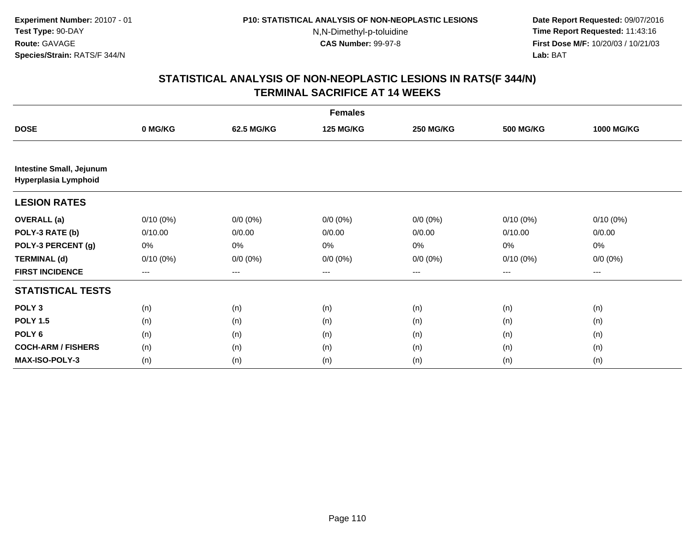**Date Report Requested:** 09/07/2016 **Time Report Requested:** 11:43:16 **First Dose M/F:** 10/20/03 / 10/21/03<br>**Lab:** BAT **Lab:** BAT

|                                                         | <b>Females</b> |             |                  |                  |                  |                   |  |  |
|---------------------------------------------------------|----------------|-------------|------------------|------------------|------------------|-------------------|--|--|
| <b>DOSE</b>                                             | 0 MG/KG        | 62.5 MG/KG  | <b>125 MG/KG</b> | <b>250 MG/KG</b> | <b>500 MG/KG</b> | <b>1000 MG/KG</b> |  |  |
|                                                         |                |             |                  |                  |                  |                   |  |  |
| <b>Intestine Small, Jejunum</b><br>Hyperplasia Lymphoid |                |             |                  |                  |                  |                   |  |  |
| <b>LESION RATES</b>                                     |                |             |                  |                  |                  |                   |  |  |
| <b>OVERALL</b> (a)                                      | $0/10(0\%)$    | $0/0 (0\%)$ | $0/0 (0\%)$      | $0/0 (0\%)$      | $0/10(0\%)$      | $0/10(0\%)$       |  |  |
| POLY-3 RATE (b)                                         | 0/10.00        | 0/0.00      | 0/0.00           | 0/0.00           | 0/10.00          | 0/0.00            |  |  |
| POLY-3 PERCENT (g)                                      | 0%             | 0%          | 0%               | 0%               | 0%               | 0%                |  |  |
| <b>TERMINAL (d)</b>                                     | $0/10(0\%)$    | $0/0 (0\%)$ | $0/0 (0\%)$      | $0/0 (0\%)$      | $0/10(0\%)$      | $0/0 (0\%)$       |  |  |
| <b>FIRST INCIDENCE</b>                                  | ---            | ---         | ---              | $---$            | ---              | ---               |  |  |
| <b>STATISTICAL TESTS</b>                                |                |             |                  |                  |                  |                   |  |  |
| POLY <sub>3</sub>                                       | (n)            | (n)         | (n)              | (n)              | (n)              | (n)               |  |  |
| <b>POLY 1.5</b>                                         | (n)            | (n)         | (n)              | (n)              | (n)              | (n)               |  |  |
| POLY <sub>6</sub>                                       | (n)            | (n)         | (n)              | (n)              | (n)              | (n)               |  |  |
| <b>COCH-ARM / FISHERS</b>                               | (n)            | (n)         | (n)              | (n)              | (n)              | (n)               |  |  |
| MAX-ISO-POLY-3                                          | (n)            | (n)         | (n)              | (n)              | (n)              | (n)               |  |  |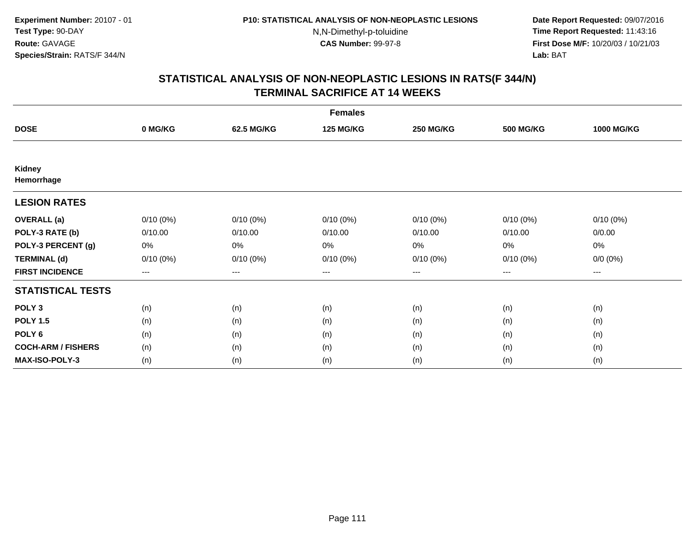**Date Report Requested:** 09/07/2016 **Time Report Requested:** 11:43:16 **First Dose M/F:** 10/20/03 / 10/21/03<br>**Lab:** BAT **Lab:** BAT

|                           |             |             | <b>Females</b>   |                  |                  |                   |
|---------------------------|-------------|-------------|------------------|------------------|------------------|-------------------|
| <b>DOSE</b>               | 0 MG/KG     | 62.5 MG/KG  | <b>125 MG/KG</b> | <b>250 MG/KG</b> | <b>500 MG/KG</b> | <b>1000 MG/KG</b> |
|                           |             |             |                  |                  |                  |                   |
| Kidney<br>Hemorrhage      |             |             |                  |                  |                  |                   |
| <b>LESION RATES</b>       |             |             |                  |                  |                  |                   |
| <b>OVERALL</b> (a)        | $0/10(0\%)$ | $0/10(0\%)$ | $0/10(0\%)$      | $0/10(0\%)$      | $0/10(0\%)$      | $0/10(0\%)$       |
| POLY-3 RATE (b)           | 0/10.00     | 0/10.00     | 0/10.00          | 0/10.00          | 0/10.00          | 0/0.00            |
| POLY-3 PERCENT (g)        | 0%          | 0%          | 0%               | 0%               | 0%               | 0%                |
| <b>TERMINAL (d)</b>       | $0/10(0\%)$ | $0/10(0\%)$ | $0/10(0\%)$      | $0/10(0\%)$      | $0/10(0\%)$      | $0/0 (0\%)$       |
| <b>FIRST INCIDENCE</b>    | ---         | $---$       | ---              | ---              | $---$            | $---$             |
| <b>STATISTICAL TESTS</b>  |             |             |                  |                  |                  |                   |
| POLY <sub>3</sub>         | (n)         | (n)         | (n)              | (n)              | (n)              | (n)               |
| <b>POLY 1.5</b>           | (n)         | (n)         | (n)              | (n)              | (n)              | (n)               |
| POLY <sub>6</sub>         | (n)         | (n)         | (n)              | (n)              | (n)              | (n)               |
| <b>COCH-ARM / FISHERS</b> | (n)         | (n)         | (n)              | (n)              | (n)              | (n)               |
| <b>MAX-ISO-POLY-3</b>     | (n)         | (n)         | (n)              | (n)              | (n)              | (n)               |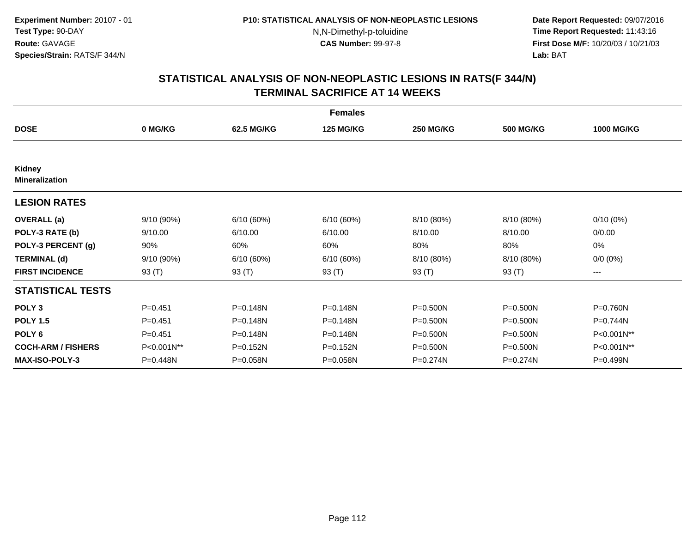**Date Report Requested:** 09/07/2016 **Time Report Requested:** 11:43:16 **First Dose M/F:** 10/20/03 / 10/21/03<br>**Lab:** BAT **Lab:** BAT

|                                 |             |              | <b>Females</b>   |                  |                  |                   |
|---------------------------------|-------------|--------------|------------------|------------------|------------------|-------------------|
| <b>DOSE</b>                     | 0 MG/KG     | 62.5 MG/KG   | <b>125 MG/KG</b> | <b>250 MG/KG</b> | <b>500 MG/KG</b> | <b>1000 MG/KG</b> |
|                                 |             |              |                  |                  |                  |                   |
| Kidney<br><b>Mineralization</b> |             |              |                  |                  |                  |                   |
| <b>LESION RATES</b>             |             |              |                  |                  |                  |                   |
| <b>OVERALL</b> (a)              | 9/10 (90%)  | 6/10(60%)    | 6/10(60%)        | 8/10 (80%)       | 8/10 (80%)       | $0/10(0\%)$       |
| POLY-3 RATE (b)                 | 9/10.00     | 6/10.00      | 6/10.00          | 8/10.00          | 8/10.00          | 0/0.00            |
| POLY-3 PERCENT (g)              | 90%         | 60%          | 60%              | 80%              | 80%              | 0%                |
| <b>TERMINAL (d)</b>             | 9/10(90%)   | 6/10(60%)    | 6/10(60%)        | 8/10 (80%)       | 8/10 (80%)       | $0/0 (0\%)$       |
| <b>FIRST INCIDENCE</b>          | 93 $(T)$    | 93 (T)       | 93 (T)           | 93 (T)           | 93 (T)           | ---               |
| <b>STATISTICAL TESTS</b>        |             |              |                  |                  |                  |                   |
| POLY <sub>3</sub>               | $P=0.451$   | P=0.148N     | P=0.148N         | $P = 0.500N$     | $P = 0.500N$     | P=0.760N          |
| <b>POLY 1.5</b>                 | $P = 0.451$ | P=0.148N     | P=0.148N         | $P = 0.500N$     | $P = 0.500N$     | P=0.744N          |
| POLY <sub>6</sub>               | $P=0.451$   | $P = 0.148N$ | P=0.148N         | $P = 0.500N$     | $P = 0.500N$     | P<0.001N**        |
| <b>COCH-ARM / FISHERS</b>       | P<0.001N**  | P=0.152N     | P=0.152N         | $P = 0.500N$     | $P = 0.500N$     | P<0.001N**        |
| <b>MAX-ISO-POLY-3</b>           | P=0.448N    | $P = 0.058N$ | P=0.058N         | P=0.274N         | $P = 0.274N$     | P=0.499N          |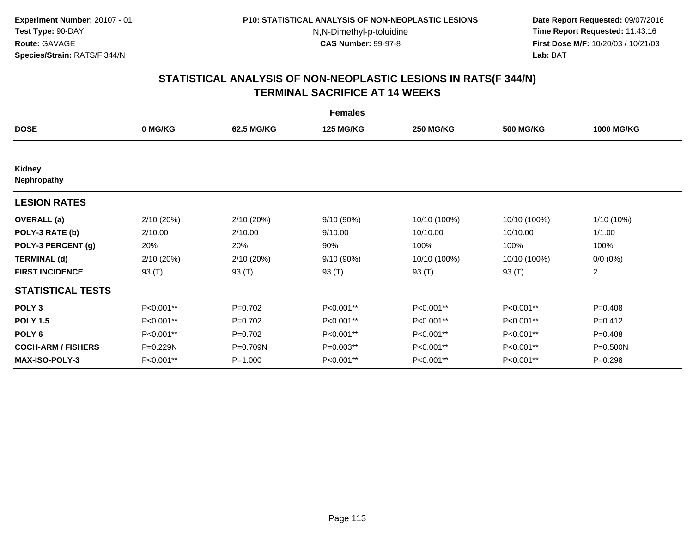**Date Report Requested:** 09/07/2016 **Time Report Requested:** 11:43:16 **First Dose M/F:** 10/20/03 / 10/21/03<br>**Lab:** BAT **Lab:** BAT

|                              |            |             | <b>Females</b>   |                  |                  |                   |
|------------------------------|------------|-------------|------------------|------------------|------------------|-------------------|
| <b>DOSE</b>                  | 0 MG/KG    | 62.5 MG/KG  | <b>125 MG/KG</b> | <b>250 MG/KG</b> | <b>500 MG/KG</b> | <b>1000 MG/KG</b> |
|                              |            |             |                  |                  |                  |                   |
| Kidney<br><b>Nephropathy</b> |            |             |                  |                  |                  |                   |
| <b>LESION RATES</b>          |            |             |                  |                  |                  |                   |
| <b>OVERALL</b> (a)           | 2/10 (20%) | 2/10(20%)   | 9/10 (90%)       | 10/10 (100%)     | 10/10 (100%)     | 1/10 (10%)        |
| POLY-3 RATE (b)              | 2/10.00    | 2/10.00     | 9/10.00          | 10/10.00         | 10/10.00         | 1/1.00            |
| POLY-3 PERCENT (g)           | 20%        | 20%         | 90%              | 100%             | 100%             | 100%              |
| <b>TERMINAL (d)</b>          | 2/10 (20%) | 2/10(20%)   | 9/10 (90%)       | 10/10 (100%)     | 10/10 (100%)     | $0/0 (0\%)$       |
| <b>FIRST INCIDENCE</b>       | 93 (T)     | 93 (T)      | 93 (T)           | 93 (T)           | 93 (T)           | $\overline{a}$    |
| <b>STATISTICAL TESTS</b>     |            |             |                  |                  |                  |                   |
| POLY <sub>3</sub>            | P<0.001**  | $P=0.702$   | P<0.001**        | P<0.001**        | P<0.001**        | $P=0.408$         |
| <b>POLY 1.5</b>              | P<0.001**  | $P=0.702$   | P<0.001**        | P<0.001**        | P<0.001**        | $P=0.412$         |
| POLY <sub>6</sub>            | P<0.001**  | $P=0.702$   | P<0.001**        | P<0.001**        | P<0.001**        | $P=0.408$         |
| <b>COCH-ARM / FISHERS</b>    | P=0.229N   | P=0.709N    | P=0.003**        | P<0.001**        | P<0.001**        | P=0.500N          |
| <b>MAX-ISO-POLY-3</b>        | P<0.001**  | $P = 1.000$ | P<0.001**        | P<0.001**        | P<0.001**        | $P = 0.298$       |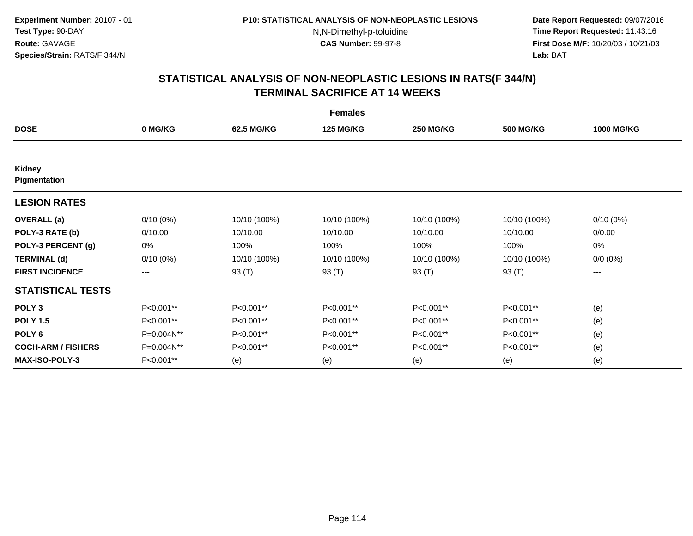**Date Report Requested:** 09/07/2016 **Time Report Requested:** 11:43:16 **First Dose M/F:** 10/20/03 / 10/21/03<br>**Lab:** BAT **Lab:** BAT

|                           | <b>Females</b> |              |                  |                  |                  |                   |  |  |  |
|---------------------------|----------------|--------------|------------------|------------------|------------------|-------------------|--|--|--|
| <b>DOSE</b>               | 0 MG/KG        | 62.5 MG/KG   | <b>125 MG/KG</b> | <b>250 MG/KG</b> | <b>500 MG/KG</b> | <b>1000 MG/KG</b> |  |  |  |
|                           |                |              |                  |                  |                  |                   |  |  |  |
| Kidney<br>Pigmentation    |                |              |                  |                  |                  |                   |  |  |  |
| <b>LESION RATES</b>       |                |              |                  |                  |                  |                   |  |  |  |
| <b>OVERALL</b> (a)        | $0/10(0\%)$    | 10/10 (100%) | 10/10 (100%)     | 10/10 (100%)     | 10/10 (100%)     | $0/10(0\%)$       |  |  |  |
| POLY-3 RATE (b)           | 0/10.00        | 10/10.00     | 10/10.00         | 10/10.00         | 10/10.00         | 0/0.00            |  |  |  |
| POLY-3 PERCENT (g)        | 0%             | 100%         | 100%             | 100%             | 100%             | 0%                |  |  |  |
| <b>TERMINAL (d)</b>       | $0/10(0\%)$    | 10/10 (100%) | 10/10 (100%)     | 10/10 (100%)     | 10/10 (100%)     | $0/0 (0\%)$       |  |  |  |
| <b>FIRST INCIDENCE</b>    | $--$           | 93 (T)       | 93 (T)           | 93 (T)           | 93 (T)           | ---               |  |  |  |
| <b>STATISTICAL TESTS</b>  |                |              |                  |                  |                  |                   |  |  |  |
| POLY <sub>3</sub>         | P<0.001**      | P<0.001**    | P<0.001**        | P<0.001**        | P<0.001**        | (e)               |  |  |  |
| <b>POLY 1.5</b>           | P<0.001**      | P<0.001**    | P<0.001**        | P<0.001**        | P<0.001**        | (e)               |  |  |  |
| POLY <sub>6</sub>         | P=0.004N**     | P<0.001**    | P<0.001**        | P<0.001**        | P<0.001**        | (e)               |  |  |  |
| <b>COCH-ARM / FISHERS</b> | P=0.004N**     | P<0.001**    | P<0.001**        | P<0.001**        | P<0.001**        | (e)               |  |  |  |
| <b>MAX-ISO-POLY-3</b>     | P<0.001**      | (e)          | (e)              | (e)              | (e)              | (e)               |  |  |  |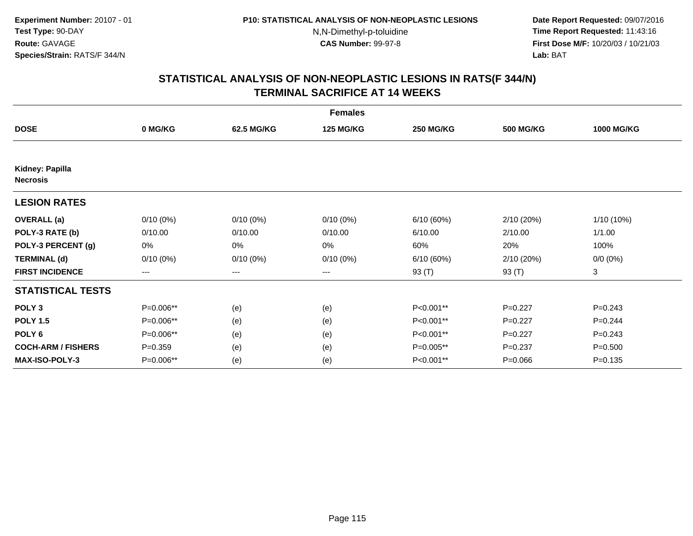**Date Report Requested:** 09/07/2016 **Time Report Requested:** 11:43:16 **First Dose M/F:** 10/20/03 / 10/21/03<br>**Lab:** BAT **Lab:** BAT

|                                    |             |             | <b>Females</b>   |                  |                  |                   |
|------------------------------------|-------------|-------------|------------------|------------------|------------------|-------------------|
| <b>DOSE</b>                        | 0 MG/KG     | 62.5 MG/KG  | <b>125 MG/KG</b> | <b>250 MG/KG</b> | <b>500 MG/KG</b> | <b>1000 MG/KG</b> |
|                                    |             |             |                  |                  |                  |                   |
| Kidney: Papilla<br><b>Necrosis</b> |             |             |                  |                  |                  |                   |
| <b>LESION RATES</b>                |             |             |                  |                  |                  |                   |
| <b>OVERALL</b> (a)                 | $0/10(0\%)$ | $0/10(0\%)$ | $0/10(0\%)$      | 6/10(60%)        | 2/10 (20%)       | 1/10 (10%)        |
| POLY-3 RATE (b)                    | 0/10.00     | 0/10.00     | 0/10.00          | 6/10.00          | 2/10.00          | 1/1.00            |
| POLY-3 PERCENT (g)                 | 0%          | 0%          | 0%               | 60%              | 20%              | 100%              |
| <b>TERMINAL (d)</b>                | $0/10(0\%)$ | $0/10(0\%)$ | $0/10(0\%)$      | 6/10(60%)        | 2/10 (20%)       | $0/0 (0\%)$       |
| <b>FIRST INCIDENCE</b>             | ---         | $---$       | ---              | 93 (T)           | 93 (T)           | 3                 |
| <b>STATISTICAL TESTS</b>           |             |             |                  |                  |                  |                   |
| POLY <sub>3</sub>                  | P=0.006**   | (e)         | (e)              | P<0.001**        | $P=0.227$        | $P=0.243$         |
| <b>POLY 1.5</b>                    | P=0.006**   | (e)         | (e)              | P<0.001**        | $P=0.227$        | $P=0.244$         |
| POLY <sub>6</sub>                  | P=0.006**   | (e)         | (e)              | P<0.001**        | $P=0.227$        | $P=0.243$         |
| <b>COCH-ARM / FISHERS</b>          | $P = 0.359$ | (e)         | (e)              | P=0.005**        | $P=0.237$        | $P = 0.500$       |
| <b>MAX-ISO-POLY-3</b>              | P=0.006**   | (e)         | (e)              | P<0.001**        | $P = 0.066$      | $P = 0.135$       |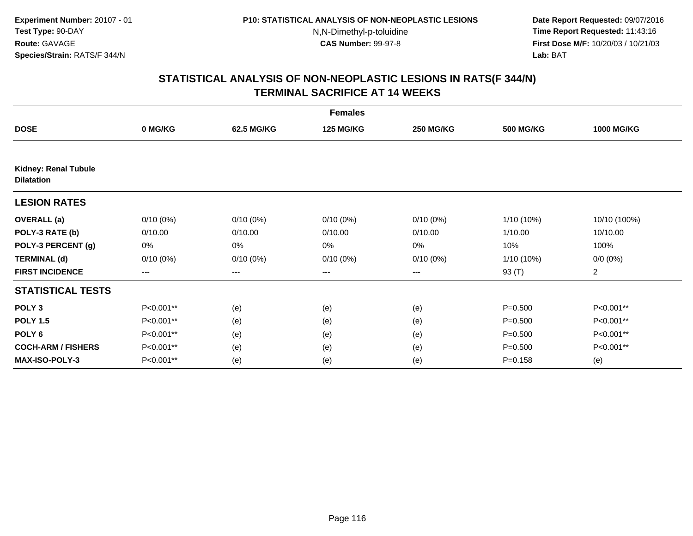**Date Report Requested:** 09/07/2016 **Time Report Requested:** 11:43:16 **First Dose M/F:** 10/20/03 / 10/21/03<br>**Lab:** BAT **Lab:** BAT

|                                                  | <b>Females</b> |             |                  |                  |                  |                   |  |  |
|--------------------------------------------------|----------------|-------------|------------------|------------------|------------------|-------------------|--|--|
| <b>DOSE</b>                                      | 0 MG/KG        | 62.5 MG/KG  | <b>125 MG/KG</b> | <b>250 MG/KG</b> | <b>500 MG/KG</b> | <b>1000 MG/KG</b> |  |  |
|                                                  |                |             |                  |                  |                  |                   |  |  |
| <b>Kidney: Renal Tubule</b><br><b>Dilatation</b> |                |             |                  |                  |                  |                   |  |  |
| <b>LESION RATES</b>                              |                |             |                  |                  |                  |                   |  |  |
| <b>OVERALL</b> (a)                               | $0/10(0\%)$    | $0/10(0\%)$ | $0/10(0\%)$      | $0/10(0\%)$      | $1/10(10\%)$     | 10/10 (100%)      |  |  |
| POLY-3 RATE (b)                                  | 0/10.00        | 0/10.00     | 0/10.00          | 0/10.00          | 1/10.00          | 10/10.00          |  |  |
| POLY-3 PERCENT (g)                               | 0%             | 0%          | 0%               | 0%               | 10%              | 100%              |  |  |
| <b>TERMINAL (d)</b>                              | $0/10(0\%)$    | $0/10(0\%)$ | $0/10(0\%)$      | $0/10(0\%)$      | $1/10(10\%)$     | $0/0 (0\%)$       |  |  |
| <b>FIRST INCIDENCE</b>                           | $---$          | $---$       | ---              | $---$            | 93 (T)           | $\overline{a}$    |  |  |
| <b>STATISTICAL TESTS</b>                         |                |             |                  |                  |                  |                   |  |  |
| POLY <sub>3</sub>                                | P<0.001**      | (e)         | (e)              | (e)              | $P = 0.500$      | P<0.001**         |  |  |
| <b>POLY 1.5</b>                                  | P<0.001**      | (e)         | (e)              | (e)              | $P = 0.500$      | P<0.001**         |  |  |
| POLY <sub>6</sub>                                | P<0.001**      | (e)         | (e)              | (e)              | $P = 0.500$      | P<0.001**         |  |  |
| <b>COCH-ARM / FISHERS</b>                        | P<0.001**      | (e)         | (e)              | (e)              | $P = 0.500$      | P<0.001**         |  |  |
| <b>MAX-ISO-POLY-3</b>                            | P<0.001**      | (e)         | (e)              | (e)              | $P = 0.158$      | (e)               |  |  |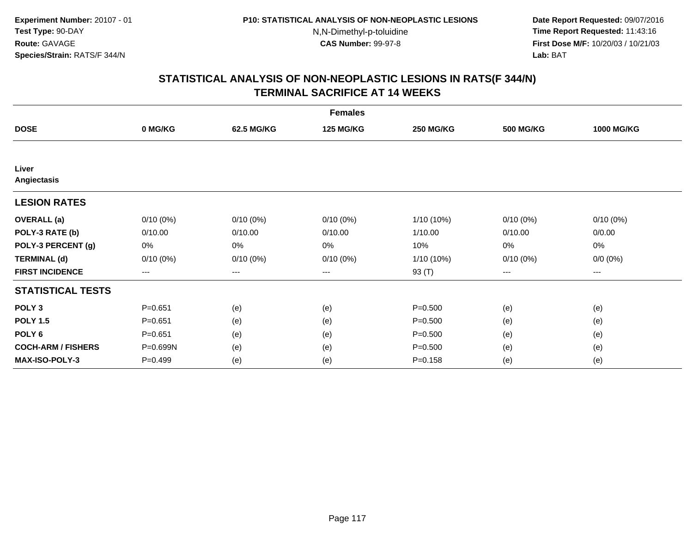**Date Report Requested:** 09/07/2016 **Time Report Requested:** 11:43:16 **First Dose M/F:** 10/20/03 / 10/21/03<br>**Lab:** BAT **Lab:** BAT

|                           |             |             | <b>Females</b>   |                  |                  |                   |
|---------------------------|-------------|-------------|------------------|------------------|------------------|-------------------|
| <b>DOSE</b>               | 0 MG/KG     | 62.5 MG/KG  | <b>125 MG/KG</b> | <b>250 MG/KG</b> | <b>500 MG/KG</b> | <b>1000 MG/KG</b> |
|                           |             |             |                  |                  |                  |                   |
| Liver<br>Angiectasis      |             |             |                  |                  |                  |                   |
| <b>LESION RATES</b>       |             |             |                  |                  |                  |                   |
| <b>OVERALL</b> (a)        | $0/10(0\%)$ | $0/10(0\%)$ | $0/10(0\%)$      | 1/10 (10%)       | $0/10(0\%)$      | $0/10(0\%)$       |
| POLY-3 RATE (b)           | 0/10.00     | 0/10.00     | 0/10.00          | 1/10.00          | 0/10.00          | 0/0.00            |
| POLY-3 PERCENT (g)        | 0%          | 0%          | 0%               | 10%              | 0%               | 0%                |
| <b>TERMINAL (d)</b>       | $0/10(0\%)$ | $0/10(0\%)$ | $0/10(0\%)$      | 1/10 (10%)       | $0/10(0\%)$      | $0/0 (0\%)$       |
| <b>FIRST INCIDENCE</b>    | ---         | $---$       | ---              | 93 (T)           | $--$             | $--$              |
| <b>STATISTICAL TESTS</b>  |             |             |                  |                  |                  |                   |
| POLY <sub>3</sub>         | $P = 0.651$ | (e)         | (e)              | $P = 0.500$      | (e)              | (e)               |
| <b>POLY 1.5</b>           | $P = 0.651$ | (e)         | (e)              | $P = 0.500$      | (e)              | (e)               |
| POLY <sub>6</sub>         | $P = 0.651$ | (e)         | (e)              | $P = 0.500$      | (e)              | (e)               |
| <b>COCH-ARM / FISHERS</b> | P=0.699N    | (e)         | (e)              | $P = 0.500$      | (e)              | (e)               |
| <b>MAX-ISO-POLY-3</b>     | $P=0.499$   | (e)         | (e)              | $P = 0.158$      | (e)              | (e)               |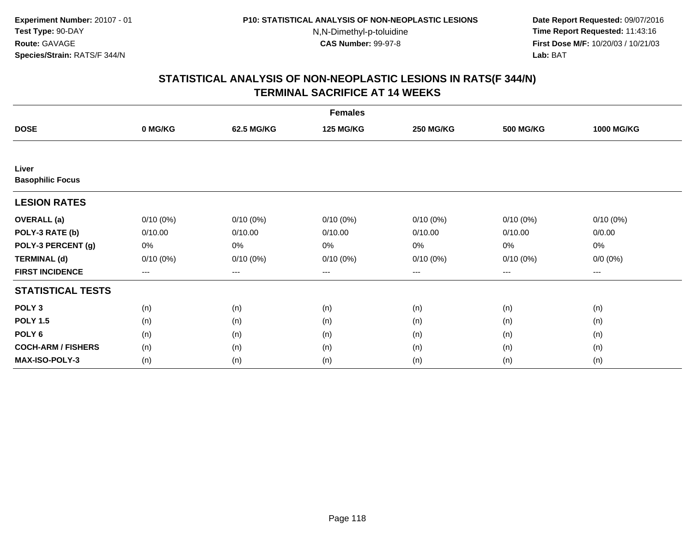**Date Report Requested:** 09/07/2016 **Time Report Requested:** 11:43:16 **First Dose M/F:** 10/20/03 / 10/21/03<br>**Lab:** BAT **Lab:** BAT

| <b>Females</b>                   |             |                   |                  |                  |                  |                   |  |  |
|----------------------------------|-------------|-------------------|------------------|------------------|------------------|-------------------|--|--|
| <b>DOSE</b>                      | 0 MG/KG     | 62.5 MG/KG        | <b>125 MG/KG</b> | <b>250 MG/KG</b> | <b>500 MG/KG</b> | <b>1000 MG/KG</b> |  |  |
|                                  |             |                   |                  |                  |                  |                   |  |  |
| Liver<br><b>Basophilic Focus</b> |             |                   |                  |                  |                  |                   |  |  |
|                                  |             |                   |                  |                  |                  |                   |  |  |
| <b>LESION RATES</b>              |             |                   |                  |                  |                  |                   |  |  |
| <b>OVERALL</b> (a)               | $0/10(0\%)$ | $0/10(0\%)$       | $0/10(0\%)$      | $0/10(0\%)$      | $0/10(0\%)$      | $0/10(0\%)$       |  |  |
| POLY-3 RATE (b)                  | 0/10.00     | 0/10.00           | 0/10.00          | 0/10.00          | 0/10.00          | 0/0.00            |  |  |
| POLY-3 PERCENT (g)               | 0%          | 0%                | 0%               | 0%               | 0%               | $0\%$             |  |  |
| <b>TERMINAL (d)</b>              | $0/10(0\%)$ | $0/10(0\%)$       | $0/10(0\%)$      | $0/10(0\%)$      | $0/10(0\%)$      | $0/0 (0\%)$       |  |  |
| <b>FIRST INCIDENCE</b>           | $--$        | $\qquad \qquad -$ | $---$            | ---              | ---              | ---               |  |  |
| <b>STATISTICAL TESTS</b>         |             |                   |                  |                  |                  |                   |  |  |
| POLY <sub>3</sub>                | (n)         | (n)               | (n)              | (n)              | (n)              | (n)               |  |  |
| <b>POLY 1.5</b>                  | (n)         | (n)               | (n)              | (n)              | (n)              | (n)               |  |  |
| POLY <sub>6</sub>                | (n)         | (n)               | (n)              | (n)              | (n)              | (n)               |  |  |
| <b>COCH-ARM / FISHERS</b>        | (n)         | (n)               | (n)              | (n)              | (n)              | (n)               |  |  |
| <b>MAX-ISO-POLY-3</b>            | (n)         | (n)               | (n)              | (n)              | (n)              | (n)               |  |  |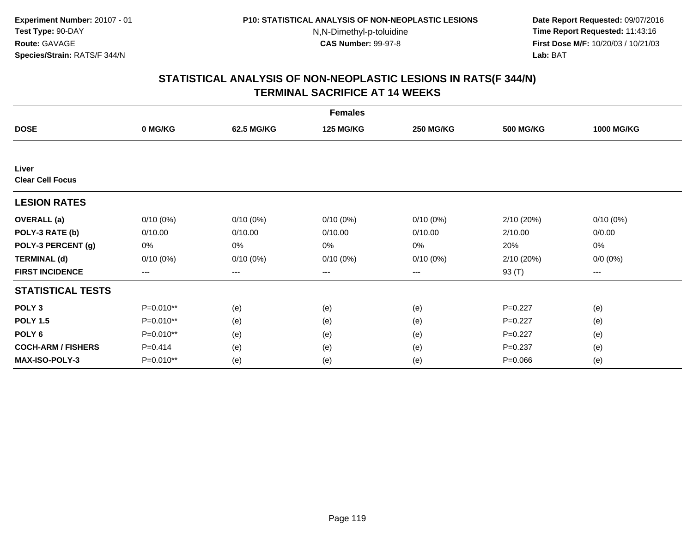**Date Report Requested:** 09/07/2016 **Time Report Requested:** 11:43:16 **First Dose M/F:** 10/20/03 / 10/21/03<br>**Lab:** BAT **Lab:** BAT

|                                  |             |             | <b>Females</b>   |                  |                  |                   |
|----------------------------------|-------------|-------------|------------------|------------------|------------------|-------------------|
| <b>DOSE</b>                      | 0 MG/KG     | 62.5 MG/KG  | <b>125 MG/KG</b> | <b>250 MG/KG</b> | <b>500 MG/KG</b> | <b>1000 MG/KG</b> |
|                                  |             |             |                  |                  |                  |                   |
| Liver<br><b>Clear Cell Focus</b> |             |             |                  |                  |                  |                   |
| <b>LESION RATES</b>              |             |             |                  |                  |                  |                   |
| <b>OVERALL</b> (a)               | $0/10(0\%)$ | $0/10(0\%)$ | $0/10(0\%)$      | $0/10(0\%)$      | 2/10 (20%)       | $0/10(0\%)$       |
| POLY-3 RATE (b)                  | 0/10.00     | 0/10.00     | 0/10.00          | 0/10.00          | 2/10.00          | 0/0.00            |
| POLY-3 PERCENT (g)               | 0%          | 0%          | 0%               | 0%               | 20%              | 0%                |
| <b>TERMINAL (d)</b>              | $0/10(0\%)$ | $0/10(0\%)$ | $0/10(0\%)$      | $0/10(0\%)$      | 2/10 (20%)       | $0/0 (0\%)$       |
| <b>FIRST INCIDENCE</b>           | ---         | $---$       | ---              | ---              | 93 (T)           | ---               |
| <b>STATISTICAL TESTS</b>         |             |             |                  |                  |                  |                   |
| POLY <sub>3</sub>                | P=0.010**   | (e)         | (e)              | (e)              | $P=0.227$        | (e)               |
| <b>POLY 1.5</b>                  | P=0.010**   | (e)         | (e)              | (e)              | $P=0.227$        | (e)               |
| POLY <sub>6</sub>                | P=0.010**   | (e)         | (e)              | (e)              | $P=0.227$        | (e)               |
| <b>COCH-ARM / FISHERS</b>        | $P = 0.414$ | (e)         | (e)              | (e)              | $P = 0.237$      | (e)               |
| <b>MAX-ISO-POLY-3</b>            | P=0.010**   | (e)         | (e)              | (e)              | $P = 0.066$      | (e)               |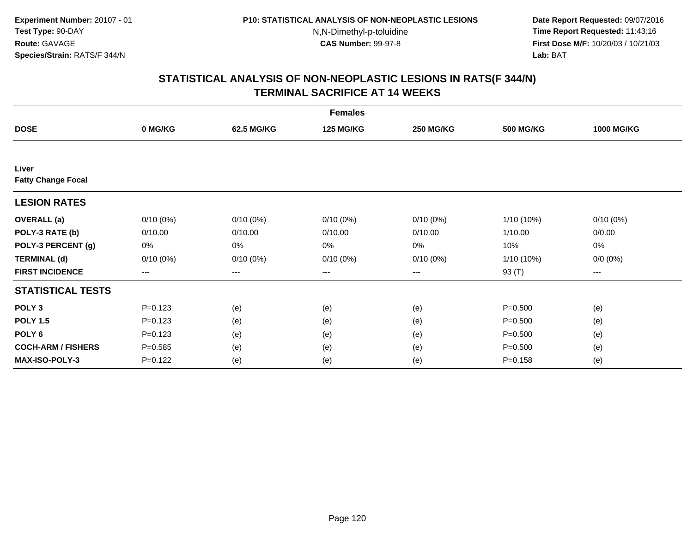**Date Report Requested:** 09/07/2016 **Time Report Requested:** 11:43:16 **First Dose M/F:** 10/20/03 / 10/21/03<br>**Lab:** BAT **Lab:** BAT

|                                    | <b>Females</b> |                   |                  |                  |                  |                   |  |  |
|------------------------------------|----------------|-------------------|------------------|------------------|------------------|-------------------|--|--|
| <b>DOSE</b>                        | 0 MG/KG        | 62.5 MG/KG        | <b>125 MG/KG</b> | <b>250 MG/KG</b> | <b>500 MG/KG</b> | <b>1000 MG/KG</b> |  |  |
|                                    |                |                   |                  |                  |                  |                   |  |  |
| Liver<br><b>Fatty Change Focal</b> |                |                   |                  |                  |                  |                   |  |  |
| <b>LESION RATES</b>                |                |                   |                  |                  |                  |                   |  |  |
| <b>OVERALL</b> (a)                 | $0/10(0\%)$    | $0/10(0\%)$       | $0/10(0\%)$      | $0/10(0\%)$      | $1/10(10\%)$     | $0/10(0\%)$       |  |  |
| POLY-3 RATE (b)                    | 0/10.00        | 0/10.00           | 0/10.00          | 0/10.00          | 1/10.00          | 0/0.00            |  |  |
| POLY-3 PERCENT (g)                 | 0%             | 0%                | 0%               | 0%               | 10%              | $0\%$             |  |  |
| <b>TERMINAL (d)</b>                | $0/10(0\%)$    | $0/10(0\%)$       | $0/10(0\%)$      | $0/10(0\%)$      | $1/10(10\%)$     | $0/0 (0\%)$       |  |  |
| <b>FIRST INCIDENCE</b>             | $--$           | $\qquad \qquad -$ | $---$            | ---              | 93 (T)           | $---$             |  |  |
| <b>STATISTICAL TESTS</b>           |                |                   |                  |                  |                  |                   |  |  |
| POLY <sub>3</sub>                  | $P = 0.123$    | (e)               | (e)              | (e)              | $P = 0.500$      | (e)               |  |  |
| <b>POLY 1.5</b>                    | $P=0.123$      | (e)               | (e)              | (e)              | $P = 0.500$      | (e)               |  |  |
| POLY <sub>6</sub>                  | $P=0.123$      | (e)               | (e)              | (e)              | $P = 0.500$      | (e)               |  |  |
| <b>COCH-ARM / FISHERS</b>          | $P = 0.585$    | (e)               | (e)              | (e)              | $P = 0.500$      | (e)               |  |  |
| <b>MAX-ISO-POLY-3</b>              | $P = 0.122$    | (e)               | (e)              | (e)              | $P = 0.158$      | (e)               |  |  |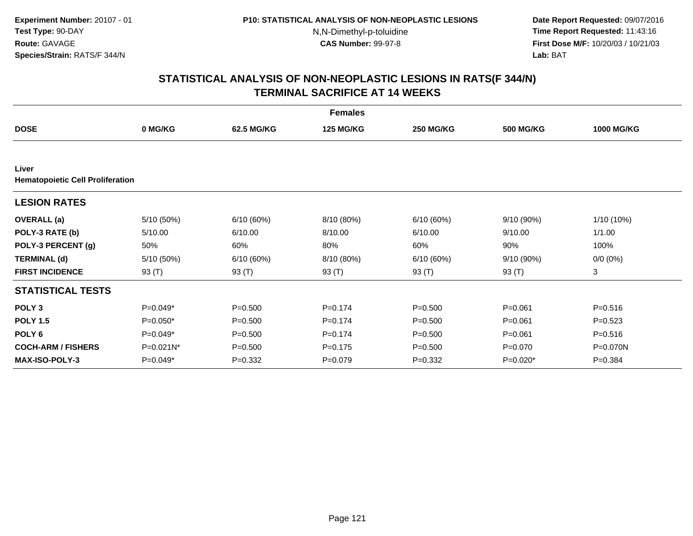**Date Report Requested:** 09/07/2016 **Time Report Requested:** 11:43:16 **First Dose M/F:** 10/20/03 / 10/21/03<br>**Lab:** BAT **Lab:** BAT

|                                                  |            |             | <b>Females</b>   |                  |                  |                   |
|--------------------------------------------------|------------|-------------|------------------|------------------|------------------|-------------------|
| <b>DOSE</b>                                      | 0 MG/KG    | 62.5 MG/KG  | <b>125 MG/KG</b> | <b>250 MG/KG</b> | <b>500 MG/KG</b> | <b>1000 MG/KG</b> |
|                                                  |            |             |                  |                  |                  |                   |
| Liver<br><b>Hematopoietic Cell Proliferation</b> |            |             |                  |                  |                  |                   |
| <b>LESION RATES</b>                              |            |             |                  |                  |                  |                   |
| <b>OVERALL</b> (a)                               | 5/10 (50%) | 6/10(60%)   | 8/10 (80%)       | 6/10(60%)        | $9/10(90\%)$     | 1/10 (10%)        |
| POLY-3 RATE (b)                                  | 5/10.00    | 6/10.00     | 8/10.00          | 6/10.00          | 9/10.00          | 1/1.00            |
| POLY-3 PERCENT (g)                               | 50%        | 60%         | 80%              | 60%              | 90%              | 100%              |
| <b>TERMINAL (d)</b>                              | 5/10 (50%) | 6/10(60%)   | 8/10 (80%)       | 6/10(60%)        | 9/10(90%)        | $0/0 (0\%)$       |
| <b>FIRST INCIDENCE</b>                           | 93 (T)     | 93 (T)      | 93 (T)           | 93 (T)           | 93 (T)           | 3                 |
| <b>STATISTICAL TESTS</b>                         |            |             |                  |                  |                  |                   |
| POLY <sub>3</sub>                                | $P=0.049*$ | $P = 0.500$ | $P=0.174$        | $P = 0.500$      | $P = 0.061$      | $P = 0.516$       |
| <b>POLY 1.5</b>                                  | $P=0.050*$ | $P = 0.500$ | $P=0.174$        | $P = 0.500$      | $P = 0.061$      | $P=0.523$         |
| POLY <sub>6</sub>                                | $P=0.049*$ | $P = 0.500$ | $P=0.174$        | $P = 0.500$      | $P = 0.061$      | $P = 0.516$       |
| <b>COCH-ARM / FISHERS</b>                        | P=0.021N*  | $P = 0.500$ | $P = 0.175$      | $P = 0.500$      | $P = 0.070$      | P=0.070N          |
| <b>MAX-ISO-POLY-3</b>                            | $P=0.049*$ | $P = 0.332$ | $P = 0.079$      | $P = 0.332$      | $P=0.020*$       | $P = 0.384$       |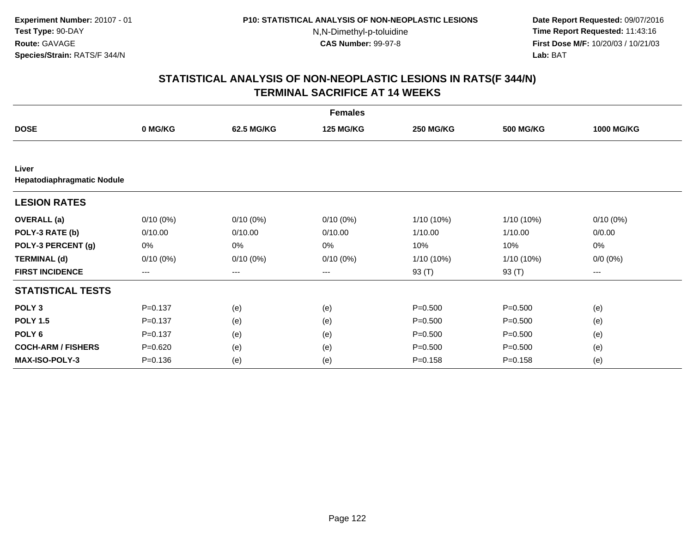**Date Report Requested:** 09/07/2016 **Time Report Requested:** 11:43:16 **First Dose M/F:** 10/20/03 / 10/21/03<br>**Lab:** BAT **Lab:** BAT

| <b>Females</b>                      |                        |             |                  |                  |                  |                   |  |  |
|-------------------------------------|------------------------|-------------|------------------|------------------|------------------|-------------------|--|--|
| <b>DOSE</b>                         | 0 MG/KG                | 62.5 MG/KG  | <b>125 MG/KG</b> | <b>250 MG/KG</b> | <b>500 MG/KG</b> | <b>1000 MG/KG</b> |  |  |
|                                     |                        |             |                  |                  |                  |                   |  |  |
| Liver<br>Hepatodiaphragmatic Nodule |                        |             |                  |                  |                  |                   |  |  |
| <b>LESION RATES</b>                 |                        |             |                  |                  |                  |                   |  |  |
| <b>OVERALL</b> (a)                  | $0/10(0\%)$            | $0/10(0\%)$ | $0/10(0\%)$      | $1/10(10\%)$     | 1/10 (10%)       | $0/10(0\%)$       |  |  |
| POLY-3 RATE (b)                     | 0/10.00                | 0/10.00     | 0/10.00          | 1/10.00          | 1/10.00          | 0/0.00            |  |  |
| POLY-3 PERCENT (g)                  | 0%                     | 0%          | 0%               | 10%              | 10%              | 0%                |  |  |
| <b>TERMINAL (d)</b>                 | $0/10(0\%)$            | $0/10(0\%)$ | $0/10(0\%)$      | $1/10(10\%)$     | 1/10 (10%)       | $0/0 (0\%)$       |  |  |
| <b>FIRST INCIDENCE</b>              | $\qquad \qquad \cdots$ | ---         | ---              | 93 (T)           | 93 (T)           | ---               |  |  |
| <b>STATISTICAL TESTS</b>            |                        |             |                  |                  |                  |                   |  |  |
| POLY <sub>3</sub>                   | $P = 0.137$            | (e)         | (e)              | $P = 0.500$      | $P = 0.500$      | (e)               |  |  |
| <b>POLY 1.5</b>                     | $P = 0.137$            | (e)         | (e)              | $P = 0.500$      | $P = 0.500$      | (e)               |  |  |
| POLY <sub>6</sub>                   | $P = 0.137$            | (e)         | (e)              | $P = 0.500$      | $P = 0.500$      | (e)               |  |  |
| <b>COCH-ARM / FISHERS</b>           | $P = 0.620$            | (e)         | (e)              | $P = 0.500$      | $P = 0.500$      | (e)               |  |  |
| <b>MAX-ISO-POLY-3</b>               | $P = 0.136$            | (e)         | (e)              | $P = 0.158$      | $P = 0.158$      | (e)               |  |  |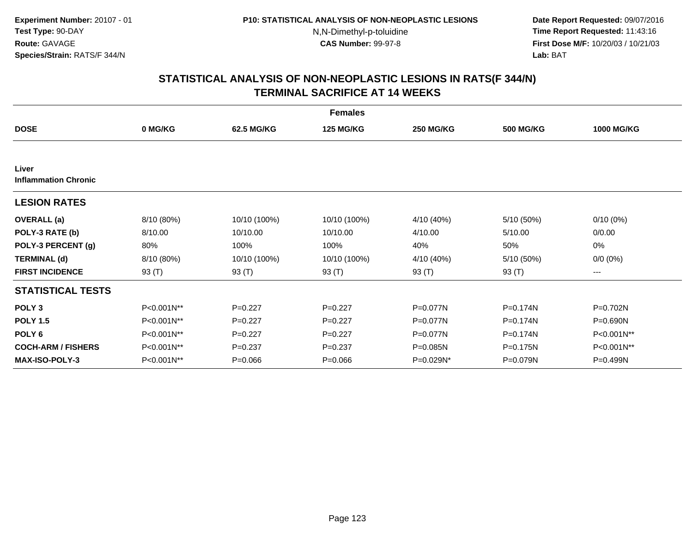**Date Report Requested:** 09/07/2016 **Time Report Requested:** 11:43:16 **First Dose M/F:** 10/20/03 / 10/21/03<br>**Lab:** BAT **Lab:** BAT

| <b>Females</b>                       |            |              |                  |                  |                  |                   |  |  |
|--------------------------------------|------------|--------------|------------------|------------------|------------------|-------------------|--|--|
| <b>DOSE</b>                          | 0 MG/KG    | 62.5 MG/KG   | <b>125 MG/KG</b> | <b>250 MG/KG</b> | <b>500 MG/KG</b> | <b>1000 MG/KG</b> |  |  |
|                                      |            |              |                  |                  |                  |                   |  |  |
| Liver<br><b>Inflammation Chronic</b> |            |              |                  |                  |                  |                   |  |  |
| <b>LESION RATES</b>                  |            |              |                  |                  |                  |                   |  |  |
| <b>OVERALL</b> (a)                   | 8/10 (80%) | 10/10 (100%) | 10/10 (100%)     | 4/10 (40%)       | 5/10 (50%)       | $0/10(0\%)$       |  |  |
| POLY-3 RATE (b)                      | 8/10.00    | 10/10.00     | 10/10.00         | 4/10.00          | 5/10.00          | 0/0.00            |  |  |
| POLY-3 PERCENT (g)                   | 80%        | 100%         | 100%             | 40%              | 50%              | 0%                |  |  |
| <b>TERMINAL (d)</b>                  | 8/10 (80%) | 10/10 (100%) | 10/10 (100%)     | 4/10 (40%)       | 5/10 (50%)       | $0/0 (0\%)$       |  |  |
| <b>FIRST INCIDENCE</b>               | 93 (T)     | 93 (T)       | 93 (T)           | 93 (T)           | 93 (T)           | ---               |  |  |
| <b>STATISTICAL TESTS</b>             |            |              |                  |                  |                  |                   |  |  |
| POLY <sub>3</sub>                    | P<0.001N** | $P=0.227$    | $P=0.227$        | P=0.077N         | P=0.174N         | P=0.702N          |  |  |
| <b>POLY 1.5</b>                      | P<0.001N** | $P=0.227$    | $P=0.227$        | P=0.077N         | P=0.174N         | P=0.690N          |  |  |
| POLY <sub>6</sub>                    | P<0.001N** | $P=0.227$    | $P=0.227$        | P=0.077N         | $P=0.174N$       | P<0.001N**        |  |  |
| <b>COCH-ARM / FISHERS</b>            | P<0.001N** | $P = 0.237$  | $P = 0.237$      | P=0.085N         | $P = 0.175N$     | P<0.001N**        |  |  |
| <b>MAX-ISO-POLY-3</b>                | P<0.001N** | $P = 0.066$  | $P = 0.066$      | $P=0.029N*$      | P=0.079N         | P=0.499N          |  |  |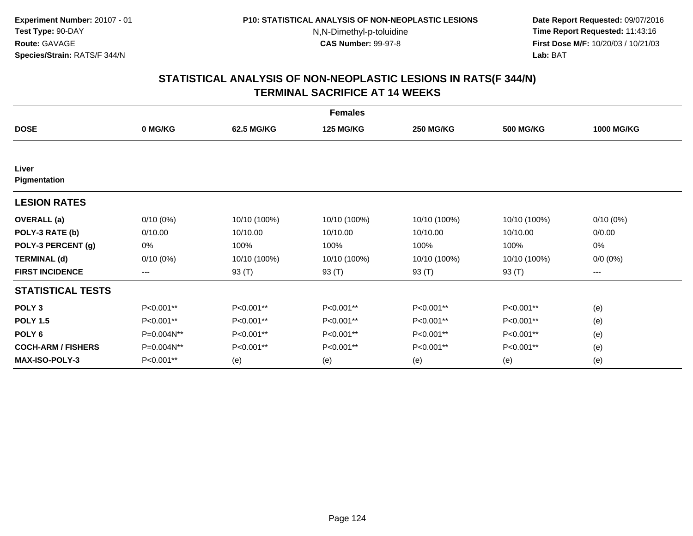**Date Report Requested:** 09/07/2016 **Time Report Requested:** 11:43:16 **First Dose M/F:** 10/20/03 / 10/21/03<br>**Lab:** BAT **Lab:** BAT

| <b>Females</b>            |             |              |                  |                  |                  |                   |  |  |
|---------------------------|-------------|--------------|------------------|------------------|------------------|-------------------|--|--|
| <b>DOSE</b>               | 0 MG/KG     | 62.5 MG/KG   | <b>125 MG/KG</b> | <b>250 MG/KG</b> | <b>500 MG/KG</b> | <b>1000 MG/KG</b> |  |  |
|                           |             |              |                  |                  |                  |                   |  |  |
| Liver<br>Pigmentation     |             |              |                  |                  |                  |                   |  |  |
| <b>LESION RATES</b>       |             |              |                  |                  |                  |                   |  |  |
| <b>OVERALL</b> (a)        | $0/10(0\%)$ | 10/10 (100%) | 10/10 (100%)     | 10/10 (100%)     | 10/10 (100%)     | $0/10(0\%)$       |  |  |
| POLY-3 RATE (b)           | 0/10.00     | 10/10.00     | 10/10.00         | 10/10.00         | 10/10.00         | 0/0.00            |  |  |
| POLY-3 PERCENT (g)        | 0%          | 100%         | 100%             | 100%             | 100%             | 0%                |  |  |
| <b>TERMINAL (d)</b>       | $0/10(0\%)$ | 10/10 (100%) | 10/10 (100%)     | 10/10 (100%)     | 10/10 (100%)     | $0/0 (0\%)$       |  |  |
| <b>FIRST INCIDENCE</b>    | ---         | 93 (T)       | 93 (T)           | 93 (T)           | 93 (T)           | ---               |  |  |
| <b>STATISTICAL TESTS</b>  |             |              |                  |                  |                  |                   |  |  |
| POLY <sub>3</sub>         | P<0.001**   | P<0.001**    | P<0.001**        | P<0.001**        | P<0.001**        | (e)               |  |  |
| <b>POLY 1.5</b>           | P<0.001**   | P<0.001**    | P<0.001**        | P<0.001**        | P<0.001**        | (e)               |  |  |
| POLY <sub>6</sub>         | P=0.004N**  | P<0.001**    | P<0.001**        | P<0.001**        | P<0.001**        | (e)               |  |  |
| <b>COCH-ARM / FISHERS</b> | P=0.004N**  | P<0.001**    | P<0.001**        | P<0.001**        | P<0.001**        | (e)               |  |  |
| <b>MAX-ISO-POLY-3</b>     | P<0.001**   | (e)          | (e)              | (e)              | (e)              | (e)               |  |  |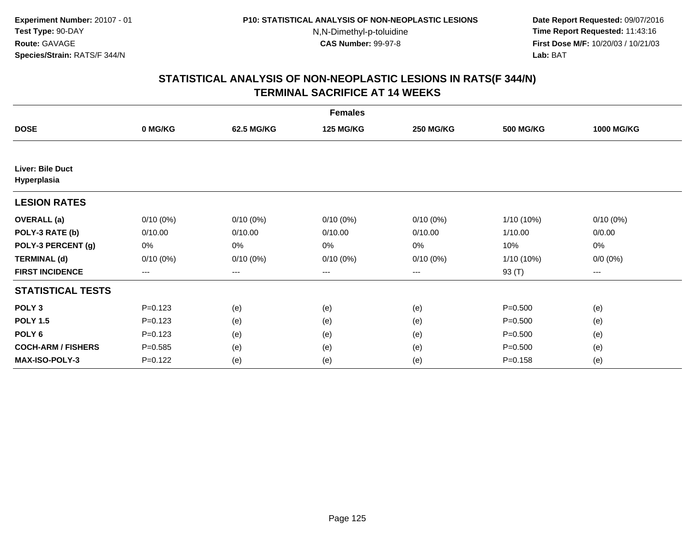**Date Report Requested:** 09/07/2016 **Time Report Requested:** 11:43:16 **First Dose M/F:** 10/20/03 / 10/21/03<br>**Lab:** BAT **Lab:** BAT

|                                        |             |                   | <b>Females</b>   |                  |                  |                   |
|----------------------------------------|-------------|-------------------|------------------|------------------|------------------|-------------------|
| <b>DOSE</b>                            | 0 MG/KG     | 62.5 MG/KG        | <b>125 MG/KG</b> | <b>250 MG/KG</b> | <b>500 MG/KG</b> | <b>1000 MG/KG</b> |
|                                        |             |                   |                  |                  |                  |                   |
| <b>Liver: Bile Duct</b><br>Hyperplasia |             |                   |                  |                  |                  |                   |
| <b>LESION RATES</b>                    |             |                   |                  |                  |                  |                   |
| <b>OVERALL</b> (a)                     | $0/10(0\%)$ | $0/10(0\%)$       | $0/10(0\%)$      | $0/10(0\%)$      | $1/10(10\%)$     | $0/10(0\%)$       |
| POLY-3 RATE (b)                        | 0/10.00     | 0/10.00           | 0/10.00          | 0/10.00          | 1/10.00          | 0/0.00            |
| POLY-3 PERCENT (g)                     | 0%          | 0%                | $0\%$            | 0%               | 10%              | 0%                |
| <b>TERMINAL (d)</b>                    | $0/10(0\%)$ | $0/10(0\%)$       | $0/10(0\%)$      | $0/10(0\%)$      | $1/10(10\%)$     | $0/0 (0\%)$       |
| <b>FIRST INCIDENCE</b>                 | $--$        | $\qquad \qquad -$ | $---$            | ---              | 93 (T)           | ---               |
| <b>STATISTICAL TESTS</b>               |             |                   |                  |                  |                  |                   |
| POLY <sub>3</sub>                      | $P = 0.123$ | (e)               | (e)              | (e)              | $P = 0.500$      | (e)               |
| <b>POLY 1.5</b>                        | $P = 0.123$ | (e)               | (e)              | (e)              | $P = 0.500$      | (e)               |
| POLY <sub>6</sub>                      | $P = 0.123$ | (e)               | (e)              | (e)              | $P = 0.500$      | (e)               |
| <b>COCH-ARM / FISHERS</b>              | $P = 0.585$ | (e)               | (e)              | (e)              | $P = 0.500$      | (e)               |
| <b>MAX-ISO-POLY-3</b>                  | $P = 0.122$ | (e)               | (e)              | (e)              | $P = 0.158$      | (e)               |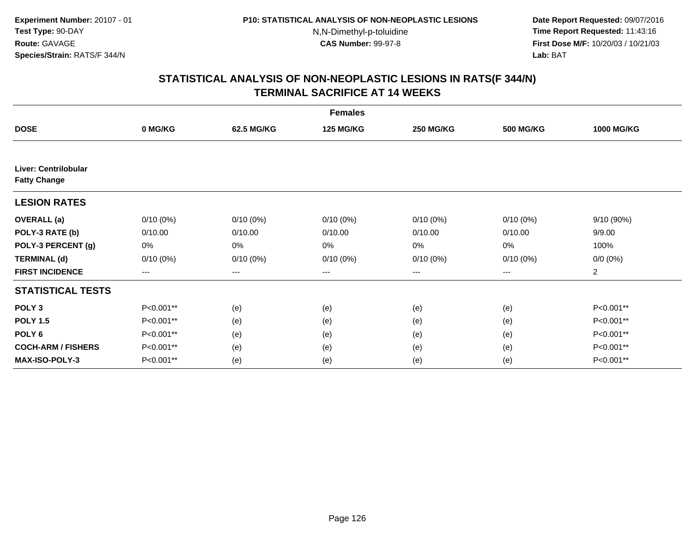**Date Report Requested:** 09/07/2016 **Time Report Requested:** 11:43:16 **First Dose M/F:** 10/20/03 / 10/21/03<br>**Lab:** BAT **Lab:** BAT

|                                             |                   |                   | <b>Females</b>   |                  |                  |                   |
|---------------------------------------------|-------------------|-------------------|------------------|------------------|------------------|-------------------|
| <b>DOSE</b>                                 | 0 MG/KG           | 62.5 MG/KG        | <b>125 MG/KG</b> | <b>250 MG/KG</b> | <b>500 MG/KG</b> | <b>1000 MG/KG</b> |
|                                             |                   |                   |                  |                  |                  |                   |
| Liver: Centrilobular<br><b>Fatty Change</b> |                   |                   |                  |                  |                  |                   |
| <b>LESION RATES</b>                         |                   |                   |                  |                  |                  |                   |
| <b>OVERALL</b> (a)                          | $0/10(0\%)$       | $0/10(0\%)$       | $0/10(0\%)$      | $0/10(0\%)$      | $0/10(0\%)$      | 9/10 (90%)        |
| POLY-3 RATE (b)                             | 0/10.00           | 0/10.00           | 0/10.00          | 0/10.00          | 0/10.00          | 9/9.00            |
| POLY-3 PERCENT (g)                          | 0%                | 0%                | 0%               | 0%               | 0%               | 100%              |
| <b>TERMINAL (d)</b>                         | $0/10(0\%)$       | $0/10(0\%)$       | $0/10(0\%)$      | $0/10(0\%)$      | $0/10(0\%)$      | $0/0 (0\%)$       |
| <b>FIRST INCIDENCE</b>                      | $\qquad \qquad -$ | $\qquad \qquad -$ | ---              | $---$            | $---$            | $\overline{2}$    |
| <b>STATISTICAL TESTS</b>                    |                   |                   |                  |                  |                  |                   |
| POLY <sub>3</sub>                           | P<0.001**         | (e)               | (e)              | (e)              | (e)              | P<0.001**         |
| <b>POLY 1.5</b>                             | P<0.001**         | (e)               | (e)              | (e)              | (e)              | P<0.001**         |
| POLY <sub>6</sub>                           | P<0.001**         | (e)               | (e)              | (e)              | (e)              | P<0.001**         |
| <b>COCH-ARM / FISHERS</b>                   | P<0.001**         | (e)               | (e)              | (e)              | (e)              | P<0.001**         |
| <b>MAX-ISO-POLY-3</b>                       | P<0.001**         | (e)               | (e)              | (e)              | (e)              | P<0.001**         |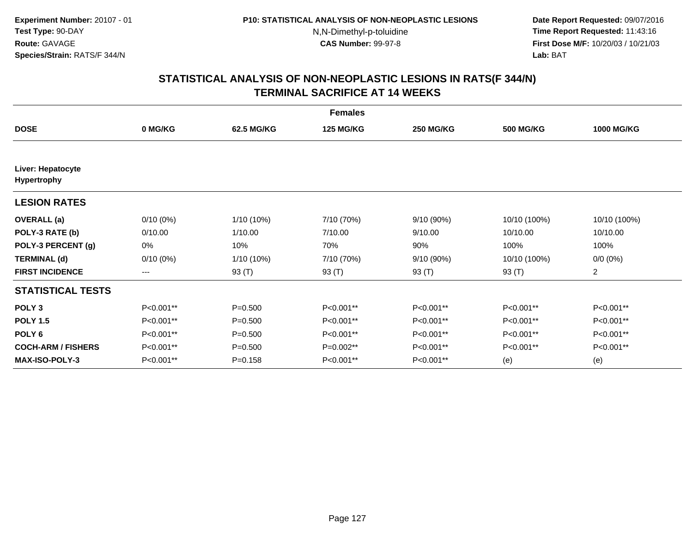**Date Report Requested:** 09/07/2016 **Time Report Requested:** 11:43:16 **First Dose M/F:** 10/20/03 / 10/21/03<br>**Lab:** BAT **Lab:** BAT

|                                  |             |             | <b>Females</b>   |                  |                  |                   |
|----------------------------------|-------------|-------------|------------------|------------------|------------------|-------------------|
| <b>DOSE</b>                      | 0 MG/KG     | 62.5 MG/KG  | <b>125 MG/KG</b> | <b>250 MG/KG</b> | <b>500 MG/KG</b> | <b>1000 MG/KG</b> |
| Liver: Hepatocyte<br>Hypertrophy |             |             |                  |                  |                  |                   |
| <b>LESION RATES</b>              |             |             |                  |                  |                  |                   |
| <b>OVERALL</b> (a)               | $0/10(0\%)$ | 1/10 (10%)  | 7/10 (70%)       | 9/10 (90%)       | 10/10 (100%)     | 10/10 (100%)      |
| POLY-3 RATE (b)                  | 0/10.00     | 1/10.00     | 7/10.00          | 9/10.00          | 10/10.00         | 10/10.00          |
| POLY-3 PERCENT (g)               | 0%          | 10%         | 70%              | 90%              | 100%             | 100%              |
| <b>TERMINAL (d)</b>              | $0/10(0\%)$ | 1/10 (10%)  | 7/10 (70%)       | 9/10 (90%)       | 10/10 (100%)     | $0/0 (0\%)$       |
| <b>FIRST INCIDENCE</b>           | ---         | 93 (T)      | 93 (T)           | 93 (T)           | 93 (T)           | $\overline{a}$    |
| <b>STATISTICAL TESTS</b>         |             |             |                  |                  |                  |                   |
| POLY <sub>3</sub>                | P<0.001**   | $P = 0.500$ | P<0.001**        | P<0.001**        | P<0.001**        | P<0.001**         |
| <b>POLY 1.5</b>                  | P<0.001**   | $P = 0.500$ | P<0.001**        | P<0.001**        | P<0.001**        | P<0.001**         |
| POLY <sub>6</sub>                | P<0.001**   | $P = 0.500$ | P<0.001**        | P<0.001**        | P<0.001**        | P<0.001**         |
| <b>COCH-ARM / FISHERS</b>        | P<0.001**   | $P = 0.500$ | $P=0.002**$      | P<0.001**        | P<0.001**        | P<0.001**         |
| <b>MAX-ISO-POLY-3</b>            | P<0.001**   | $P = 0.158$ | P<0.001**        | P<0.001**        | (e)              | (e)               |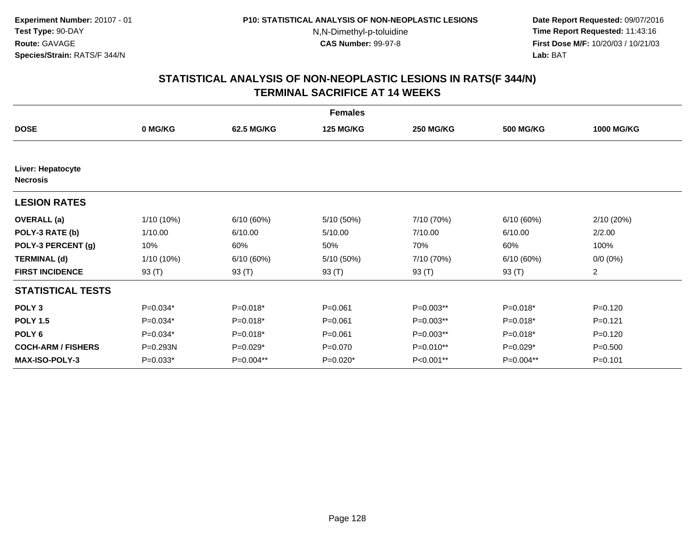**Date Report Requested:** 09/07/2016 **Time Report Requested:** 11:43:16 **First Dose M/F:** 10/20/03 / 10/21/03<br>**Lab:** BAT **Lab:** BAT

|                                      |              |            | <b>Females</b>   |                  |                  |                   |
|--------------------------------------|--------------|------------|------------------|------------------|------------------|-------------------|
| <b>DOSE</b>                          | 0 MG/KG      | 62.5 MG/KG | <b>125 MG/KG</b> | <b>250 MG/KG</b> | <b>500 MG/KG</b> | <b>1000 MG/KG</b> |
|                                      |              |            |                  |                  |                  |                   |
| Liver: Hepatocyte<br><b>Necrosis</b> |              |            |                  |                  |                  |                   |
| <b>LESION RATES</b>                  |              |            |                  |                  |                  |                   |
| <b>OVERALL</b> (a)                   | 1/10 (10%)   | 6/10(60%)  | 5/10 (50%)       | 7/10 (70%)       | 6/10(60%)        | 2/10(20%)         |
| POLY-3 RATE (b)                      | 1/10.00      | 6/10.00    | 5/10.00          | 7/10.00          | 6/10.00          | 2/2.00            |
| POLY-3 PERCENT (g)                   | 10%          | 60%        | 50%              | 70%              | 60%              | 100%              |
| <b>TERMINAL (d)</b>                  | $1/10(10\%)$ | 6/10(60%)  | 5/10 (50%)       | 7/10 (70%)       | 6/10(60%)        | $0/0 (0\%)$       |
| <b>FIRST INCIDENCE</b>               | 93 $(T)$     | 93 (T)     | 93 (T)           | 93 $(T)$         | 93 (T)           | $\overline{2}$    |
| <b>STATISTICAL TESTS</b>             |              |            |                  |                  |                  |                   |
| POLY <sub>3</sub>                    | $P=0.034*$   | P=0.018*   | $P = 0.061$      | P=0.003**        | P=0.018*         | $P=0.120$         |
| <b>POLY 1.5</b>                      | $P=0.034*$   | $P=0.018*$ | $P = 0.061$      | $P=0.003**$      | P=0.018*         | $P=0.121$         |
| POLY <sub>6</sub>                    | $P=0.034*$   | $P=0.018*$ | $P = 0.061$      | $P=0.003**$      | $P=0.018*$       | $P=0.120$         |
| <b>COCH-ARM / FISHERS</b>            | P=0.293N     | P=0.029*   | $P = 0.070$      | P=0.010**        | P=0.029*         | $P = 0.500$       |
| <b>MAX-ISO-POLY-3</b>                | $P=0.033*$   | P=0.004**  | $P=0.020*$       | P<0.001**        | P=0.004**        | $P = 0.101$       |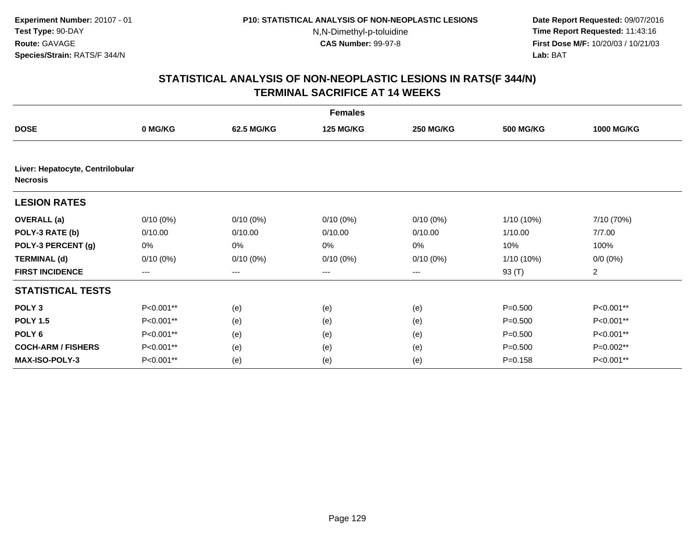**Date Report Requested:** 09/07/2016 **Time Report Requested:** 11:43:16 **First Dose M/F:** 10/20/03 / 10/21/03<br>**Lab:** BAT **Lab:** BAT

|                                                     | <b>Females</b>    |             |                  |                        |                  |                   |  |  |  |
|-----------------------------------------------------|-------------------|-------------|------------------|------------------------|------------------|-------------------|--|--|--|
| <b>DOSE</b>                                         | 0 MG/KG           | 62.5 MG/KG  | <b>125 MG/KG</b> | <b>250 MG/KG</b>       | <b>500 MG/KG</b> | <b>1000 MG/KG</b> |  |  |  |
|                                                     |                   |             |                  |                        |                  |                   |  |  |  |
| Liver: Hepatocyte, Centrilobular<br><b>Necrosis</b> |                   |             |                  |                        |                  |                   |  |  |  |
| <b>LESION RATES</b>                                 |                   |             |                  |                        |                  |                   |  |  |  |
| <b>OVERALL</b> (a)                                  | $0/10(0\%)$       | $0/10(0\%)$ | $0/10(0\%)$      | $0/10(0\%)$            | $1/10(10\%)$     | 7/10 (70%)        |  |  |  |
| POLY-3 RATE (b)                                     | 0/10.00           | 0/10.00     | 0/10.00          | 0/10.00                | 1/10.00          | 7/7.00            |  |  |  |
| POLY-3 PERCENT (g)                                  | 0%                | 0%          | 0%               | 0%                     | 10%              | 100%              |  |  |  |
| <b>TERMINAL (d)</b>                                 | $0/10(0\%)$       | $0/10(0\%)$ | $0/10(0\%)$      | $0/10(0\%)$            | $1/10(10\%)$     | $0/0 (0\%)$       |  |  |  |
| <b>FIRST INCIDENCE</b>                              | $\qquad \qquad -$ | ---         | ---              | $\qquad \qquad \cdots$ | 93 (T)           | 2                 |  |  |  |
| <b>STATISTICAL TESTS</b>                            |                   |             |                  |                        |                  |                   |  |  |  |
| POLY <sub>3</sub>                                   | P<0.001**         | (e)         | (e)              | (e)                    | $P = 0.500$      | P<0.001**         |  |  |  |
| <b>POLY 1.5</b>                                     | P<0.001**         | (e)         | (e)              | (e)                    | $P = 0.500$      | P<0.001**         |  |  |  |
| POLY <sub>6</sub>                                   | P<0.001**         | (e)         | (e)              | (e)                    | $P = 0.500$      | P<0.001**         |  |  |  |
| <b>COCH-ARM / FISHERS</b>                           | P<0.001**         | (e)         | (e)              | (e)                    | $P = 0.500$      | P=0.002**         |  |  |  |
| <b>MAX-ISO-POLY-3</b>                               | P<0.001**         | (e)         | (e)              | (e)                    | $P = 0.158$      | P<0.001**         |  |  |  |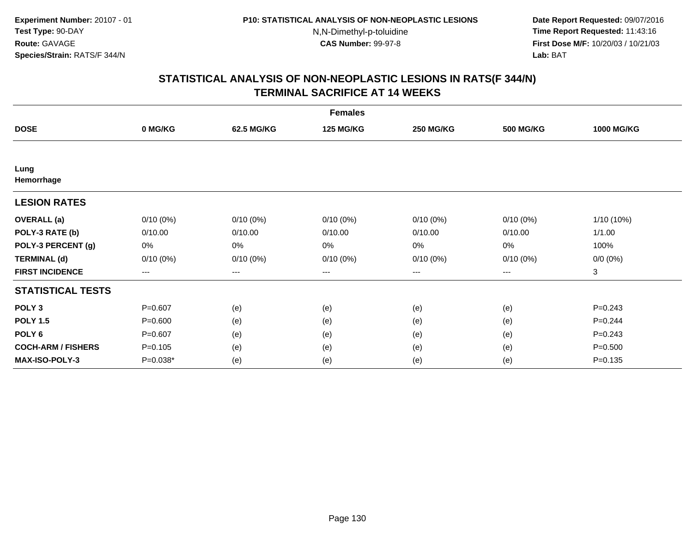**Date Report Requested:** 09/07/2016 **Time Report Requested:** 11:43:16 **First Dose M/F:** 10/20/03 / 10/21/03<br>**Lab:** BAT **Lab:** BAT

|                           |                        |             | <b>Females</b>   |                   |                  |                   |
|---------------------------|------------------------|-------------|------------------|-------------------|------------------|-------------------|
| <b>DOSE</b>               | 0 MG/KG                | 62.5 MG/KG  | <b>125 MG/KG</b> | <b>250 MG/KG</b>  | <b>500 MG/KG</b> | <b>1000 MG/KG</b> |
|                           |                        |             |                  |                   |                  |                   |
| Lung<br>Hemorrhage        |                        |             |                  |                   |                  |                   |
| <b>LESION RATES</b>       |                        |             |                  |                   |                  |                   |
| <b>OVERALL</b> (a)        | $0/10(0\%)$            | $0/10(0\%)$ | $0/10(0\%)$      | $0/10(0\%)$       | $0/10(0\%)$      | $1/10(10\%)$      |
| POLY-3 RATE (b)           | 0/10.00                | 0/10.00     | 0/10.00          | 0/10.00           | 0/10.00          | 1/1.00            |
| POLY-3 PERCENT (g)        | 0%                     | 0%          | 0%               | 0%                | $0\%$            | 100%              |
| <b>TERMINAL (d)</b>       | $0/10(0\%)$            | $0/10(0\%)$ | $0/10(0\%)$      | $0/10(0\%)$       | $0/10(0\%)$      | $0/0 (0\%)$       |
| <b>FIRST INCIDENCE</b>    | $\qquad \qquad \cdots$ | ---         | ---              | $\qquad \qquad -$ | ---              | 3                 |
| <b>STATISTICAL TESTS</b>  |                        |             |                  |                   |                  |                   |
| POLY <sub>3</sub>         | $P = 0.607$            | (e)         | (e)              | (e)               | (e)              | $P = 0.243$       |
| <b>POLY 1.5</b>           | $P = 0.600$            | (e)         | (e)              | (e)               | (e)              | $P=0.244$         |
| POLY <sub>6</sub>         | $P=0.607$              | (e)         | (e)              | (e)               | (e)              | $P = 0.243$       |
| <b>COCH-ARM / FISHERS</b> | $P=0.105$              | (e)         | (e)              | (e)               | (e)              | $P = 0.500$       |
| MAX-ISO-POLY-3            | P=0.038*               | (e)         | (e)              | (e)               | (e)              | $P = 0.135$       |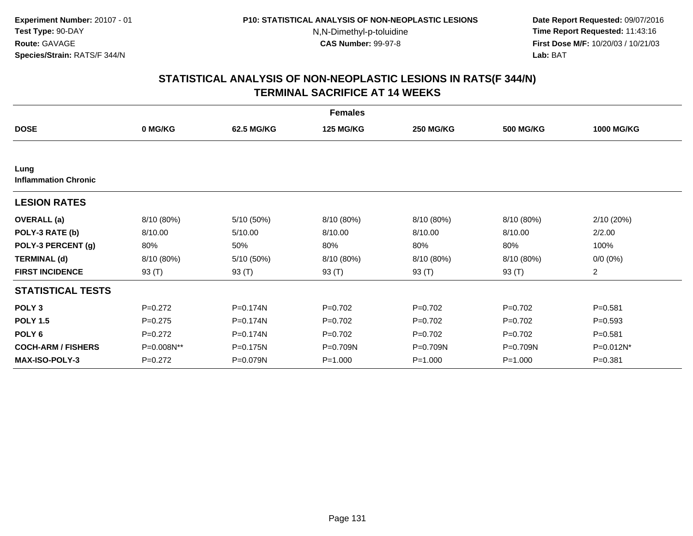**Date Report Requested:** 09/07/2016 **Time Report Requested:** 11:43:16 **First Dose M/F:** 10/20/03 / 10/21/03<br>**Lab:** BAT **Lab:** BAT

|                                     |             |            | <b>Females</b>   |                  |                  |                   |
|-------------------------------------|-------------|------------|------------------|------------------|------------------|-------------------|
| <b>DOSE</b>                         | 0 MG/KG     | 62.5 MG/KG | <b>125 MG/KG</b> | <b>250 MG/KG</b> | <b>500 MG/KG</b> | <b>1000 MG/KG</b> |
|                                     |             |            |                  |                  |                  |                   |
| Lung<br><b>Inflammation Chronic</b> |             |            |                  |                  |                  |                   |
| <b>LESION RATES</b>                 |             |            |                  |                  |                  |                   |
| <b>OVERALL</b> (a)                  | 8/10 (80%)  | 5/10 (50%) | 8/10 (80%)       | 8/10 (80%)       | 8/10 (80%)       | 2/10 (20%)        |
| POLY-3 RATE (b)                     | 8/10.00     | 5/10.00    | 8/10.00          | 8/10.00          | 8/10.00          | 2/2.00            |
| POLY-3 PERCENT (g)                  | 80%         | 50%        | 80%              | 80%              | 80%              | 100%              |
| <b>TERMINAL (d)</b>                 | 8/10 (80%)  | 5/10 (50%) | 8/10 (80%)       | 8/10 (80%)       | 8/10 (80%)       | $0/0 (0\%)$       |
| <b>FIRST INCIDENCE</b>              | 93 $(T)$    | 93 (T)     | 93 (T)           | 93 (T)           | 93 $(T)$         | $\overline{2}$    |
| <b>STATISTICAL TESTS</b>            |             |            |                  |                  |                  |                   |
| POLY <sub>3</sub>                   | $P = 0.272$ | P=0.174N   | $P=0.702$        | $P=0.702$        | $P=0.702$        | $P = 0.581$       |
| <b>POLY 1.5</b>                     | $P=0.275$   | P=0.174N   | $P=0.702$        | $P=0.702$        | $P=0.702$        | $P = 0.593$       |
| POLY <sub>6</sub>                   | $P=0.272$   | P=0.174N   | $P=0.702$        | $P=0.702$        | $P=0.702$        | $P = 0.581$       |
| <b>COCH-ARM / FISHERS</b>           | P=0.008N**  | P=0.175N   | $P=0.709N$       | $P = 0.709N$     | $P = 0.709N$     | $P=0.012N^*$      |
| <b>MAX-ISO-POLY-3</b>               | $P = 0.272$ | P=0.079N   | $P = 1.000$      | $P = 1.000$      | $P = 1.000$      | $P = 0.381$       |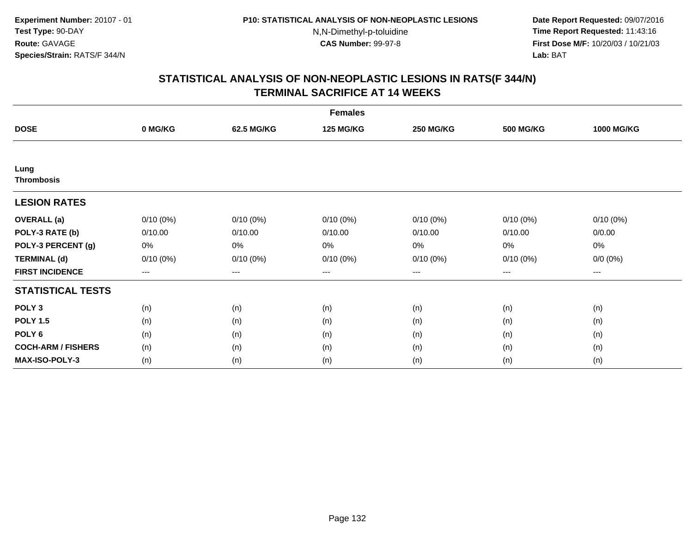**Date Report Requested:** 09/07/2016 **Time Report Requested:** 11:43:16 **First Dose M/F:** 10/20/03 / 10/21/03<br>**Lab:** BAT **Lab:** BAT

|                           |             |             | <b>Females</b>   |                  |                  |                   |
|---------------------------|-------------|-------------|------------------|------------------|------------------|-------------------|
| <b>DOSE</b>               | 0 MG/KG     | 62.5 MG/KG  | <b>125 MG/KG</b> | <b>250 MG/KG</b> | <b>500 MG/KG</b> | <b>1000 MG/KG</b> |
|                           |             |             |                  |                  |                  |                   |
| Lung<br><b>Thrombosis</b> |             |             |                  |                  |                  |                   |
| <b>LESION RATES</b>       |             |             |                  |                  |                  |                   |
| <b>OVERALL</b> (a)        | $0/10(0\%)$ | $0/10(0\%)$ | $0/10(0\%)$      | $0/10(0\%)$      | $0/10(0\%)$      | $0/10(0\%)$       |
| POLY-3 RATE (b)           | 0/10.00     | 0/10.00     | 0/10.00          | 0/10.00          | 0/10.00          | 0/0.00            |
| POLY-3 PERCENT (g)        | 0%          | 0%          | 0%               | 0%               | 0%               | 0%                |
| <b>TERMINAL (d)</b>       | $0/10(0\%)$ | $0/10(0\%)$ | $0/10(0\%)$      | 0/10(0%)         | $0/10(0\%)$      | $0/0 (0\%)$       |
| <b>FIRST INCIDENCE</b>    | ---         | $---$       | ---              | ---              | $---$            | $---$             |
| <b>STATISTICAL TESTS</b>  |             |             |                  |                  |                  |                   |
| POLY <sub>3</sub>         | (n)         | (n)         | (n)              | (n)              | (n)              | (n)               |
| <b>POLY 1.5</b>           | (n)         | (n)         | (n)              | (n)              | (n)              | (n)               |
| POLY <sub>6</sub>         | (n)         | (n)         | (n)              | (n)              | (n)              | (n)               |
| <b>COCH-ARM / FISHERS</b> | (n)         | (n)         | (n)              | (n)              | (n)              | (n)               |
| <b>MAX-ISO-POLY-3</b>     | (n)         | (n)         | (n)              | (n)              | (n)              | (n)               |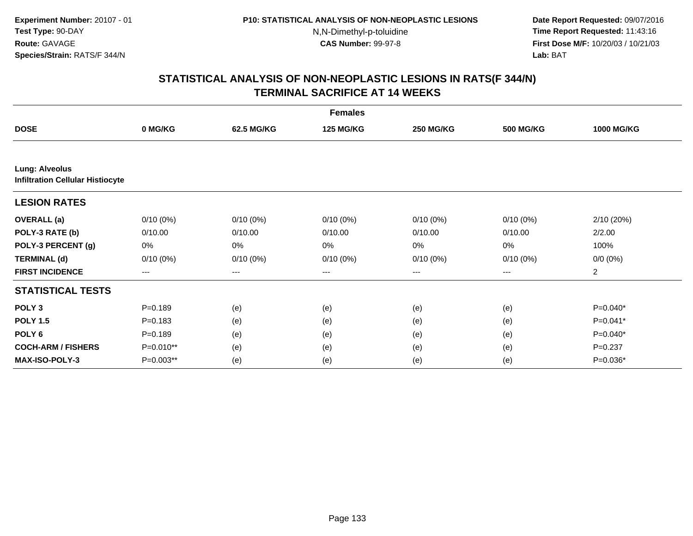**Date Report Requested:** 09/07/2016 **Time Report Requested:** 11:43:16 **First Dose M/F:** 10/20/03 / 10/21/03<br>**Lab:** BAT **Lab:** BAT

|                                                                  | <b>Females</b> |             |                  |                   |                  |                   |  |  |  |
|------------------------------------------------------------------|----------------|-------------|------------------|-------------------|------------------|-------------------|--|--|--|
| <b>DOSE</b>                                                      | 0 MG/KG        | 62.5 MG/KG  | <b>125 MG/KG</b> | <b>250 MG/KG</b>  | <b>500 MG/KG</b> | <b>1000 MG/KG</b> |  |  |  |
|                                                                  |                |             |                  |                   |                  |                   |  |  |  |
| <b>Lung: Alveolus</b><br><b>Infiltration Cellular Histiocyte</b> |                |             |                  |                   |                  |                   |  |  |  |
| <b>LESION RATES</b>                                              |                |             |                  |                   |                  |                   |  |  |  |
| <b>OVERALL</b> (a)                                               | $0/10(0\%)$    | $0/10(0\%)$ | $0/10(0\%)$      | $0/10(0\%)$       | $0/10(0\%)$      | 2/10 (20%)        |  |  |  |
| POLY-3 RATE (b)                                                  | 0/10.00        | 0/10.00     | 0/10.00          | 0/10.00           | 0/10.00          | 2/2.00            |  |  |  |
| POLY-3 PERCENT (g)                                               | 0%             | 0%          | 0%               | 0%                | 0%               | 100%              |  |  |  |
| <b>TERMINAL (d)</b>                                              | $0/10(0\%)$    | $0/10(0\%)$ | $0/10(0\%)$      | $0/10(0\%)$       | $0/10(0\%)$      | $0/0 (0\%)$       |  |  |  |
| <b>FIRST INCIDENCE</b>                                           | $---$          | ---         | $---$            | $\qquad \qquad -$ | ---              | $\overline{2}$    |  |  |  |
| <b>STATISTICAL TESTS</b>                                         |                |             |                  |                   |                  |                   |  |  |  |
| POLY <sub>3</sub>                                                | $P = 0.189$    | (e)         | (e)              | (e)               | (e)              | $P=0.040*$        |  |  |  |
| <b>POLY 1.5</b>                                                  | $P = 0.183$    | (e)         | (e)              | (e)               | (e)              | $P=0.041*$        |  |  |  |
| POLY <sub>6</sub>                                                | $P = 0.189$    | (e)         | (e)              | (e)               | (e)              | $P=0.040*$        |  |  |  |
| <b>COCH-ARM / FISHERS</b>                                        | P=0.010**      | (e)         | (e)              | (e)               | (e)              | $P = 0.237$       |  |  |  |
| MAX-ISO-POLY-3                                                   | P=0.003**      | (e)         | (e)              | (e)               | (e)              | $P=0.036*$        |  |  |  |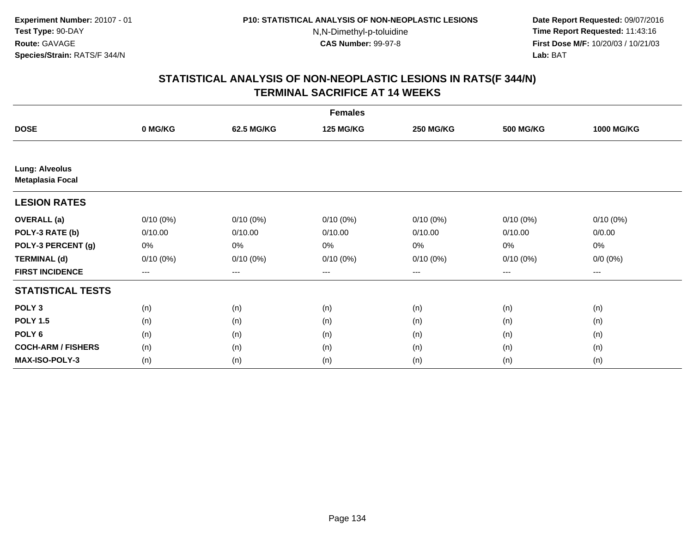**Date Report Requested:** 09/07/2016 **Time Report Requested:** 11:43:16 **First Dose M/F:** 10/20/03 / 10/21/03<br>**Lab:** BAT **Lab:** BAT

|                                                  | <b>Females</b> |                   |                  |                  |                  |                   |  |  |
|--------------------------------------------------|----------------|-------------------|------------------|------------------|------------------|-------------------|--|--|
| <b>DOSE</b>                                      | 0 MG/KG        | 62.5 MG/KG        | <b>125 MG/KG</b> | <b>250 MG/KG</b> | <b>500 MG/KG</b> | <b>1000 MG/KG</b> |  |  |
|                                                  |                |                   |                  |                  |                  |                   |  |  |
| <b>Lung: Alveolus</b><br><b>Metaplasia Focal</b> |                |                   |                  |                  |                  |                   |  |  |
| <b>LESION RATES</b>                              |                |                   |                  |                  |                  |                   |  |  |
| <b>OVERALL</b> (a)                               | $0/10(0\%)$    | $0/10(0\%)$       | $0/10(0\%)$      | $0/10(0\%)$      | $0/10(0\%)$      | $0/10(0\%)$       |  |  |
| POLY-3 RATE (b)                                  | 0/10.00        | 0/10.00           | 0/10.00          | 0/10.00          | 0/10.00          | 0/0.00            |  |  |
| POLY-3 PERCENT (g)                               | 0%             | 0%                | 0%               | 0%               | 0%               | 0%                |  |  |
| <b>TERMINAL (d)</b>                              | $0/10(0\%)$    | $0/10(0\%)$       | $0/10(0\%)$      | 0/10(0%)         | 0/10(0%)         | $0/0 (0\%)$       |  |  |
| <b>FIRST INCIDENCE</b>                           | $--$           | $\qquad \qquad -$ | ---              | $\cdots$         | $---$            | ---               |  |  |
| <b>STATISTICAL TESTS</b>                         |                |                   |                  |                  |                  |                   |  |  |
| POLY <sub>3</sub>                                | (n)            | (n)               | (n)              | (n)              | (n)              | (n)               |  |  |
| <b>POLY 1.5</b>                                  | (n)            | (n)               | (n)              | (n)              | (n)              | (n)               |  |  |
| POLY <sub>6</sub>                                | (n)            | (n)               | (n)              | (n)              | (n)              | (n)               |  |  |
| <b>COCH-ARM / FISHERS</b>                        | (n)            | (n)               | (n)              | (n)              | (n)              | (n)               |  |  |
| <b>MAX-ISO-POLY-3</b>                            | (n)            | (n)               | (n)              | (n)              | (n)              | (n)               |  |  |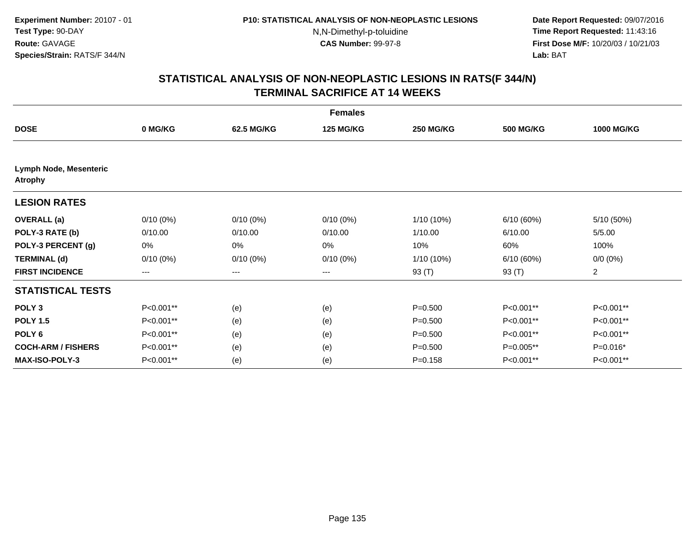**Date Report Requested:** 09/07/2016 **Time Report Requested:** 11:43:16 **First Dose M/F:** 10/20/03 / 10/21/03<br>**Lab:** BAT **Lab:** BAT

|                                                 |             |             | <b>Females</b>   |                  |                  |                   |
|-------------------------------------------------|-------------|-------------|------------------|------------------|------------------|-------------------|
| <b>DOSE</b>                                     | 0 MG/KG     | 62.5 MG/KG  | <b>125 MG/KG</b> | <b>250 MG/KG</b> | <b>500 MG/KG</b> | <b>1000 MG/KG</b> |
|                                                 |             |             |                  |                  |                  |                   |
| <b>Lymph Node, Mesenteric</b><br><b>Atrophy</b> |             |             |                  |                  |                  |                   |
| <b>LESION RATES</b>                             |             |             |                  |                  |                  |                   |
| <b>OVERALL</b> (a)                              | $0/10(0\%)$ | $0/10(0\%)$ | $0/10(0\%)$      | 1/10 (10%)       | 6/10(60%)        | 5/10 (50%)        |
| POLY-3 RATE (b)                                 | 0/10.00     | 0/10.00     | 0/10.00          | 1/10.00          | 6/10.00          | 5/5.00            |
| POLY-3 PERCENT (g)                              | 0%          | 0%          | 0%               | 10%              | 60%              | 100%              |
| <b>TERMINAL (d)</b>                             | $0/10(0\%)$ | $0/10(0\%)$ | $0/10(0\%)$      | 1/10 (10%)       | 6/10(60%)        | $0/0 (0\%)$       |
| <b>FIRST INCIDENCE</b>                          | $---$       | $---$       | $\cdots$         | 93 (T)           | 93 (T)           | $\overline{c}$    |
| <b>STATISTICAL TESTS</b>                        |             |             |                  |                  |                  |                   |
| POLY <sub>3</sub>                               | P<0.001**   | (e)         | (e)              | $P = 0.500$      | P<0.001**        | P<0.001**         |
| <b>POLY 1.5</b>                                 | P<0.001**   | (e)         | (e)              | $P = 0.500$      | P<0.001**        | P<0.001**         |
| POLY <sub>6</sub>                               | P<0.001**   | (e)         | (e)              | $P = 0.500$      | P<0.001**        | P<0.001**         |
| <b>COCH-ARM / FISHERS</b>                       | P<0.001**   | (e)         | (e)              | $P = 0.500$      | P=0.005**        | P=0.016*          |
| <b>MAX-ISO-POLY-3</b>                           | P<0.001**   | (e)         | (e)              | $P = 0.158$      | P<0.001**        | P<0.001**         |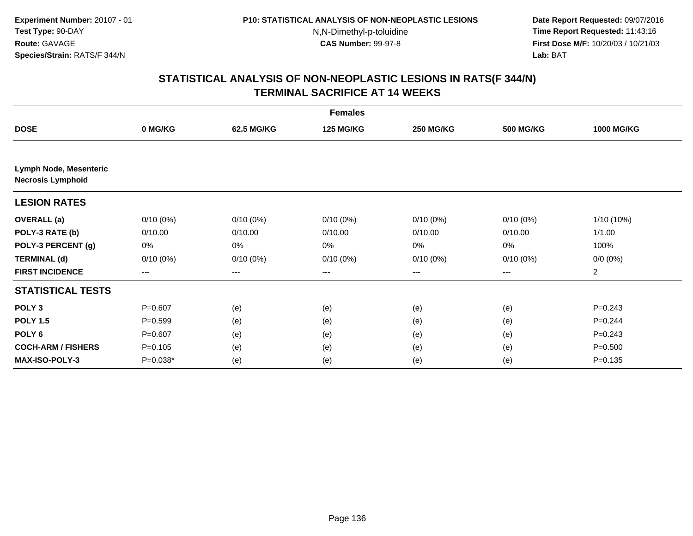**Date Report Requested:** 09/07/2016 **Time Report Requested:** 11:43:16 **First Dose M/F:** 10/20/03 / 10/21/03<br>**Lab:** BAT **Lab:** BAT

|                                                    | <b>Females</b> |             |                  |                   |                  |                   |  |  |
|----------------------------------------------------|----------------|-------------|------------------|-------------------|------------------|-------------------|--|--|
| <b>DOSE</b>                                        | 0 MG/KG        | 62.5 MG/KG  | <b>125 MG/KG</b> | <b>250 MG/KG</b>  | <b>500 MG/KG</b> | <b>1000 MG/KG</b> |  |  |
| Lymph Node, Mesenteric<br><b>Necrosis Lymphoid</b> |                |             |                  |                   |                  |                   |  |  |
| <b>LESION RATES</b>                                |                |             |                  |                   |                  |                   |  |  |
| <b>OVERALL</b> (a)                                 | $0/10(0\%)$    | $0/10(0\%)$ | $0/10(0\%)$      | $0/10(0\%)$       | $0/10(0\%)$      | 1/10 (10%)        |  |  |
| POLY-3 RATE (b)                                    | 0/10.00        | 0/10.00     | 0/10.00          | 0/10.00           | 0/10.00          | 1/1.00            |  |  |
| POLY-3 PERCENT (g)                                 | 0%             | 0%          | 0%               | 0%                | 0%               | 100%              |  |  |
| <b>TERMINAL (d)</b>                                | $0/10(0\%)$    | $0/10(0\%)$ | $0/10(0\%)$      | $0/10(0\%)$       | $0/10(0\%)$      | $0/0 (0\%)$       |  |  |
| <b>FIRST INCIDENCE</b>                             | $---$          | ---         | ---              | $\qquad \qquad -$ | ---              | $\overline{2}$    |  |  |
| <b>STATISTICAL TESTS</b>                           |                |             |                  |                   |                  |                   |  |  |
| POLY <sub>3</sub>                                  | $P = 0.607$    | (e)         | (e)              | (e)               | (e)              | $P = 0.243$       |  |  |
| <b>POLY 1.5</b>                                    | $P = 0.599$    | (e)         | (e)              | (e)               | (e)              | $P=0.244$         |  |  |
| POLY <sub>6</sub>                                  | $P = 0.607$    | (e)         | (e)              | (e)               | (e)              | $P = 0.243$       |  |  |
| <b>COCH-ARM / FISHERS</b>                          | $P = 0.105$    | (e)         | (e)              | (e)               | (e)              | $P = 0.500$       |  |  |
| <b>MAX-ISO-POLY-3</b>                              | P=0.038*       | (e)         | (e)              | (e)               | (e)              | $P = 0.135$       |  |  |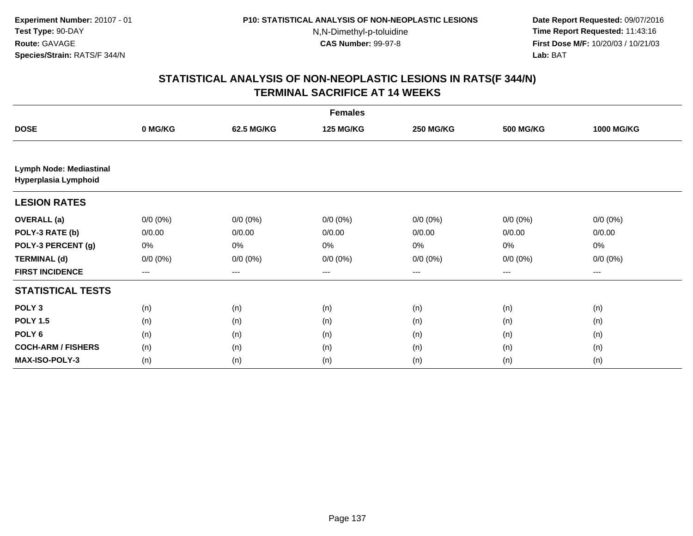**Date Report Requested:** 09/07/2016 **Time Report Requested:** 11:43:16 **First Dose M/F:** 10/20/03 / 10/21/03<br>**Lab:** BAT **Lab:** BAT

|                                                        | <b>Females</b> |             |                  |                  |                  |                   |  |  |
|--------------------------------------------------------|----------------|-------------|------------------|------------------|------------------|-------------------|--|--|
| <b>DOSE</b>                                            | 0 MG/KG        | 62.5 MG/KG  | <b>125 MG/KG</b> | <b>250 MG/KG</b> | <b>500 MG/KG</b> | <b>1000 MG/KG</b> |  |  |
|                                                        |                |             |                  |                  |                  |                   |  |  |
| <b>Lymph Node: Mediastinal</b><br>Hyperplasia Lymphoid |                |             |                  |                  |                  |                   |  |  |
| <b>LESION RATES</b>                                    |                |             |                  |                  |                  |                   |  |  |
| <b>OVERALL</b> (a)                                     | $0/0 (0\%)$    | $0/0 (0\%)$ | $0/0 (0\%)$      | $0/0 (0\%)$      | $0/0 (0\%)$      | $0/0 (0\%)$       |  |  |
| POLY-3 RATE (b)                                        | 0/0.00         | 0/0.00      | 0/0.00           | 0/0.00           | 0/0.00           | 0/0.00            |  |  |
| POLY-3 PERCENT (g)                                     | 0%             | 0%          | 0%               | 0%               | 0%               | 0%                |  |  |
| <b>TERMINAL (d)</b>                                    | $0/0 (0\%)$    | $0/0 (0\%)$ | $0/0 (0\%)$      | $0/0 (0\%)$      | $0/0 (0\%)$      | $0/0 (0\%)$       |  |  |
| <b>FIRST INCIDENCE</b>                                 | ---            | ---         | ---              | $---$            | ---              | ---               |  |  |
| <b>STATISTICAL TESTS</b>                               |                |             |                  |                  |                  |                   |  |  |
| POLY <sub>3</sub>                                      | (n)            | (n)         | (n)              | (n)              | (n)              | (n)               |  |  |
| <b>POLY 1.5</b>                                        | (n)            | (n)         | (n)              | (n)              | (n)              | (n)               |  |  |
| POLY <sub>6</sub>                                      | (n)            | (n)         | (n)              | (n)              | (n)              | (n)               |  |  |
| <b>COCH-ARM / FISHERS</b>                              | (n)            | (n)         | (n)              | (n)              | (n)              | (n)               |  |  |
| MAX-ISO-POLY-3                                         | (n)            | (n)         | (n)              | (n)              | (n)              | (n)               |  |  |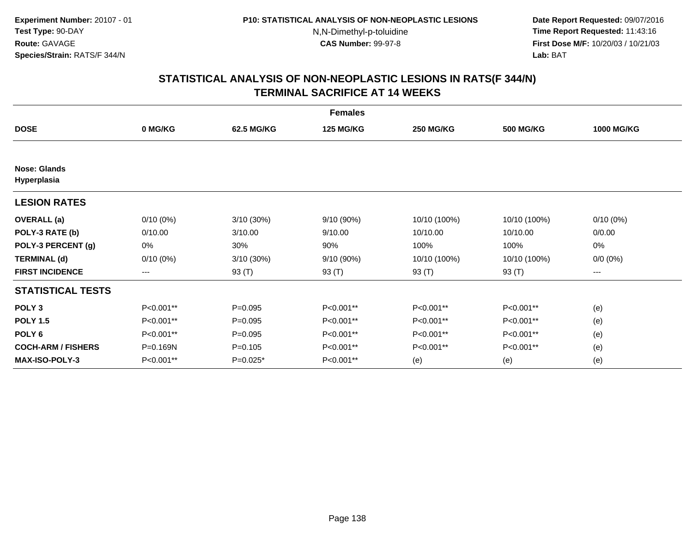**Date Report Requested:** 09/07/2016 **Time Report Requested:** 11:43:16 **First Dose M/F:** 10/20/03 / 10/21/03<br>**Lab:** BAT **Lab:** BAT

|                                    |             |             | <b>Females</b>   |                  |                  |                   |
|------------------------------------|-------------|-------------|------------------|------------------|------------------|-------------------|
| <b>DOSE</b>                        | 0 MG/KG     | 62.5 MG/KG  | <b>125 MG/KG</b> | <b>250 MG/KG</b> | <b>500 MG/KG</b> | <b>1000 MG/KG</b> |
|                                    |             |             |                  |                  |                  |                   |
| <b>Nose: Glands</b><br>Hyperplasia |             |             |                  |                  |                  |                   |
| <b>LESION RATES</b>                |             |             |                  |                  |                  |                   |
| <b>OVERALL</b> (a)                 | $0/10(0\%)$ | 3/10(30%)   | 9/10 (90%)       | 10/10 (100%)     | 10/10 (100%)     | $0/10(0\%)$       |
| POLY-3 RATE (b)                    | 0/10.00     | 3/10.00     | 9/10.00          | 10/10.00         | 10/10.00         | 0/0.00            |
| POLY-3 PERCENT (g)                 | 0%          | 30%         | 90%              | 100%             | 100%             | 0%                |
| <b>TERMINAL (d)</b>                | $0/10(0\%)$ | 3/10(30%)   | 9/10 (90%)       | 10/10 (100%)     | 10/10 (100%)     | $0/0 (0\%)$       |
| <b>FIRST INCIDENCE</b>             | ---         | 93 (T)      | 93 (T)           | 93 (T)           | 93 $(T)$         | ---               |
| <b>STATISTICAL TESTS</b>           |             |             |                  |                  |                  |                   |
| POLY <sub>3</sub>                  | P<0.001**   | $P = 0.095$ | P<0.001**        | P<0.001**        | P<0.001**        | (e)               |
| <b>POLY 1.5</b>                    | P<0.001**   | $P=0.095$   | P<0.001**        | P<0.001**        | P<0.001**        | (e)               |
| POLY <sub>6</sub>                  | P<0.001**   | $P = 0.095$ | P<0.001**        | P<0.001**        | P<0.001**        | (e)               |
| <b>COCH-ARM / FISHERS</b>          | P=0.169N    | $P = 0.105$ | P<0.001**        | P<0.001**        | P<0.001**        | (e)               |
| <b>MAX-ISO-POLY-3</b>              | P<0.001**   | $P=0.025*$  | P<0.001**        | (e)              | (e)              | (e)               |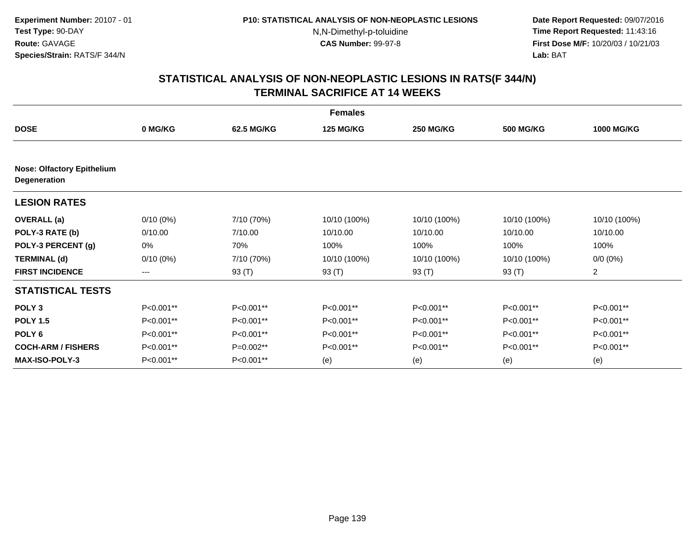**Date Report Requested:** 09/07/2016 **Time Report Requested:** 11:43:16 **First Dose M/F:** 10/20/03 / 10/21/03<br>**Lab:** BAT **Lab:** BAT

|                                                   | <b>Females</b> |            |                  |                  |                  |                   |  |  |
|---------------------------------------------------|----------------|------------|------------------|------------------|------------------|-------------------|--|--|
| <b>DOSE</b>                                       | 0 MG/KG        | 62.5 MG/KG | <b>125 MG/KG</b> | <b>250 MG/KG</b> | <b>500 MG/KG</b> | <b>1000 MG/KG</b> |  |  |
| <b>Nose: Olfactory Epithelium</b><br>Degeneration |                |            |                  |                  |                  |                   |  |  |
| <b>LESION RATES</b>                               |                |            |                  |                  |                  |                   |  |  |
| <b>OVERALL</b> (a)                                | $0/10(0\%)$    | 7/10 (70%) | 10/10 (100%)     | 10/10 (100%)     | 10/10 (100%)     | 10/10 (100%)      |  |  |
| POLY-3 RATE (b)                                   | 0/10.00        | 7/10.00    | 10/10.00         | 10/10.00         | 10/10.00         | 10/10.00          |  |  |
| POLY-3 PERCENT (g)                                | 0%             | 70%        | 100%             | 100%             | 100%             | 100%              |  |  |
| <b>TERMINAL (d)</b>                               | $0/10(0\%)$    | 7/10 (70%) | 10/10 (100%)     | 10/10 (100%)     | 10/10 (100%)     | $0/0 (0\%)$       |  |  |
| <b>FIRST INCIDENCE</b>                            | $---$          | 93 (T)     | 93 (T)           | 93 (T)           | 93 (T)           | $\overline{2}$    |  |  |
| <b>STATISTICAL TESTS</b>                          |                |            |                  |                  |                  |                   |  |  |
| POLY <sub>3</sub>                                 | P<0.001**      | P<0.001**  | P<0.001**        | P<0.001**        | P<0.001**        | P<0.001**         |  |  |
| <b>POLY 1.5</b>                                   | P<0.001**      | P<0.001**  | P<0.001**        | P<0.001**        | P<0.001**        | P<0.001**         |  |  |
| POLY <sub>6</sub>                                 | P<0.001**      | P<0.001**  | P<0.001**        | P<0.001**        | P<0.001**        | P<0.001**         |  |  |
| <b>COCH-ARM / FISHERS</b>                         | P<0.001**      | P=0.002**  | P<0.001**        | P<0.001**        | P<0.001**        | P<0.001**         |  |  |
| <b>MAX-ISO-POLY-3</b>                             | P<0.001**      | P<0.001**  | (e)              | (e)              | (e)              | (e)               |  |  |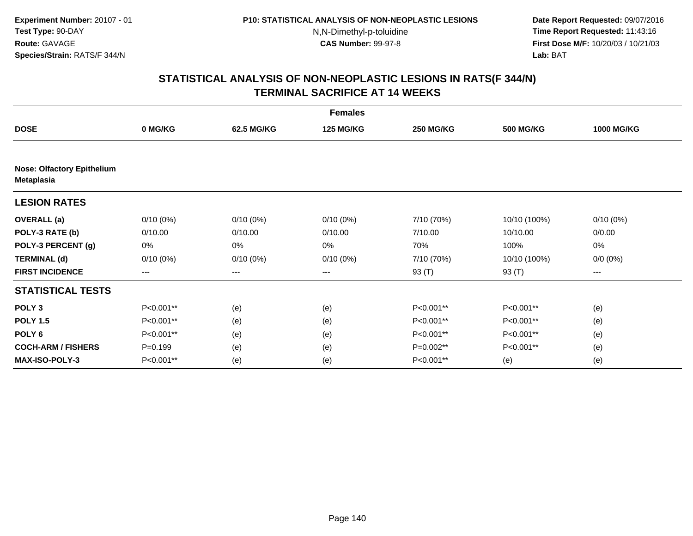**Date Report Requested:** 09/07/2016 **Time Report Requested:** 11:43:16 **First Dose M/F:** 10/20/03 / 10/21/03<br>**Lab:** BAT **Lab:** BAT

|                                                        | <b>Females</b> |             |                  |                  |                  |                   |  |  |  |
|--------------------------------------------------------|----------------|-------------|------------------|------------------|------------------|-------------------|--|--|--|
| <b>DOSE</b>                                            | 0 MG/KG        | 62.5 MG/KG  | <b>125 MG/KG</b> | <b>250 MG/KG</b> | <b>500 MG/KG</b> | <b>1000 MG/KG</b> |  |  |  |
|                                                        |                |             |                  |                  |                  |                   |  |  |  |
| <b>Nose: Olfactory Epithelium</b><br><b>Metaplasia</b> |                |             |                  |                  |                  |                   |  |  |  |
| <b>LESION RATES</b>                                    |                |             |                  |                  |                  |                   |  |  |  |
| <b>OVERALL</b> (a)                                     | $0/10(0\%)$    | $0/10(0\%)$ | $0/10(0\%)$      | 7/10 (70%)       | 10/10 (100%)     | 0/10(0%)          |  |  |  |
| POLY-3 RATE (b)                                        | 0/10.00        | 0/10.00     | 0/10.00          | 7/10.00          | 10/10.00         | 0/0.00            |  |  |  |
| POLY-3 PERCENT (g)                                     | 0%             | 0%          | 0%               | 70%              | 100%             | 0%                |  |  |  |
| <b>TERMINAL (d)</b>                                    | $0/10(0\%)$    | $0/10(0\%)$ | $0/10(0\%)$      | 7/10 (70%)       | 10/10 (100%)     | $0/0 (0\%)$       |  |  |  |
| <b>FIRST INCIDENCE</b>                                 | ---            | ---         | ---              | 93 (T)           | 93 (T)           | ---               |  |  |  |
| <b>STATISTICAL TESTS</b>                               |                |             |                  |                  |                  |                   |  |  |  |
| POLY <sub>3</sub>                                      | P<0.001**      | (e)         | (e)              | P<0.001**        | P<0.001**        | (e)               |  |  |  |
| <b>POLY 1.5</b>                                        | P<0.001**      | (e)         | (e)              | P<0.001**        | P<0.001**        | (e)               |  |  |  |
| POLY <sub>6</sub>                                      | P<0.001**      | (e)         | (e)              | P<0.001**        | P<0.001**        | (e)               |  |  |  |
| <b>COCH-ARM / FISHERS</b>                              | $P = 0.199$    | (e)         | (e)              | P=0.002**        | P<0.001**        | (e)               |  |  |  |
| <b>MAX-ISO-POLY-3</b>                                  | P<0.001**      | (e)         | (e)              | P<0.001**        | (e)              | (e)               |  |  |  |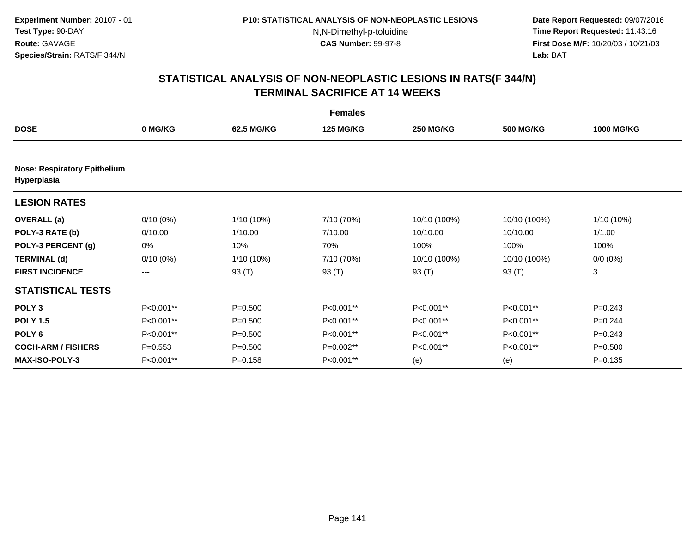**Date Report Requested:** 09/07/2016 **Time Report Requested:** 11:43:16 **First Dose M/F:** 10/20/03 / 10/21/03<br>**Lab:** BAT **Lab:** BAT

|                                                    |             |             | <b>Females</b>   |                  |                  |                   |
|----------------------------------------------------|-------------|-------------|------------------|------------------|------------------|-------------------|
| <b>DOSE</b>                                        | 0 MG/KG     | 62.5 MG/KG  | <b>125 MG/KG</b> | <b>250 MG/KG</b> | <b>500 MG/KG</b> | <b>1000 MG/KG</b> |
|                                                    |             |             |                  |                  |                  |                   |
| <b>Nose: Respiratory Epithelium</b><br>Hyperplasia |             |             |                  |                  |                  |                   |
| <b>LESION RATES</b>                                |             |             |                  |                  |                  |                   |
| <b>OVERALL</b> (a)                                 | $0/10(0\%)$ | 1/10 (10%)  | 7/10 (70%)       | 10/10 (100%)     | 10/10 (100%)     | 1/10 (10%)        |
| POLY-3 RATE (b)                                    | 0/10.00     | 1/10.00     | 7/10.00          | 10/10.00         | 10/10.00         | 1/1.00            |
| POLY-3 PERCENT (g)                                 | 0%          | 10%         | 70%              | 100%             | 100%             | 100%              |
| <b>TERMINAL (d)</b>                                | $0/10(0\%)$ | 1/10 (10%)  | 7/10 (70%)       | 10/10 (100%)     | 10/10 (100%)     | $0/0 (0\%)$       |
| <b>FIRST INCIDENCE</b>                             | $---$       | 93 (T)      | 93 (T)           | 93 (T)           | 93 (T)           | 3                 |
| <b>STATISTICAL TESTS</b>                           |             |             |                  |                  |                  |                   |
| POLY <sub>3</sub>                                  | P<0.001**   | $P = 0.500$ | P<0.001**        | P<0.001**        | P<0.001**        | $P = 0.243$       |
| <b>POLY 1.5</b>                                    | P<0.001**   | $P = 0.500$ | P<0.001**        | P<0.001**        | P<0.001**        | $P=0.244$         |
| POLY <sub>6</sub>                                  | P<0.001**   | $P = 0.500$ | P<0.001**        | P<0.001**        | P<0.001**        | $P=0.243$         |
| <b>COCH-ARM / FISHERS</b>                          | $P = 0.553$ | $P = 0.500$ | P=0.002**        | P<0.001**        | P<0.001**        | $P = 0.500$       |
| <b>MAX-ISO-POLY-3</b>                              | P<0.001**   | $P = 0.158$ | P<0.001**        | (e)              | (e)              | $P = 0.135$       |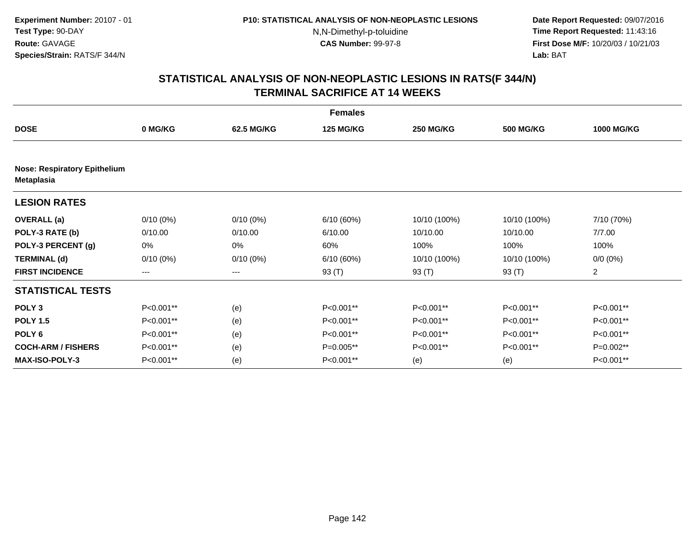**Date Report Requested:** 09/07/2016 **Time Report Requested:** 11:43:16 **First Dose M/F:** 10/20/03 / 10/21/03<br>**Lab:** BAT **Lab:** BAT

|                                     | <b>Females</b> |             |                  |                  |                  |                   |  |  |  |
|-------------------------------------|----------------|-------------|------------------|------------------|------------------|-------------------|--|--|--|
| <b>DOSE</b>                         | 0 MG/KG        | 62.5 MG/KG  | <b>125 MG/KG</b> | <b>250 MG/KG</b> | <b>500 MG/KG</b> | <b>1000 MG/KG</b> |  |  |  |
| <b>Nose: Respiratory Epithelium</b> |                |             |                  |                  |                  |                   |  |  |  |
| <b>Metaplasia</b>                   |                |             |                  |                  |                  |                   |  |  |  |
| <b>LESION RATES</b>                 |                |             |                  |                  |                  |                   |  |  |  |
| <b>OVERALL</b> (a)                  | $0/10(0\%)$    | $0/10(0\%)$ | 6/10(60%)        | 10/10 (100%)     | 10/10 (100%)     | 7/10 (70%)        |  |  |  |
| POLY-3 RATE (b)                     | 0/10.00        | 0/10.00     | 6/10.00          | 10/10.00         | 10/10.00         | 7/7.00            |  |  |  |
| POLY-3 PERCENT (g)                  | 0%             | 0%          | 60%              | 100%             | 100%             | 100%              |  |  |  |
| <b>TERMINAL (d)</b>                 | $0/10(0\%)$    | $0/10(0\%)$ | 6/10(60%)        | 10/10 (100%)     | 10/10 (100%)     | $0/0 (0\%)$       |  |  |  |
| <b>FIRST INCIDENCE</b>              | ---            | ---         | 93 (T)           | 93 (T)           | 93 (T)           | $\overline{2}$    |  |  |  |
| <b>STATISTICAL TESTS</b>            |                |             |                  |                  |                  |                   |  |  |  |
| POLY <sub>3</sub>                   | P<0.001**      | (e)         | P<0.001**        | P<0.001**        | P<0.001**        | P<0.001**         |  |  |  |
| <b>POLY 1.5</b>                     | P<0.001**      | (e)         | P<0.001**        | P<0.001**        | P<0.001**        | P<0.001**         |  |  |  |
| POLY <sub>6</sub>                   | P<0.001**      | (e)         | P<0.001**        | P<0.001**        | P<0.001**        | P<0.001**         |  |  |  |
| <b>COCH-ARM / FISHERS</b>           | P<0.001**      | (e)         | P=0.005**        | P<0.001**        | P<0.001**        | P=0.002**         |  |  |  |
| <b>MAX-ISO-POLY-3</b>               | P<0.001**      | (e)         | P<0.001**        | (e)              | (e)              | P<0.001**         |  |  |  |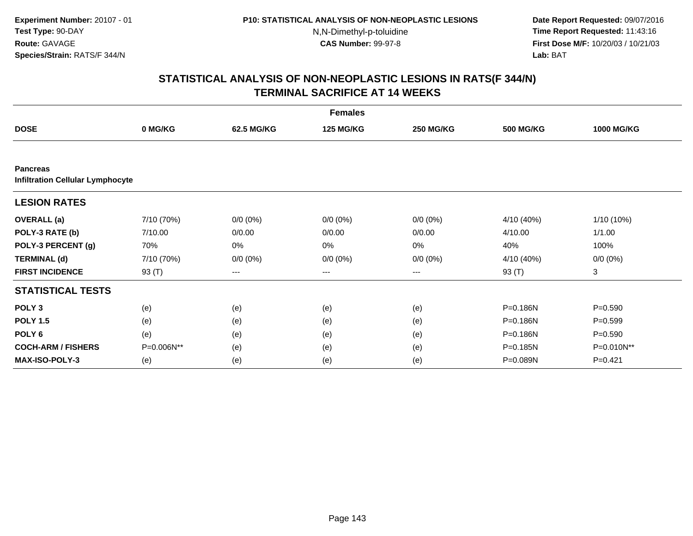**Date Report Requested:** 09/07/2016 **Time Report Requested:** 11:43:16 **First Dose M/F:** 10/20/03 / 10/21/03<br>**Lab:** BAT **Lab:** BAT

| <b>Females</b>                                             |            |             |                  |                  |                  |                   |  |
|------------------------------------------------------------|------------|-------------|------------------|------------------|------------------|-------------------|--|
| <b>DOSE</b>                                                | 0 MG/KG    | 62.5 MG/KG  | <b>125 MG/KG</b> | <b>250 MG/KG</b> | <b>500 MG/KG</b> | <b>1000 MG/KG</b> |  |
|                                                            |            |             |                  |                  |                  |                   |  |
| <b>Pancreas</b><br><b>Infiltration Cellular Lymphocyte</b> |            |             |                  |                  |                  |                   |  |
| <b>LESION RATES</b>                                        |            |             |                  |                  |                  |                   |  |
| <b>OVERALL</b> (a)                                         | 7/10 (70%) | $0/0 (0\%)$ | $0/0 (0\%)$      | $0/0 (0\%)$      | 4/10 (40%)       | $1/10(10\%)$      |  |
| POLY-3 RATE (b)                                            | 7/10.00    | 0/0.00      | 0/0.00           | 0/0.00           | 4/10.00          | 1/1.00            |  |
| POLY-3 PERCENT (g)                                         | 70%        | 0%          | 0%               | 0%               | 40%              | 100%              |  |
| <b>TERMINAL (d)</b>                                        | 7/10 (70%) | $0/0 (0\%)$ | $0/0 (0\%)$      | $0/0 (0\%)$      | 4/10 (40%)       | $0/0 (0\%)$       |  |
| <b>FIRST INCIDENCE</b>                                     | 93 (T)     | ---         | ---              | $--$             | 93 (T)           | 3                 |  |
| <b>STATISTICAL TESTS</b>                                   |            |             |                  |                  |                  |                   |  |
| POLY <sub>3</sub>                                          | (e)        | (e)         | (e)              | (e)              | P=0.186N         | $P = 0.590$       |  |
| <b>POLY 1.5</b>                                            | (e)        | (e)         | (e)              | (e)              | P=0.186N         | $P = 0.599$       |  |
| POLY <sub>6</sub>                                          | (e)        | (e)         | (e)              | (e)              | P=0.186N         | $P = 0.590$       |  |
| <b>COCH-ARM / FISHERS</b>                                  | P=0.006N** | (e)         | (e)              | (e)              | P=0.185N         | P=0.010N**        |  |
| <b>MAX-ISO-POLY-3</b>                                      | (e)        | (e)         | (e)              | (e)              | P=0.089N         | $P=0.421$         |  |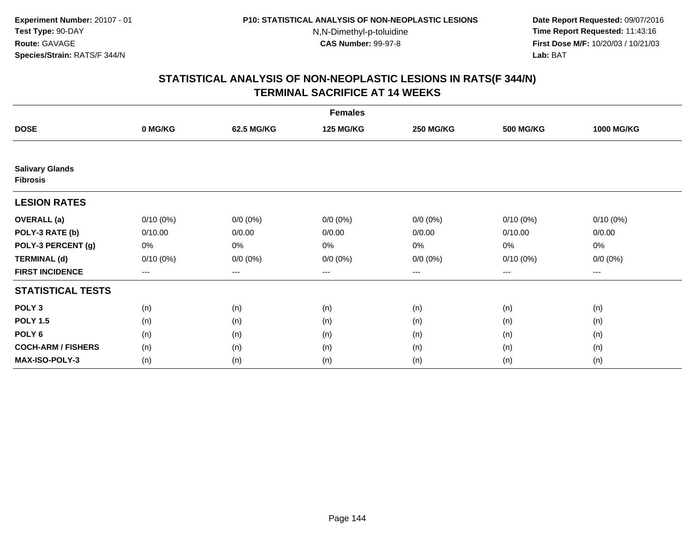**Date Report Requested:** 09/07/2016 **Time Report Requested:** 11:43:16 **First Dose M/F:** 10/20/03 / 10/21/03<br>**Lab:** BAT **Lab:** BAT

|                                           | <b>Females</b> |             |                  |                  |                  |                        |  |  |
|-------------------------------------------|----------------|-------------|------------------|------------------|------------------|------------------------|--|--|
| <b>DOSE</b>                               | 0 MG/KG        | 62.5 MG/KG  | <b>125 MG/KG</b> | <b>250 MG/KG</b> | <b>500 MG/KG</b> | <b>1000 MG/KG</b>      |  |  |
|                                           |                |             |                  |                  |                  |                        |  |  |
| <b>Salivary Glands</b><br><b>Fibrosis</b> |                |             |                  |                  |                  |                        |  |  |
| <b>LESION RATES</b>                       |                |             |                  |                  |                  |                        |  |  |
| <b>OVERALL</b> (a)                        | $0/10(0\%)$    | $0/0 (0\%)$ | $0/0 (0\%)$      | $0/0 (0\%)$      | $0/10(0\%)$      | $0/10(0\%)$            |  |  |
| POLY-3 RATE (b)                           | 0/10.00        | 0/0.00      | 0/0.00           | 0/0.00           | 0/10.00          | 0/0.00                 |  |  |
| POLY-3 PERCENT (g)                        | 0%             | 0%          | 0%               | 0%               | 0%               | 0%                     |  |  |
| <b>TERMINAL (d)</b>                       | $0/10(0\%)$    | $0/0 (0\%)$ | $0/0 (0\%)$      | $0/0 (0\%)$      | $0/10(0\%)$      | $0/0 (0\%)$            |  |  |
| <b>FIRST INCIDENCE</b>                    | ---            | $--$        | ---              | ---              | $--$             | $\qquad \qquad \cdots$ |  |  |
| <b>STATISTICAL TESTS</b>                  |                |             |                  |                  |                  |                        |  |  |
| POLY <sub>3</sub>                         | (n)            | (n)         | (n)              | (n)              | (n)              | (n)                    |  |  |
| <b>POLY 1.5</b>                           | (n)            | (n)         | (n)              | (n)              | (n)              | (n)                    |  |  |
| POLY <sub>6</sub>                         | (n)            | (n)         | (n)              | (n)              | (n)              | (n)                    |  |  |
| <b>COCH-ARM / FISHERS</b>                 | (n)            | (n)         | (n)              | (n)              | (n)              | (n)                    |  |  |
| MAX-ISO-POLY-3                            | (n)            | (n)         | (n)              | (n)              | (n)              | (n)                    |  |  |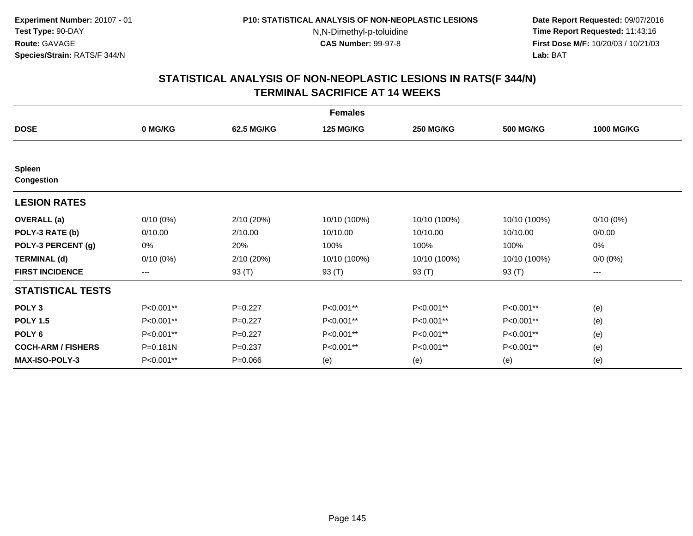**Date Report Requested:** 09/07/2016 **Time Report Requested:** 11:43:16 **First Dose M/F:** 10/20/03 / 10/21/03<br>**Lab:** BAT **Lab:** BAT

|                                    | <b>Females</b> |             |                  |                  |                  |                   |  |  |  |
|------------------------------------|----------------|-------------|------------------|------------------|------------------|-------------------|--|--|--|
| <b>DOSE</b>                        | 0 MG/KG        | 62.5 MG/KG  | <b>125 MG/KG</b> | <b>250 MG/KG</b> | <b>500 MG/KG</b> | <b>1000 MG/KG</b> |  |  |  |
|                                    |                |             |                  |                  |                  |                   |  |  |  |
| <b>Spleen</b><br><b>Congestion</b> |                |             |                  |                  |                  |                   |  |  |  |
| <b>LESION RATES</b>                |                |             |                  |                  |                  |                   |  |  |  |
| <b>OVERALL</b> (a)                 | $0/10(0\%)$    | 2/10(20%)   | 10/10 (100%)     | 10/10 (100%)     | 10/10 (100%)     | $0/10(0\%)$       |  |  |  |
| POLY-3 RATE (b)                    | 0/10.00        | 2/10.00     | 10/10.00         | 10/10.00         | 10/10.00         | 0/0.00            |  |  |  |
| POLY-3 PERCENT (g)                 | $0\%$          | 20%         | 100%             | 100%             | 100%             | 0%                |  |  |  |
| <b>TERMINAL (d)</b>                | $0/10(0\%)$    | 2/10(20%)   | 10/10 (100%)     | 10/10 (100%)     | 10/10 (100%)     | $0/0 (0\%)$       |  |  |  |
| <b>FIRST INCIDENCE</b>             | ---            | 93 (T)      | 93 (T)           | 93 (T)           | 93 (T)           | ---               |  |  |  |
| <b>STATISTICAL TESTS</b>           |                |             |                  |                  |                  |                   |  |  |  |
| POLY <sub>3</sub>                  | P<0.001**      | $P=0.227$   | P<0.001**        | P<0.001**        | P<0.001**        | (e)               |  |  |  |
| <b>POLY 1.5</b>                    | P<0.001**      | $P=0.227$   | P<0.001**        | P<0.001**        | P<0.001**        | (e)               |  |  |  |
| POLY <sub>6</sub>                  | P<0.001**      | $P=0.227$   | P<0.001**        | P<0.001**        | P<0.001**        | (e)               |  |  |  |
| <b>COCH-ARM / FISHERS</b>          | $P = 0.181N$   | $P = 0.237$ | P<0.001**        | P<0.001**        | P<0.001**        | (e)               |  |  |  |
| <b>MAX-ISO-POLY-3</b>              | P<0.001**      | $P = 0.066$ | (e)              | (e)              | (e)              | (e)               |  |  |  |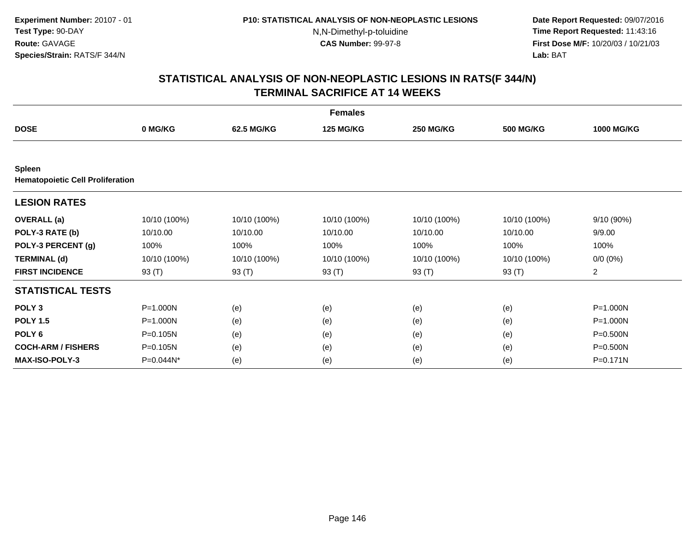**Date Report Requested:** 09/07/2016 **Time Report Requested:** 11:43:16 **First Dose M/F:** 10/20/03 / 10/21/03<br>**Lab:** BAT **Lab:** BAT

|                                                          | <b>Females</b> |              |                  |                  |                  |                   |  |  |  |
|----------------------------------------------------------|----------------|--------------|------------------|------------------|------------------|-------------------|--|--|--|
| <b>DOSE</b>                                              | 0 MG/KG        | 62.5 MG/KG   | <b>125 MG/KG</b> | <b>250 MG/KG</b> | <b>500 MG/KG</b> | <b>1000 MG/KG</b> |  |  |  |
|                                                          |                |              |                  |                  |                  |                   |  |  |  |
| <b>Spleen</b><br><b>Hematopoietic Cell Proliferation</b> |                |              |                  |                  |                  |                   |  |  |  |
| <b>LESION RATES</b>                                      |                |              |                  |                  |                  |                   |  |  |  |
| <b>OVERALL</b> (a)                                       | 10/10 (100%)   | 10/10 (100%) | 10/10 (100%)     | 10/10 (100%)     | 10/10 (100%)     | 9/10 (90%)        |  |  |  |
| POLY-3 RATE (b)                                          | 10/10.00       | 10/10.00     | 10/10.00         | 10/10.00         | 10/10.00         | 9/9.00            |  |  |  |
| POLY-3 PERCENT (g)                                       | 100%           | 100%         | 100%             | 100%             | 100%             | 100%              |  |  |  |
| <b>TERMINAL (d)</b>                                      | 10/10 (100%)   | 10/10 (100%) | 10/10 (100%)     | 10/10 (100%)     | 10/10 (100%)     | $0/0 (0\%)$       |  |  |  |
| <b>FIRST INCIDENCE</b>                                   | 93 (T)         | 93 (T)       | 93 (T)           | 93 (T)           | 93 $(T)$         | $\overline{a}$    |  |  |  |
| <b>STATISTICAL TESTS</b>                                 |                |              |                  |                  |                  |                   |  |  |  |
| POLY <sub>3</sub>                                        | P=1.000N       | (e)          | (e)              | (e)              | (e)              | $P = 1.000N$      |  |  |  |
| <b>POLY 1.5</b>                                          | $P = 1.000N$   | (e)          | (e)              | (e)              | (e)              | $P = 1.000N$      |  |  |  |
| POLY <sub>6</sub>                                        | $P = 0.105N$   | (e)          | (e)              | (e)              | (e)              | $P = 0.500N$      |  |  |  |
| <b>COCH-ARM / FISHERS</b>                                | P=0.105N       | (e)          | (e)              | (e)              | (e)              | $P = 0.500N$      |  |  |  |
| <b>MAX-ISO-POLY-3</b>                                    | P=0.044N*      | (e)          | (e)              | (e)              | (e)              | P=0.171N          |  |  |  |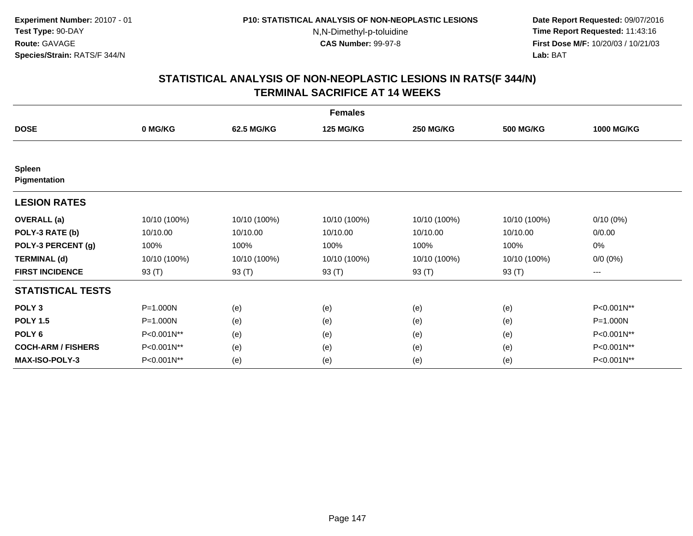**Date Report Requested:** 09/07/2016 **Time Report Requested:** 11:43:16 **First Dose M/F:** 10/20/03 / 10/21/03<br>**Lab:** BAT **Lab:** BAT

|                               | <b>Females</b> |              |                  |                  |                  |                     |  |  |  |
|-------------------------------|----------------|--------------|------------------|------------------|------------------|---------------------|--|--|--|
| <b>DOSE</b>                   | 0 MG/KG        | 62.5 MG/KG   | <b>125 MG/KG</b> | <b>250 MG/KG</b> | <b>500 MG/KG</b> | <b>1000 MG/KG</b>   |  |  |  |
|                               |                |              |                  |                  |                  |                     |  |  |  |
| <b>Spleen</b><br>Pigmentation |                |              |                  |                  |                  |                     |  |  |  |
| <b>LESION RATES</b>           |                |              |                  |                  |                  |                     |  |  |  |
| <b>OVERALL</b> (a)            | 10/10 (100%)   | 10/10 (100%) | 10/10 (100%)     | 10/10 (100%)     | 10/10 (100%)     | $0/10(0\%)$         |  |  |  |
| POLY-3 RATE (b)               | 10/10.00       | 10/10.00     | 10/10.00         | 10/10.00         | 10/10.00         | 0/0.00              |  |  |  |
| POLY-3 PERCENT (g)            | 100%           | 100%         | 100%             | 100%             | 100%             | 0%                  |  |  |  |
| <b>TERMINAL (d)</b>           | 10/10 (100%)   | 10/10 (100%) | 10/10 (100%)     | 10/10 (100%)     | 10/10 (100%)     | $0/0 (0\%)$         |  |  |  |
| <b>FIRST INCIDENCE</b>        | 93 (T)         | 93 (T)       | 93 (T)           | 93 (T)           | 93 (T)           | $\qquad \qquad - -$ |  |  |  |
| <b>STATISTICAL TESTS</b>      |                |              |                  |                  |                  |                     |  |  |  |
| POLY <sub>3</sub>             | P=1.000N       | (e)          | (e)              | (e)              | (e)              | P<0.001N**          |  |  |  |
| <b>POLY 1.5</b>               | P=1.000N       | (e)          | (e)              | (e)              | (e)              | P=1.000N            |  |  |  |
| POLY <sub>6</sub>             | P<0.001N**     | (e)          | (e)              | (e)              | (e)              | P<0.001N**          |  |  |  |
| <b>COCH-ARM / FISHERS</b>     | P<0.001N**     | (e)          | (e)              | (e)              | (e)              | P<0.001N**          |  |  |  |
| <b>MAX-ISO-POLY-3</b>         | P<0.001N**     | (e)          | (e)              | (e)              | (e)              | P<0.001N**          |  |  |  |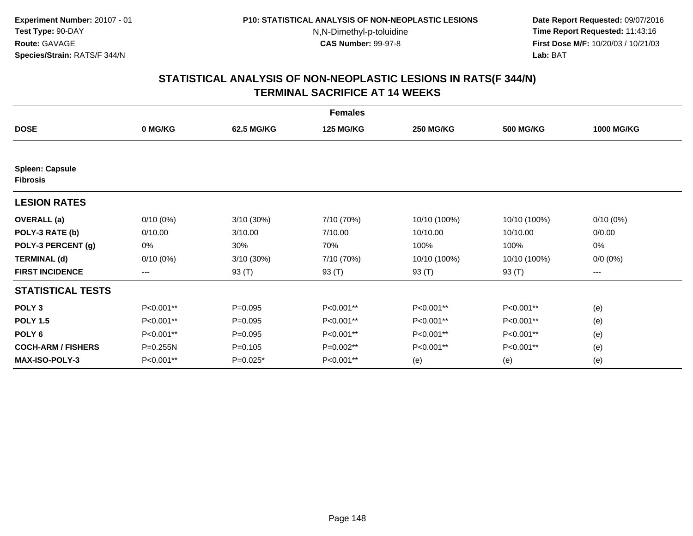**Date Report Requested:** 09/07/2016 **Time Report Requested:** 11:43:16 **First Dose M/F:** 10/20/03 / 10/21/03<br>**Lab:** BAT **Lab:** BAT

|                                           | <b>Females</b> |              |                  |                  |                  |                   |  |  |  |
|-------------------------------------------|----------------|--------------|------------------|------------------|------------------|-------------------|--|--|--|
| <b>DOSE</b>                               | 0 MG/KG        | 62.5 MG/KG   | <b>125 MG/KG</b> | <b>250 MG/KG</b> | <b>500 MG/KG</b> | <b>1000 MG/KG</b> |  |  |  |
|                                           |                |              |                  |                  |                  |                   |  |  |  |
| <b>Spleen: Capsule</b><br><b>Fibrosis</b> |                |              |                  |                  |                  |                   |  |  |  |
| <b>LESION RATES</b>                       |                |              |                  |                  |                  |                   |  |  |  |
| <b>OVERALL</b> (a)                        | $0/10(0\%)$    | $3/10(30\%)$ | 7/10 (70%)       | 10/10 (100%)     | 10/10 (100%)     | $0/10(0\%)$       |  |  |  |
| POLY-3 RATE (b)                           | 0/10.00        | 3/10.00      | 7/10.00          | 10/10.00         | 10/10.00         | 0/0.00            |  |  |  |
| POLY-3 PERCENT (g)                        | 0%             | 30%          | 70%              | 100%             | 100%             | 0%                |  |  |  |
| <b>TERMINAL (d)</b>                       | $0/10(0\%)$    | 3/10(30%)    | 7/10 (70%)       | 10/10 (100%)     | 10/10 (100%)     | $0/0 (0\%)$       |  |  |  |
| <b>FIRST INCIDENCE</b>                    | ---            | 93 (T)       | 93 (T)           | 93 (T)           | 93 (T)           | ---               |  |  |  |
| <b>STATISTICAL TESTS</b>                  |                |              |                  |                  |                  |                   |  |  |  |
| POLY <sub>3</sub>                         | P<0.001**      | $P = 0.095$  | P<0.001**        | P<0.001**        | P<0.001**        | (e)               |  |  |  |
| <b>POLY 1.5</b>                           | P<0.001**      | $P = 0.095$  | P<0.001**        | P<0.001**        | P<0.001**        | (e)               |  |  |  |
| POLY <sub>6</sub>                         | P<0.001**      | $P = 0.095$  | P<0.001**        | P<0.001**        | P<0.001**        | (e)               |  |  |  |
| <b>COCH-ARM / FISHERS</b>                 | P=0.255N       | $P = 0.105$  | P=0.002**        | P<0.001**        | P<0.001**        | (e)               |  |  |  |
| <b>MAX-ISO-POLY-3</b>                     | P<0.001**      | $P=0.025*$   | P<0.001**        | (e)              | (e)              | (e)               |  |  |  |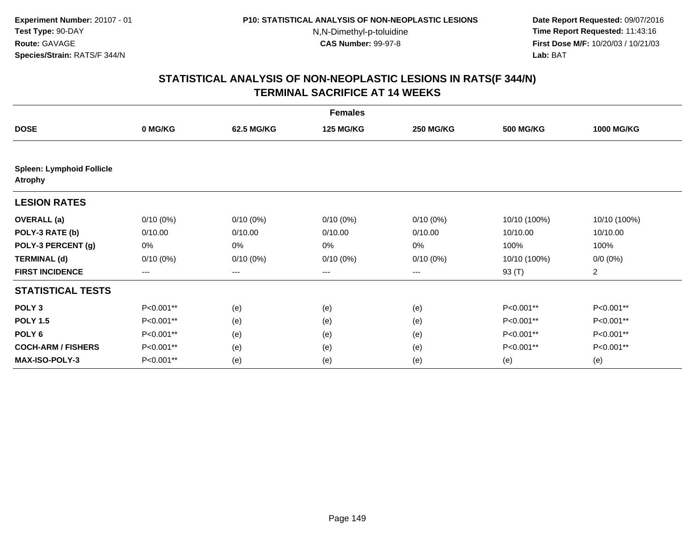**Date Report Requested:** 09/07/2016 **Time Report Requested:** 11:43:16 **First Dose M/F:** 10/20/03 / 10/21/03<br>**Lab:** BAT **Lab:** BAT

|                                                    | <b>Females</b> |             |                  |                  |                  |                   |  |  |  |
|----------------------------------------------------|----------------|-------------|------------------|------------------|------------------|-------------------|--|--|--|
| <b>DOSE</b>                                        | 0 MG/KG        | 62.5 MG/KG  | <b>125 MG/KG</b> | <b>250 MG/KG</b> | <b>500 MG/KG</b> | <b>1000 MG/KG</b> |  |  |  |
| <b>Spleen: Lymphoid Follicle</b><br><b>Atrophy</b> |                |             |                  |                  |                  |                   |  |  |  |
| <b>LESION RATES</b>                                |                |             |                  |                  |                  |                   |  |  |  |
| <b>OVERALL</b> (a)                                 | $0/10(0\%)$    | $0/10(0\%)$ | $0/10(0\%)$      | $0/10(0\%)$      | 10/10 (100%)     | 10/10 (100%)      |  |  |  |
| POLY-3 RATE (b)                                    | 0/10.00        | 0/10.00     | 0/10.00          | 0/10.00          | 10/10.00         | 10/10.00          |  |  |  |
| POLY-3 PERCENT (g)                                 | 0%             | 0%          | 0%               | 0%               | 100%             | 100%              |  |  |  |
| <b>TERMINAL (d)</b>                                | $0/10(0\%)$    | $0/10(0\%)$ | $0/10(0\%)$      | $0/10(0\%)$      | 10/10 (100%)     | $0/0 (0\%)$       |  |  |  |
| <b>FIRST INCIDENCE</b>                             | $--$           | ---         | ---              | ---              | 93 (T)           | $\overline{a}$    |  |  |  |
| <b>STATISTICAL TESTS</b>                           |                |             |                  |                  |                  |                   |  |  |  |
| POLY <sub>3</sub>                                  | P<0.001**      | (e)         | (e)              | (e)              | P<0.001**        | P<0.001**         |  |  |  |
| <b>POLY 1.5</b>                                    | P<0.001**      | (e)         | (e)              | (e)              | P<0.001**        | P<0.001**         |  |  |  |
| POLY <sub>6</sub>                                  | P<0.001**      | (e)         | (e)              | (e)              | P<0.001**        | P<0.001**         |  |  |  |
| <b>COCH-ARM / FISHERS</b>                          | P<0.001**      | (e)         | (e)              | (e)              | P<0.001**        | P<0.001**         |  |  |  |
| <b>MAX-ISO-POLY-3</b>                              | P<0.001**      | (e)         | (e)              | (e)              | (e)              | (e)               |  |  |  |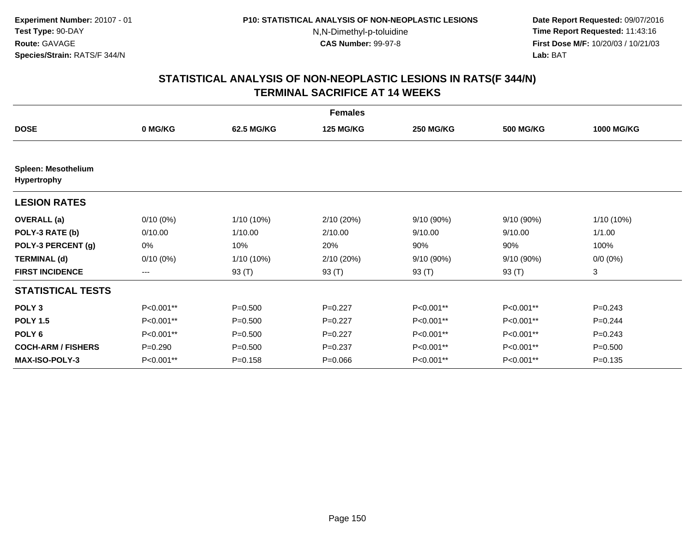**Date Report Requested:** 09/07/2016 **Time Report Requested:** 11:43:16 **First Dose M/F:** 10/20/03 / 10/21/03<br>**Lab:** BAT **Lab:** BAT

|                                                  |                        |              | <b>Females</b>   |                  |                  |                   |
|--------------------------------------------------|------------------------|--------------|------------------|------------------|------------------|-------------------|
| <b>DOSE</b>                                      | 0 MG/KG                | 62.5 MG/KG   | <b>125 MG/KG</b> | <b>250 MG/KG</b> | <b>500 MG/KG</b> | <b>1000 MG/KG</b> |
| <b>Spleen: Mesothelium</b><br><b>Hypertrophy</b> |                        |              |                  |                  |                  |                   |
| <b>LESION RATES</b>                              |                        |              |                  |                  |                  |                   |
| <b>OVERALL</b> (a)                               | $0/10(0\%)$            | 1/10 (10%)   | 2/10 (20%)       | 9/10 (90%)       | 9/10 (90%)       | 1/10 (10%)        |
| POLY-3 RATE (b)                                  | 0/10.00                | 1/10.00      | 2/10.00          | 9/10.00          | 9/10.00          | 1/1.00            |
| POLY-3 PERCENT (g)                               | 0%                     | 10%          | 20%              | 90%              | 90%              | 100%              |
| <b>TERMINAL (d)</b>                              | $0/10(0\%)$            | $1/10(10\%)$ | 2/10 (20%)       | 9/10 (90%)       | 9/10 (90%)       | $0/0 (0\%)$       |
| <b>FIRST INCIDENCE</b>                           | $\qquad \qquad \cdots$ | 93 (T)       | 93 (T)           | 93 (T)           | 93 (T)           | 3                 |
| <b>STATISTICAL TESTS</b>                         |                        |              |                  |                  |                  |                   |
| POLY <sub>3</sub>                                | P<0.001**              | $P = 0.500$  | $P=0.227$        | P<0.001**        | P<0.001**        | $P=0.243$         |
| <b>POLY 1.5</b>                                  | P<0.001**              | $P = 0.500$  | $P=0.227$        | P<0.001**        | P<0.001**        | $P=0.244$         |
| POLY <sub>6</sub>                                | P<0.001**              | $P = 0.500$  | $P=0.227$        | P<0.001**        | P<0.001**        | $P=0.243$         |
| <b>COCH-ARM / FISHERS</b>                        | $P = 0.290$            | $P = 0.500$  | $P = 0.237$      | P<0.001**        | P<0.001**        | $P = 0.500$       |
| <b>MAX-ISO-POLY-3</b>                            | P<0.001**              | $P = 0.158$  | $P = 0.066$      | P<0.001**        | P<0.001**        | $P = 0.135$       |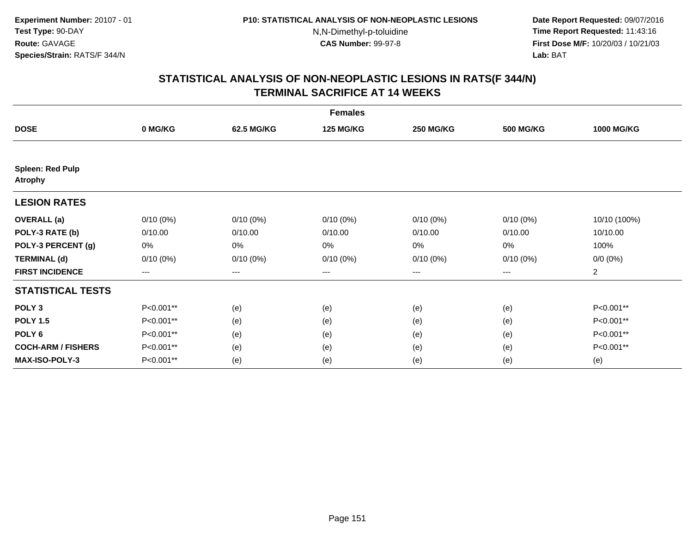**Date Report Requested:** 09/07/2016 **Time Report Requested:** 11:43:16 **First Dose M/F:** 10/20/03 / 10/21/03<br>**Lab:** BAT **Lab:** BAT

|                                           | <b>Females</b> |             |                  |                  |                  |                   |  |  |  |
|-------------------------------------------|----------------|-------------|------------------|------------------|------------------|-------------------|--|--|--|
| <b>DOSE</b>                               | 0 MG/KG        | 62.5 MG/KG  | <b>125 MG/KG</b> | <b>250 MG/KG</b> | <b>500 MG/KG</b> | <b>1000 MG/KG</b> |  |  |  |
|                                           |                |             |                  |                  |                  |                   |  |  |  |
| <b>Spleen: Red Pulp</b><br><b>Atrophy</b> |                |             |                  |                  |                  |                   |  |  |  |
| <b>LESION RATES</b>                       |                |             |                  |                  |                  |                   |  |  |  |
| <b>OVERALL</b> (a)                        | $0/10(0\%)$    | $0/10(0\%)$ | $0/10(0\%)$      | $0/10(0\%)$      | $0/10(0\%)$      | 10/10 (100%)      |  |  |  |
| POLY-3 RATE (b)                           | 0/10.00        | 0/10.00     | 0/10.00          | 0/10.00          | 0/10.00          | 10/10.00          |  |  |  |
| POLY-3 PERCENT (g)                        | 0%             | 0%          | 0%               | 0%               | 0%               | 100%              |  |  |  |
| <b>TERMINAL (d)</b>                       | $0/10(0\%)$    | $0/10(0\%)$ | $0/10(0\%)$      | $0/10(0\%)$      | $0/10(0\%)$      | $0/0 (0\%)$       |  |  |  |
| <b>FIRST INCIDENCE</b>                    | $--$           | $--$        | ---              | ---              | ---              | $\overline{a}$    |  |  |  |
| <b>STATISTICAL TESTS</b>                  |                |             |                  |                  |                  |                   |  |  |  |
| POLY <sub>3</sub>                         | P<0.001**      | (e)         | (e)              | (e)              | (e)              | P<0.001**         |  |  |  |
| <b>POLY 1.5</b>                           | P<0.001**      | (e)         | (e)              | (e)              | (e)              | P<0.001**         |  |  |  |
| POLY <sub>6</sub>                         | P<0.001**      | (e)         | (e)              | (e)              | (e)              | P<0.001**         |  |  |  |
| <b>COCH-ARM / FISHERS</b>                 | P<0.001**      | (e)         | (e)              | (e)              | (e)              | P<0.001**         |  |  |  |
| <b>MAX-ISO-POLY-3</b>                     | P<0.001**      | (e)         | (e)              | (e)              | (e)              | (e)               |  |  |  |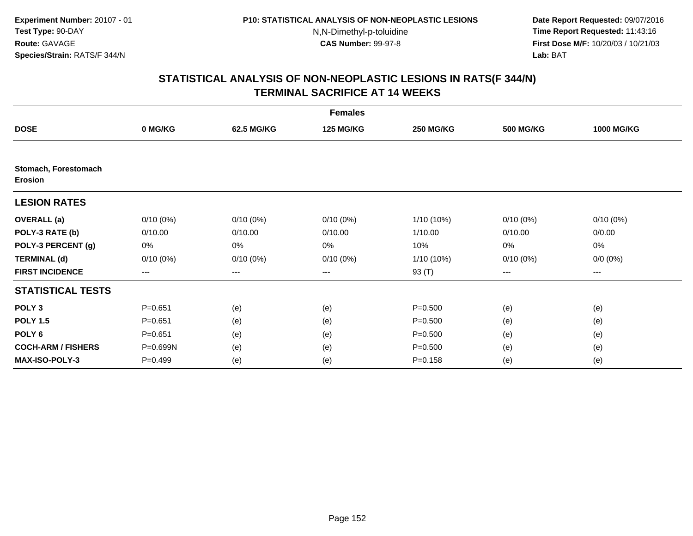**Date Report Requested:** 09/07/2016 **Time Report Requested:** 11:43:16 **First Dose M/F:** 10/20/03 / 10/21/03<br>**Lab:** BAT **Lab:** BAT

|                                        | <b>Females</b> |             |                  |                  |                  |                   |  |  |  |
|----------------------------------------|----------------|-------------|------------------|------------------|------------------|-------------------|--|--|--|
| <b>DOSE</b>                            | 0 MG/KG        | 62.5 MG/KG  | <b>125 MG/KG</b> | <b>250 MG/KG</b> | <b>500 MG/KG</b> | <b>1000 MG/KG</b> |  |  |  |
|                                        |                |             |                  |                  |                  |                   |  |  |  |
| Stomach, Forestomach<br><b>Erosion</b> |                |             |                  |                  |                  |                   |  |  |  |
| <b>LESION RATES</b>                    |                |             |                  |                  |                  |                   |  |  |  |
| <b>OVERALL</b> (a)                     | $0/10(0\%)$    | $0/10(0\%)$ | $0/10(0\%)$      | 1/10 (10%)       | $0/10(0\%)$      | $0/10(0\%)$       |  |  |  |
| POLY-3 RATE (b)                        | 0/10.00        | 0/10.00     | 0/10.00          | 1/10.00          | 0/10.00          | 0/0.00            |  |  |  |
| POLY-3 PERCENT (g)                     | 0%             | 0%          | 0%               | 10%              | 0%               | 0%                |  |  |  |
| <b>TERMINAL (d)</b>                    | $0/10(0\%)$    | $0/10(0\%)$ | $0/10(0\%)$      | 1/10 (10%)       | $0/10(0\%)$      | $0/0 (0\%)$       |  |  |  |
| <b>FIRST INCIDENCE</b>                 | $---$          | ---         | ---              | 93 (T)           | $--$             | ---               |  |  |  |
| <b>STATISTICAL TESTS</b>               |                |             |                  |                  |                  |                   |  |  |  |
| POLY <sub>3</sub>                      | $P = 0.651$    | (e)         | (e)              | $P = 0.500$      | (e)              | (e)               |  |  |  |
| <b>POLY 1.5</b>                        | $P = 0.651$    | (e)         | (e)              | $P = 0.500$      | (e)              | (e)               |  |  |  |
| POLY <sub>6</sub>                      | $P = 0.651$    | (e)         | (e)              | $P = 0.500$      | (e)              | (e)               |  |  |  |
| <b>COCH-ARM / FISHERS</b>              | P=0.699N       | (e)         | (e)              | $P = 0.500$      | (e)              | (e)               |  |  |  |
| <b>MAX-ISO-POLY-3</b>                  | $P=0.499$      | (e)         | (e)              | $P = 0.158$      | (e)              | (e)               |  |  |  |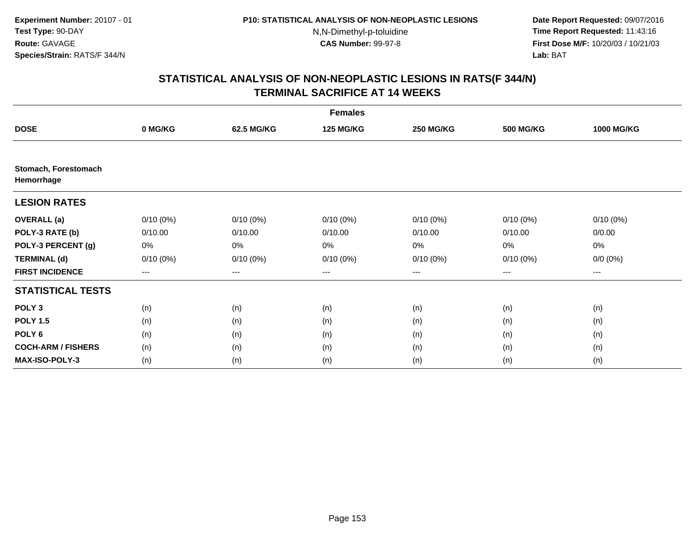**Date Report Requested:** 09/07/2016 **Time Report Requested:** 11:43:16 **First Dose M/F:** 10/20/03 / 10/21/03<br>**Lab:** BAT **Lab:** BAT

|                                    | <b>Females</b> |             |                  |                  |                  |                   |  |  |  |
|------------------------------------|----------------|-------------|------------------|------------------|------------------|-------------------|--|--|--|
| <b>DOSE</b>                        | 0 MG/KG        | 62.5 MG/KG  | <b>125 MG/KG</b> | <b>250 MG/KG</b> | <b>500 MG/KG</b> | <b>1000 MG/KG</b> |  |  |  |
|                                    |                |             |                  |                  |                  |                   |  |  |  |
| Stomach, Forestomach<br>Hemorrhage |                |             |                  |                  |                  |                   |  |  |  |
| <b>LESION RATES</b>                |                |             |                  |                  |                  |                   |  |  |  |
| <b>OVERALL</b> (a)                 | $0/10(0\%)$    | $0/10(0\%)$ | $0/10(0\%)$      | $0/10(0\%)$      | $0/10(0\%)$      | $0/10(0\%)$       |  |  |  |
| POLY-3 RATE (b)                    | 0/10.00        | 0/10.00     | 0/10.00          | 0/10.00          | 0/10.00          | 0/0.00            |  |  |  |
| POLY-3 PERCENT (g)                 | 0%             | 0%          | 0%               | 0%               | 0%               | 0%                |  |  |  |
| <b>TERMINAL (d)</b>                | $0/10(0\%)$    | $0/10(0\%)$ | $0/10(0\%)$      | $0/10(0\%)$      | $0/10(0\%)$      | $0/0 (0\%)$       |  |  |  |
| <b>FIRST INCIDENCE</b>             | ---            | ---         | ---              | $--$             | $---$            | ---               |  |  |  |
| <b>STATISTICAL TESTS</b>           |                |             |                  |                  |                  |                   |  |  |  |
| POLY <sub>3</sub>                  | (n)            | (n)         | (n)              | (n)              | (n)              | (n)               |  |  |  |
| <b>POLY 1.5</b>                    | (n)            | (n)         | (n)              | (n)              | (n)              | (n)               |  |  |  |
| POLY <sub>6</sub>                  | (n)            | (n)         | (n)              | (n)              | (n)              | (n)               |  |  |  |
| <b>COCH-ARM / FISHERS</b>          | (n)            | (n)         | (n)              | (n)              | (n)              | (n)               |  |  |  |
| <b>MAX-ISO-POLY-3</b>              | (n)            | (n)         | (n)              | (n)              | (n)              | (n)               |  |  |  |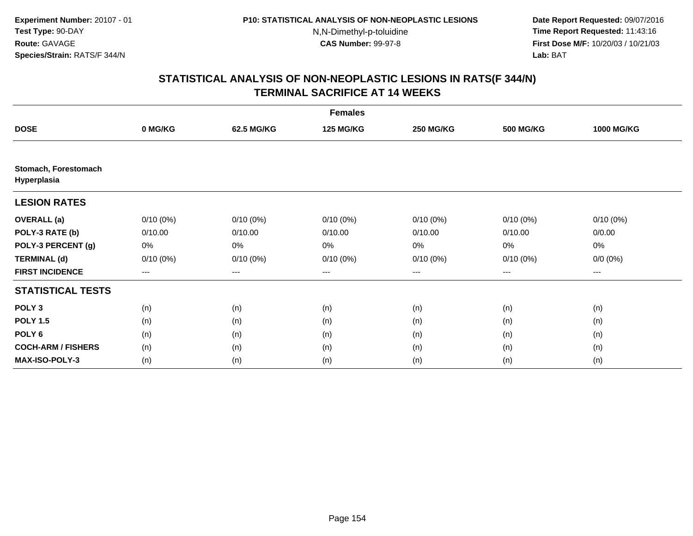**Date Report Requested:** 09/07/2016 **Time Report Requested:** 11:43:16 **First Dose M/F:** 10/20/03 / 10/21/03<br>**Lab:** BAT **Lab:** BAT

|                                     | <b>Females</b> |             |                  |                  |                   |                   |  |  |  |
|-------------------------------------|----------------|-------------|------------------|------------------|-------------------|-------------------|--|--|--|
| <b>DOSE</b>                         | 0 MG/KG        | 62.5 MG/KG  | <b>125 MG/KG</b> | <b>250 MG/KG</b> | <b>500 MG/KG</b>  | <b>1000 MG/KG</b> |  |  |  |
|                                     |                |             |                  |                  |                   |                   |  |  |  |
| Stomach, Forestomach<br>Hyperplasia |                |             |                  |                  |                   |                   |  |  |  |
| <b>LESION RATES</b>                 |                |             |                  |                  |                   |                   |  |  |  |
| <b>OVERALL</b> (a)                  | $0/10(0\%)$    | $0/10(0\%)$ | $0/10(0\%)$      | $0/10(0\%)$      | $0/10(0\%)$       | $0/10(0\%)$       |  |  |  |
| POLY-3 RATE (b)                     | 0/10.00        | 0/10.00     | 0/10.00          | 0/10.00          | 0/10.00           | 0/0.00            |  |  |  |
| POLY-3 PERCENT (g)                  | 0%             | 0%          | 0%               | 0%               | 0%                | 0%                |  |  |  |
| <b>TERMINAL (d)</b>                 | $0/10(0\%)$    | $0/10(0\%)$ | $0/10(0\%)$      | $0/10(0\%)$      | $0/10(0\%)$       | $0/0 (0\%)$       |  |  |  |
| <b>FIRST INCIDENCE</b>              | $---$          | $---$       | ---              | $--$             | $\qquad \qquad -$ | ---               |  |  |  |
| <b>STATISTICAL TESTS</b>            |                |             |                  |                  |                   |                   |  |  |  |
| POLY <sub>3</sub>                   | (n)            | (n)         | (n)              | (n)              | (n)               | (n)               |  |  |  |
| <b>POLY 1.5</b>                     | (n)            | (n)         | (n)              | (n)              | (n)               | (n)               |  |  |  |
| POLY <sub>6</sub>                   | (n)            | (n)         | (n)              | (n)              | (n)               | (n)               |  |  |  |
| <b>COCH-ARM / FISHERS</b>           | (n)            | (n)         | (n)              | (n)              | (n)               | (n)               |  |  |  |
| <b>MAX-ISO-POLY-3</b>               | (n)            | (n)         | (n)              | (n)              | (n)               | (n)               |  |  |  |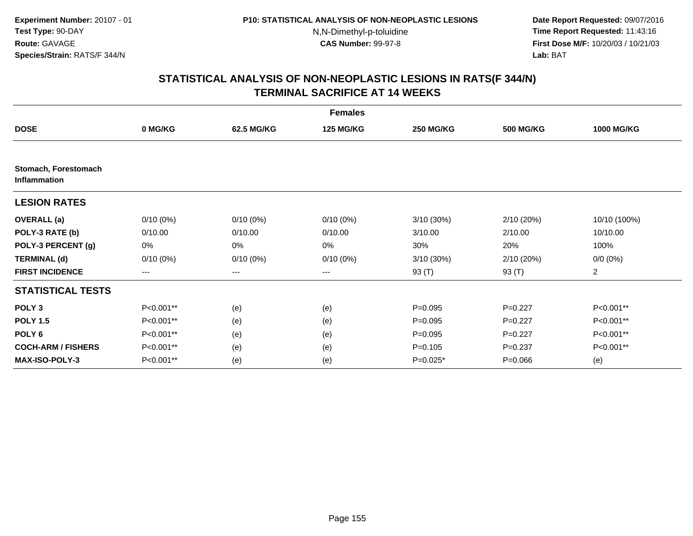**Date Report Requested:** 09/07/2016 **Time Report Requested:** 11:43:16 **First Dose M/F:** 10/20/03 / 10/21/03<br>**Lab:** BAT **Lab:** BAT

|                                      | <b>Females</b>         |             |                  |                  |                  |                   |  |  |  |
|--------------------------------------|------------------------|-------------|------------------|------------------|------------------|-------------------|--|--|--|
| <b>DOSE</b>                          | 0 MG/KG                | 62.5 MG/KG  | <b>125 MG/KG</b> | <b>250 MG/KG</b> | <b>500 MG/KG</b> | <b>1000 MG/KG</b> |  |  |  |
|                                      |                        |             |                  |                  |                  |                   |  |  |  |
| Stomach, Forestomach<br>Inflammation |                        |             |                  |                  |                  |                   |  |  |  |
| <b>LESION RATES</b>                  |                        |             |                  |                  |                  |                   |  |  |  |
| <b>OVERALL</b> (a)                   | $0/10(0\%)$            | $0/10(0\%)$ | $0/10(0\%)$      | $3/10(30\%)$     | 2/10(20%)        | 10/10 (100%)      |  |  |  |
| POLY-3 RATE (b)                      | 0/10.00                | 0/10.00     | 0/10.00          | 3/10.00          | 2/10.00          | 10/10.00          |  |  |  |
| POLY-3 PERCENT (g)                   | 0%                     | 0%          | 0%               | 30%              | 20%              | 100%              |  |  |  |
| <b>TERMINAL (d)</b>                  | $0/10(0\%)$            | $0/10(0\%)$ | $0/10(0\%)$      | 3/10 (30%)       | 2/10(20%)        | $0/0 (0\%)$       |  |  |  |
| <b>FIRST INCIDENCE</b>               | $\qquad \qquad \cdots$ | $---$       | ---              | 93 (T)           | 93 (T)           | $\overline{2}$    |  |  |  |
| <b>STATISTICAL TESTS</b>             |                        |             |                  |                  |                  |                   |  |  |  |
| POLY <sub>3</sub>                    | P<0.001**              | (e)         | (e)              | $P=0.095$        | $P=0.227$        | P<0.001**         |  |  |  |
| <b>POLY 1.5</b>                      | P<0.001**              | (e)         | (e)              | $P=0.095$        | $P=0.227$        | P<0.001**         |  |  |  |
| POLY <sub>6</sub>                    | P<0.001**              | (e)         | (e)              | $P = 0.095$      | $P=0.227$        | P<0.001**         |  |  |  |
| <b>COCH-ARM / FISHERS</b>            | P<0.001**              | (e)         | (e)              | $P = 0.105$      | $P=0.237$        | P<0.001**         |  |  |  |
| <b>MAX-ISO-POLY-3</b>                | P<0.001**              | (e)         | (e)              | $P=0.025*$       | $P = 0.066$      | (e)               |  |  |  |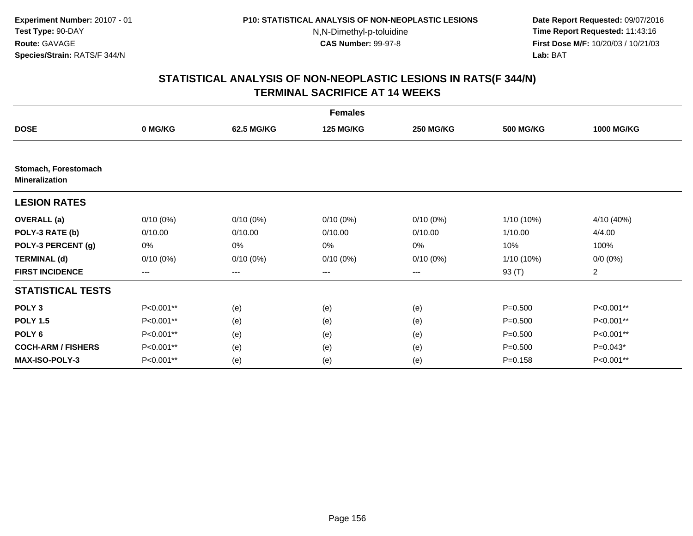**Date Report Requested:** 09/07/2016 **Time Report Requested:** 11:43:16 **First Dose M/F:** 10/20/03 / 10/21/03<br>**Lab:** BAT **Lab:** BAT

|                                               | <b>Females</b> |             |                  |                  |                  |                   |  |  |  |
|-----------------------------------------------|----------------|-------------|------------------|------------------|------------------|-------------------|--|--|--|
| <b>DOSE</b>                                   | 0 MG/KG        | 62.5 MG/KG  | <b>125 MG/KG</b> | <b>250 MG/KG</b> | <b>500 MG/KG</b> | <b>1000 MG/KG</b> |  |  |  |
|                                               |                |             |                  |                  |                  |                   |  |  |  |
| Stomach, Forestomach<br><b>Mineralization</b> |                |             |                  |                  |                  |                   |  |  |  |
| <b>LESION RATES</b>                           |                |             |                  |                  |                  |                   |  |  |  |
| <b>OVERALL</b> (a)                            | $0/10(0\%)$    | $0/10(0\%)$ | $0/10(0\%)$      | $0/10(0\%)$      | $1/10(10\%)$     | 4/10 (40%)        |  |  |  |
| POLY-3 RATE (b)                               | 0/10.00        | 0/10.00     | 0/10.00          | 0/10.00          | 1/10.00          | 4/4.00            |  |  |  |
| POLY-3 PERCENT (g)                            | 0%             | 0%          | 0%               | 0%               | 10%              | 100%              |  |  |  |
| <b>TERMINAL (d)</b>                           | $0/10(0\%)$    | $0/10(0\%)$ | $0/10(0\%)$      | $0/10(0\%)$      | $1/10(10\%)$     | $0/0 (0\%)$       |  |  |  |
| <b>FIRST INCIDENCE</b>                        | ---            | ---         | ---              | $--$             | 93 (T)           | $\overline{a}$    |  |  |  |
| <b>STATISTICAL TESTS</b>                      |                |             |                  |                  |                  |                   |  |  |  |
| POLY <sub>3</sub>                             | P<0.001**      | (e)         | (e)              | (e)              | $P = 0.500$      | P<0.001**         |  |  |  |
| <b>POLY 1.5</b>                               | P<0.001**      | (e)         | (e)              | (e)              | $P = 0.500$      | P<0.001**         |  |  |  |
| POLY <sub>6</sub>                             | P<0.001**      | (e)         | (e)              | (e)              | $P = 0.500$      | P<0.001**         |  |  |  |
| <b>COCH-ARM / FISHERS</b>                     | P<0.001**      | (e)         | (e)              | (e)              | $P = 0.500$      | $P=0.043*$        |  |  |  |
| <b>MAX-ISO-POLY-3</b>                         | P<0.001**      | (e)         | (e)              | (e)              | $P = 0.158$      | P<0.001**         |  |  |  |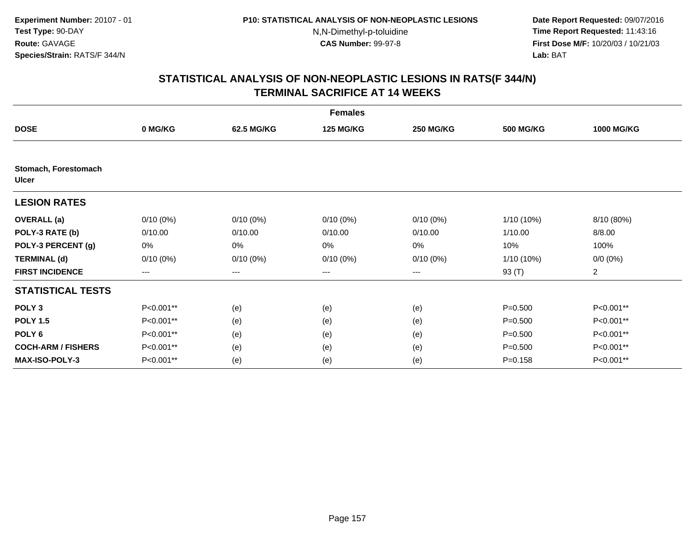**Date Report Requested:** 09/07/2016 **Time Report Requested:** 11:43:16 **First Dose M/F:** 10/20/03 / 10/21/03<br>**Lab:** BAT **Lab:** BAT

|                                      |                        |                   | <b>Females</b>   |                  |                  |                   |
|--------------------------------------|------------------------|-------------------|------------------|------------------|------------------|-------------------|
| <b>DOSE</b>                          | 0 MG/KG                | 62.5 MG/KG        | <b>125 MG/KG</b> | <b>250 MG/KG</b> | <b>500 MG/KG</b> | <b>1000 MG/KG</b> |
|                                      |                        |                   |                  |                  |                  |                   |
| Stomach, Forestomach<br><b>Ulcer</b> |                        |                   |                  |                  |                  |                   |
| <b>LESION RATES</b>                  |                        |                   |                  |                  |                  |                   |
| <b>OVERALL</b> (a)                   | $0/10(0\%)$            | $0/10(0\%)$       | $0/10(0\%)$      | $0/10(0\%)$      | 1/10 (10%)       | 8/10 (80%)        |
| POLY-3 RATE (b)                      | 0/10.00                | 0/10.00           | 0/10.00          | 0/10.00          | 1/10.00          | 8/8.00            |
| POLY-3 PERCENT (g)                   | 0%                     | 0%                | 0%               | 0%               | 10%              | 100%              |
| <b>TERMINAL (d)</b>                  | $0/10(0\%)$            | $0/10(0\%)$       | $0/10(0\%)$      | $0/10(0\%)$      | 1/10 (10%)       | $0/0 (0\%)$       |
| <b>FIRST INCIDENCE</b>               | $\qquad \qquad \cdots$ | $\qquad \qquad -$ | $---$            | ---              | 93 (T)           | $\overline{2}$    |
| <b>STATISTICAL TESTS</b>             |                        |                   |                  |                  |                  |                   |
| POLY <sub>3</sub>                    | P<0.001**              | (e)               | (e)              | (e)              | $P = 0.500$      | P<0.001**         |
| <b>POLY 1.5</b>                      | P<0.001**              | (e)               | (e)              | (e)              | $P = 0.500$      | P<0.001**         |
| POLY <sub>6</sub>                    | P<0.001**              | (e)               | (e)              | (e)              | $P = 0.500$      | P<0.001**         |
| <b>COCH-ARM / FISHERS</b>            | P<0.001**              | (e)               | (e)              | (e)              | $P = 0.500$      | P<0.001**         |
| <b>MAX-ISO-POLY-3</b>                | P<0.001**              | (e)               | (e)              | (e)              | $P = 0.158$      | P<0.001**         |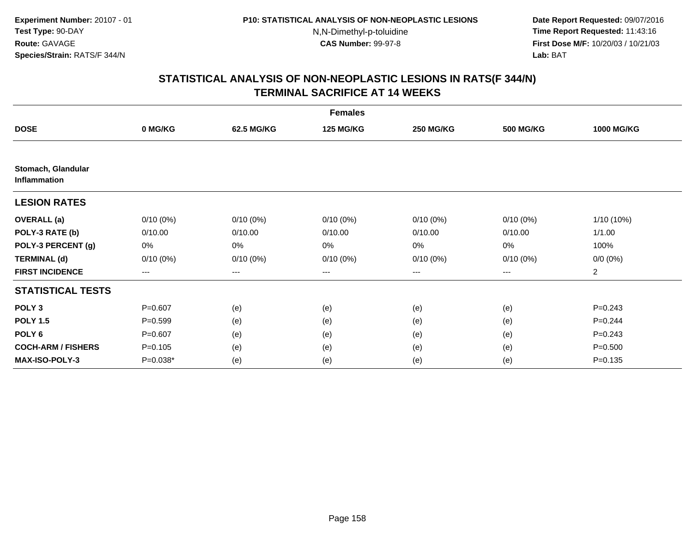**Date Report Requested:** 09/07/2016 **Time Report Requested:** 11:43:16 **First Dose M/F:** 10/20/03 / 10/21/03<br>**Lab:** BAT **Lab:** BAT

|                                           |                   |             | <b>Females</b>   |                   |                  |                   |
|-------------------------------------------|-------------------|-------------|------------------|-------------------|------------------|-------------------|
| <b>DOSE</b>                               | 0 MG/KG           | 62.5 MG/KG  | <b>125 MG/KG</b> | <b>250 MG/KG</b>  | <b>500 MG/KG</b> | <b>1000 MG/KG</b> |
|                                           |                   |             |                  |                   |                  |                   |
| Stomach, Glandular<br><b>Inflammation</b> |                   |             |                  |                   |                  |                   |
| <b>LESION RATES</b>                       |                   |             |                  |                   |                  |                   |
| <b>OVERALL</b> (a)                        | $0/10(0\%)$       | $0/10(0\%)$ | $0/10(0\%)$      | $0/10(0\%)$       | $0/10(0\%)$      | 1/10 (10%)        |
| POLY-3 RATE (b)                           | 0/10.00           | 0/10.00     | 0/10.00          | 0/10.00           | 0/10.00          | 1/1.00            |
| POLY-3 PERCENT (g)                        | 0%                | 0%          | 0%               | 0%                | 0%               | 100%              |
| <b>TERMINAL (d)</b>                       | $0/10(0\%)$       | $0/10(0\%)$ | $0/10(0\%)$      | $0/10(0\%)$       | 0/10(0%)         | $0/0 (0\%)$       |
| <b>FIRST INCIDENCE</b>                    | $\qquad \qquad -$ | ---         | ---              | $\qquad \qquad -$ | $---$            | $\overline{a}$    |
| <b>STATISTICAL TESTS</b>                  |                   |             |                  |                   |                  |                   |
| POLY <sub>3</sub>                         | $P = 0.607$       | (e)         | (e)              | (e)               | (e)              | $P = 0.243$       |
| <b>POLY 1.5</b>                           | $P = 0.599$       | (e)         | (e)              | (e)               | (e)              | $P=0.244$         |
| POLY <sub>6</sub>                         | $P = 0.607$       | (e)         | (e)              | (e)               | (e)              | $P = 0.243$       |
| <b>COCH-ARM / FISHERS</b>                 | $P = 0.105$       | (e)         | (e)              | (e)               | (e)              | $P = 0.500$       |
| MAX-ISO-POLY-3                            | $P=0.038*$        | (e)         | (e)              | (e)               | (e)              | $P = 0.135$       |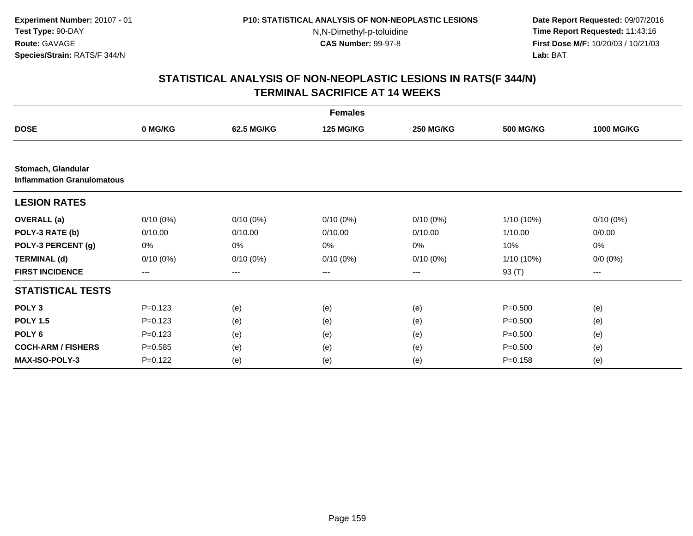**Date Report Requested:** 09/07/2016 **Time Report Requested:** 11:43:16 **First Dose M/F:** 10/20/03 / 10/21/03<br>**Lab:** BAT **Lab:** BAT

|                                                         |             |             | <b>Females</b>   |                  |                  |                   |
|---------------------------------------------------------|-------------|-------------|------------------|------------------|------------------|-------------------|
| <b>DOSE</b>                                             | 0 MG/KG     | 62.5 MG/KG  | <b>125 MG/KG</b> | <b>250 MG/KG</b> | <b>500 MG/KG</b> | <b>1000 MG/KG</b> |
|                                                         |             |             |                  |                  |                  |                   |
| Stomach, Glandular<br><b>Inflammation Granulomatous</b> |             |             |                  |                  |                  |                   |
| <b>LESION RATES</b>                                     |             |             |                  |                  |                  |                   |
| <b>OVERALL</b> (a)                                      | $0/10(0\%)$ | $0/10(0\%)$ | $0/10(0\%)$      | $0/10(0\%)$      | 1/10 (10%)       | $0/10(0\%)$       |
| POLY-3 RATE (b)                                         | 0/10.00     | 0/10.00     | 0/10.00          | 0/10.00          | 1/10.00          | 0/0.00            |
| POLY-3 PERCENT (g)                                      | 0%          | 0%          | 0%               | 0%               | 10%              | 0%                |
| <b>TERMINAL (d)</b>                                     | $0/10(0\%)$ | $0/10(0\%)$ | $0/10(0\%)$      | 0/10(0%)         | 1/10 (10%)       | $0/0 (0\%)$       |
| <b>FIRST INCIDENCE</b>                                  | ---         | ---         | $--$             | ---              | 93 (T)           | ---               |
| <b>STATISTICAL TESTS</b>                                |             |             |                  |                  |                  |                   |
| POLY <sub>3</sub>                                       | $P = 0.123$ | (e)         | (e)              | (e)              | $P = 0.500$      | (e)               |
| <b>POLY 1.5</b>                                         | $P = 0.123$ | (e)         | (e)              | (e)              | $P = 0.500$      | (e)               |
| POLY <sub>6</sub>                                       | $P=0.123$   | (e)         | (e)              | (e)              | $P = 0.500$      | (e)               |
| <b>COCH-ARM / FISHERS</b>                               | $P = 0.585$ | (e)         | (e)              | (e)              | $P = 0.500$      | (e)               |
| <b>MAX-ISO-POLY-3</b>                                   | $P = 0.122$ | (e)         | (e)              | (e)              | $P = 0.158$      | (e)               |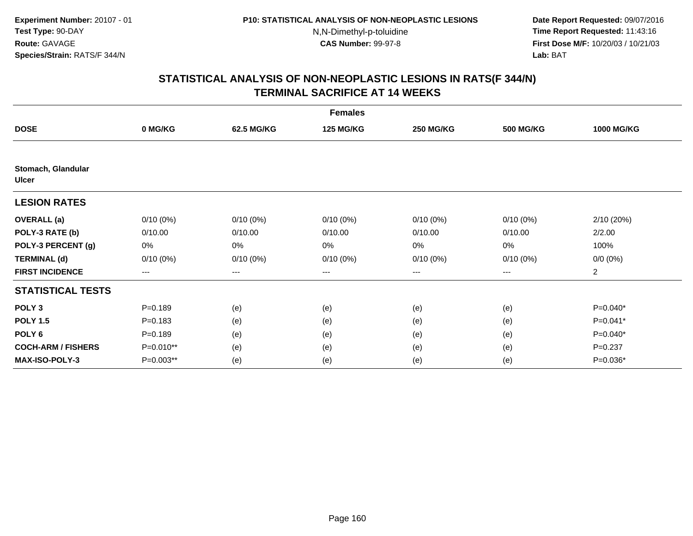**Date Report Requested:** 09/07/2016 **Time Report Requested:** 11:43:16 **First Dose M/F:** 10/20/03 / 10/21/03<br>**Lab:** BAT **Lab:** BAT

|                             |                   |                   | <b>Females</b>   |                  |                  |                   |
|-----------------------------|-------------------|-------------------|------------------|------------------|------------------|-------------------|
| <b>DOSE</b>                 | 0 MG/KG           | 62.5 MG/KG        | <b>125 MG/KG</b> | <b>250 MG/KG</b> | <b>500 MG/KG</b> | <b>1000 MG/KG</b> |
|                             |                   |                   |                  |                  |                  |                   |
| Stomach, Glandular<br>Ulcer |                   |                   |                  |                  |                  |                   |
| <b>LESION RATES</b>         |                   |                   |                  |                  |                  |                   |
| <b>OVERALL</b> (a)          | $0/10(0\%)$       | $0/10(0\%)$       | $0/10(0\%)$      | $0/10(0\%)$      | $0/10(0\%)$      | 2/10 (20%)        |
| POLY-3 RATE (b)             | 0/10.00           | 0/10.00           | 0/10.00          | 0/10.00          | 0/10.00          | 2/2.00            |
| POLY-3 PERCENT (g)          | 0%                | 0%                | 0%               | 0%               | 0%               | 100%              |
| <b>TERMINAL (d)</b>         | $0/10(0\%)$       | $0/10(0\%)$       | $0/10(0\%)$      | $0/10(0\%)$      | $0/10(0\%)$      | $0/0 (0\%)$       |
| <b>FIRST INCIDENCE</b>      | $\qquad \qquad -$ | $\qquad \qquad -$ | ---              | $---$            | $---$            | $\overline{a}$    |
| <b>STATISTICAL TESTS</b>    |                   |                   |                  |                  |                  |                   |
| POLY <sub>3</sub>           | $P = 0.189$       | (e)               | (e)              | (e)              | (e)              | P=0.040*          |
| <b>POLY 1.5</b>             | $P = 0.183$       | (e)               | (e)              | (e)              | (e)              | P=0.041*          |
| POLY <sub>6</sub>           | $P = 0.189$       | (e)               | (e)              | (e)              | (e)              | $P=0.040*$        |
| <b>COCH-ARM / FISHERS</b>   | P=0.010**         | (e)               | (e)              | (e)              | (e)              | $P = 0.237$       |
| <b>MAX-ISO-POLY-3</b>       | P=0.003**         | (e)               | (e)              | (e)              | (e)              | P=0.036*          |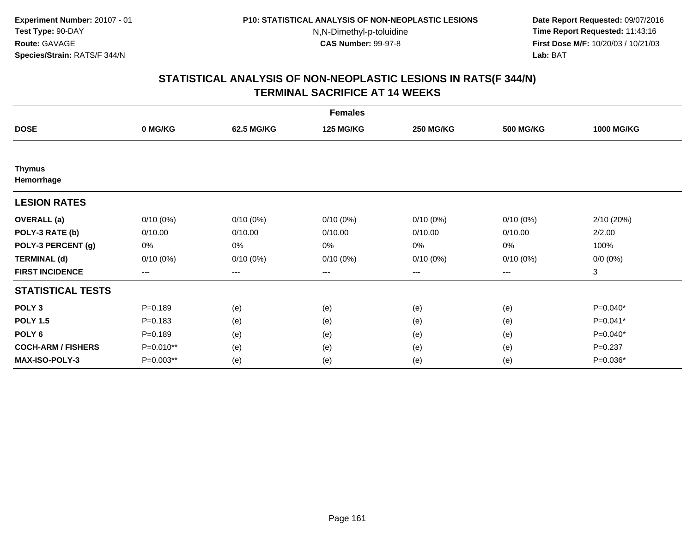**Date Report Requested:** 09/07/2016 **Time Report Requested:** 11:43:16 **First Dose M/F:** 10/20/03 / 10/21/03<br>**Lab:** BAT **Lab:** BAT

|                             |             |             | <b>Females</b>   |                  |                  |                   |
|-----------------------------|-------------|-------------|------------------|------------------|------------------|-------------------|
| <b>DOSE</b>                 | 0 MG/KG     | 62.5 MG/KG  | <b>125 MG/KG</b> | <b>250 MG/KG</b> | <b>500 MG/KG</b> | <b>1000 MG/KG</b> |
|                             |             |             |                  |                  |                  |                   |
| <b>Thymus</b><br>Hemorrhage |             |             |                  |                  |                  |                   |
| <b>LESION RATES</b>         |             |             |                  |                  |                  |                   |
| <b>OVERALL</b> (a)          | $0/10(0\%)$ | $0/10(0\%)$ | $0/10(0\%)$      | $0/10(0\%)$      | 0/10(0%)         | 2/10(20%)         |
| POLY-3 RATE (b)             | 0/10.00     | 0/10.00     | 0/10.00          | 0/10.00          | 0/10.00          | 2/2.00            |
| POLY-3 PERCENT (g)          | 0%          | 0%          | 0%               | 0%               | 0%               | 100%              |
| <b>TERMINAL (d)</b>         | $0/10(0\%)$ | $0/10(0\%)$ | $0/10(0\%)$      | $0/10(0\%)$      | $0/10(0\%)$      | $0/0 (0\%)$       |
| <b>FIRST INCIDENCE</b>      | $--$        | $--$        | ---              | ---              | ---              | 3                 |
| <b>STATISTICAL TESTS</b>    |             |             |                  |                  |                  |                   |
| POLY <sub>3</sub>           | $P = 0.189$ | (e)         | (e)              | (e)              | (e)              | P=0.040*          |
| <b>POLY 1.5</b>             | $P = 0.183$ | (e)         | (e)              | (e)              | (e)              | P=0.041*          |
| POLY <sub>6</sub>           | $P = 0.189$ | (e)         | (e)              | (e)              | (e)              | P=0.040*          |
| <b>COCH-ARM / FISHERS</b>   | P=0.010**   | (e)         | (e)              | (e)              | (e)              | $P = 0.237$       |
| <b>MAX-ISO-POLY-3</b>       | P=0.003**   | (e)         | (e)              | (e)              | (e)              | P=0.036*          |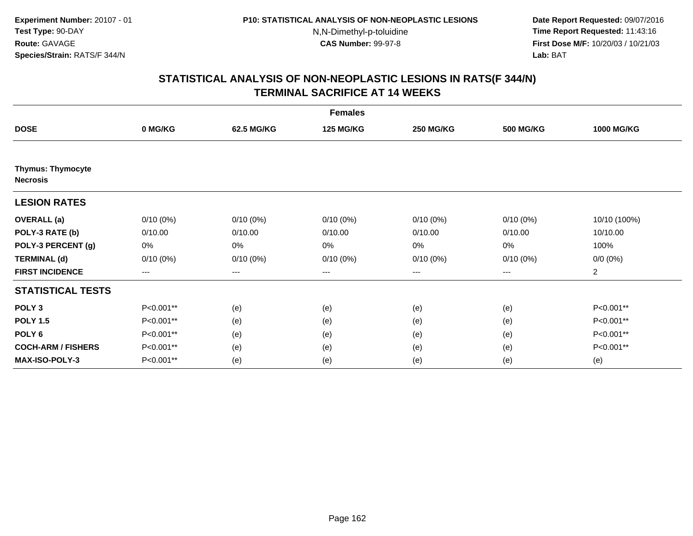**Date Report Requested:** 09/07/2016 **Time Report Requested:** 11:43:16 **First Dose M/F:** 10/20/03 / 10/21/03<br>**Lab:** BAT **Lab:** BAT

|                                             |                   |                   | <b>Females</b>   |                  |                  |                   |
|---------------------------------------------|-------------------|-------------------|------------------|------------------|------------------|-------------------|
| <b>DOSE</b>                                 | 0 MG/KG           | 62.5 MG/KG        | <b>125 MG/KG</b> | <b>250 MG/KG</b> | <b>500 MG/KG</b> | <b>1000 MG/KG</b> |
|                                             |                   |                   |                  |                  |                  |                   |
| <b>Thymus: Thymocyte</b><br><b>Necrosis</b> |                   |                   |                  |                  |                  |                   |
| <b>LESION RATES</b>                         |                   |                   |                  |                  |                  |                   |
| <b>OVERALL</b> (a)                          | $0/10(0\%)$       | $0/10(0\%)$       | $0/10(0\%)$      | $0/10(0\%)$      | $0/10(0\%)$      | 10/10 (100%)      |
| POLY-3 RATE (b)                             | 0/10.00           | 0/10.00           | 0/10.00          | 0/10.00          | 0/10.00          | 10/10.00          |
| POLY-3 PERCENT (g)                          | 0%                | 0%                | 0%               | 0%               | 0%               | 100%              |
| <b>TERMINAL (d)</b>                         | $0/10(0\%)$       | $0/10(0\%)$       | $0/10(0\%)$      | $0/10(0\%)$      | $0/10(0\%)$      | $0/0 (0\%)$       |
| <b>FIRST INCIDENCE</b>                      | $\qquad \qquad -$ | $\qquad \qquad -$ | ---              | $---$            | $---$            | $\overline{2}$    |
| <b>STATISTICAL TESTS</b>                    |                   |                   |                  |                  |                  |                   |
| POLY <sub>3</sub>                           | P<0.001**         | (e)               | (e)              | (e)              | (e)              | P<0.001**         |
| <b>POLY 1.5</b>                             | P<0.001**         | (e)               | (e)              | (e)              | (e)              | P<0.001**         |
| POLY <sub>6</sub>                           | P<0.001**         | (e)               | (e)              | (e)              | (e)              | P<0.001**         |
| <b>COCH-ARM / FISHERS</b>                   | P<0.001**         | (e)               | (e)              | (e)              | (e)              | P<0.001**         |
| <b>MAX-ISO-POLY-3</b>                       | P<0.001**         | (e)               | (e)              | (e)              | (e)              | (e)               |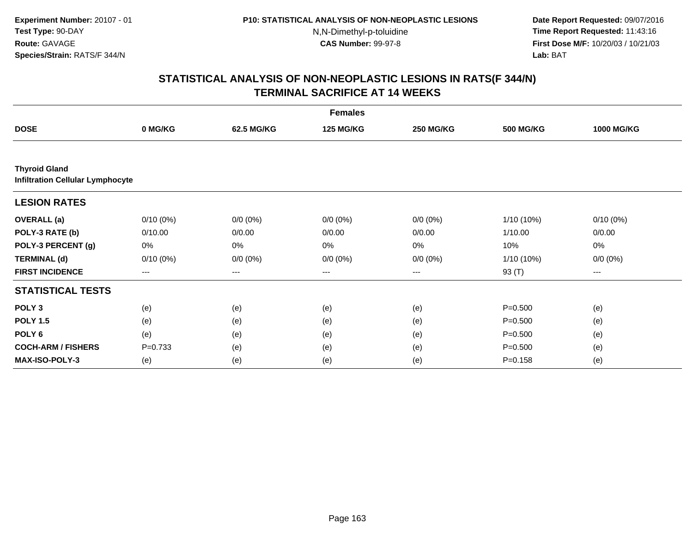**Date Report Requested:** 09/07/2016 **Time Report Requested:** 11:43:16 **First Dose M/F:** 10/20/03 / 10/21/03<br>**Lab:** BAT **Lab:** BAT

|                                                                 |             |             | <b>Females</b>   |                  |                  |                   |
|-----------------------------------------------------------------|-------------|-------------|------------------|------------------|------------------|-------------------|
| <b>DOSE</b>                                                     | 0 MG/KG     | 62.5 MG/KG  | <b>125 MG/KG</b> | <b>250 MG/KG</b> | <b>500 MG/KG</b> | <b>1000 MG/KG</b> |
|                                                                 |             |             |                  |                  |                  |                   |
| <b>Thyroid Gland</b><br><b>Infiltration Cellular Lymphocyte</b> |             |             |                  |                  |                  |                   |
| <b>LESION RATES</b>                                             |             |             |                  |                  |                  |                   |
| <b>OVERALL</b> (a)                                              | $0/10(0\%)$ | $0/0 (0\%)$ | $0/0 (0\%)$      | $0/0 (0\%)$      | 1/10 (10%)       | $0/10(0\%)$       |
| POLY-3 RATE (b)                                                 | 0/10.00     | 0/0.00      | 0/0.00           | 0/0.00           | 1/10.00          | 0/0.00            |
| POLY-3 PERCENT (g)                                              | 0%          | 0%          | 0%               | 0%               | 10%              | 0%                |
| <b>TERMINAL (d)</b>                                             | $0/10(0\%)$ | $0/0 (0\%)$ | $0/0 (0\%)$      | $0/0 (0\%)$      | 1/10 (10%)       | $0/0 (0\%)$       |
| <b>FIRST INCIDENCE</b>                                          | $---$       | $---$       | $---$            | $\cdots$         | 93 (T)           | $---$             |
| <b>STATISTICAL TESTS</b>                                        |             |             |                  |                  |                  |                   |
| POLY <sub>3</sub>                                               | (e)         | (e)         | (e)              | (e)              | $P = 0.500$      | (e)               |
| <b>POLY 1.5</b>                                                 | (e)         | (e)         | (e)              | (e)              | $P = 0.500$      | (e)               |
| POLY <sub>6</sub>                                               | (e)         | (e)         | (e)              | (e)              | $P = 0.500$      | (e)               |
| <b>COCH-ARM / FISHERS</b>                                       | $P=0.733$   | (e)         | (e)              | (e)              | $P = 0.500$      | (e)               |
| <b>MAX-ISO-POLY-3</b>                                           | (e)         | (e)         | (e)              | (e)              | $P = 0.158$      | (e)               |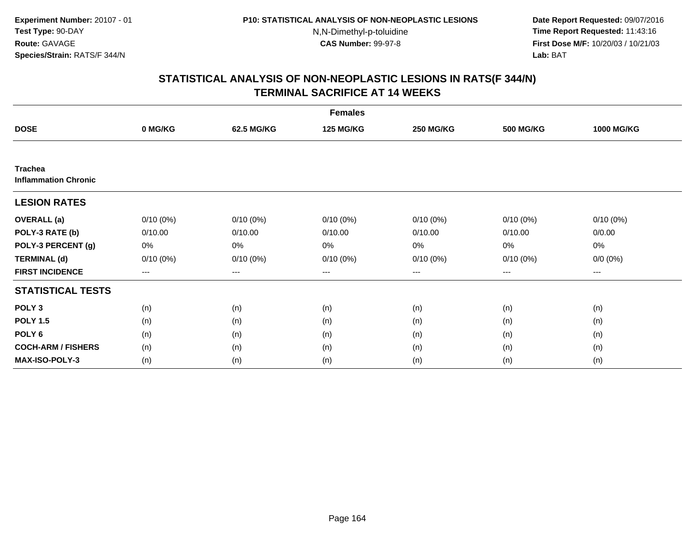**Date Report Requested:** 09/07/2016 **Time Report Requested:** 11:43:16 **First Dose M/F:** 10/20/03 / 10/21/03<br>**Lab:** BAT **Lab:** BAT

|                                               |             |             | <b>Females</b>   |                  |                  |                   |
|-----------------------------------------------|-------------|-------------|------------------|------------------|------------------|-------------------|
| <b>DOSE</b>                                   | 0 MG/KG     | 62.5 MG/KG  | <b>125 MG/KG</b> | <b>250 MG/KG</b> | <b>500 MG/KG</b> | <b>1000 MG/KG</b> |
|                                               |             |             |                  |                  |                  |                   |
| <b>Trachea</b><br><b>Inflammation Chronic</b> |             |             |                  |                  |                  |                   |
| <b>LESION RATES</b>                           |             |             |                  |                  |                  |                   |
| <b>OVERALL</b> (a)                            | $0/10(0\%)$ | $0/10(0\%)$ | $0/10(0\%)$      | $0/10(0\%)$      | $0/10(0\%)$      | $0/10(0\%)$       |
| POLY-3 RATE (b)                               | 0/10.00     | 0/10.00     | 0/10.00          | 0/10.00          | 0/10.00          | 0/0.00            |
| POLY-3 PERCENT (g)                            | 0%          | 0%          | 0%               | 0%               | $0\%$            | $0\%$             |
| <b>TERMINAL (d)</b>                           | $0/10(0\%)$ | $0/10(0\%)$ | $0/10(0\%)$      | $0/10(0\%)$      | $0/10(0\%)$      | $0/0 (0\%)$       |
| <b>FIRST INCIDENCE</b>                        | $\cdots$    | ---         | ---              | $\cdots$         | $\cdots$         | $---$             |
| <b>STATISTICAL TESTS</b>                      |             |             |                  |                  |                  |                   |
| POLY <sub>3</sub>                             | (n)         | (n)         | (n)              | (n)              | (n)              | (n)               |
| <b>POLY 1.5</b>                               | (n)         | (n)         | (n)              | (n)              | (n)              | (n)               |
| POLY <sub>6</sub>                             | (n)         | (n)         | (n)              | (n)              | (n)              | (n)               |
| <b>COCH-ARM / FISHERS</b>                     | (n)         | (n)         | (n)              | (n)              | (n)              | (n)               |
| <b>MAX-ISO-POLY-3</b>                         | (n)         | (n)         | (n)              | (n)              | (n)              | (n)               |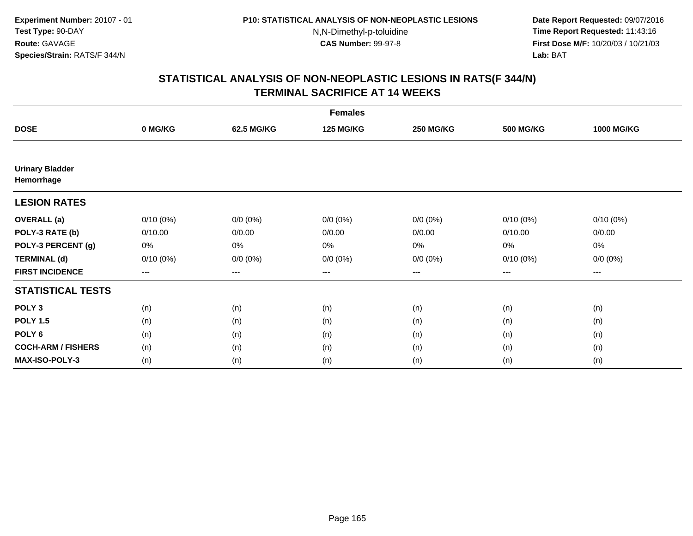**Date Report Requested:** 09/07/2016 **Time Report Requested:** 11:43:16 **First Dose M/F:** 10/20/03 / 10/21/03<br>**Lab:** BAT **Lab:** BAT

|                                      |                   |                   | <b>Females</b>   |                  |                  |                   |
|--------------------------------------|-------------------|-------------------|------------------|------------------|------------------|-------------------|
| <b>DOSE</b>                          | 0 MG/KG           | 62.5 MG/KG        | <b>125 MG/KG</b> | <b>250 MG/KG</b> | <b>500 MG/KG</b> | <b>1000 MG/KG</b> |
|                                      |                   |                   |                  |                  |                  |                   |
| <b>Urinary Bladder</b><br>Hemorrhage |                   |                   |                  |                  |                  |                   |
| <b>LESION RATES</b>                  |                   |                   |                  |                  |                  |                   |
| <b>OVERALL</b> (a)                   | $0/10(0\%)$       | $0/0 (0\%)$       | $0/0 (0\%)$      | $0/0 (0\%)$      | $0/10(0\%)$      | $0/10(0\%)$       |
| POLY-3 RATE (b)                      | 0/10.00           | 0/0.00            | 0/0.00           | 0/0.00           | 0/10.00          | 0/0.00            |
| POLY-3 PERCENT (g)                   | 0%                | 0%                | 0%               | 0%               | 0%               | 0%                |
| <b>TERMINAL (d)</b>                  | $0/10(0\%)$       | $0/0 (0\%)$       | $0/0 (0\%)$      | $0/0 (0\%)$      | $0/10(0\%)$      | $0/0 (0\%)$       |
| <b>FIRST INCIDENCE</b>               | $\qquad \qquad -$ | $\qquad \qquad -$ | $---$            | ---              | $---$            | $\cdots$          |
| <b>STATISTICAL TESTS</b>             |                   |                   |                  |                  |                  |                   |
| POLY <sub>3</sub>                    | (n)               | (n)               | (n)              | (n)              | (n)              | (n)               |
| <b>POLY 1.5</b>                      | (n)               | (n)               | (n)              | (n)              | (n)              | (n)               |
| POLY <sub>6</sub>                    | (n)               | (n)               | (n)              | (n)              | (n)              | (n)               |
| <b>COCH-ARM / FISHERS</b>            | (n)               | (n)               | (n)              | (n)              | (n)              | (n)               |
| <b>MAX-ISO-POLY-3</b>                | (n)               | (n)               | (n)              | (n)              | (n)              | (n)               |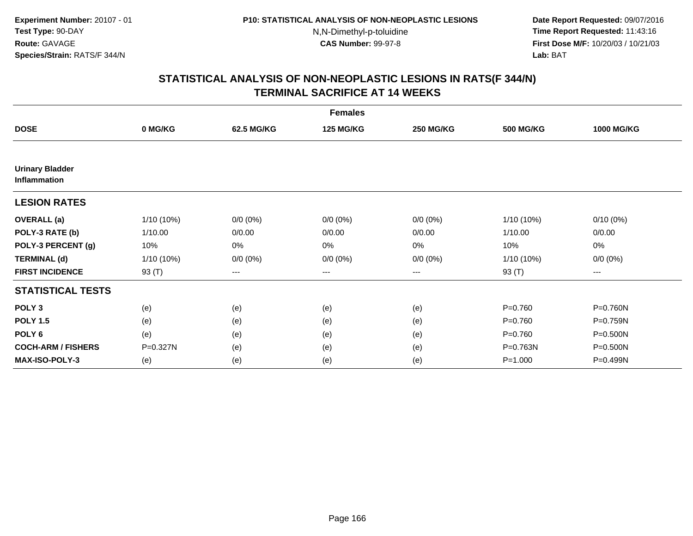**Date Report Requested:** 09/07/2016 **Time Report Requested:** 11:43:16 **First Dose M/F:** 10/20/03 / 10/21/03<br>**Lab:** BAT **Lab:** BAT

|                                               |              |                   | <b>Females</b>   |                  |                  |                   |
|-----------------------------------------------|--------------|-------------------|------------------|------------------|------------------|-------------------|
| <b>DOSE</b>                                   | 0 MG/KG      | 62.5 MG/KG        | <b>125 MG/KG</b> | <b>250 MG/KG</b> | <b>500 MG/KG</b> | <b>1000 MG/KG</b> |
|                                               |              |                   |                  |                  |                  |                   |
| <b>Urinary Bladder</b><br><b>Inflammation</b> |              |                   |                  |                  |                  |                   |
| <b>LESION RATES</b>                           |              |                   |                  |                  |                  |                   |
| <b>OVERALL</b> (a)                            | $1/10(10\%)$ | $0/0 (0\%)$       | $0/0 (0\%)$      | $0/0 (0\%)$      | 1/10 (10%)       | $0/10(0\%)$       |
| POLY-3 RATE (b)                               | 1/10.00      | 0/0.00            | 0/0.00           | 0/0.00           | 1/10.00          | 0/0.00            |
| POLY-3 PERCENT (g)                            | 10%          | 0%                | 0%               | 0%               | 10%              | 0%                |
| <b>TERMINAL (d)</b>                           | 1/10 (10%)   | $0/0 (0\%)$       | $0/0 (0\%)$      | $0/0 (0\%)$      | 1/10 (10%)       | $0/0 (0\%)$       |
| <b>FIRST INCIDENCE</b>                        | 93 (T)       | $\qquad \qquad -$ | $---$            | $---$            | 93 (T)           | ---               |
| <b>STATISTICAL TESTS</b>                      |              |                   |                  |                  |                  |                   |
| POLY <sub>3</sub>                             | (e)          | (e)               | (e)              | (e)              | $P = 0.760$      | P=0.760N          |
| <b>POLY 1.5</b>                               | (e)          | (e)               | (e)              | (e)              | $P = 0.760$      | P=0.759N          |
| POLY <sub>6</sub>                             | (e)          | (e)               | (e)              | (e)              | $P = 0.760$      | P=0.500N          |
| <b>COCH-ARM / FISHERS</b>                     | P=0.327N     | (e)               | (e)              | (e)              | P=0.763N         | P=0.500N          |
| <b>MAX-ISO-POLY-3</b>                         | (e)          | (e)               | (e)              | (e)              | $P = 1.000$      | P=0.499N          |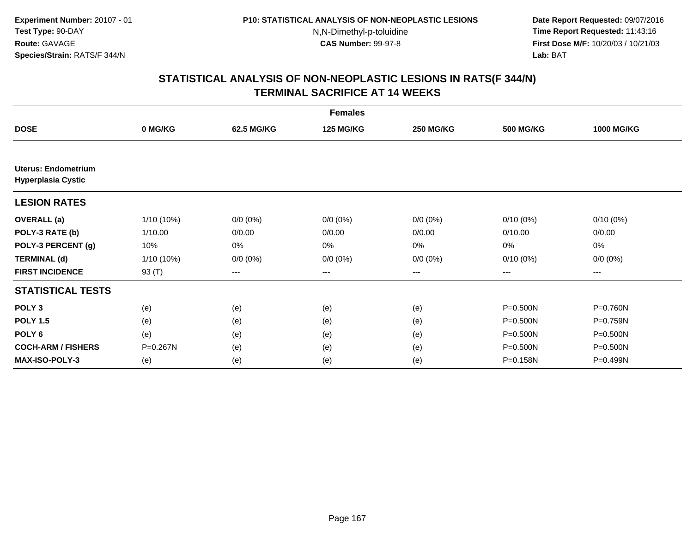**Date Report Requested:** 09/07/2016 **Time Report Requested:** 11:43:16 **First Dose M/F:** 10/20/03 / 10/21/03<br>**Lab:** BAT **Lab:** BAT

|                                                         |              |             | <b>Females</b>   |                  |                  |                   |
|---------------------------------------------------------|--------------|-------------|------------------|------------------|------------------|-------------------|
| <b>DOSE</b>                                             | 0 MG/KG      | 62.5 MG/KG  | <b>125 MG/KG</b> | <b>250 MG/KG</b> | <b>500 MG/KG</b> | <b>1000 MG/KG</b> |
|                                                         |              |             |                  |                  |                  |                   |
| <b>Uterus: Endometrium</b><br><b>Hyperplasia Cystic</b> |              |             |                  |                  |                  |                   |
| <b>LESION RATES</b>                                     |              |             |                  |                  |                  |                   |
| <b>OVERALL</b> (a)                                      | $1/10(10\%)$ | $0/0 (0\%)$ | $0/0 (0\%)$      | $0/0 (0\%)$      | $0/10(0\%)$      | $0/10(0\%)$       |
| POLY-3 RATE (b)                                         | 1/10.00      | 0/0.00      | 0/0.00           | 0/0.00           | 0/10.00          | 0/0.00            |
| POLY-3 PERCENT (g)                                      | 10%          | 0%          | 0%               | 0%               | 0%               | 0%                |
| <b>TERMINAL (d)</b>                                     | $1/10(10\%)$ | $0/0 (0\%)$ | $0/0 (0\%)$      | $0/0 (0\%)$      | $0/10(0\%)$      | $0/0 (0\%)$       |
| <b>FIRST INCIDENCE</b>                                  | 93 (T)       | $--$        | ---              | ---              | ---              | ---               |
| <b>STATISTICAL TESTS</b>                                |              |             |                  |                  |                  |                   |
| POLY <sub>3</sub>                                       | (e)          | (e)         | (e)              | (e)              | P=0.500N         | P=0.760N          |
| <b>POLY 1.5</b>                                         | (e)          | (e)         | (e)              | (e)              | P=0.500N         | P=0.759N          |
| POLY <sub>6</sub>                                       | (e)          | (e)         | (e)              | (e)              | P=0.500N         | P=0.500N          |
| <b>COCH-ARM / FISHERS</b>                               | P=0.267N     | (e)         | (e)              | (e)              | P=0.500N         | P=0.500N          |
| <b>MAX-ISO-POLY-3</b>                                   | (e)          | (e)         | (e)              | (e)              | P=0.158N         | P=0.499N          |